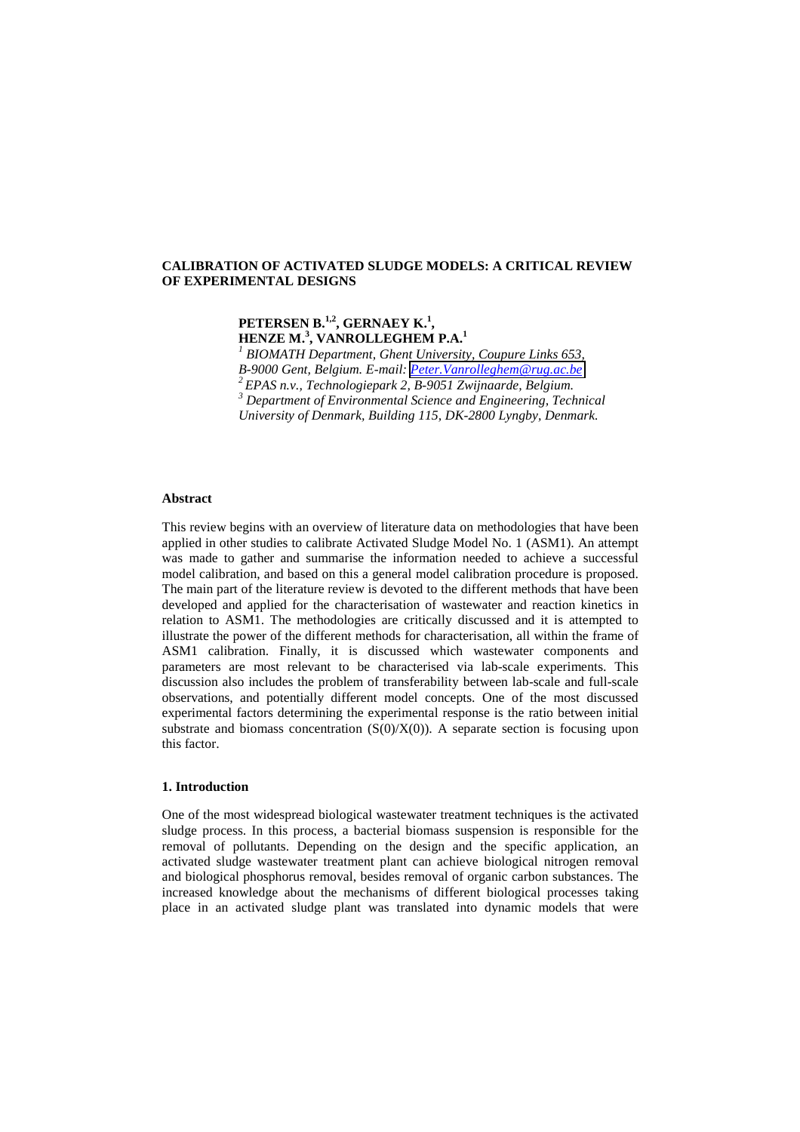# **CALIBRATION OF ACTIVATED SLUDGE MODELS: A CRITICAL REVIEW OF EXPERIMENTAL DESIGNS**

**PETERSEN B.1,2, GERNAEY K.1 , HENZE M.<sup>3</sup> , VANROLLEGHEM P.A.<sup>1</sup>**

*1 BIOMATH Department, Ghent University, Coupure Links 653, B-9000 Gent, Belgium. E-mail: [Peter.Vanrolleghem@rug.ac.be](mailto:Peter.Vanrolleghem@rug.ac.be) 2 EPAS n.v., Technologiepark 2, B-9051 Zwijnaarde, Belgium. 3 Department of Environmental Science and Engineering, Technical University of Denmark, Building 115, DK-2800 Lyngby, Denmark.*

# **Abstract**

This review begins with an overview of literature data on methodologies that have been applied in other studies to calibrate Activated Sludge Model No. 1 (ASM1). An attempt was made to gather and summarise the information needed to achieve a successful model calibration, and based on this a general model calibration procedure is proposed. The main part of the literature review is devoted to the different methods that have been developed and applied for the characterisation of wastewater and reaction kinetics in relation to ASM1. The methodologies are critically discussed and it is attempted to illustrate the power of the different methods for characterisation, all within the frame of ASM1 calibration. Finally, it is discussed which wastewater components and parameters are most relevant to be characterised via lab-scale experiments. This discussion also includes the problem of transferability between lab-scale and full-scale observations, and potentially different model concepts. One of the most discussed experimental factors determining the experimental response is the ratio between initial substrate and biomass concentration  $(S(0)/X(0))$ . A separate section is focusing upon this factor.

# **1. Introduction**

One of the most widespread biological wastewater treatment techniques is the activated sludge process. In this process, a bacterial biomass suspension is responsible for the removal of pollutants. Depending on the design and the specific application, an activated sludge wastewater treatment plant can achieve biological nitrogen removal and biological phosphorus removal, besides removal of organic carbon substances. The increased knowledge about the mechanisms of different biological processes taking place in an activated sludge plant was translated into dynamic models that were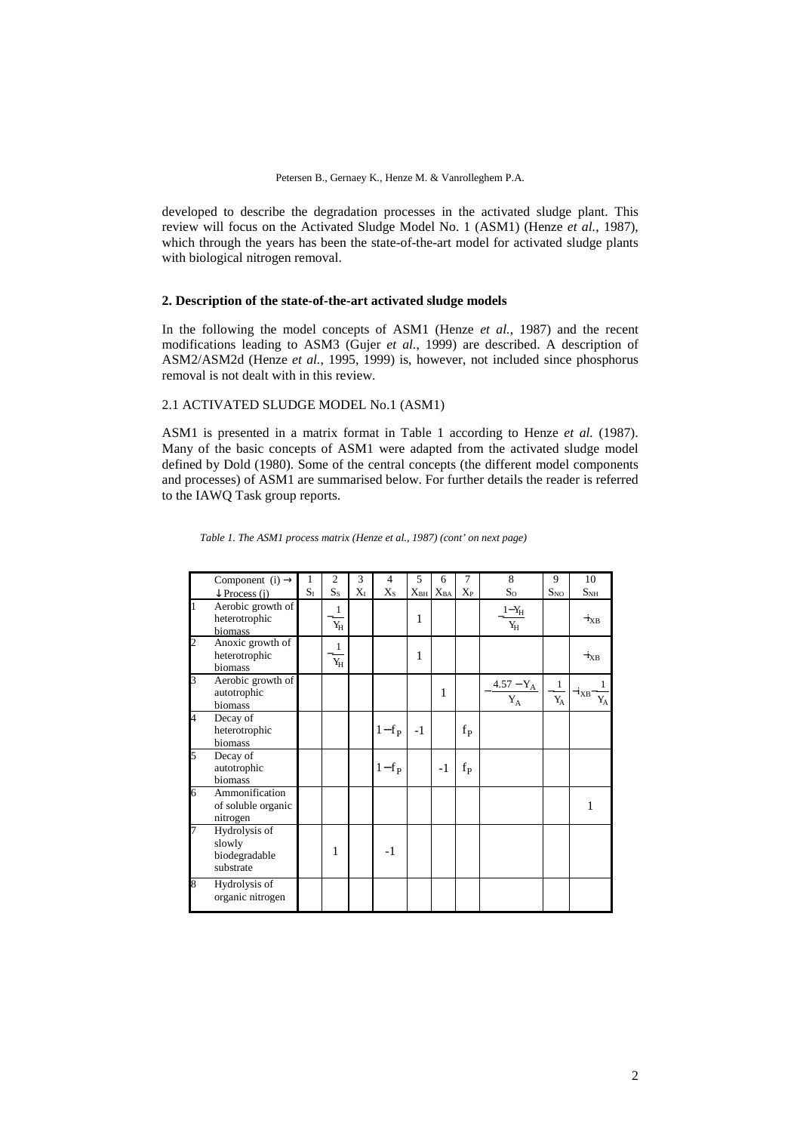developed to describe the degradation processes in the activated sludge plant. This review will focus on the Activated Sludge Model No. 1 (ASM1) (Henze *et al.*, 1987), which through the years has been the state-of-the-art model for activated sludge plants with biological nitrogen removal.

# **2. Description of the state-of-the-art activated sludge models**

In the following the model concepts of ASM1 (Henze *et al.*, 1987) and the recent modifications leading to ASM3 (Gujer *et al.*, 1999) are described. A description of ASM2/ASM2d (Henze *et al.*, 1995, 1999) is, however, not included since phosphorus removal is not dealt with in this review.

# 2.1 ACTIVATED SLUDGE MODEL No.1 (ASM1)

ASM1 is presented in a matrix format in Table 1 according to Henze *et al.* (1987). Many of the basic concepts of ASM1 were adapted from the activated sludge model defined by Dold (1980). Some of the central concepts (the different model components and processes) of ASM1 are summarised below. For further details the reader is referred to the IAWQ Task group reports.

|   | Component $(i) \rightarrow$<br>$\downarrow$ Process (j) | 1<br>$\mathbf{S}_\mathrm{I}$ | 2<br>$S_{S}$ | 3<br>$X_I$ | 4<br>$X_{S}$  | 5    | 6<br>$X_{\rm BH}$ $X_{\rm BA}$ | 7<br>$\mathbf{X}_{\text{P}}$ | 8<br>$\mathbf{S}_\text{O}$ | 9<br>$S_{NO}$         | 10<br>$S_{NH}$           |
|---|---------------------------------------------------------|------------------------------|--------------|------------|---------------|------|--------------------------------|------------------------------|----------------------------|-----------------------|--------------------------|
| 1 | Aerobic growth of<br>heterotrophic<br>biomass           |                              | 1<br>$Y_H$   |            |               | 1    |                                |                              | $1 - Y_H$<br>$Y_H$         |                       | $\dot{A}_{XB}$           |
| 2 | Anoxic growth of<br>heterotrophic<br>biomass            |                              | 1<br>$Y_H$   |            |               | 1    |                                |                              |                            |                       | $\dot{A}_{XB}$           |
| B | Aerobic growth of<br>autotrophic<br>biomass             |                              |              |            |               |      | 1                              |                              | $4.57 - Y_A$<br>$Y_A$      | 1<br>$\overline{Y_A}$ | $-iXB$<br>Y <sub>A</sub> |
| 4 | Decay of<br>heterotrophic<br>biomass                    |                              |              |            | $1-f_{\rm p}$ | $-1$ |                                | $f_{\rm p}$                  |                            |                       |                          |
| 5 | Decay of<br>autotrophic<br>biomass                      |                              |              |            | $1-f_p$       |      | $-1$                           | $f_{\rm p}$                  |                            |                       |                          |
| 6 | Ammonification<br>of soluble organic<br>nitrogen        |                              |              |            |               |      |                                |                              |                            |                       |                          |
|   | Hydrolysis of<br>slowly<br>biodegradable<br>substrate   |                              | 1            |            | $-1$          |      |                                |                              |                            |                       |                          |
| 8 | Hydrolysis of<br>organic nitrogen                       |                              |              |            |               |      |                                |                              |                            |                       |                          |

### *Table 1. The ASM1 process matrix (Henze et al., 1987) (cont' on next page)*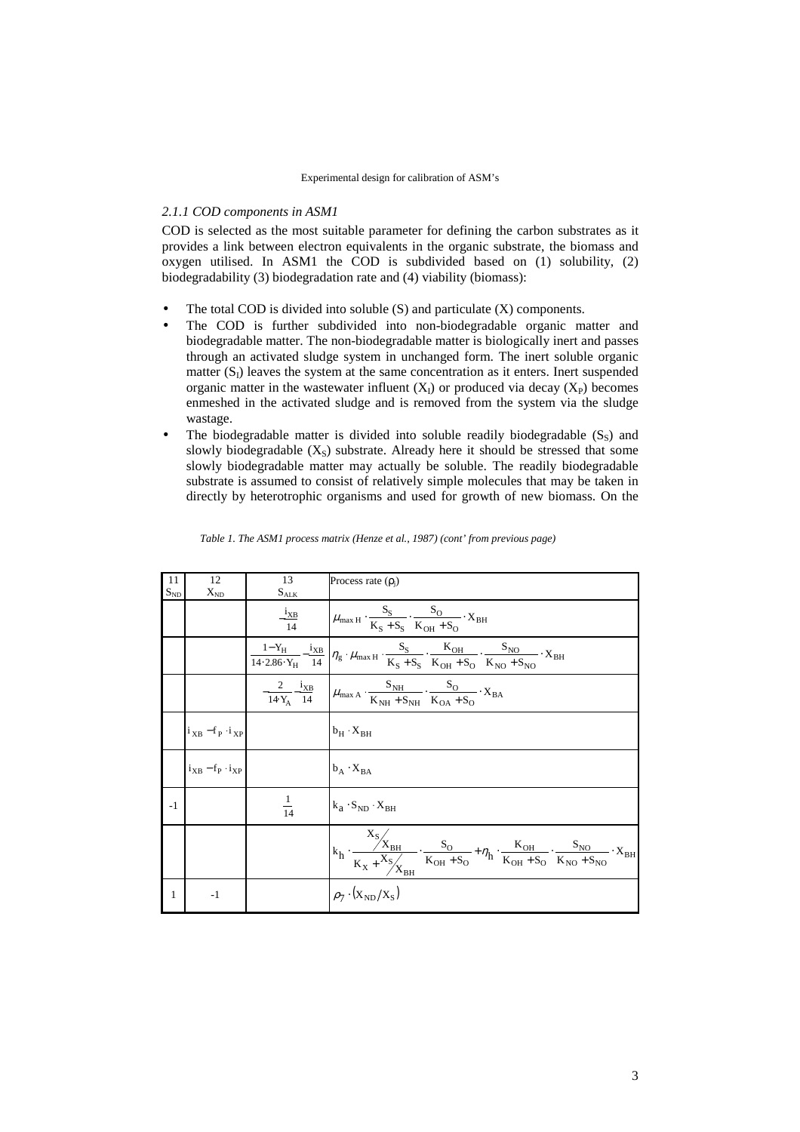### *2.1.1 COD components in ASM1*

COD is selected as the most suitable parameter for defining the carbon substrates as it provides a link between electron equivalents in the organic substrate, the biomass and oxygen utilised. In ASM1 the COD is subdivided based on (1) solubility, (2) biodegradability (3) biodegradation rate and (4) viability (biomass):

- The total COD is divided into soluble  $(S)$  and particulate  $(X)$  components.
- The COD is further subdivided into non-biodegradable organic matter and biodegradable matter. The non-biodegradable matter is biologically inert and passes through an activated sludge system in unchanged form. The inert soluble organic matter  $(S<sub>I</sub>)$  leaves the system at the same concentration as it enters. Inert suspended organic matter in the wastewater influent  $(X_I)$  or produced via decay  $(X_P)$  becomes enmeshed in the activated sludge and is removed from the system via the sludge wastage.
- The biodegradable matter is divided into soluble readily biodegradable  $(S<sub>S</sub>)$  and slowly biodegradable  $(X<sub>S</sub>)$  substrate. Already here it should be stressed that some slowly biodegradable matter may actually be soluble. The readily biodegradable substrate is assumed to consist of relatively simple molecules that may be taken in directly by heterotrophic organisms and used for growth of new biomass. On the

| 11                       | 12                            | 13                           |                                                                                                                                                                                                                                                                                                                                                                                                                                                                               |
|--------------------------|-------------------------------|------------------------------|-------------------------------------------------------------------------------------------------------------------------------------------------------------------------------------------------------------------------------------------------------------------------------------------------------------------------------------------------------------------------------------------------------------------------------------------------------------------------------|
| $\mathbf{S}_{\text{ND}}$ | $X_{ND}$                      | $\underline{S}_{\text{ALK}}$ | Process rate $(\rho_j)$                                                                                                                                                                                                                                                                                                                                                                                                                                                       |
|                          |                               | $\frac{i_{XB}}{14}$          | $\left \mu_{\text{max H}} \cdot \frac{S_S}{K_S + S_S} \cdot \frac{S_O}{K_{OH} + S_O} \cdot X_{BH}\right $                                                                                                                                                                                                                                                                                                                                                                     |
|                          |                               |                              | $\frac{1-Y_H}{14\cdot 2.86\cdot Y_H}-\frac{i_{XB}}{14}\left \eta_g\cdot \mu_{max\,H}\cdot \frac{S_S}{K_S+S_S}\cdot \frac{K_{OH}}{K_{OH}+S_O}\cdot \frac{S_{NO}}{K_{NO}+S_{NO}}\cdot X_{BH}\right $                                                                                                                                                                                                                                                                            |
|                          |                               |                              | $-\frac{2}{14\,Y_A}-\frac{i_{XB}}{14}\quad \  \  \left \mu_{max\,A}-\frac{S_{NH}}{K_{NH}+S_{NH}}\cdot\frac{S_O}{K_{OA}+S_O}\cdot X_{BA}\right $                                                                                                                                                                                                                                                                                                                               |
|                          | $i_{XB} - f_{P} \cdot i_{XP}$ |                              | $b_H \cdot X_{RH}$                                                                                                                                                                                                                                                                                                                                                                                                                                                            |
|                          | $i_{XB} - f_P \cdot i_{XP}$   |                              | $b_A \cdot X_{BA}$                                                                                                                                                                                                                                                                                                                                                                                                                                                            |
| $-1$                     |                               | $\frac{1}{14}$               | $k_a \cdot S_{ND} \cdot X_{BH}$                                                                                                                                                                                                                                                                                                                                                                                                                                               |
|                          |                               |                              | $\mathbf{K}_{\mathbf{h}} \cdot \frac{\mathbf{X}_{\mathbf{S}}}{\mathbf{K}_{\mathbf{X}} + \mathbf{X}_{\mathbf{S}} \mathbf{K}_{\mathbf{bH}}} \cdot \frac{\mathbf{S}_{\mathbf{O}}}{\mathbf{K}_{\mathbf{O}\mathbf{H}} + \mathbf{S}_{\mathbf{O}}} + \eta_{\mathbf{h}} \cdot \frac{\mathbf{K}_{\mathbf{O}\mathbf{H}}}{\mathbf{K}_{\mathbf{O}\mathbf{H}} + \mathbf{S}_{\mathbf{O}}} \cdot \frac{\mathbf{S}_{\mathbf{NO}}}{\mathbf{K}_{\mathbf{NO}} + \mathbf{S}_{\mathbf{NO}}} \cdot$ |
| $\mathbf{1}$             | $-1$                          |                              | $\rho_7 \cdot (X_{ND}/X_S)$                                                                                                                                                                                                                                                                                                                                                                                                                                                   |

*Table 1. The ASM1 process matrix (Henze et al., 1987) (cont' from previous page)*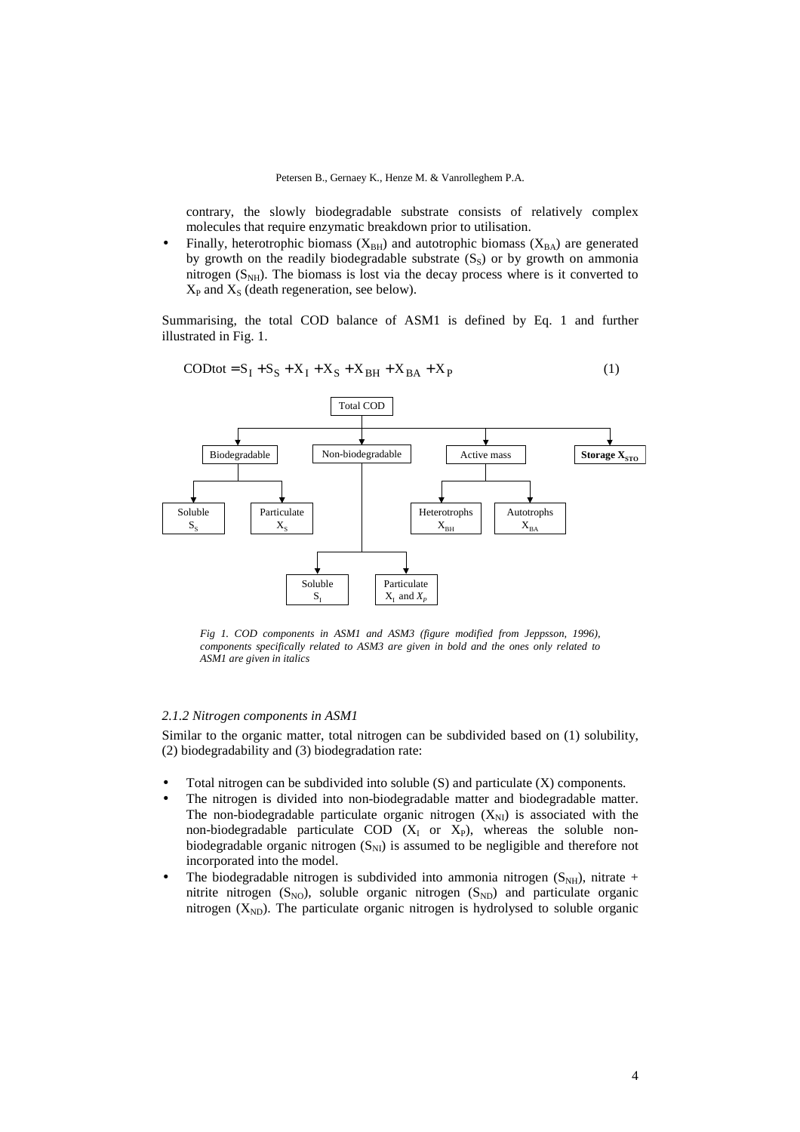contrary, the slowly biodegradable substrate consists of relatively complex molecules that require enzymatic breakdown prior to utilisation.

Finally, heterotrophic biomass ( $X_{BH}$ ) and autotrophic biomass ( $X_{BA}$ ) are generated by growth on the readily biodegradable substrate  $(S<sub>S</sub>)$  or by growth on ammonia nitrogen  $(S<sub>NH</sub>)$ . The biomass is lost via the decay process where is it converted to  $X<sub>P</sub>$  and  $X<sub>S</sub>$  (death regeneration, see below).

Summarising, the total COD balance of ASM1 is defined by Eq. 1 and further illustrated in Fig. 1.

$$
CODtot = S_1 + S_S + X_1 + X_S + X_{BH} + X_{BA} + X_P
$$
 (1)



*Fig 1. COD components in ASM1 and ASM3 (figure modified from Jeppsson, 1996), components specifically related to ASM3 are given in bold and the ones only related to ASM1 are given in italics*

### *2.1.2 Nitrogen components in ASM1*

Similar to the organic matter, total nitrogen can be subdivided based on (1) solubility, (2) biodegradability and (3) biodegradation rate:

- Total nitrogen can be subdivided into soluble (S) and particulate (X) components.
- The nitrogen is divided into non-biodegradable matter and biodegradable matter. The non-biodegradable particulate organic nitrogen  $(X_{NI})$  is associated with the non-biodegradable particulate COD  $(X_I \text{ or } X_P)$ , whereas the soluble nonbiodegradable organic nitrogen  $(S_{NI})$  is assumed to be negligible and therefore not incorporated into the model.
- The biodegradable nitrogen is subdivided into ammonia nitrogen  $(S_{NH})$ , nitrate + nitrite nitrogen  $(S_{NO})$ , soluble organic nitrogen  $(S_{ND})$  and particulate organic nitrogen  $(X_{ND})$ . The particulate organic nitrogen is hydrolysed to soluble organic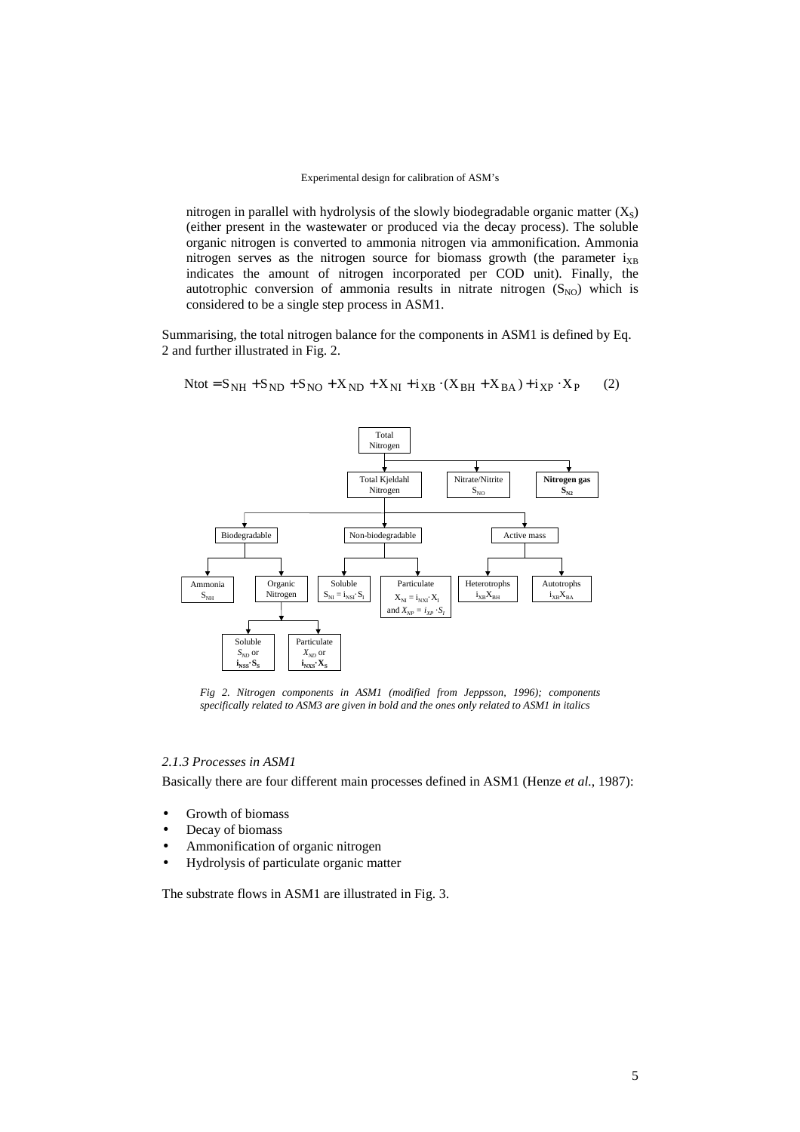nitrogen in parallel with hydrolysis of the slowly biodegradable organic matter  $(X<sub>S</sub>)$ (either present in the wastewater or produced via the decay process). The soluble organic nitrogen is converted to ammonia nitrogen via ammonification. Ammonia nitrogen serves as the nitrogen source for biomass growth (the parameter  $i_{XB}$ indicates the amount of nitrogen incorporated per COD unit). Finally, the autotrophic conversion of ammonia results in nitrate nitrogen  $(S_{NO})$  which is considered to be a single step process in ASM1.

Summarising, the total nitrogen balance for the components in ASM1 is defined by Eq. 2 and further illustrated in Fig. 2.

$$
N\text{tot} = S_{NH} + S_{ND} + S_{NO} + X_{ND} + X_{NI} + i_{XB} \cdot (X_{BH} + X_{BA}) + i_{XP} \cdot X_{P}
$$
 (2)



*Fig 2. Nitrogen components in ASM1 (modified from Jeppsson, 1996); components specifically related to ASM3 are given in bold and the ones only related to ASM1 in italics*

# *2.1.3 Processes in ASM1*

Basically there are four different main processes defined in ASM1 (Henze *et al.*, 1987):

- Growth of biomass
- Decay of biomass
- Ammonification of organic nitrogen
- Hydrolysis of particulate organic matter

The substrate flows in ASM1 are illustrated in Fig. 3.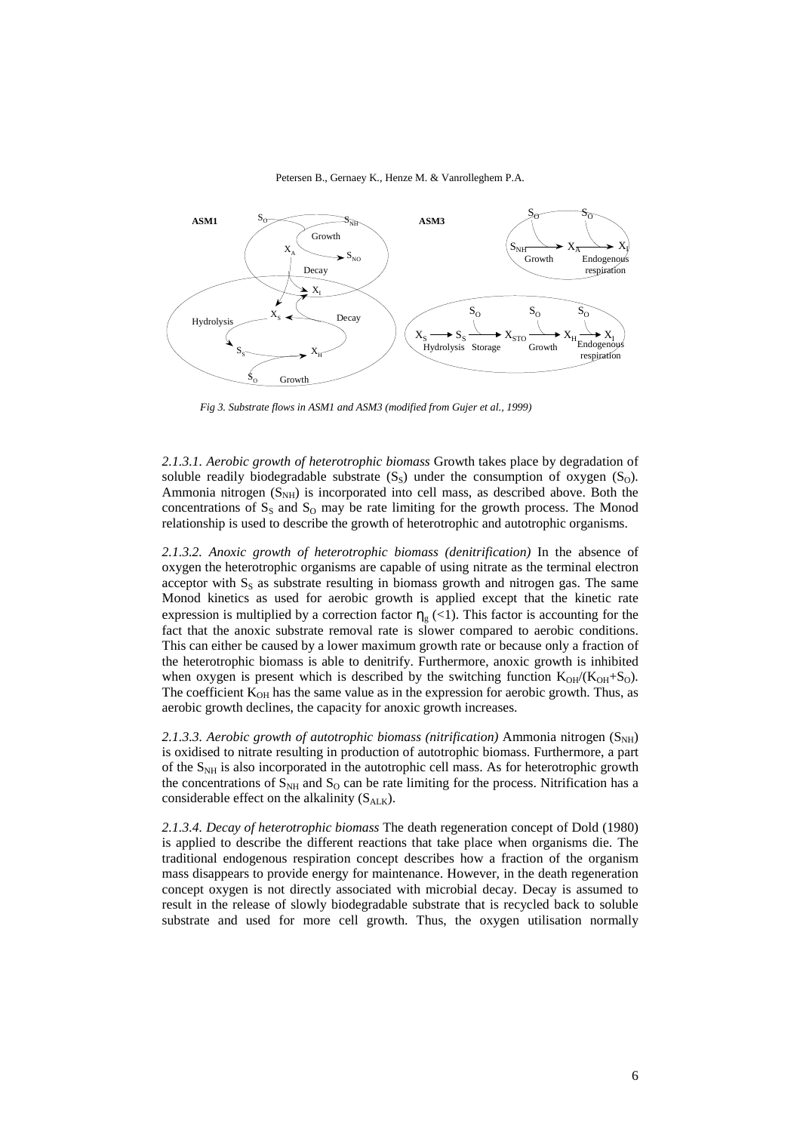### Petersen B., Gernaey K., Henze M. & Vanrolleghem P.A.



*Fig 3. Substrate flows in ASM1 and ASM3 (modified from Gujer et al., 1999)*

*2.1.3.1. Aerobic growth of heterotrophic biomass* Growth takes place by degradation of soluble readily biodegradable substrate  $(S_S)$  under the consumption of oxygen  $(S_O)$ . Ammonia nitrogen  $(S_{NH})$  is incorporated into cell mass, as described above. Both the concentrations of  $S_S$  and  $S_O$  may be rate limiting for the growth process. The Monod relationship is used to describe the growth of heterotrophic and autotrophic organisms.

*2.1.3.2. Anoxic growth of heterotrophic biomass (denitrification)* In the absence of oxygen the heterotrophic organisms are capable of using nitrate as the terminal electron acceptor with  $S_S$  as substrate resulting in biomass growth and nitrogen gas. The same Monod kinetics as used for aerobic growth is applied except that the kinetic rate expression is multiplied by a correction factor  $\eta_g$  (<1). This factor is accounting for the fact that the anoxic substrate removal rate is slower compared to aerobic conditions. This can either be caused by a lower maximum growth rate or because only a fraction of the heterotrophic biomass is able to denitrify. Furthermore, anoxic growth is inhibited when oxygen is present which is described by the switching function  $K_{OH}/(K_{OH}+S_{O})$ . The coefficient  $K_{OH}$  has the same value as in the expression for aerobic growth. Thus, as aerobic growth declines, the capacity for anoxic growth increases.

2.1.3.3. Aerobic growth of autotrophic biomass (nitrification) Ammonia nitrogen (S<sub>NH</sub>) is oxidised to nitrate resulting in production of autotrophic biomass. Furthermore, a part of the  $S_{NH}$  is also incorporated in the autotrophic cell mass. As for heterotrophic growth the concentrations of  $S_{NH}$  and  $S_{O}$  can be rate limiting for the process. Nitrification has a considerable effect on the alkalinity  $(S<sub>ALR</sub>)$ .

*2.1.3.4. Decay of heterotrophic biomass* The death regeneration concept of Dold (1980) is applied to describe the different reactions that take place when organisms die. The traditional endogenous respiration concept describes how a fraction of the organism mass disappears to provide energy for maintenance. However, in the death regeneration concept oxygen is not directly associated with microbial decay. Decay is assumed to result in the release of slowly biodegradable substrate that is recycled back to soluble substrate and used for more cell growth. Thus, the oxygen utilisation normally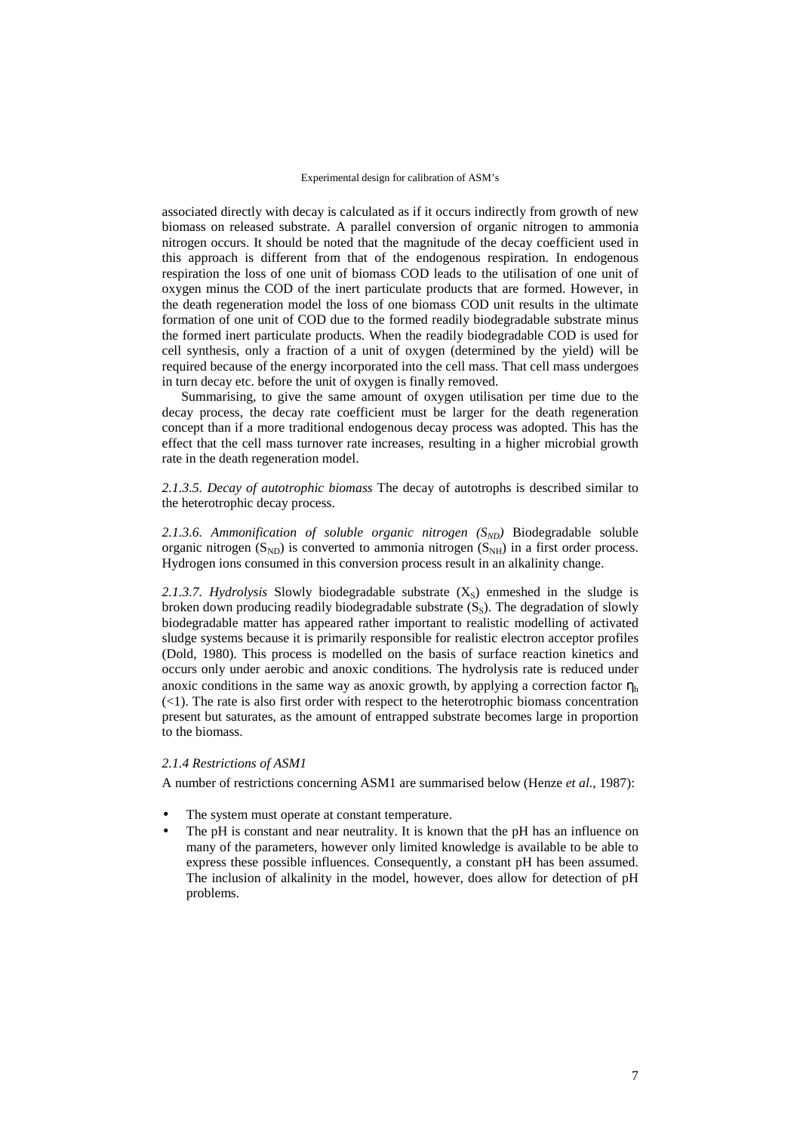#### Experimental design for calibration of ASM's

associated directly with decay is calculated as if it occurs indirectly from growth of new biomass on released substrate. A parallel conversion of organic nitrogen to ammonia nitrogen occurs. It should be noted that the magnitude of the decay coefficient used in this approach is different from that of the endogenous respiration. In endogenous respiration the loss of one unit of biomass COD leads to the utilisation of one unit of oxygen minus the COD of the inert particulate products that are formed. However, in the death regeneration model the loss of one biomass COD unit results in the ultimate formation of one unit of COD due to the formed readily biodegradable substrate minus the formed inert particulate products. When the readily biodegradable COD is used for cell synthesis, only a fraction of a unit of oxygen (determined by the yield) will be required because of the energy incorporated into the cell mass. That cell mass undergoes in turn decay etc. before the unit of oxygen is finally removed.

Summarising, to give the same amount of oxygen utilisation per time due to the decay process, the decay rate coefficient must be larger for the death regeneration concept than if a more traditional endogenous decay process was adopted. This has the effect that the cell mass turnover rate increases, resulting in a higher microbial growth rate in the death regeneration model.

*2.1.3.5. Decay of autotrophic biomass* The decay of autotrophs is described similar to the heterotrophic decay process.

2.1.3.6. Ammonification of soluble organic nitrogen (S<sub>ND</sub>) Biodegradable soluble organic nitrogen  $(S_{ND})$  is converted to ammonia nitrogen  $(S_{NH})$  in a first order process. Hydrogen ions consumed in this conversion process result in an alkalinity change.

2.1.3.7. *Hydrolysis* Slowly biodegradable substrate  $(X<sub>s</sub>)$  enmeshed in the sludge is broken down producing readily biodegradable substrate  $(S<sub>S</sub>)$ . The degradation of slowly biodegradable matter has appeared rather important to realistic modelling of activated sludge systems because it is primarily responsible for realistic electron acceptor profiles (Dold, 1980). This process is modelled on the basis of surface reaction kinetics and occurs only under aerobic and anoxic conditions. The hydrolysis rate is reduced under anoxic conditions in the same way as anoxic growth, by applying a correction factor  $\eta_h$ (<1). The rate is also first order with respect to the heterotrophic biomass concentration present but saturates, as the amount of entrapped substrate becomes large in proportion to the biomass.

### *2.1.4 Restrictions of ASM1*

A number of restrictions concerning ASM1 are summarised below (Henze *et al.*, 1987):

- The system must operate at constant temperature.
- The pH is constant and near neutrality. It is known that the pH has an influence on many of the parameters, however only limited knowledge is available to be able to express these possible influences. Consequently, a constant pH has been assumed. The inclusion of alkalinity in the model, however, does allow for detection of pH problems.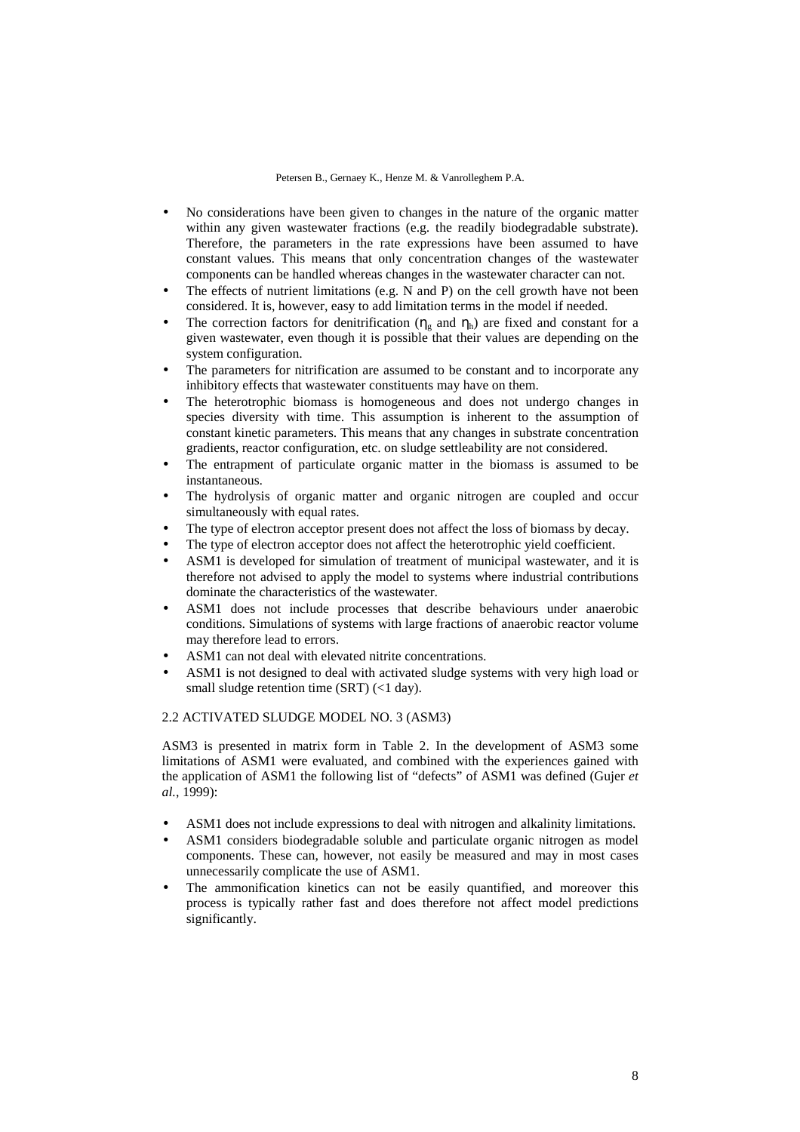#### Petersen B., Gernaey K., Henze M. & Vanrolleghem P.A.

- No considerations have been given to changes in the nature of the organic matter within any given wastewater fractions (e.g. the readily biodegradable substrate). Therefore, the parameters in the rate expressions have been assumed to have constant values. This means that only concentration changes of the wastewater components can be handled whereas changes in the wastewater character can not.
- The effects of nutrient limitations (e.g. N and P) on the cell growth have not been considered. It is, however, easy to add limitation terms in the model if needed.
- The correction factors for denitrification ( $\eta_{g}$  and  $\eta_{h}$ ) are fixed and constant for a given wastewater, even though it is possible that their values are depending on the system configuration.
- The parameters for nitrification are assumed to be constant and to incorporate any inhibitory effects that wastewater constituents may have on them.
- The heterotrophic biomass is homogeneous and does not undergo changes in species diversity with time. This assumption is inherent to the assumption of constant kinetic parameters. This means that any changes in substrate concentration gradients, reactor configuration, etc. on sludge settleability are not considered.
- The entrapment of particulate organic matter in the biomass is assumed to be instantaneous.
- The hydrolysis of organic matter and organic nitrogen are coupled and occur simultaneously with equal rates.
- The type of electron acceptor present does not affect the loss of biomass by decay.
- The type of electron acceptor does not affect the heterotrophic yield coefficient.
- ASM1 is developed for simulation of treatment of municipal wastewater, and it is therefore not advised to apply the model to systems where industrial contributions dominate the characteristics of the wastewater.
- ASM1 does not include processes that describe behaviours under anaerobic conditions. Simulations of systems with large fractions of anaerobic reactor volume may therefore lead to errors.
- ASM1 can not deal with elevated nitrite concentrations.
- ASM1 is not designed to deal with activated sludge systems with very high load or small sludge retention time (SRT) (<1 day).

# 2.2 ACTIVATED SLUDGE MODEL NO. 3 (ASM3)

ASM3 is presented in matrix form in Table 2. In the development of ASM3 some limitations of ASM1 were evaluated, and combined with the experiences gained with the application of ASM1 the following list of "defects" of ASM1 was defined (Gujer *et al.*, 1999):

- ASM1 does not include expressions to deal with nitrogen and alkalinity limitations.
- ASM1 considers biodegradable soluble and particulate organic nitrogen as model components. These can, however, not easily be measured and may in most cases unnecessarily complicate the use of ASM1.
- The ammonification kinetics can not be easily quantified, and moreover this process is typically rather fast and does therefore not affect model predictions significantly.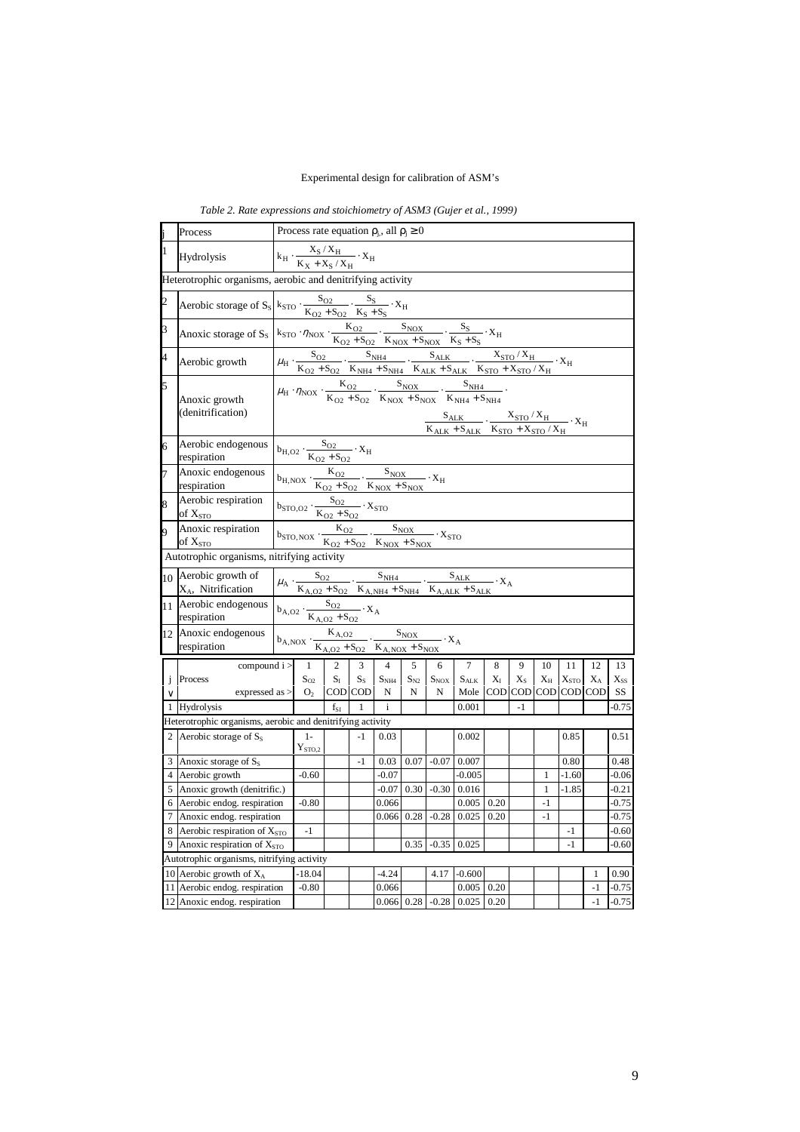# Experimental design for calibration of ASM's

*Table 2. Rate expressions and stoichiometry of ASM3 (Gujer et al., 1999)*

|                                | Process                                                                    |  | Process rate equation $\rho_{j}$ , all $\rho_{j} \ge 0$                                                                                                                                                                                                                                                                                                                                      |                |         |                |          |                        |                                                                                                                                                                                                                  |       |         |              |                  |         |          |
|--------------------------------|----------------------------------------------------------------------------|--|----------------------------------------------------------------------------------------------------------------------------------------------------------------------------------------------------------------------------------------------------------------------------------------------------------------------------------------------------------------------------------------------|----------------|---------|----------------|----------|------------------------|------------------------------------------------------------------------------------------------------------------------------------------------------------------------------------------------------------------|-------|---------|--------------|------------------|---------|----------|
| 1                              | Hydrolysis                                                                 |  | $k_H \cdot \frac{X_S / X_H}{K_X + X_S / X_H} \cdot X_H$                                                                                                                                                                                                                                                                                                                                      |                |         |                |          |                        |                                                                                                                                                                                                                  |       |         |              |                  |         |          |
|                                | Heterotrophic organisms, aerobic and denitrifying activity                 |  |                                                                                                                                                                                                                                                                                                                                                                                              |                |         |                |          |                        |                                                                                                                                                                                                                  |       |         |              |                  |         |          |
| $\overline{c}$                 |                                                                            |  | Aerobic storage of S <sub>S</sub> $k_{STO} \cdot \frac{S_{O2}}{K_{O2} + S_{O2}} \cdot \frac{S_S}{K_S + S_S} \cdot X_H$<br>Anoxic storage of S <sub>S</sub> $k_{STO} \cdot \eta_{NOX} \cdot \frac{K_{O2}}{K_{O2} + S_{O2}} \cdot \frac{S_{NOX}}{K_{NOX} + S_{NOX}} \cdot \frac{S_S}{K_S + S_S} \cdot X_H$                                                                                     |                |         |                |          |                        |                                                                                                                                                                                                                  |       |         |              |                  |         |          |
| 3                              |                                                                            |  |                                                                                                                                                                                                                                                                                                                                                                                              |                |         |                |          |                        |                                                                                                                                                                                                                  |       |         |              |                  |         |          |
| 4                              | Aerobic growth                                                             |  | $\mu_{\rm H} \cdot \frac{\rm S_{O2}}{\rm K_{O2} + S_{O2}} \cdot \frac{\rm S_{NH4}}{\rm K_{NH4} + S_{NH4}} \cdot \frac{\rm S_{ALK}}{\rm K_{ALK} + S_{ALK}} \cdot \frac{\rm X_{STO} / X_{H}}{\rm K_{STO} + X_{STO} / X_{H}} \cdot \rm X_{H}$                                                                                                                                                   |                |         |                |          |                        |                                                                                                                                                                                                                  |       |         |              |                  |         |          |
| 5                              | Anoxic growth<br>(denitrification)                                         |  | $\mu_{\rm H} \cdot \eta_{\rm{NOX}} \cdot \frac{\rm{K_{O2}}}{\rm{K_{O2}} + S_{O2}} \cdot \frac{\rm{S_{NOX}}}{\rm{K_{NOX}} + S_{NOX}} \cdot \frac{\rm{S_{NH4}}}{\rm{K_{NH4}} + S_{NH4}} \, .$<br>$\frac{\mathrm{S_{ALK}}}{\mathrm{K_{ALK}} + \mathrm{S_{ALK}}}\cdot \frac{\mathrm{X_{STO}}\,/\,\mathrm{X_{H}}}{\mathrm{K_{STO}}\,+\,\mathrm{X_{STO}}\,/\,\mathrm{X_{H}}}\cdot\,\mathrm{X_{H}}$ |                |         |                |          |                        |                                                                                                                                                                                                                  |       |         |              |                  |         |          |
| 6                              | Aerobic endogenous<br>respiration                                          |  |                                                                                                                                                                                                                                                                                                                                                                                              |                |         |                |          |                        |                                                                                                                                                                                                                  |       |         |              |                  |         |          |
| 7                              | Anoxic endogenous<br>respiration                                           |  |                                                                                                                                                                                                                                                                                                                                                                                              |                |         |                |          |                        |                                                                                                                                                                                                                  |       |         |              |                  |         |          |
| 8                              | Aerobic respiration<br>of $XSTO$                                           |  | $\frac{b_{H,O2} \cdot \frac{S_{O2}}{K_{O2} + S_{O2}} \cdot X_{H}}{b_{H,NOX} \cdot \frac{K_{O2}}{K_{O2} + S_{O2}} \cdot \frac{S_{NOX}}{K_{NOX} + S_{NOX}} \cdot X_{H}}$<br>$\frac{S_{02}}{K_{02} + S_{02}} \cdot X_{STO}$<br>$b_{STO,NOX} \cdot \frac{K_{O2}}{K_{O2} + S_{O2}} \cdot \frac{S_{NOX}}{K_{NOX} + S_{NOX}} \cdot X_{STO}$                                                         |                |         |                |          |                        |                                                                                                                                                                                                                  |       |         |              |                  |         |          |
| 9                              | Anoxic respiration<br>of $X_{\rm STO}$                                     |  |                                                                                                                                                                                                                                                                                                                                                                                              |                |         |                |          |                        |                                                                                                                                                                                                                  |       |         |              |                  |         |          |
|                                | Autotrophic organisms, nitrifying activity                                 |  |                                                                                                                                                                                                                                                                                                                                                                                              |                |         |                |          |                        |                                                                                                                                                                                                                  |       |         |              |                  |         |          |
| 10                             | Aerobic growth of<br>X <sub>A</sub> , Nitrification                        |  |                                                                                                                                                                                                                                                                                                                                                                                              |                |         |                |          |                        | $\mu_\mathrm{A}\cdot\frac{S_\mathrm{O2}}{K_\mathrm{A,O2}+S_\mathrm{O2}}\cdot\frac{S_\mathrm{NH4}}{K_\mathrm{A,NH4}+S_\mathrm{NH4}}\cdot\frac{S_\mathrm{ALK}}{K_\mathrm{A,ALK}+S_\mathrm{ALK}}\cdot X_\mathrm{A}$ |       |         |              |                  |         |          |
| 11                             | Aerobic endogenous<br>respiration                                          |  | $b_{A, O2} \cdot \frac{S_{O2}}{K_{A, O2} + S_{O2}} \cdot X_A$                                                                                                                                                                                                                                                                                                                                |                |         |                |          |                        |                                                                                                                                                                                                                  |       |         |              |                  |         |          |
|                                | 12 Anoxic endogenous<br>respiration                                        |  | $b_{A,NOX}$ $\frac{K_{A,02}}{K_{A,02} + S_{02}}$ $\frac{S_{NOX}}{K_{A,NOX} + S_{NOX}}$                                                                                                                                                                                                                                                                                                       |                |         |                |          | $S_{\text{NOX}}$ $X_A$ |                                                                                                                                                                                                                  |       |         |              |                  |         |          |
|                                | compound $i >$                                                             |  | 1                                                                                                                                                                                                                                                                                                                                                                                            | $\overline{c}$ | 3       | $\overline{4}$ | 5        | 6                      | 7                                                                                                                                                                                                                | 8     | 9       | 10           | 11               | 12      | 13       |
| Ĵ                              | Process                                                                    |  | $S_{O2}$                                                                                                                                                                                                                                                                                                                                                                                     | $S_{I}$        | $S_{S}$ | $S_{NH4}$      | $S_{N2}$ | $S_{NOX}$              | $S_{ALK}$                                                                                                                                                                                                        | $X_I$ | $X_{S}$ | $X_H$        | X <sub>STO</sub> | $X_A$   | $X_{SS}$ |
| $\checkmark$                   | expressed as >                                                             |  | O <sub>2</sub>                                                                                                                                                                                                                                                                                                                                                                               |                | COD COD | N              | N        | N                      | Mole COD COD                                                                                                                                                                                                     |       |         | COD          |                  | COD COD | SS       |
|                                | 1 Hydrolysis<br>Heterotrophic organisms, aerobic and denitrifying activity |  |                                                                                                                                                                                                                                                                                                                                                                                              | $f_{\rm SI}$   |         |                |          |                        | 0.001                                                                                                                                                                                                            |       | $-1$    |              |                  |         | $-0.75$  |
|                                | 2 Aerobic storage of $S_s$                                                 |  | $1-$                                                                                                                                                                                                                                                                                                                                                                                         |                | $-1$    | 0.03           |          |                        | 0.002                                                                                                                                                                                                            |       |         |              | 0.85             |         | 0.51     |
|                                | 3 Anoxic storage of $S_s$                                                  |  | ${\rm Y}_{\rm STO,2}$                                                                                                                                                                                                                                                                                                                                                                        |                | $-1$    | 0.03           | 0.07     | $-0.07$                | 0.007                                                                                                                                                                                                            |       |         |              | 0.80             |         | 0.48     |
| $\overline{4}$                 | Aerobic growth                                                             |  | $-0.60$                                                                                                                                                                                                                                                                                                                                                                                      |                |         | $-0.07$        |          |                        | $-0.005$                                                                                                                                                                                                         |       |         | 1            | $-1.60$          |         | $-0.06$  |
|                                | 5 Anoxic growth (denitrific.)                                              |  |                                                                                                                                                                                                                                                                                                                                                                                              |                |         | $-0.07$        | 0.30     | $-0.30$                | 0.016                                                                                                                                                                                                            |       |         | $\mathbf{1}$ | $-1.85$          |         | $-0.21$  |
|                                | 6 Aerobic endog. respiration                                               |  | $-0.80$                                                                                                                                                                                                                                                                                                                                                                                      |                |         | 0.066          |          |                        | 0.005                                                                                                                                                                                                            | 0.20  |         | $-1$         |                  |         | $-0.75$  |
| 7                              | Anoxic endog. respiration                                                  |  |                                                                                                                                                                                                                                                                                                                                                                                              |                |         | $0.066$ 0.28   |          | $-0.28$                | 0.025                                                                                                                                                                                                            | 0.20  |         | $-1$         |                  |         | $-0.75$  |
|                                | 8 Aerobic respiration of $XSTO$                                            |  | $-1$                                                                                                                                                                                                                                                                                                                                                                                         |                |         |                |          |                        |                                                                                                                                                                                                                  |       |         |              | $-1$             |         | $-0.60$  |
| 9 Anoxic respiration of $XSTO$ |                                                                            |  |                                                                                                                                                                                                                                                                                                                                                                                              |                |         | 0.35           | $-0.35$  | 0.025                  |                                                                                                                                                                                                                  |       |         | $-1$         |                  | $-0.60$ |          |
|                                | Autotrophic organisms, nitrifying activity                                 |  |                                                                                                                                                                                                                                                                                                                                                                                              |                |         |                |          |                        |                                                                                                                                                                                                                  |       |         |              |                  |         |          |
|                                | 10 Aerobic growth of $X_A$                                                 |  | $-18.04$                                                                                                                                                                                                                                                                                                                                                                                     |                |         | $-4.24$        |          | 4.17                   | $-0.600$                                                                                                                                                                                                         |       |         |              |                  | 1       | 0.90     |
|                                | 11 Aerobic endog. respiration                                              |  | $-0.80$                                                                                                                                                                                                                                                                                                                                                                                      |                |         | 0.066          |          |                        | 0.005                                                                                                                                                                                                            | 0.20  |         |              |                  | $-1$    | $-0.75$  |
|                                | 12 Anoxic endog. respiration                                               |  |                                                                                                                                                                                                                                                                                                                                                                                              |                |         |                |          | $0.066$ $0.28$ $-0.28$ | 0.025                                                                                                                                                                                                            | 0.20  |         |              |                  | $-1$    | $-0.75$  |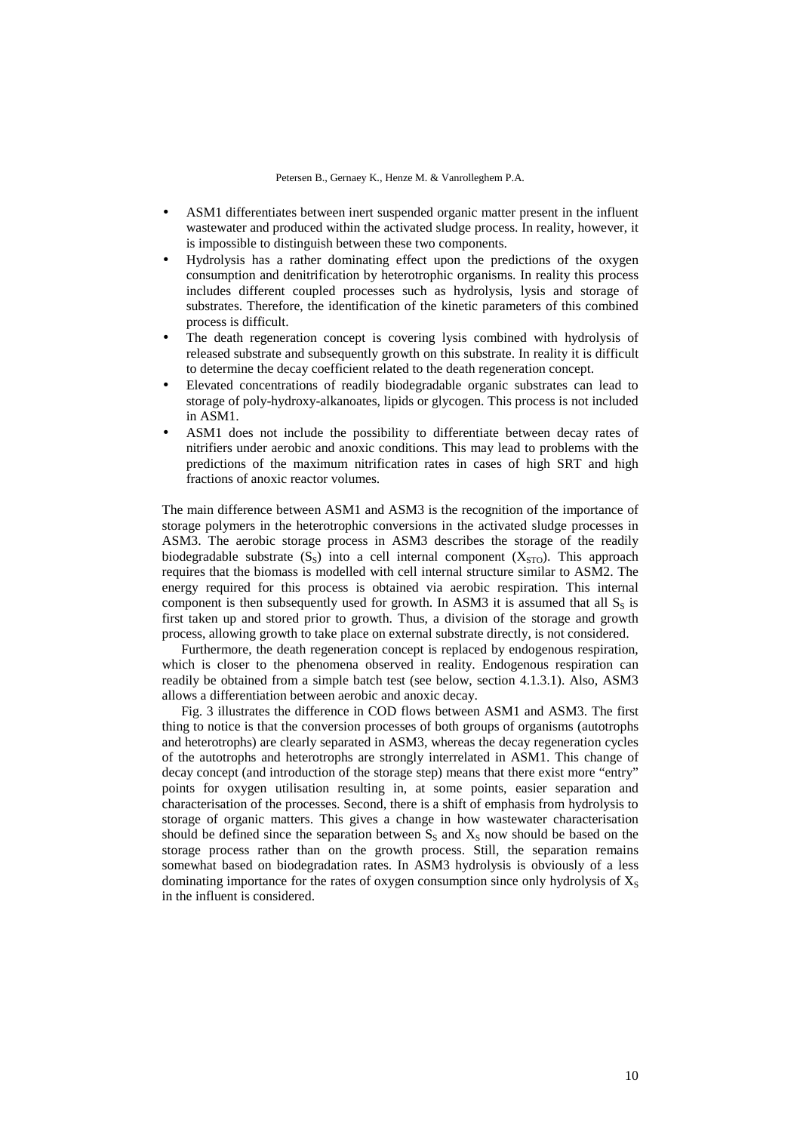- ASM1 differentiates between inert suspended organic matter present in the influent wastewater and produced within the activated sludge process. In reality, however, it is impossible to distinguish between these two components.
- Hydrolysis has a rather dominating effect upon the predictions of the oxygen consumption and denitrification by heterotrophic organisms. In reality this process includes different coupled processes such as hydrolysis, lysis and storage of substrates. Therefore, the identification of the kinetic parameters of this combined process is difficult.
- The death regeneration concept is covering lysis combined with hydrolysis of released substrate and subsequently growth on this substrate. In reality it is difficult to determine the decay coefficient related to the death regeneration concept.
- Elevated concentrations of readily biodegradable organic substrates can lead to storage of poly-hydroxy-alkanoates, lipids or glycogen. This process is not included in ASM1.
- ASM1 does not include the possibility to differentiate between decay rates of nitrifiers under aerobic and anoxic conditions. This may lead to problems with the predictions of the maximum nitrification rates in cases of high SRT and high fractions of anoxic reactor volumes.

The main difference between ASM1 and ASM3 is the recognition of the importance of storage polymers in the heterotrophic conversions in the activated sludge processes in ASM3. The aerobic storage process in ASM3 describes the storage of the readily biodegradable substrate  $(S_S)$  into a cell internal component  $(X_{STO})$ . This approach requires that the biomass is modelled with cell internal structure similar to ASM2. The energy required for this process is obtained via aerobic respiration. This internal component is then subsequently used for growth. In ASM3 it is assumed that all  $S_s$  is first taken up and stored prior to growth. Thus, a division of the storage and growth process, allowing growth to take place on external substrate directly, is not considered.

Furthermore, the death regeneration concept is replaced by endogenous respiration, which is closer to the phenomena observed in reality. Endogenous respiration can readily be obtained from a simple batch test (see below, section 4.1.3.1). Also, ASM3 allows a differentiation between aerobic and anoxic decay.

Fig. 3 illustrates the difference in COD flows between ASM1 and ASM3. The first thing to notice is that the conversion processes of both groups of organisms (autotrophs and heterotrophs) are clearly separated in ASM3, whereas the decay regeneration cycles of the autotrophs and heterotrophs are strongly interrelated in ASM1. This change of decay concept (and introduction of the storage step) means that there exist more "entry" points for oxygen utilisation resulting in, at some points, easier separation and characterisation of the processes. Second, there is a shift of emphasis from hydrolysis to storage of organic matters. This gives a change in how wastewater characterisation should be defined since the separation between  $S_S$  and  $X_S$  now should be based on the storage process rather than on the growth process. Still, the separation remains somewhat based on biodegradation rates. In ASM3 hydrolysis is obviously of a less dominating importance for the rates of oxygen consumption since only hydrolysis of  $X_S$ in the influent is considered.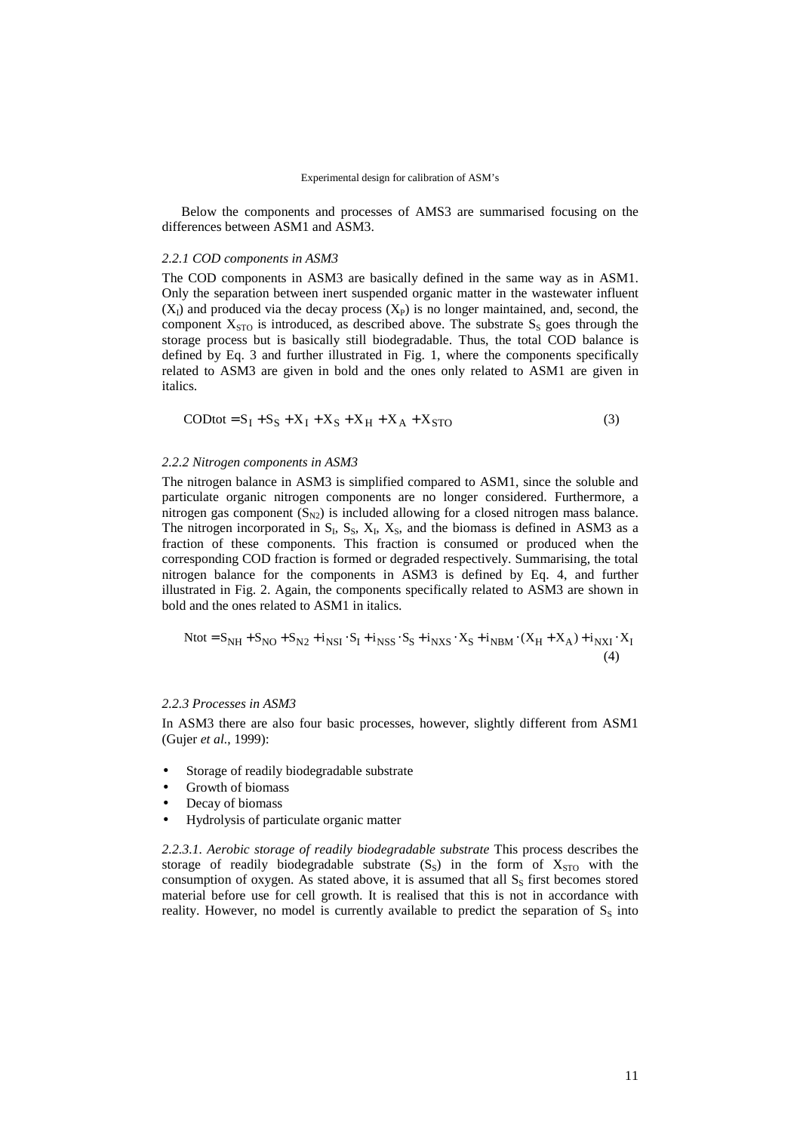Below the components and processes of AMS3 are summarised focusing on the differences between ASM1 and ASM3.

### *2.2.1 COD components in ASM3*

The COD components in ASM3 are basically defined in the same way as in ASM1. Only the separation between inert suspended organic matter in the wastewater influent  $(X<sub>I</sub>)$  and produced via the decay process  $(X<sub>P</sub>)$  is no longer maintained, and, second, the component  $X<sub>STO</sub>$  is introduced, as described above. The substrate  $S<sub>S</sub>$  goes through the storage process but is basically still biodegradable. Thus, the total COD balance is defined by Eq. 3 and further illustrated in Fig. 1, where the components specifically related to ASM3 are given in bold and the ones only related to ASM1 are given in italics.

$$
COD\text{tot} = S_I + S_S + X_I + X_S + X_H + X_A + X_{STO}
$$
\n<sup>(3)</sup>

### *2.2.2 Nitrogen components in ASM3*

The nitrogen balance in ASM3 is simplified compared to ASM1, since the soluble and particulate organic nitrogen components are no longer considered. Furthermore, a nitrogen gas component  $(S_N)$  is included allowing for a closed nitrogen mass balance. The nitrogen incorporated in  $S_I$ ,  $S_S$ ,  $X_I$ ,  $X_S$ , and the biomass is defined in ASM3 as a fraction of these components. This fraction is consumed or produced when the corresponding COD fraction is formed or degraded respectively. Summarising, the total nitrogen balance for the components in ASM3 is defined by Eq. 4, and further illustrated in Fig. 2. Again, the components specifically related to ASM3 are shown in bold and the ones related to ASM1 in italics.

$$
N\text{tot} = S_{NH} + S_{NO} + S_{N2} + i_{NSI} \cdot S_{I} + i_{NSS} \cdot S_{S} + i_{NXS} \cdot X_{S} + i_{NBM} \cdot (X_{H} + X_{A}) + i_{NXI} \cdot X_{I}
$$
\n(4)

### *2.2.3 Processes in ASM3*

In ASM3 there are also four basic processes, however, slightly different from ASM1 (Gujer *et al.*, 1999):

- Storage of readily biodegradable substrate
- Growth of biomass
- Decay of biomass
- Hydrolysis of particulate organic matter

*2.2.3.1. Aerobic storage of readily biodegradable substrate* This process describes the storage of readily biodegradable substrate  $(S<sub>S</sub>)$  in the form of  $X<sub>STO</sub>$  with the consumption of oxygen. As stated above, it is assumed that all  $S<sub>S</sub>$  first becomes stored material before use for cell growth. It is realised that this is not in accordance with reality. However, no model is currently available to predict the separation of  $S_s$  into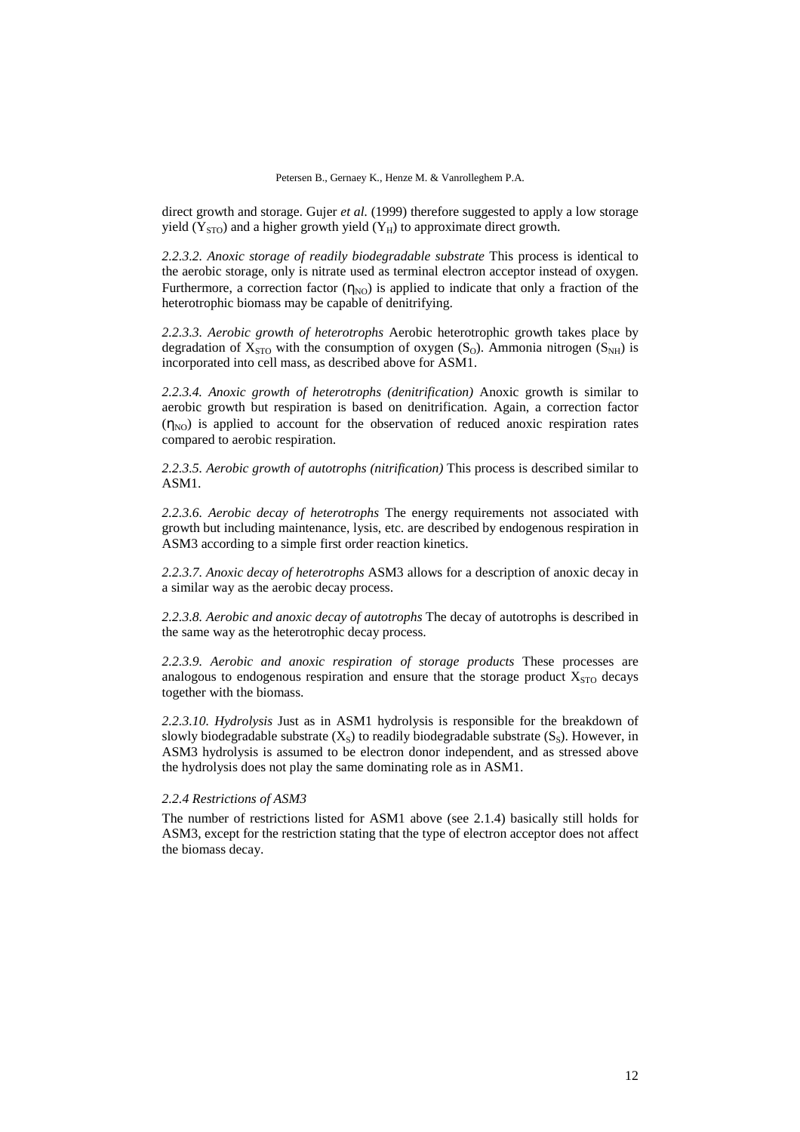Petersen B., Gernaey K., Henze M. & Vanrolleghem P.A.

direct growth and storage. Gujer *et al.* (1999) therefore suggested to apply a low storage yield ( $Y_{STO}$ ) and a higher growth yield ( $Y_H$ ) to approximate direct growth.

*2.2.3.2. Anoxic storage of readily biodegradable substrate* This process is identical to the aerobic storage, only is nitrate used as terminal electron acceptor instead of oxygen. Furthermore, a correction factor  $(\eta_{NO})$  is applied to indicate that only a fraction of the heterotrophic biomass may be capable of denitrifying.

*2.2.3.3. Aerobic growth of heterotrophs* Aerobic heterotrophic growth takes place by degradation of  $X_{STO}$  with the consumption of oxygen  $(S_O)$ . Ammonia nitrogen  $(S_{NH})$  is incorporated into cell mass, as described above for ASM1.

*2.2.3.4. Anoxic growth of heterotrophs (denitrification)* Anoxic growth is similar to aerobic growth but respiration is based on denitrification. Again, a correction factor  $(\eta_{NO})$  is applied to account for the observation of reduced anoxic respiration rates compared to aerobic respiration.

*2.2.3.5. Aerobic growth of autotrophs (nitrification)* This process is described similar to ASM1.

*2.2.3.6. Aerobic decay of heterotrophs* The energy requirements not associated with growth but including maintenance, lysis, etc. are described by endogenous respiration in ASM3 according to a simple first order reaction kinetics.

*2.2.3.7. Anoxic decay of heterotrophs* ASM3 allows for a description of anoxic decay in a similar way as the aerobic decay process.

*2.2.3.8. Aerobic and anoxic decay of autotrophs* The decay of autotrophs is described in the same way as the heterotrophic decay process.

*2.2.3.9. Aerobic and anoxic respiration of storage products* These processes are analogous to endogenous respiration and ensure that the storage product  $X<sub>STO</sub>$  decays together with the biomass.

*2.2.3.10. Hydrolysis* Just as in ASM1 hydrolysis is responsible for the breakdown of slowly biodegradable substrate  $(X<sub>S</sub>)$  to readily biodegradable substrate  $(S<sub>S</sub>)$ . However, in ASM3 hydrolysis is assumed to be electron donor independent, and as stressed above the hydrolysis does not play the same dominating role as in ASM1.

# *2.2.4 Restrictions of ASM3*

The number of restrictions listed for ASM1 above (see 2.1.4) basically still holds for ASM3, except for the restriction stating that the type of electron acceptor does not affect the biomass decay.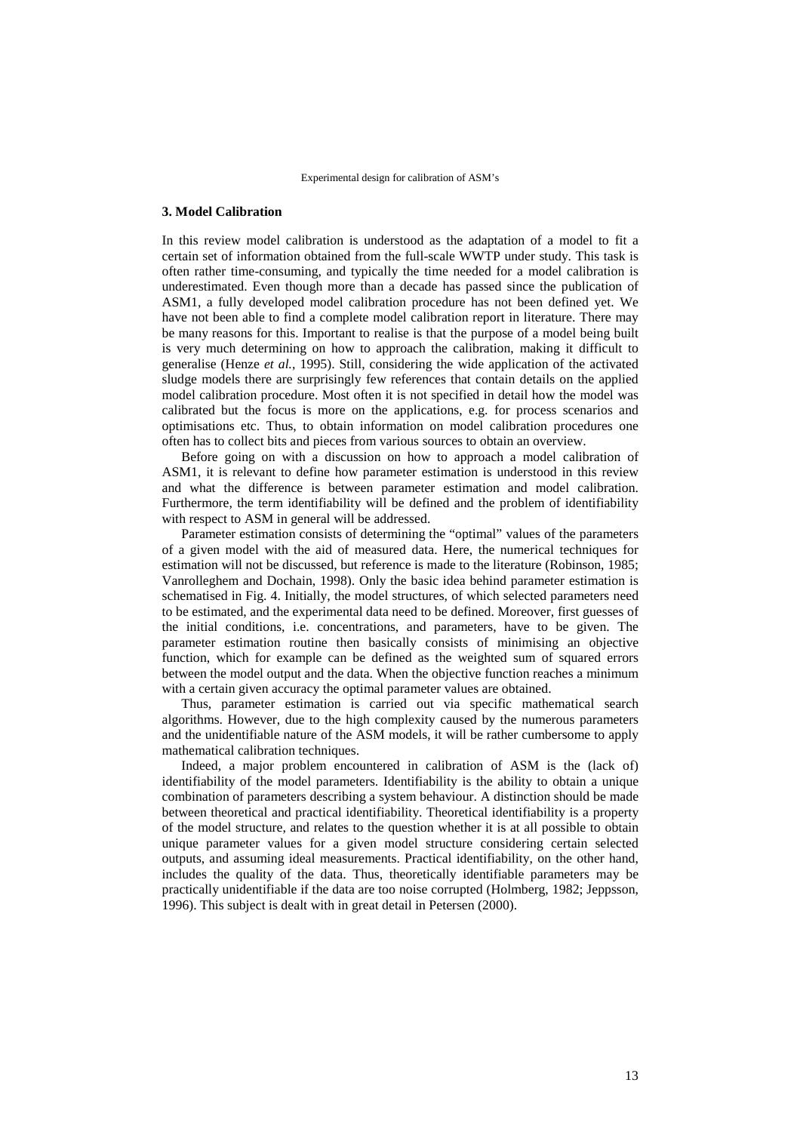# **3. Model Calibration**

In this review model calibration is understood as the adaptation of a model to fit a certain set of information obtained from the full-scale WWTP under study. This task is often rather time-consuming, and typically the time needed for a model calibration is underestimated. Even though more than a decade has passed since the publication of ASM1, a fully developed model calibration procedure has not been defined yet. We have not been able to find a complete model calibration report in literature. There may be many reasons for this. Important to realise is that the purpose of a model being built is very much determining on how to approach the calibration, making it difficult to generalise (Henze *et al.*, 1995). Still, considering the wide application of the activated sludge models there are surprisingly few references that contain details on the applied model calibration procedure. Most often it is not specified in detail how the model was calibrated but the focus is more on the applications, e.g. for process scenarios and optimisations etc. Thus, to obtain information on model calibration procedures one often has to collect bits and pieces from various sources to obtain an overview.

Before going on with a discussion on how to approach a model calibration of ASM1, it is relevant to define how parameter estimation is understood in this review and what the difference is between parameter estimation and model calibration. Furthermore, the term identifiability will be defined and the problem of identifiability with respect to ASM in general will be addressed.

Parameter estimation consists of determining the "optimal" values of the parameters of a given model with the aid of measured data. Here, the numerical techniques for estimation will not be discussed, but reference is made to the literature (Robinson, 1985; Vanrolleghem and Dochain, 1998). Only the basic idea behind parameter estimation is schematised in Fig. 4. Initially, the model structures, of which selected parameters need to be estimated, and the experimental data need to be defined. Moreover, first guesses of the initial conditions, i.e. concentrations, and parameters, have to be given. The parameter estimation routine then basically consists of minimising an objective function, which for example can be defined as the weighted sum of squared errors between the model output and the data. When the objective function reaches a minimum with a certain given accuracy the optimal parameter values are obtained.

Thus, parameter estimation is carried out via specific mathematical search algorithms. However, due to the high complexity caused by the numerous parameters and the unidentifiable nature of the ASM models, it will be rather cumbersome to apply mathematical calibration techniques.

Indeed, a major problem encountered in calibration of ASM is the (lack of) identifiability of the model parameters. Identifiability is the ability to obtain a unique combination of parameters describing a system behaviour. A distinction should be made between theoretical and practical identifiability. Theoretical identifiability is a property of the model structure, and relates to the question whether it is at all possible to obtain unique parameter values for a given model structure considering certain selected outputs, and assuming ideal measurements. Practical identifiability, on the other hand, includes the quality of the data. Thus, theoretically identifiable parameters may be practically unidentifiable if the data are too noise corrupted (Holmberg, 1982; Jeppsson, 1996). This subject is dealt with in great detail in Petersen (2000).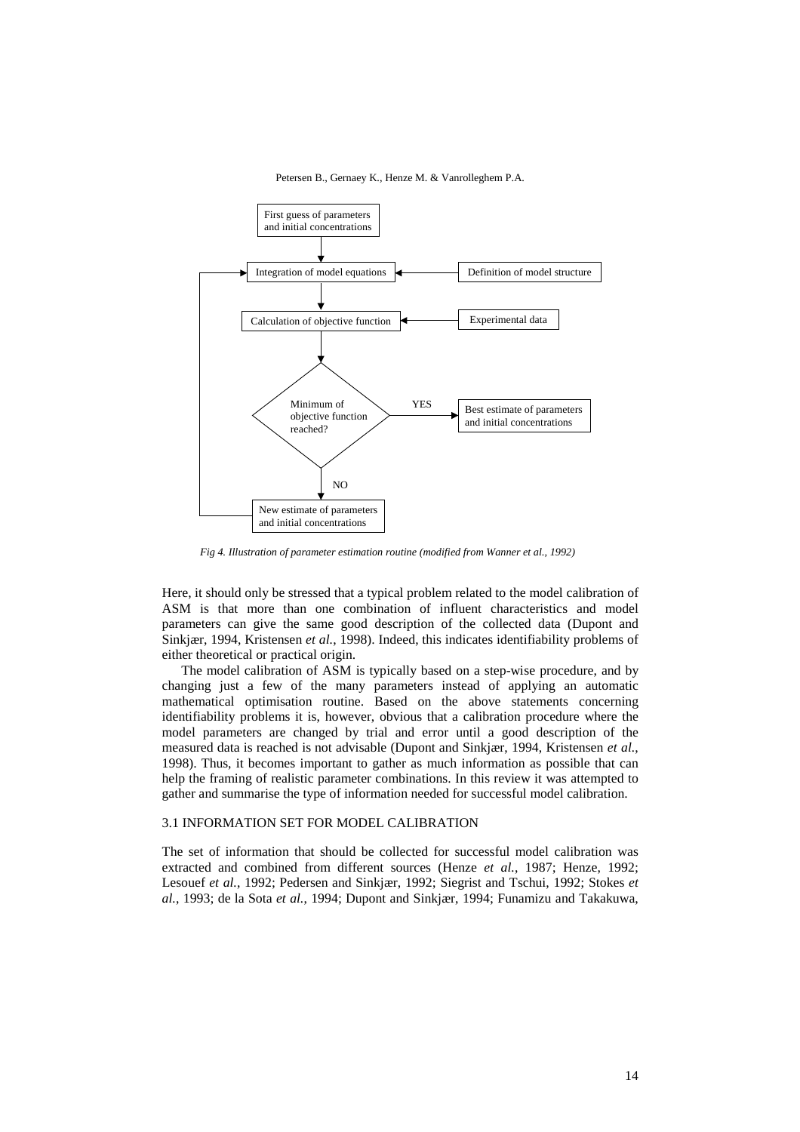### Petersen B., Gernaey K., Henze M. & Vanrolleghem P.A.



*Fig 4. Illustration of parameter estimation routine (modified from Wanner et al., 1992)*

Here, it should only be stressed that a typical problem related to the model calibration of ASM is that more than one combination of influent characteristics and model parameters can give the same good description of the collected data (Dupont and Sinkjær, 1994, Kristensen *et al.*, 1998). Indeed, this indicates identifiability problems of either theoretical or practical origin.

The model calibration of ASM is typically based on a step-wise procedure, and by changing just a few of the many parameters instead of applying an automatic mathematical optimisation routine. Based on the above statements concerning identifiability problems it is, however, obvious that a calibration procedure where the model parameters are changed by trial and error until a good description of the measured data is reached is not advisable (Dupont and Sinkjær, 1994, Kristensen *et al.*, 1998). Thus, it becomes important to gather as much information as possible that can help the framing of realistic parameter combinations. In this review it was attempted to gather and summarise the type of information needed for successful model calibration.

# 3.1 INFORMATION SET FOR MODEL CALIBRATION

The set of information that should be collected for successful model calibration was extracted and combined from different sources (Henze *et al.*, 1987; Henze, 1992; Lesouef *et al.*, 1992; Pedersen and Sinkjær, 1992; Siegrist and Tschui, 1992; Stokes *et al.*, 1993; de la Sota *et al.*, 1994; Dupont and Sinkjær, 1994; Funamizu and Takakuwa,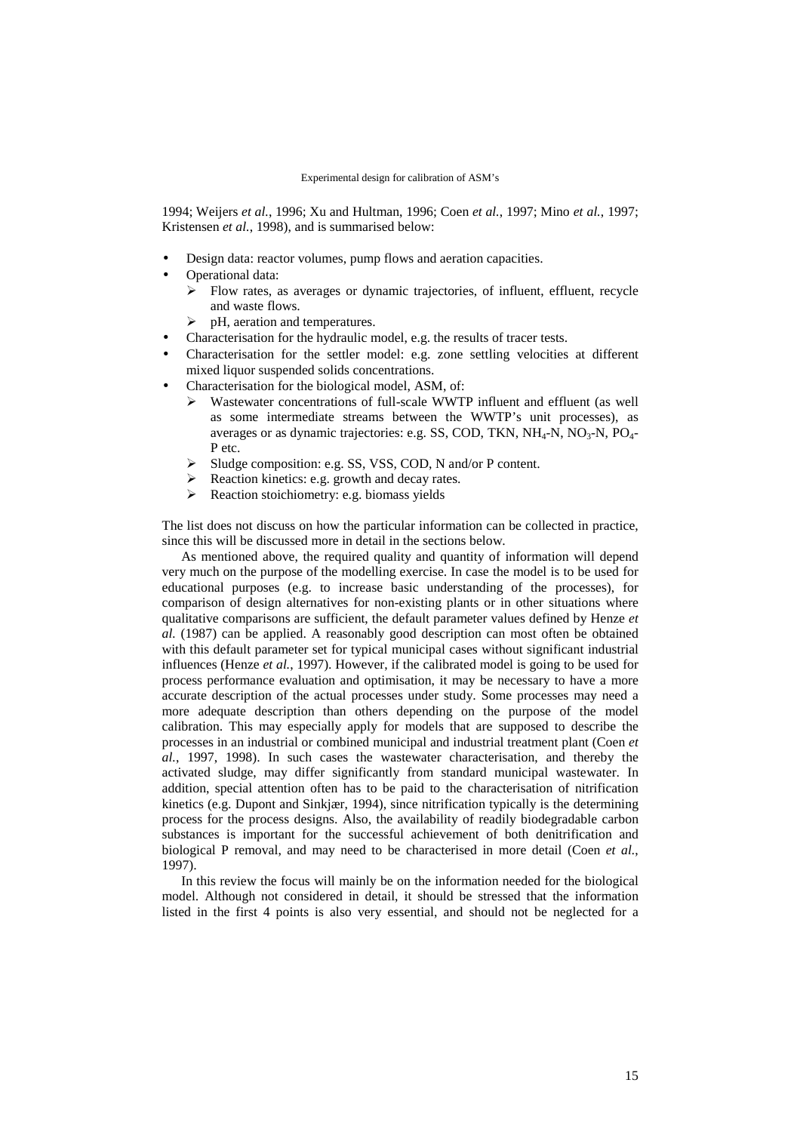1994; Weijers *et al.*, 1996; Xu and Hultman, 1996; Coen *et al.*, 1997; Mino *et al.*, 1997; Kristensen *et al.*, 1998), and is summarised below:

- Design data: reactor volumes, pump flows and aeration capacities.
- Operational data:
	- Flow rates, as averages or dynamic trajectories, of influent, effluent, recycle and waste flows.
	- pH, aeration and temperatures.
- Characterisation for the hydraulic model, e.g. the results of tracer tests.
- Characterisation for the settler model: e.g. zone settling velocities at different mixed liquor suspended solids concentrations.
- Characterisation for the biological model, ASM, of:
	- Wastewater concentrations of full-scale WWTP influent and effluent (as well as some intermediate streams between the WWTP's unit processes), as averages or as dynamic trajectories: e.g. SS, COD, TKN,  $NH_4$ -N,  $NO_3$ -N,  $PO_4$ -P etc.
	- Sludge composition: e.g. SS, VSS, COD, N and/or P content.
	- Reaction kinetics: e.g. growth and decay rates.
	- Reaction stoichiometry: e.g. biomass yields

The list does not discuss on how the particular information can be collected in practice, since this will be discussed more in detail in the sections below.

As mentioned above, the required quality and quantity of information will depend very much on the purpose of the modelling exercise. In case the model is to be used for educational purposes (e.g. to increase basic understanding of the processes), for comparison of design alternatives for non-existing plants or in other situations where qualitative comparisons are sufficient, the default parameter values defined by Henze *et al.* (1987) can be applied. A reasonably good description can most often be obtained with this default parameter set for typical municipal cases without significant industrial influences (Henze *et al.*, 1997). However, if the calibrated model is going to be used for process performance evaluation and optimisation, it may be necessary to have a more accurate description of the actual processes under study. Some processes may need a more adequate description than others depending on the purpose of the model calibration. This may especially apply for models that are supposed to describe the processes in an industrial or combined municipal and industrial treatment plant (Coen *et al.*, 1997, 1998). In such cases the wastewater characterisation, and thereby the activated sludge, may differ significantly from standard municipal wastewater. In addition, special attention often has to be paid to the characterisation of nitrification kinetics (e.g. Dupont and Sinkjær, 1994), since nitrification typically is the determining process for the process designs. Also, the availability of readily biodegradable carbon substances is important for the successful achievement of both denitrification and biological P removal, and may need to be characterised in more detail (Coen *et al.*, 1997).

In this review the focus will mainly be on the information needed for the biological model. Although not considered in detail, it should be stressed that the information listed in the first 4 points is also very essential, and should not be neglected for a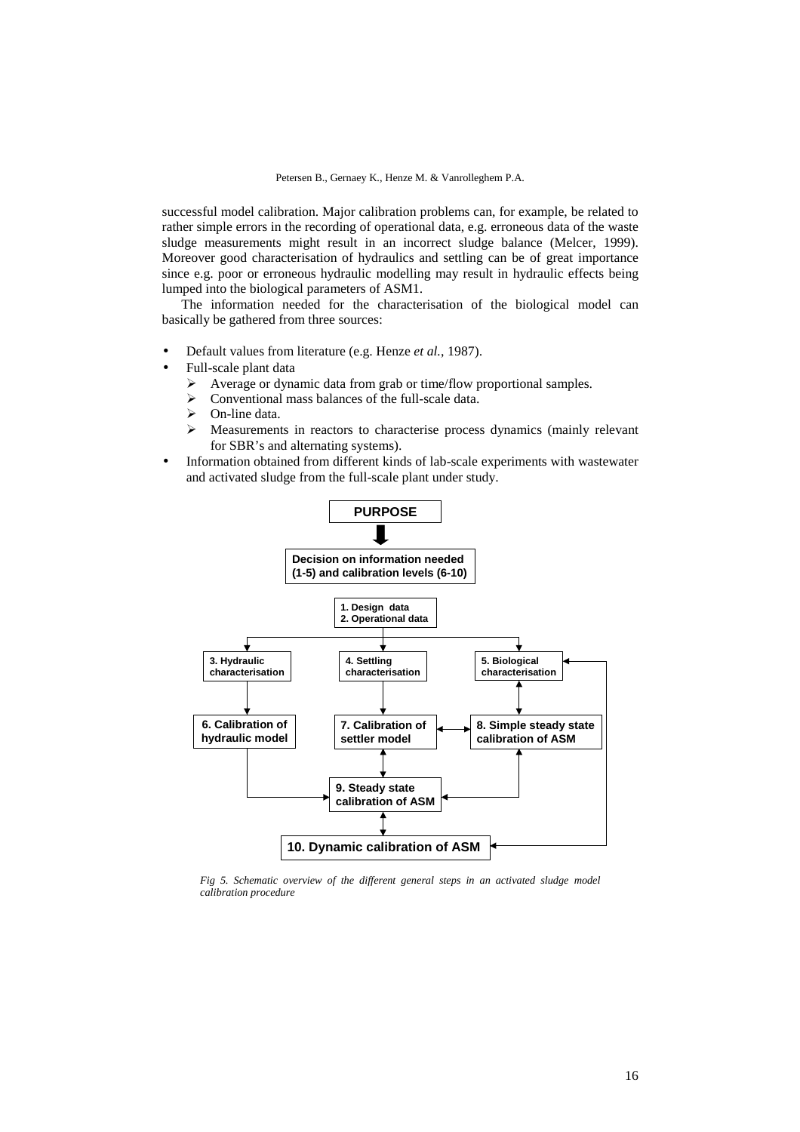successful model calibration. Major calibration problems can, for example, be related to rather simple errors in the recording of operational data, e.g. erroneous data of the waste sludge measurements might result in an incorrect sludge balance (Melcer, 1999). Moreover good characterisation of hydraulics and settling can be of great importance since e.g. poor or erroneous hydraulic modelling may result in hydraulic effects being lumped into the biological parameters of ASM1.

The information needed for the characterisation of the biological model can basically be gathered from three sources:

- Default values from literature (e.g. Henze *et al.*, 1987).
- Full-scale plant data
	- $\triangleright$  Average or dynamic data from grab or time/flow proportional samples.
	- Conventional mass balances of the full-scale data.
	- $\triangleright$  On-line data.
	- Measurements in reactors to characterise process dynamics (mainly relevant for SBR's and alternating systems).
- Information obtained from different kinds of lab-scale experiments with wastewater and activated sludge from the full-scale plant under study.



*Fig 5. Schematic overview of the different general steps in an activated sludge model calibration procedure*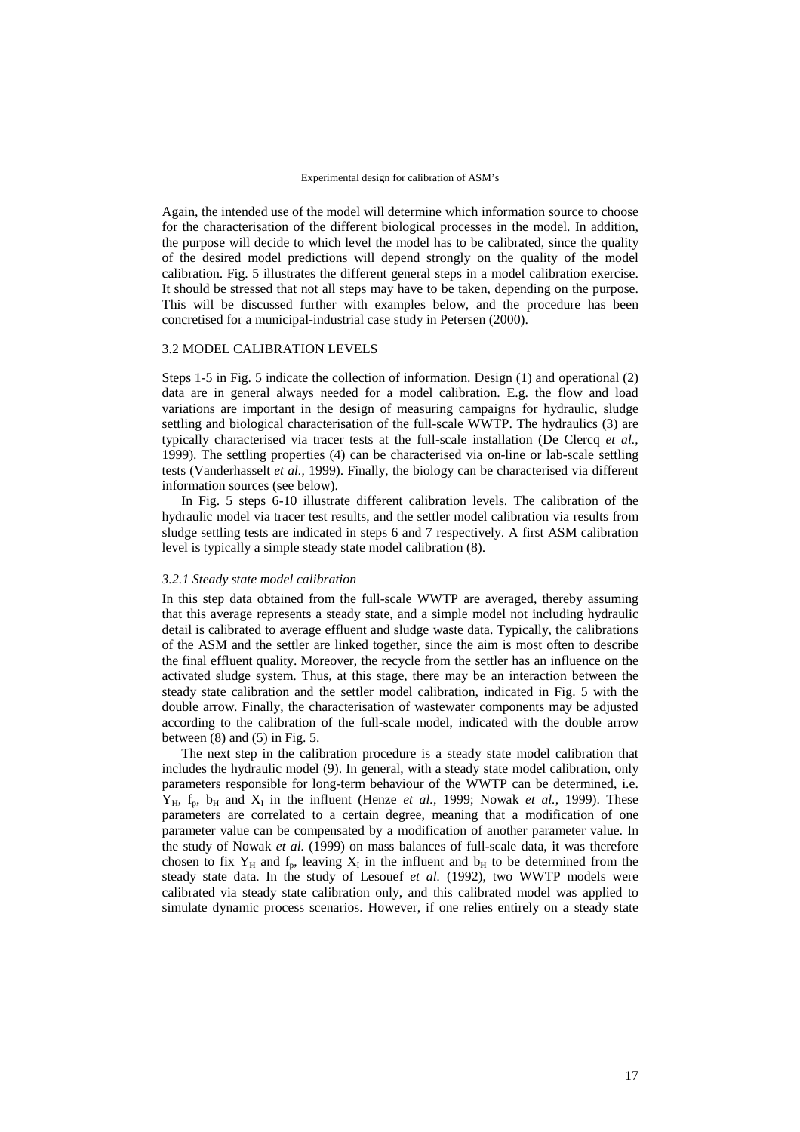Again, the intended use of the model will determine which information source to choose for the characterisation of the different biological processes in the model. In addition, the purpose will decide to which level the model has to be calibrated, since the quality of the desired model predictions will depend strongly on the quality of the model calibration. Fig. 5 illustrates the different general steps in a model calibration exercise. It should be stressed that not all steps may have to be taken, depending on the purpose. This will be discussed further with examples below, and the procedure has been concretised for a municipal-industrial case study in Petersen (2000).

### 3.2 MODEL CALIBRATION LEVELS

Steps 1-5 in Fig. 5 indicate the collection of information. Design (1) and operational (2) data are in general always needed for a model calibration. E.g. the flow and load variations are important in the design of measuring campaigns for hydraulic, sludge settling and biological characterisation of the full-scale WWTP. The hydraulics (3) are typically characterised via tracer tests at the full-scale installation (De Clercq *et al.*, 1999). The settling properties (4) can be characterised via on-line or lab-scale settling tests (Vanderhasselt *et al.*, 1999). Finally, the biology can be characterised via different information sources (see below).

In Fig. 5 steps 6-10 illustrate different calibration levels. The calibration of the hydraulic model via tracer test results, and the settler model calibration via results from sludge settling tests are indicated in steps 6 and 7 respectively. A first ASM calibration level is typically a simple steady state model calibration (8).

## *3.2.1 Steady state model calibration*

In this step data obtained from the full-scale WWTP are averaged, thereby assuming that this average represents a steady state, and a simple model not including hydraulic detail is calibrated to average effluent and sludge waste data. Typically, the calibrations of the ASM and the settler are linked together, since the aim is most often to describe the final effluent quality. Moreover, the recycle from the settler has an influence on the activated sludge system. Thus, at this stage, there may be an interaction between the steady state calibration and the settler model calibration, indicated in Fig. 5 with the double arrow. Finally, the characterisation of wastewater components may be adjusted according to the calibration of the full-scale model, indicated with the double arrow between  $(8)$  and  $(5)$  in Fig. 5.

The next step in the calibration procedure is a steady state model calibration that includes the hydraulic model (9). In general, with a steady state model calibration, only parameters responsible for long-term behaviour of the WWTP can be determined, i.e.  $Y_H$ ,  $f_p$ ,  $b_H$  and  $X_I$  in the influent (Henze *et al.*, 1999; Nowak *et al.*, 1999). These parameters are correlated to a certain degree, meaning that a modification of one parameter value can be compensated by a modification of another parameter value. In the study of Nowak *et al.* (1999) on mass balances of full-scale data, it was therefore chosen to fix  $Y_H$  and  $f_p$ , leaving  $X_I$  in the influent and  $b_H$  to be determined from the steady state data. In the study of Lesouef *et al.* (1992), two WWTP models were calibrated via steady state calibration only, and this calibrated model was applied to simulate dynamic process scenarios. However, if one relies entirely on a steady state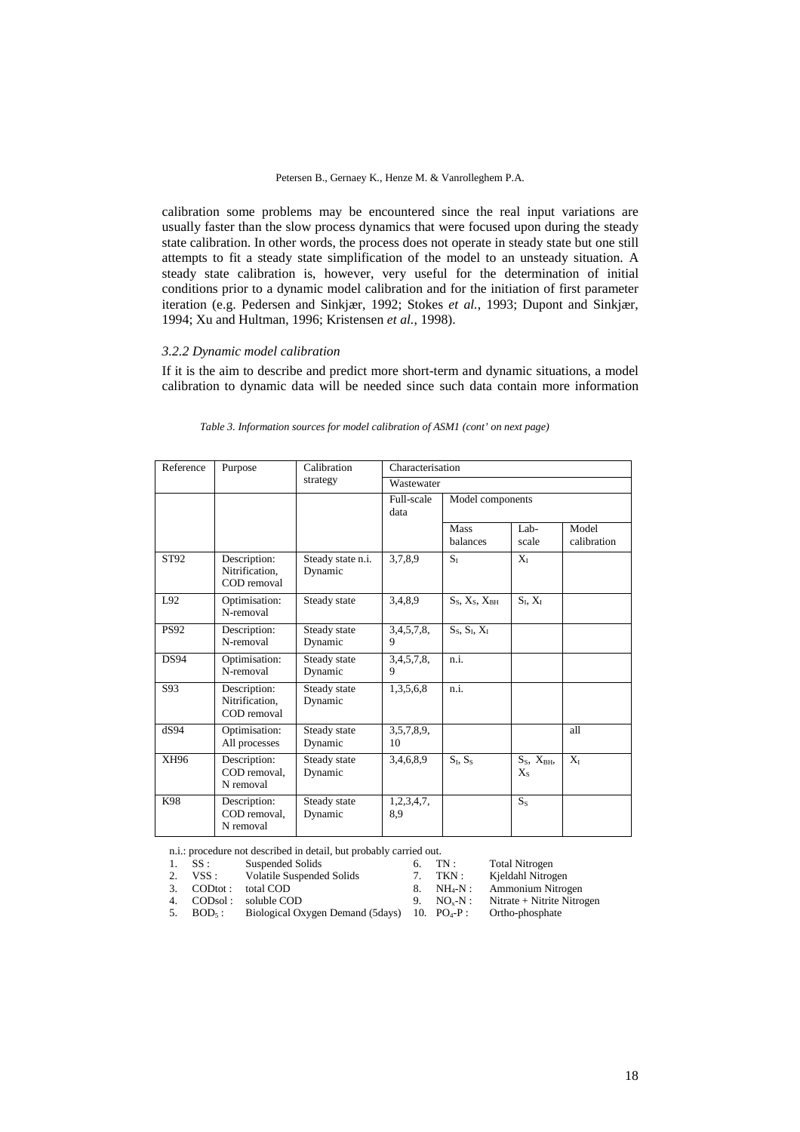calibration some problems may be encountered since the real input variations are usually faster than the slow process dynamics that were focused upon during the steady state calibration. In other words, the process does not operate in steady state but one still attempts to fit a steady state simplification of the model to an unsteady situation. A steady state calibration is, however, very useful for the determination of initial conditions prior to a dynamic model calibration and for the initiation of first parameter iteration (e.g. Pedersen and Sinkjær, 1992; Stokes *et al.*, 1993; Dupont and Sinkjær, 1994; Xu and Hultman, 1996; Kristensen *et al.*, 1998).

# *3.2.2 Dynamic model calibration*

If it is the aim to describe and predict more short-term and dynamic situations, a model calibration to dynamic data will be needed since such data contain more information

| Reference   | Purpose                                       | Calibration                  | Characterisation   |                          |                               |                      |  |
|-------------|-----------------------------------------------|------------------------------|--------------------|--------------------------|-------------------------------|----------------------|--|
|             |                                               | strategy                     | Wastewater         |                          |                               |                      |  |
|             |                                               |                              | Full-scale<br>data | Model components         |                               |                      |  |
|             |                                               |                              |                    | Mass<br>balances         | Lab-<br>scale                 | Model<br>calibration |  |
| ST92        | Description:<br>Nitrification,<br>COD removal | Steady state n.i.<br>Dynamic | 3,7,8,9            | $S_I$                    | $X_I$                         |                      |  |
| L92         | Optimisation:<br>N-removal                    | Steady state                 | 3,4,8,9            | $S_S$ , $X_S$ , $X_{BH}$ | $S_I, X_I$                    |                      |  |
| <b>PS92</b> | Description:<br>N-removal                     | Steady state<br>Dynamic      | 3,4,5,7,8,<br>9    | $S_S$ , $S_I$ , $X_I$    |                               |                      |  |
| <b>DS94</b> | Optimisation:<br>N-removal                    | Steady state<br>Dynamic      | 3,4,5,7,8,<br>9    | n.i.                     |                               |                      |  |
| S93         | Description:<br>Nitrification.<br>COD removal | Steady state<br>Dynamic      | 1,3,5,6,8          | n.i.                     |                               |                      |  |
| dS94        | Optimisation:<br>All processes                | Steady state<br>Dynamic      | 3,5,7,8,9,<br>10   |                          |                               | all                  |  |
| XH96        | Description:<br>COD removal.<br>N removal     | Steady state<br>Dynamic      | 3,4,6,8,9          | $S_I, S_S$               | $S_{S}$ , $X_{BH}$<br>$X_{S}$ | $X_I$                |  |
| K98         | Description:<br>COD removal,<br>N removal     | Steady state<br>Dynamic      | 1,2,3,4,7,<br>8.9  |                          | $S_{S}$                       |                      |  |

*Table 3. Information sources for model calibration of ASM1 (cont' on next page)*

n.i.: procedure not described in detail, but probably carried out. 6. TN :

- 2. VSS : Volatile Suspended Solids
- 3. CODtot : total COD

- 4. 5. CODsol : soluble COD
- 8.

7.

 $BOD<sub>5</sub>$ : Biological Oxygen Demand (5days) 10. PO<sub>4</sub>-P:

9.  $NO<sub>x</sub>-N$ : TKN :  $NH_4-N$  : Total Nitrogen Kjeldahl Nitrogen

Ammonium Nitrogen Nitrate + Nitrite Nitrogen

Ortho-phosphate

<sup>1.</sup>  $\tilde{\mathbf{S}}$  SS : Suspended Solids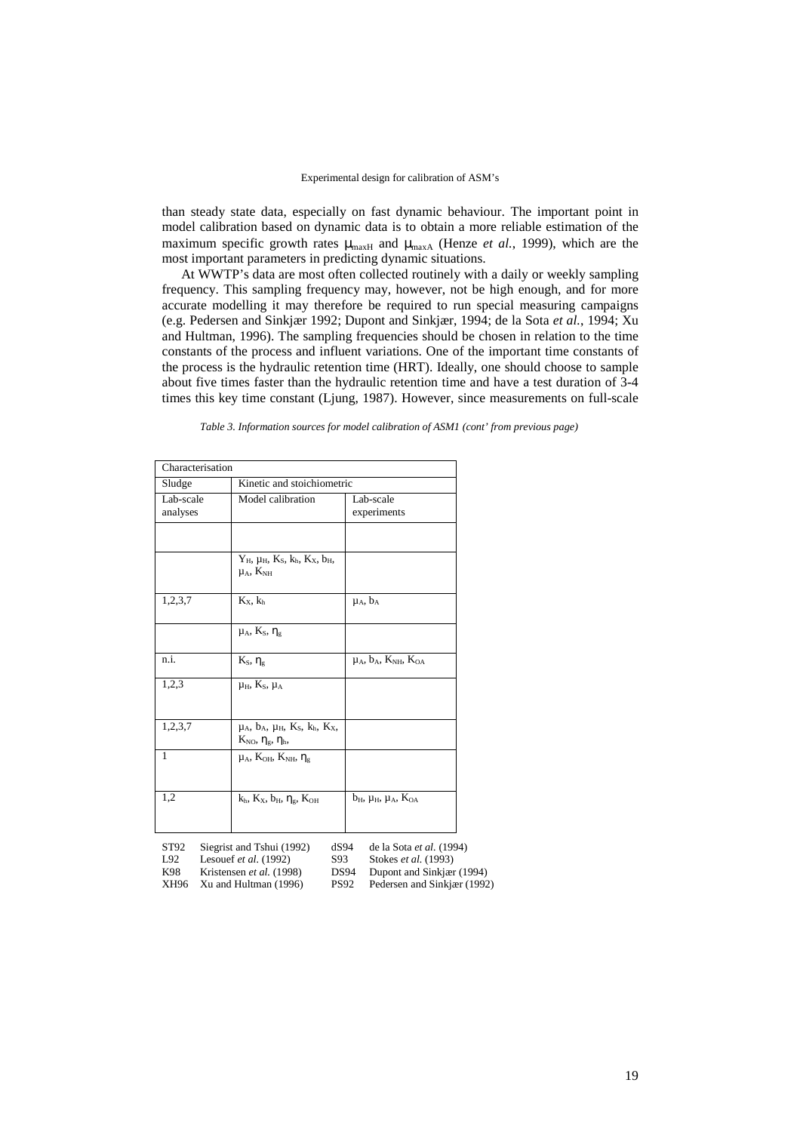than steady state data, especially on fast dynamic behaviour. The important point in model calibration based on dynamic data is to obtain a more reliable estimation of the maximum specific growth rates  $\mu_{\text{maxH}}$  and  $\mu_{\text{maxA}}$  (Henze *et al.*, 1999), which are the most important parameters in predicting dynamic situations.

At WWTP's data are most often collected routinely with a daily or weekly sampling frequency. This sampling frequency may, however, not be high enough, and for more accurate modelling it may therefore be required to run special measuring campaigns (e.g. Pedersen and Sinkjær 1992; Dupont and Sinkjær, 1994; de la Sota *et al.*, 1994; Xu and Hultman, 1996). The sampling frequencies should be chosen in relation to the time constants of the process and influent variations. One of the important time constants of the process is the hydraulic retention time (HRT). Ideally, one should choose to sample about five times faster than the hydraulic retention time and have a test duration of 3-4 times this key time constant (Ljung, 1987). However, since measurements on full-scale

| Table 3. Information sources for model calibration of ASM1 (cont' from previous page) |  |  |  |  |
|---------------------------------------------------------------------------------------|--|--|--|--|
|---------------------------------------------------------------------------------------|--|--|--|--|

| Characterisation |                                                                                         |                                       |  |  |  |  |  |  |
|------------------|-----------------------------------------------------------------------------------------|---------------------------------------|--|--|--|--|--|--|
| Sludge           | Kinetic and stoichiometric                                                              |                                       |  |  |  |  |  |  |
| Lab-scale        | Model calibration                                                                       | Lab-scale                             |  |  |  |  |  |  |
| analyses         |                                                                                         | experiments                           |  |  |  |  |  |  |
|                  |                                                                                         |                                       |  |  |  |  |  |  |
|                  |                                                                                         |                                       |  |  |  |  |  |  |
|                  | $Y_H$ , $\mu_H$ , $K_S$ , $k_h$ , $K_X$ , $b_H$ ,<br>$\mu_A$ , $K_{NH}$                 |                                       |  |  |  |  |  |  |
| 1,2,3,7          | $K_X, k_h$                                                                              | $\mu_A$ , $b_A$                       |  |  |  |  |  |  |
|                  | $\mu_A$ , $K_S$ , $\eta_g$                                                              |                                       |  |  |  |  |  |  |
| n.i.             | $K_S$ , $\eta_g$                                                                        | $\mu_A$ , $b_A$ , $K_{NH}$ , $K_{OA}$ |  |  |  |  |  |  |
| 1,2,3            | $\mu_H$ , K <sub>s</sub> , $\mu_A$                                                      |                                       |  |  |  |  |  |  |
|                  |                                                                                         |                                       |  |  |  |  |  |  |
| 1,2,3,7          | $\mu_A$ , $b_A$ , $\mu_H$ , $K_S$ , $k_h$ , $K_X$ ,<br>$K_{NO}$ , $\eta_g$ , $\eta_h$ , |                                       |  |  |  |  |  |  |
| 1                | $\mu_A$ , $K_{OH}$ , $K_{NH}$ , $\eta_g$                                                |                                       |  |  |  |  |  |  |
|                  |                                                                                         |                                       |  |  |  |  |  |  |
| 1,2              | $k_h$ , $K_X$ , $b_H$ , $\eta_g$ , $K_{OH}$                                             | $b_H$ , $\mu_H$ , $\mu_A$ , $K_{OA}$  |  |  |  |  |  |  |
|                  |                                                                                         |                                       |  |  |  |  |  |  |

ST92 Siegrist and Tshui (1992)<br>L92 Lesouef et al. (1992) Lesouef *et al.* (1992)

K98 Kristensen *et al.* (1998)

XH96 Xu and Hultman (1996)

dS94 de la Sota *et al.* (1994) Stokes *et al.* (1993)

- DS94 Dupont and Sinkjær (1994)
- PS92 Pedersen and Sinkjær (1992)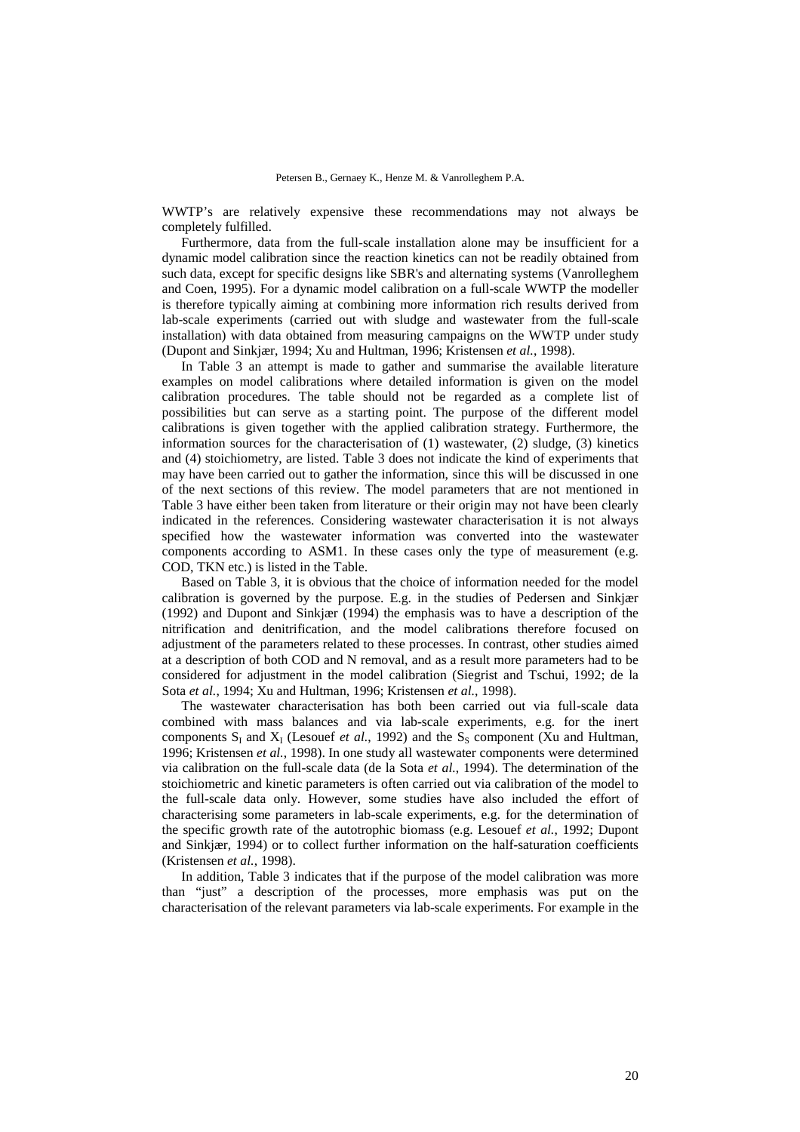WWTP's are relatively expensive these recommendations may not always be completely fulfilled.

Furthermore, data from the full-scale installation alone may be insufficient for a dynamic model calibration since the reaction kinetics can not be readily obtained from such data, except for specific designs like SBR's and alternating systems (Vanrolleghem and Coen, 1995). For a dynamic model calibration on a full-scale WWTP the modeller is therefore typically aiming at combining more information rich results derived from lab-scale experiments (carried out with sludge and wastewater from the full-scale installation) with data obtained from measuring campaigns on the WWTP under study (Dupont and Sinkjær, 1994; Xu and Hultman, 1996; Kristensen *et al.*, 1998).

In Table 3 an attempt is made to gather and summarise the available literature examples on model calibrations where detailed information is given on the model calibration procedures. The table should not be regarded as a complete list of possibilities but can serve as a starting point. The purpose of the different model calibrations is given together with the applied calibration strategy. Furthermore, the information sources for the characterisation of  $(1)$  wastewater,  $(2)$  sludge,  $(3)$  kinetics and (4) stoichiometry, are listed. Table 3 does not indicate the kind of experiments that may have been carried out to gather the information, since this will be discussed in one of the next sections of this review. The model parameters that are not mentioned in Table 3 have either been taken from literature or their origin may not have been clearly indicated in the references. Considering wastewater characterisation it is not always specified how the wastewater information was converted into the wastewater components according to ASM1. In these cases only the type of measurement (e.g. COD, TKN etc.) is listed in the Table.

Based on Table 3, it is obvious that the choice of information needed for the model calibration is governed by the purpose. E.g. in the studies of Pedersen and Sinkjær (1992) and Dupont and Sinkjær (1994) the emphasis was to have a description of the nitrification and denitrification, and the model calibrations therefore focused on adjustment of the parameters related to these processes. In contrast, other studies aimed at a description of both COD and N removal, and as a result more parameters had to be considered for adjustment in the model calibration (Siegrist and Tschui, 1992; de la Sota *et al.*, 1994; Xu and Hultman, 1996; Kristensen *et al.*, 1998).

The wastewater characterisation has both been carried out via full-scale data combined with mass balances and via lab-scale experiments, e.g. for the inert components  $S_I$  and  $X_I$  (Lesouef *et al.*, 1992) and the  $S_S$  component (Xu and Hultman, 1996; Kristensen *et al.*, 1998). In one study all wastewater components were determined via calibration on the full-scale data (de la Sota *et al.*, 1994). The determination of the stoichiometric and kinetic parameters is often carried out via calibration of the model to the full-scale data only. However, some studies have also included the effort of characterising some parameters in lab-scale experiments, e.g. for the determination of the specific growth rate of the autotrophic biomass (e.g. Lesouef *et al.*, 1992; Dupont and Sinkjær, 1994) or to collect further information on the half-saturation coefficients (Kristensen *et al.*, 1998).

In addition, Table 3 indicates that if the purpose of the model calibration was more than "just" a description of the processes, more emphasis was put on the characterisation of the relevant parameters via lab-scale experiments. For example in the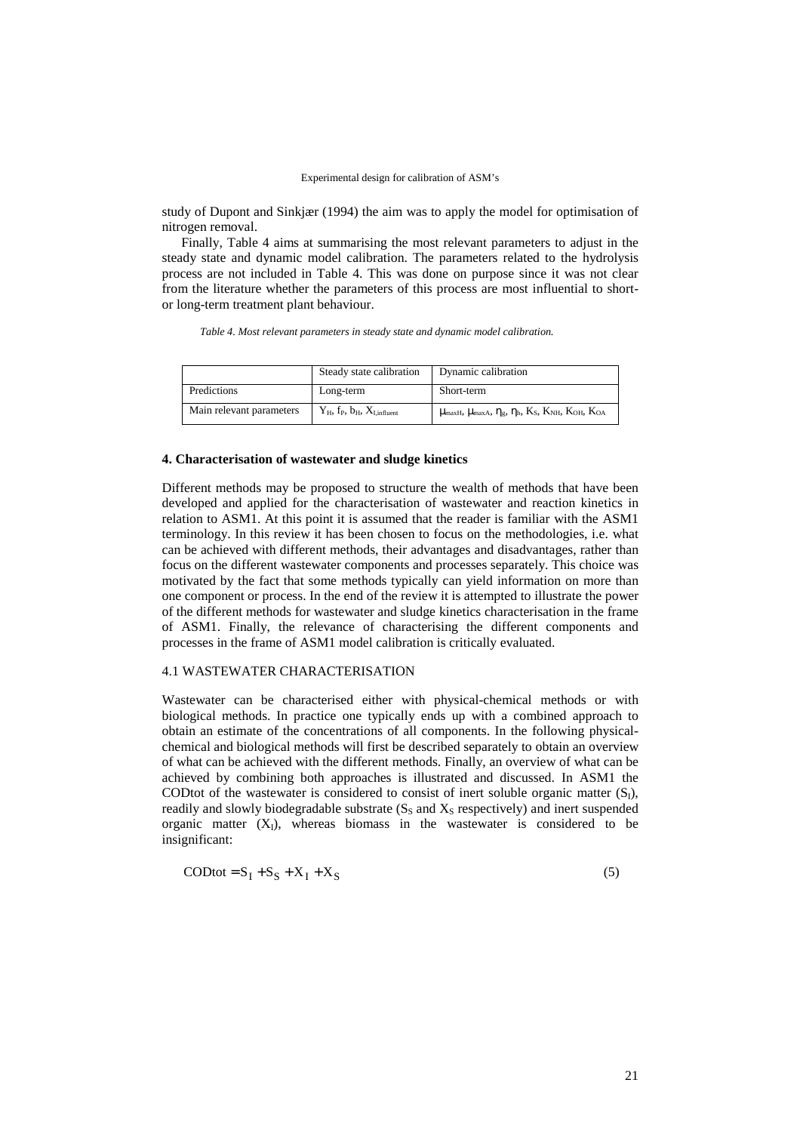#### Experimental design for calibration of ASM's

study of Dupont and Sinkjær (1994) the aim was to apply the model for optimisation of nitrogen removal.

Finally, Table 4 aims at summarising the most relevant parameters to adjust in the steady state and dynamic model calibration. The parameters related to the hydrolysis process are not included in Table 4. This was done on purpose since it was not clear from the literature whether the parameters of this process are most influential to shortor long-term treatment plant behaviour.

*Table 4. Most relevant parameters in steady state and dynamic model calibration.*

|                          | Steady state calibration                             | Dynamic calibration                                                                                                                                      |
|--------------------------|------------------------------------------------------|----------------------------------------------------------------------------------------------------------------------------------------------------------|
| Predictions              | Long-term                                            | Short-term                                                                                                                                               |
| Main relevant parameters | $Y_{H}$ , f <sub>P</sub> , $b_{H}$ , $X_{Linfluent}$ | $\mu_{\text{maxH}}$ , $\mu_{\text{maxA}}$ , $\eta_{\text{g}}$ , $\eta_{\text{h}}$ , $K_{\text{S}}$ , $K_{\text{NH}}$ , $K_{\text{OH}}$ , $K_{\text{OA}}$ |

#### **4. Characterisation of wastewater and sludge kinetics**

Different methods may be proposed to structure the wealth of methods that have been developed and applied for the characterisation of wastewater and reaction kinetics in relation to ASM1. At this point it is assumed that the reader is familiar with the ASM1 terminology. In this review it has been chosen to focus on the methodologies, i.e. what can be achieved with different methods, their advantages and disadvantages, rather than focus on the different wastewater components and processes separately. This choice was motivated by the fact that some methods typically can yield information on more than one component or process. In the end of the review it is attempted to illustrate the power of the different methods for wastewater and sludge kinetics characterisation in the frame of ASM1. Finally, the relevance of characterising the different components and processes in the frame of ASM1 model calibration is critically evaluated.

# 4.1 WASTEWATER CHARACTERISATION

Wastewater can be characterised either with physical-chemical methods or with biological methods. In practice one typically ends up with a combined approach to obtain an estimate of the concentrations of all components. In the following physicalchemical and biological methods will first be described separately to obtain an overview of what can be achieved with the different methods. Finally, an overview of what can be achieved by combining both approaches is illustrated and discussed. In ASM1 the CODtot of the wastewater is considered to consist of inert soluble organic matter  $(S<sub>1</sub>)$ , readily and slowly biodegradable substrate  $(S_S \text{ and } X_S \text{ respectively})$  and inert suspended organic matter  $(X_1)$ , whereas biomass in the wastewater is considered to be insignificant:

$$
COD\text{tot} = S_{I} + S_{S} + X_{I} + X_{S}
$$
\n<sup>(5)</sup>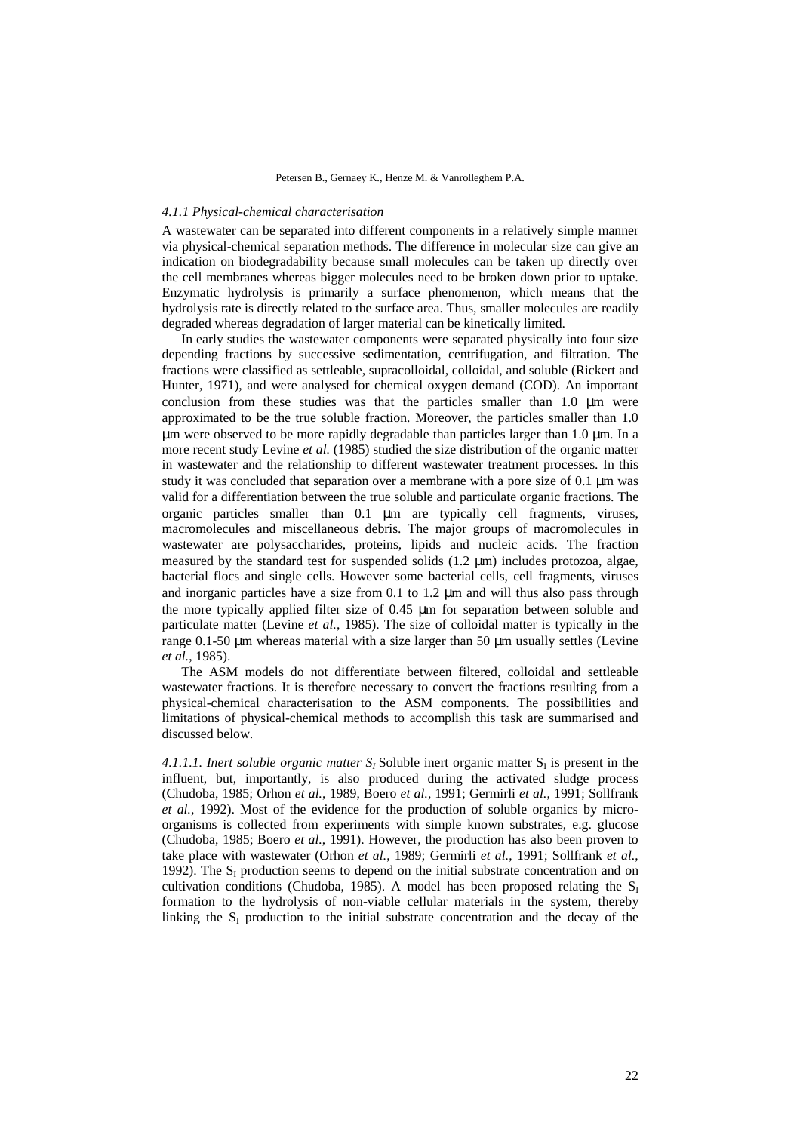#### Petersen B., Gernaey K., Henze M. & Vanrolleghem P.A.

### *4.1.1 Physical-chemical characterisation*

A wastewater can be separated into different components in a relatively simple manner via physical-chemical separation methods. The difference in molecular size can give an indication on biodegradability because small molecules can be taken up directly over the cell membranes whereas bigger molecules need to be broken down prior to uptake. Enzymatic hydrolysis is primarily a surface phenomenon, which means that the hydrolysis rate is directly related to the surface area. Thus, smaller molecules are readily degraded whereas degradation of larger material can be kinetically limited.

In early studies the wastewater components were separated physically into four size depending fractions by successive sedimentation, centrifugation, and filtration. The fractions were classified as settleable, supracolloidal, colloidal, and soluble (Rickert and Hunter, 1971), and were analysed for chemical oxygen demand (COD). An important conclusion from these studies was that the particles smaller than 1.0 µm were approximated to be the true soluble fraction. Moreover, the particles smaller than 1.0 µm were observed to be more rapidly degradable than particles larger than 1.0 µm. In a more recent study Levine *et al.* (1985) studied the size distribution of the organic matter in wastewater and the relationship to different wastewater treatment processes. In this study it was concluded that separation over a membrane with a pore size of 0.1  $\mu$ m was valid for a differentiation between the true soluble and particulate organic fractions. The organic particles smaller than 0.1 µm are typically cell fragments, viruses, macromolecules and miscellaneous debris. The major groups of macromolecules in wastewater are polysaccharides, proteins, lipids and nucleic acids. The fraction measured by the standard test for suspended solids (1.2 µm) includes protozoa, algae, bacterial flocs and single cells. However some bacterial cells, cell fragments, viruses and inorganic particles have a size from  $0.1$  to  $1.2 \mu m$  and will thus also pass through the more typically applied filter size of 0.45 µm for separation between soluble and particulate matter (Levine *et al.*, 1985). The size of colloidal matter is typically in the range 0.1-50 µm whereas material with a size larger than 50 µm usually settles (Levine *et al.*, 1985).

The ASM models do not differentiate between filtered, colloidal and settleable wastewater fractions. It is therefore necessary to convert the fractions resulting from a physical-chemical characterisation to the ASM components. The possibilities and limitations of physical-chemical methods to accomplish this task are summarised and discussed below.

4.1.1.1. Inert soluble organic matter  $S<sub>i</sub>$  Soluble inert organic matter  $S<sub>i</sub>$  is present in the influent, but, importantly, is also produced during the activated sludge process (Chudoba, 1985; Orhon *et al.*, 1989, Boero *et al.*, 1991; Germirli *et al.*, 1991; Sollfrank *et al.*, 1992). Most of the evidence for the production of soluble organics by microorganisms is collected from experiments with simple known substrates, e.g. glucose (Chudoba, 1985; Boero *et al.*, 1991). However, the production has also been proven to take place with wastewater (Orhon *et al.*, 1989; Germirli *et al.*, 1991; Sollfrank *et al.*, 1992). The  $S_I$  production seems to depend on the initial substrate concentration and on cultivation conditions (Chudoba, 1985). A model has been proposed relating the  $S_I$ formation to the hydrolysis of non-viable cellular materials in the system, thereby linking the  $S_1$  production to the initial substrate concentration and the decay of the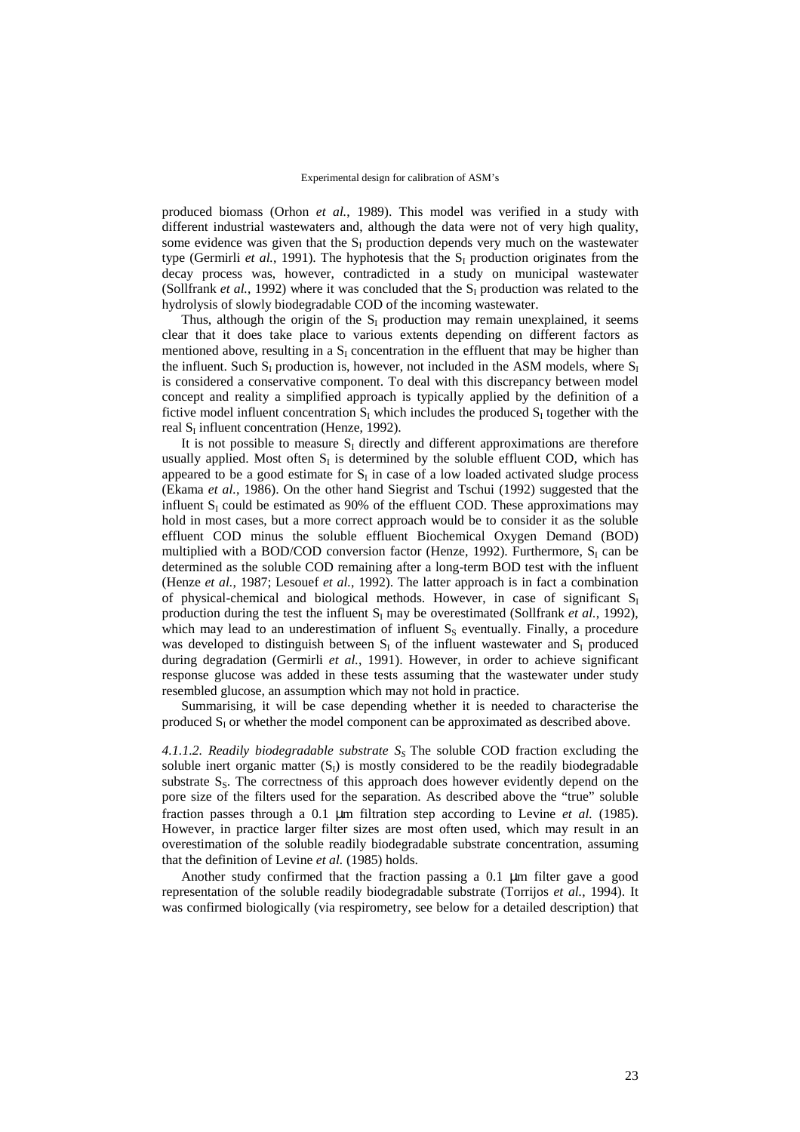produced biomass (Orhon *et al.*, 1989). This model was verified in a study with different industrial wastewaters and, although the data were not of very high quality, some evidence was given that the  $S<sub>I</sub>$  production depends very much on the wastewater type (Germirli *et al.*, 1991). The hyphotesis that the  $S_I$  production originates from the decay process was, however, contradicted in a study on municipal wastewater (Sollfrank *et al.*, 1992) where it was concluded that the  $S_I$  production was related to the hydrolysis of slowly biodegradable COD of the incoming wastewater.

Thus, although the origin of the  $S_I$  production may remain unexplained, it seems clear that it does take place to various extents depending on different factors as mentioned above, resulting in a  $S<sub>I</sub>$  concentration in the effluent that may be higher than the influent. Such  $S_I$  production is, however, not included in the ASM models, where  $S_I$ is considered a conservative component. To deal with this discrepancy between model concept and reality a simplified approach is typically applied by the definition of a fictive model influent concentration  $S_I$  which includes the produced  $S_I$  together with the real  $S_I$  influent concentration (Henze, 1992).

It is not possible to measure  $S_1$  directly and different approximations are therefore usually applied. Most often  $S<sub>I</sub>$  is determined by the soluble effluent COD, which has appeared to be a good estimate for  $S<sub>I</sub>$  in case of a low loaded activated sludge process (Ekama *et al.*, 1986). On the other hand Siegrist and Tschui (1992) suggested that the influent  $S<sub>I</sub>$  could be estimated as 90% of the effluent COD. These approximations may hold in most cases, but a more correct approach would be to consider it as the soluble effluent COD minus the soluble effluent Biochemical Oxygen Demand (BOD) multiplied with a BOD/COD conversion factor (Henze, 1992). Furthermore,  $S_I$  can be determined as the soluble COD remaining after a long-term BOD test with the influent (Henze *et al.*, 1987; Lesouef *et al.*, 1992). The latter approach is in fact a combination of physical-chemical and biological methods. However, in case of significant  $S_I$ production during the test the influent  $S_I$  may be overestimated (Sollfrank *et al.*, 1992), which may lead to an underestimation of influent  $S<sub>s</sub>$  eventually. Finally, a procedure was developed to distinguish between  $S<sub>I</sub>$  of the influent wastewater and  $S<sub>I</sub>$  produced during degradation (Germirli *et al.*, 1991). However, in order to achieve significant response glucose was added in these tests assuming that the wastewater under study resembled glucose, an assumption which may not hold in practice.

Summarising, it will be case depending whether it is needed to characterise the produced  $S<sub>1</sub>$  or whether the model component can be approximated as described above.

4.1.1.2. Readily biodegradable substrate  $S<sub>S</sub>$  The soluble COD fraction excluding the soluble inert organic matter  $(S<sub>1</sub>)$  is mostly considered to be the readily biodegradable substrate S<sub>S</sub>. The correctness of this approach does however evidently depend on the pore size of the filters used for the separation. As described above the "true" soluble fraction passes through a 0.1 µm filtration step according to Levine *et al.* (1985). However, in practice larger filter sizes are most often used, which may result in an overestimation of the soluble readily biodegradable substrate concentration, assuming that the definition of Levine *et al.* (1985) holds.

Another study confirmed that the fraction passing a 0.1 µm filter gave a good representation of the soluble readily biodegradable substrate (Torrijos *et al.*, 1994). It was confirmed biologically (via respirometry, see below for a detailed description) that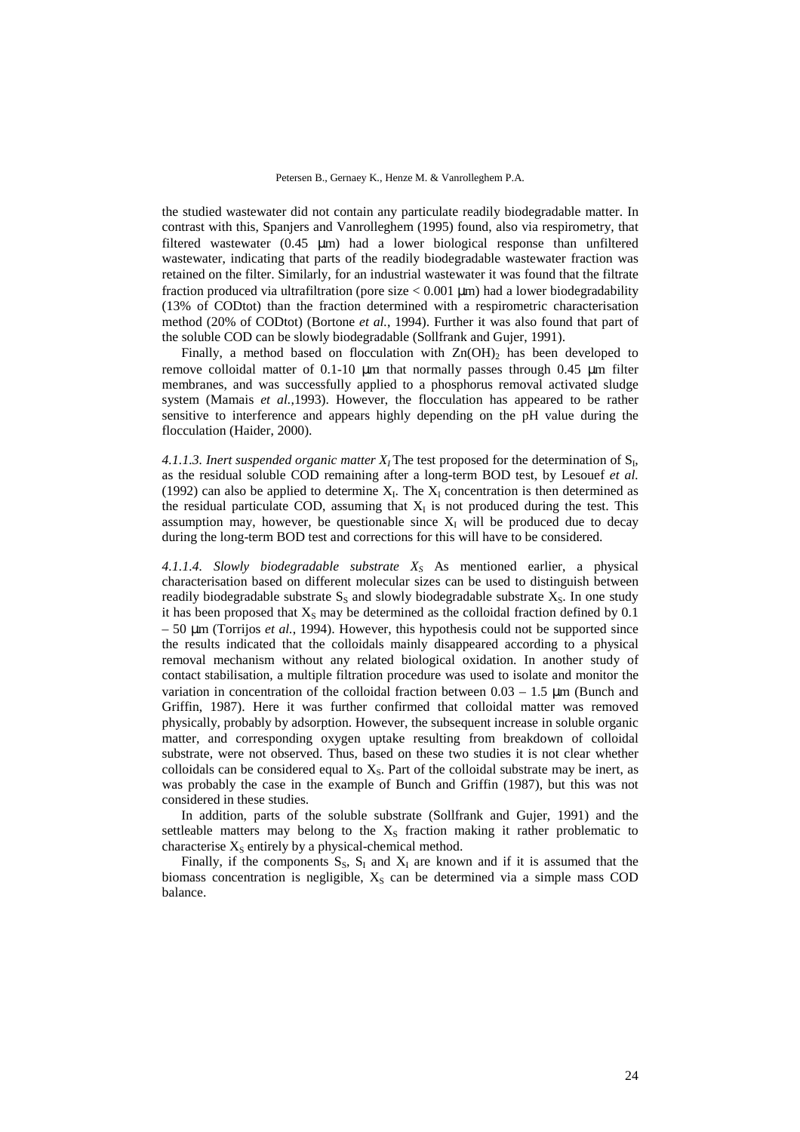the studied wastewater did not contain any particulate readily biodegradable matter. In contrast with this, Spanjers and Vanrolleghem (1995) found, also via respirometry, that filtered wastewater (0.45 µm) had a lower biological response than unfiltered wastewater, indicating that parts of the readily biodegradable wastewater fraction was retained on the filter. Similarly, for an industrial wastewater it was found that the filtrate fraction produced via ultrafiltration (pore size  $< 0.001$  µm) had a lower biodegradability (13% of CODtot) than the fraction determined with a respirometric characterisation method (20% of CODtot) (Bortone *et al.*, 1994). Further it was also found that part of the soluble COD can be slowly biodegradable (Sollfrank and Gujer, 1991).

Finally, a method based on flocculation with  $Zn(OH)$ <sub>2</sub> has been developed to remove colloidal matter of  $0.1$ -10  $\mu$ m that normally passes through 0.45  $\mu$ m filter membranes, and was successfully applied to a phosphorus removal activated sludge system (Mamais *et al.*,1993). However, the flocculation has appeared to be rather sensitive to interference and appears highly depending on the pH value during the flocculation (Haider, 2000).

4.1.1.3. Inert suspended organic matter  $X<sub>I</sub>$  The test proposed for the determination of S<sub>I</sub>, as the residual soluble COD remaining after a long-term BOD test, by Lesouef *et al.* (1992) can also be applied to determine  $X_I$ . The  $X_I$  concentration is then determined as the residual particulate COD, assuming that  $X_I$  is not produced during the test. This assumption may, however, be questionable since  $X_I$  will be produced due to decay during the long-term BOD test and corrections for this will have to be considered.

4.1.1.4. Slowly biodegradable substrate X<sub>S</sub> As mentioned earlier, a physical characterisation based on different molecular sizes can be used to distinguish between readily biodegradable substrate  $S_S$  and slowly biodegradable substrate  $X_S$ . In one study it has been proposed that  $X_s$  may be determined as the colloidal fraction defined by 0.1 – 50 µm (Torrijos *et al.*, 1994). However, this hypothesis could not be supported since the results indicated that the colloidals mainly disappeared according to a physical removal mechanism without any related biological oxidation. In another study of contact stabilisation, a multiple filtration procedure was used to isolate and monitor the variation in concentration of the colloidal fraction between  $0.03 - 1.5 \mu m$  (Bunch and Griffin, 1987). Here it was further confirmed that colloidal matter was removed physically, probably by adsorption. However, the subsequent increase in soluble organic matter, and corresponding oxygen uptake resulting from breakdown of colloidal substrate, were not observed. Thus, based on these two studies it is not clear whether colloidals can be considered equal to  $X_s$ . Part of the colloidal substrate may be inert, as was probably the case in the example of Bunch and Griffin (1987), but this was not considered in these studies.

In addition, parts of the soluble substrate (Sollfrank and Gujer, 1991) and the settleable matters may belong to the  $X<sub>S</sub>$  fraction making it rather problematic to characterise  $X<sub>S</sub>$  entirely by a physical-chemical method.

Finally, if the components  $S_S$ ,  $S_I$  and  $X_I$  are known and if it is assumed that the biomass concentration is negligible,  $X<sub>S</sub>$  can be determined via a simple mass COD balance.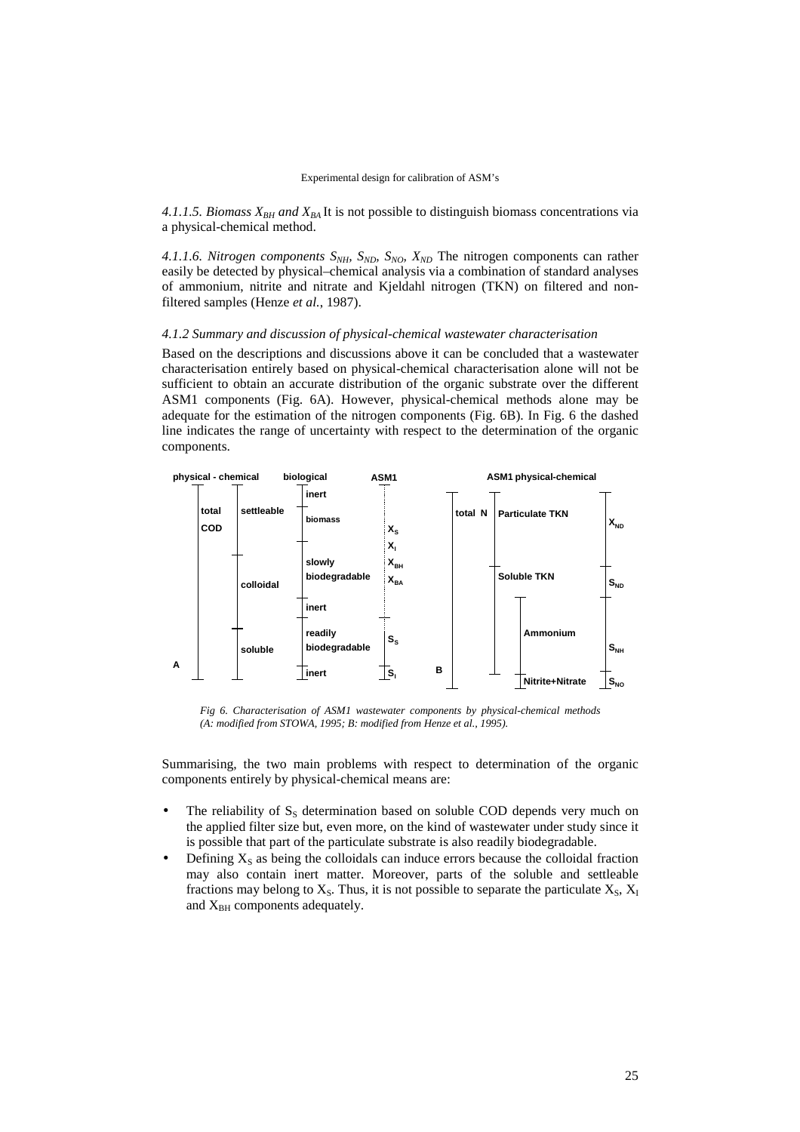4.1.1.5. Biomass X<sub>BH</sub> and X<sub>BA</sub> It is not possible to distinguish biomass concentrations via a physical-chemical method.

4.1.1.6. Nitrogen components  $S_{NH}$ ,  $S_{ND}$ ,  $S_{NO}$ ,  $X_{ND}$  The nitrogen components can rather easily be detected by physical–chemical analysis via a combination of standard analyses of ammonium, nitrite and nitrate and Kjeldahl nitrogen (TKN) on filtered and nonfiltered samples (Henze *et al.*, 1987).

# *4.1.2 Summary and discussion of physical-chemical wastewater characterisation*

Based on the descriptions and discussions above it can be concluded that a wastewater characterisation entirely based on physical-chemical characterisation alone will not be sufficient to obtain an accurate distribution of the organic substrate over the different ASM1 components (Fig. 6A). However, physical-chemical methods alone may be adequate for the estimation of the nitrogen components (Fig. 6B). In Fig. 6 the dashed line indicates the range of uncertainty with respect to the determination of the organic components.



*Fig 6. Characterisation of ASM1 wastewater components by physical-chemical methods (A: modified from STOWA, 1995; B: modified from Henze et al., 1995).*

Summarising, the two main problems with respect to determination of the organic components entirely by physical-chemical means are:

- The reliability of  $S_s$  determination based on soluble COD depends very much on the applied filter size but, even more, on the kind of wastewater under study since it is possible that part of the particulate substrate is also readily biodegradable.
- Defining  $X_s$  as being the colloidals can induce errors because the colloidal fraction may also contain inert matter. Moreover, parts of the soluble and settleable fractions may belong to  $X_s$ . Thus, it is not possible to separate the particulate  $X_s$ ,  $X_l$ and  $X<sub>BH</sub>$  components adequately.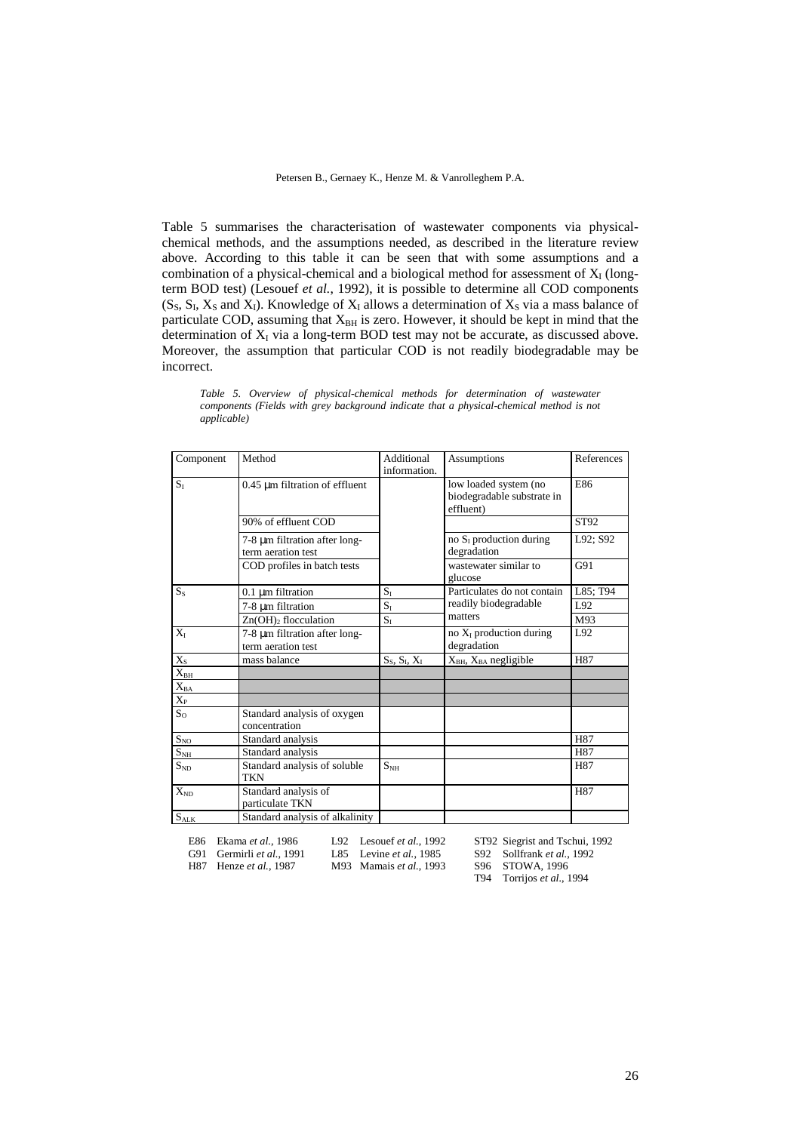Table 5 summarises the characterisation of wastewater components via physicalchemical methods, and the assumptions needed, as described in the literature review above. According to this table it can be seen that with some assumptions and a combination of a physical-chemical and a biological method for assessment of  $X_I$  (longterm BOD test) (Lesouef *et al.*, 1992), it is possible to determine all COD components  $(S<sub>S</sub>, S<sub>I</sub>, X<sub>S</sub>$  and  $X<sub>I</sub>$ ). Knowledge of  $X<sub>I</sub>$  allows a determination of  $X<sub>S</sub>$  via a mass balance of particulate COD, assuming that  $X_{BH}$  is zero. However, it should be kept in mind that the determination of  $X_I$  via a long-term BOD test may not be accurate, as discussed above. Moreover, the assumption that particular COD is not readily biodegradable may be incorrect.

| Component                            | Method                                              | Additional<br>information. | Assumptions                                                      | References |
|--------------------------------------|-----------------------------------------------------|----------------------------|------------------------------------------------------------------|------------|
| $S_I$                                | 0.45 µm filtration of effluent                      |                            | low loaded system (no<br>biodegradable substrate in<br>effluent) | E86        |
|                                      | 90% of effluent COD                                 |                            |                                                                  | ST92       |
|                                      | 7-8 µm filtration after long-<br>term aeration test |                            | no $S_I$ production during<br>degradation                        | L92; S92   |
|                                      | COD profiles in batch tests                         |                            | wastewater similar to<br>glucose                                 | G91        |
| $S_{S}$                              | $0.1 \mu m$ filtration                              | S <sub>I</sub>             | Particulates do not contain                                      | L85; T94   |
|                                      | 7-8 µm filtration                                   | S <sub>T</sub>             | readily biodegradable                                            | L92        |
|                                      | $Zn(OH)$ <sub>2</sub> flocculation                  | $S_I$                      | matters                                                          | M93        |
| $X_I$                                | 7-8 µm filtration after long-<br>term aeration test |                            | no $X_I$ production during<br>degradation                        | L92        |
| $X_{S}$                              | mass balance                                        | $S_S$ , $S_I$ , $X_I$      | $X_{BH}$ , $X_{BA}$ negligible                                   | H87        |
| $X_{BH}$                             |                                                     |                            |                                                                  |            |
| $X_{BA}$                             |                                                     |                            |                                                                  |            |
| $\overline{\mathrm{X}}_{\mathrm{P}}$ |                                                     |                            |                                                                  |            |
| $S_0$                                | Standard analysis of oxygen<br>concentration        |                            |                                                                  |            |
| $S_{NO}$                             | Standard analysis                                   |                            |                                                                  | H87        |
| $S_{NH}$                             | Standard analysis                                   |                            |                                                                  | H87        |
| $S_{ND}$                             | Standard analysis of soluble<br><b>TKN</b>          | $S_{NH}$                   |                                                                  | H87        |
| $X_{ND}$                             | Standard analysis of<br>particulate TKN             |                            |                                                                  | H87        |
| $S_{ALK}$                            | Standard analysis of alkalinity                     |                            |                                                                  |            |

*Table 5. Overview of physical-chemical methods for determination of wastewater components (Fields with grey background indicate that a physical-chemical method is not applicable)*

E86 Ekama *et al.*, 1986 G91 Germirli *et al.*, 1991

- L92 Lesouef *et al.*, 1992 L85 Levine *et al.*, 1985
- H87 Henze *et al.*, 1987
- 

M93 Mamais *et al.*, 1993

ST92 Siegrist and Tschui, 1992

- S92 Sollfrank *et al.*, 1992
- S96 STOWA, 1996
- T94 Torrijos *et al.*, 1994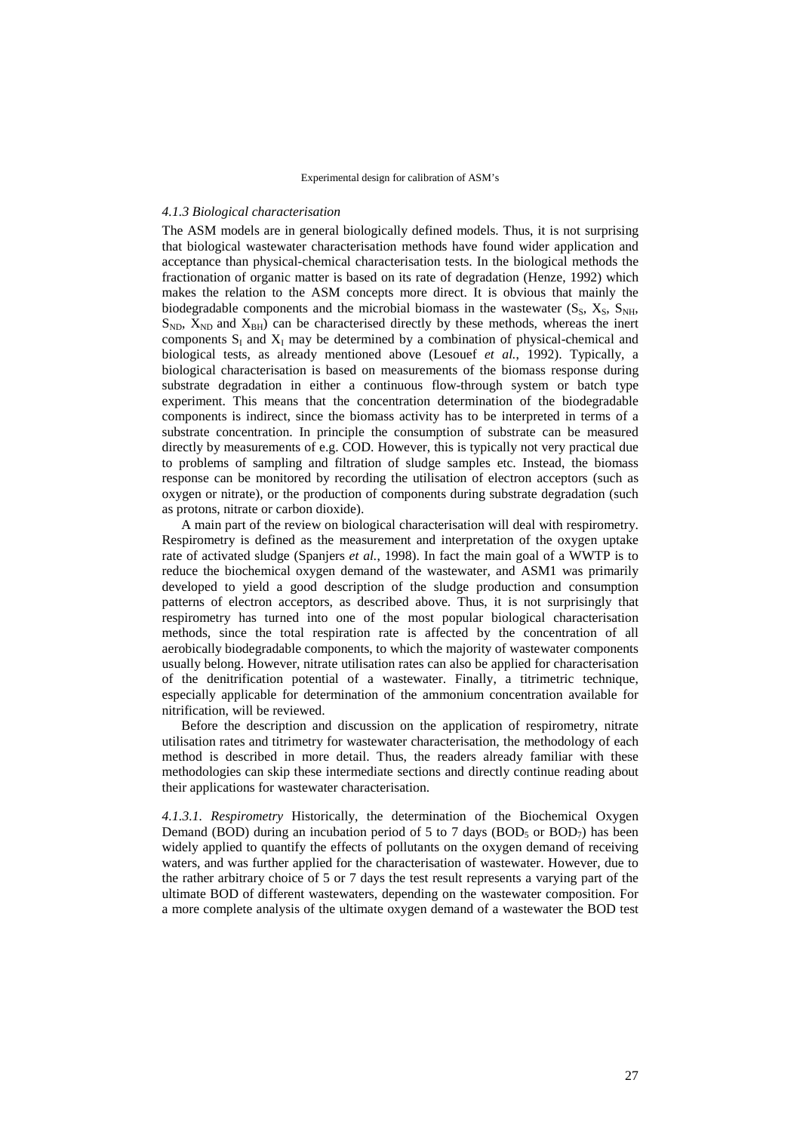### *4.1.3 Biological characterisation*

The ASM models are in general biologically defined models. Thus, it is not surprising that biological wastewater characterisation methods have found wider application and acceptance than physical-chemical characterisation tests. In the biological methods the fractionation of organic matter is based on its rate of degradation (Henze, 1992) which makes the relation to the ASM concepts more direct. It is obvious that mainly the biodegradable components and the microbial biomass in the wastewater  $(S_S, X_S, S_{NH})$  $S_{ND}$ ,  $X_{ND}$  and  $X_{BH}$ ) can be characterised directly by these methods, whereas the inert components  $S_I$  and  $X_I$  may be determined by a combination of physical-chemical and biological tests, as already mentioned above (Lesouef *et al.*, 1992). Typically, a biological characterisation is based on measurements of the biomass response during substrate degradation in either a continuous flow-through system or batch type experiment. This means that the concentration determination of the biodegradable components is indirect, since the biomass activity has to be interpreted in terms of a substrate concentration. In principle the consumption of substrate can be measured directly by measurements of e.g. COD. However, this is typically not very practical due to problems of sampling and filtration of sludge samples etc. Instead, the biomass response can be monitored by recording the utilisation of electron acceptors (such as oxygen or nitrate), or the production of components during substrate degradation (such as protons, nitrate or carbon dioxide).

A main part of the review on biological characterisation will deal with respirometry. Respirometry is defined as the measurement and interpretation of the oxygen uptake rate of activated sludge (Spanjers *et al.*, 1998). In fact the main goal of a WWTP is to reduce the biochemical oxygen demand of the wastewater, and ASM1 was primarily developed to yield a good description of the sludge production and consumption patterns of electron acceptors, as described above. Thus, it is not surprisingly that respirometry has turned into one of the most popular biological characterisation methods, since the total respiration rate is affected by the concentration of all aerobically biodegradable components, to which the majority of wastewater components usually belong. However, nitrate utilisation rates can also be applied for characterisation of the denitrification potential of a wastewater. Finally, a titrimetric technique, especially applicable for determination of the ammonium concentration available for nitrification, will be reviewed.

Before the description and discussion on the application of respirometry, nitrate utilisation rates and titrimetry for wastewater characterisation, the methodology of each method is described in more detail. Thus, the readers already familiar with these methodologies can skip these intermediate sections and directly continue reading about their applications for wastewater characterisation.

*4.1.3.1. Respirometry* Historically, the determination of the Biochemical Oxygen Demand (BOD) during an incubation period of 5 to 7 days (BOD<sub>5</sub> or BOD<sub>7</sub>) has been widely applied to quantify the effects of pollutants on the oxygen demand of receiving waters, and was further applied for the characterisation of wastewater. However, due to the rather arbitrary choice of 5 or 7 days the test result represents a varying part of the ultimate BOD of different wastewaters, depending on the wastewater composition. For a more complete analysis of the ultimate oxygen demand of a wastewater the BOD test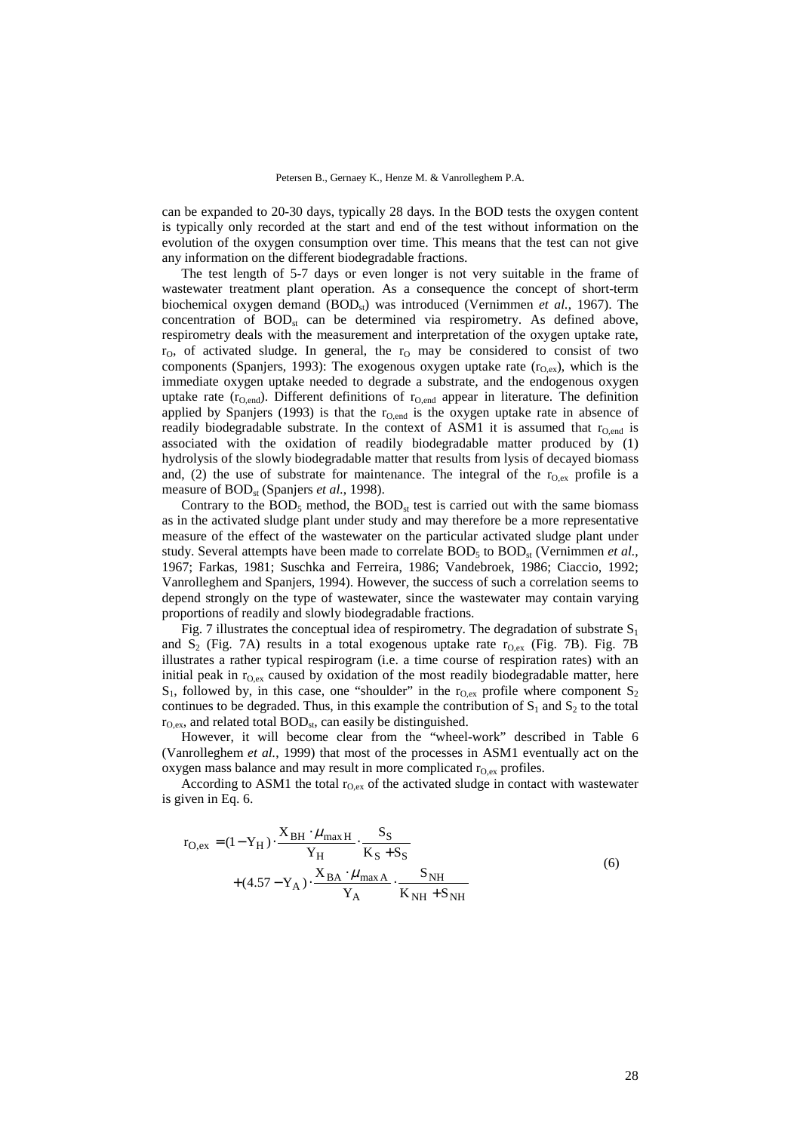can be expanded to 20-30 days, typically 28 days. In the BOD tests the oxygen content is typically only recorded at the start and end of the test without information on the evolution of the oxygen consumption over time. This means that the test can not give any information on the different biodegradable fractions.

The test length of 5-7 days or even longer is not very suitable in the frame of wastewater treatment plant operation. As a consequence the concept of short-term biochemical oxygen demand  $(BOD_{st})$  was introduced (Vernimmen *et al.*, 1967). The concentration of  $BOD_{st}$  can be determined via respirometry. As defined above, respirometry deals with the measurement and interpretation of the oxygen uptake rate,  $r<sub>O</sub>$ , of activated sludge. In general, the  $r<sub>O</sub>$  may be considered to consist of two components (Spanjers, 1993): The exogenous oxygen uptake rate  $(r<sub>O,ex</sub>)$ , which is the immediate oxygen uptake needed to degrade a substrate, and the endogenous oxygen uptake rate  $(r_{O,end})$ . Different definitions of  $r_{O,end}$  appear in literature. The definition applied by Spanjers (1993) is that the  $r_{O,end}$  is the oxygen uptake rate in absence of readily biodegradable substrate. In the context of ASM1 it is assumed that  $r_{O,end}$  is associated with the oxidation of readily biodegradable matter produced by (1) hydrolysis of the slowly biodegradable matter that results from lysis of decayed biomass and, (2) the use of substrate for maintenance. The integral of the  $r_{Oex}$  profile is a measure of BOD<sub>st</sub> (Spanjers *et al.*, 1998).

Contrary to the  $BOD_5$  method, the  $BOD_{st}$  test is carried out with the same biomass as in the activated sludge plant under study and may therefore be a more representative measure of the effect of the wastewater on the particular activated sludge plant under study. Several attempts have been made to correlate  $BOD<sub>5</sub>$  to  $BOD<sub>st</sub>$  (Vernimmen *et al.*, 1967; Farkas, 1981; Suschka and Ferreira, 1986; Vandebroek, 1986; Ciaccio, 1992; Vanrolleghem and Spanjers, 1994). However, the success of such a correlation seems to depend strongly on the type of wastewater, since the wastewater may contain varying proportions of readily and slowly biodegradable fractions.

Fig. 7 illustrates the conceptual idea of respirometry. The degradation of substrate  $S_1$ and  $S_2$  (Fig. 7A) results in a total exogenous uptake rate  $r_{O,ex}$  (Fig. 7B). Fig. 7B illustrates a rather typical respirogram (i.e. a time course of respiration rates) with an initial peak in  $r_{O,ex}$  caused by oxidation of the most readily biodegradable matter, here  $S_1$ , followed by, in this case, one "shoulder" in the  $r_{O,ex}$  profile where component  $S_2$ continues to be degraded. Thus, in this example the contribution of  $S_1$  and  $S_2$  to the total  $r_{O,ex}$ , and related total  $BOD<sub>st</sub>$ , can easily be distinguished.

However, it will become clear from the "wheel-work" described in Table 6 (Vanrolleghem *et al.*, 1999) that most of the processes in ASM1 eventually act on the oxygen mass balance and may result in more complicated  $r_{O,ex}$  profiles.

According to ASM1 the total  $r_{O,ex}$  of the activated sludge in contact with wastewater is given in Eq. 6.

$$
r_{O,ex} = (1 - Y_H) \cdot \frac{X_{BH} \cdot \mu_{maxH}}{Y_H} \cdot \frac{S_S}{K_S + S_S} + (4.57 - Y_A) \cdot \frac{X_{BA} \cdot \mu_{maxA}}{Y_A} \cdot \frac{S_{NH}}{K_{NH} + S_{NH}} \tag{6}
$$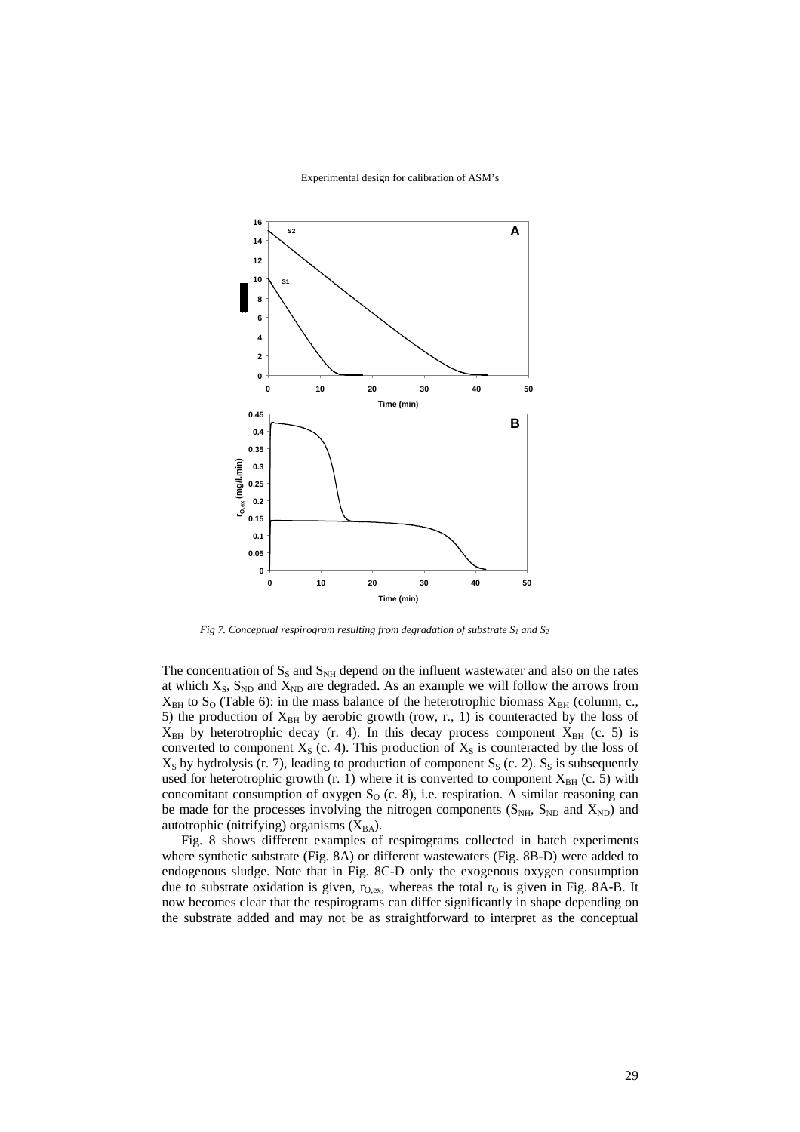



*Fig 7. Conceptual respirogram resulting from degradation of substrate*  $S_1$  and  $S_2$ 

The concentration of  $S_S$  and  $S_{NH}$  depend on the influent wastewater and also on the rates at which  $X_s$ ,  $S_{ND}$  and  $X_{ND}$  are degraded. As an example we will follow the arrows from  $X_{BH}$  to  $S_{O}$  (Table 6): in the mass balance of the heterotrophic biomass  $X_{BH}$  (column, c., 5) the production of  $X_{BH}$  by aerobic growth (row, r., 1) is counteracted by the loss of  $X_{BH}$  by heterotrophic decay (r. 4). In this decay process component  $X_{BH}$  (c. 5) is converted to component  $X_S$  (c. 4). This production of  $X_S$  is counteracted by the loss of  $X<sub>S</sub>$  by hydrolysis (r. 7), leading to production of component  $S<sub>S</sub>$  (c. 2).  $S<sub>S</sub>$  is subsequently used for heterotrophic growth (r. 1) where it is converted to component  $X_{BH}$  (c. 5) with concomitant consumption of oxygen  $S<sub>o</sub>$  (c. 8), i.e. respiration. A similar reasoning can be made for the processes involving the nitrogen components ( $S_{NH}$ ,  $S_{ND}$  and  $X_{ND}$ ) and autotrophic (nitrifying) organisms  $(X_{BA})$ .

Fig. 8 shows different examples of respirograms collected in batch experiments where synthetic substrate (Fig. 8A) or different wastewaters (Fig. 8B-D) were added to endogenous sludge. Note that in Fig. 8C-D only the exogenous oxygen consumption due to substrate oxidation is given,  $r_{O,ex}$ , whereas the total  $r_O$  is given in Fig. 8A-B. It now becomes clear that the respirograms can differ significantly in shape depending on the substrate added and may not be as straightforward to interpret as the conceptual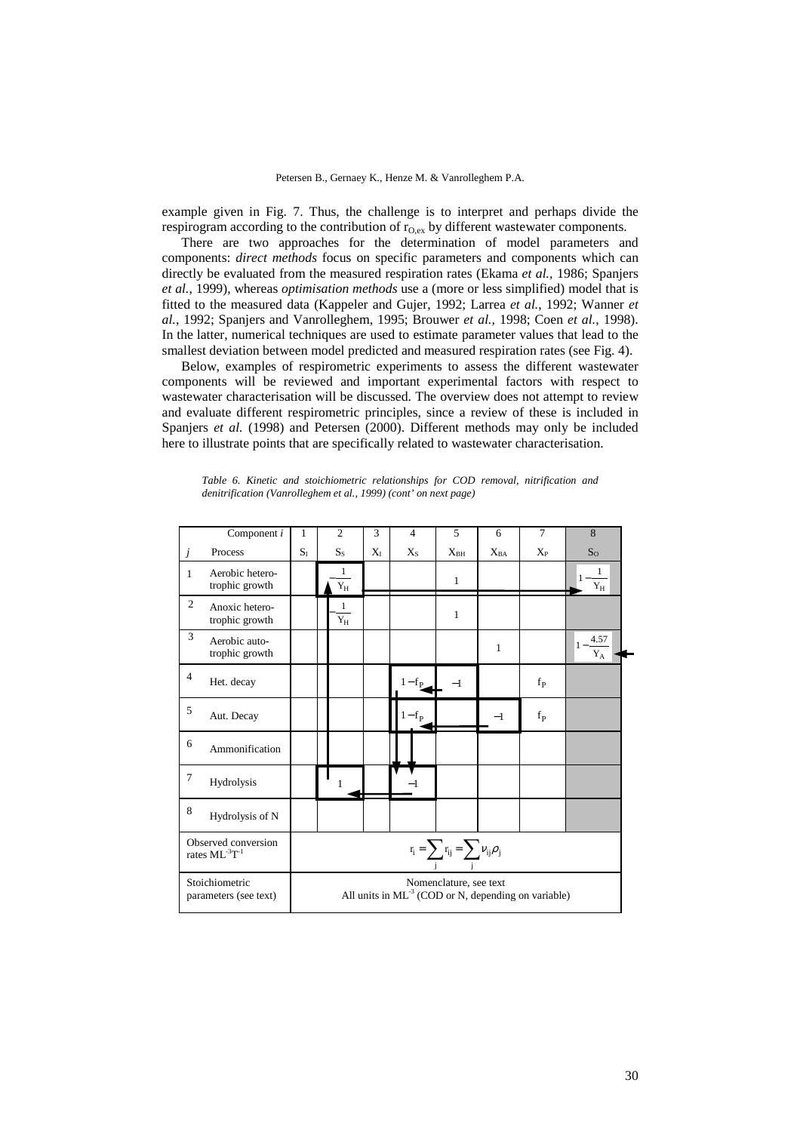Petersen B., Gernaey K., Henze M. & Vanrolleghem P.A.

example given in Fig. 7. Thus, the challenge is to interpret and perhaps divide the respirogram according to the contribution of  $r_{O,ex}$  by different wastewater components.

There are two approaches for the determination of model parameters and components: *direct methods* focus on specific parameters and components which can directly be evaluated from the measured respiration rates (Ekama *et al.,* 1986; Spanjers *et al.*, 1999), whereas *optimisation methods* use a (more or less simplified) model that is fitted to the measured data (Kappeler and Gujer, 1992; Larrea *et al.*, 1992; Wanner *et al.*, 1992; Spanjers and Vanrolleghem, 1995; Brouwer *et al.,* 1998; Coen *et al.*, 1998). In the latter, numerical techniques are used to estimate parameter values that lead to the smallest deviation between model predicted and measured respiration rates (see Fig. 4).

Below, examples of respirometric experiments to assess the different wastewater components will be reviewed and important experimental factors with respect to wastewater characterisation will be discussed. The overview does not attempt to review and evaluate different respirometric principles, since a review of these is included in Spanjers *et al.* (1998) and Petersen (2000). Different methods may only be included here to illustrate points that are specifically related to wastewater characterisation.

|                | Component i                                                                                                                   | 1                                                            | $\overline{2}$                   | 3     | $\overline{4}$ | 5            | 6        | $\overline{7}$ | 8                      |  |
|----------------|-------------------------------------------------------------------------------------------------------------------------------|--------------------------------------------------------------|----------------------------------|-------|----------------|--------------|----------|----------------|------------------------|--|
| j              | Process                                                                                                                       | $S_I$                                                        | $S_{S}$                          | $X_I$ | $X_{S}$        | $X_{BH}$     | $X_{BA}$ | $X_{P}$        | $S_{\rm O}$            |  |
| 1              | Aerobic hetero-<br>trophic growth                                                                                             |                                                              | 1<br>$\overline{Y_{H}}$          |       |                |              |          |                | $-\frac{1}{Y_{\rm H}}$ |  |
| $\overline{c}$ | Anoxic hetero-<br>trophic growth                                                                                              |                                                              | $\mathbf{1}$<br>$\overline{Y_H}$ |       |                | $\mathbf{1}$ |          |                |                        |  |
| 3              | Aerobic auto-<br>trophic growth                                                                                               |                                                              |                                  |       |                |              | 1        |                | $1 - \frac{4.57}{Y_A}$ |  |
| $\overline{4}$ | Het. decay                                                                                                                    |                                                              |                                  |       | $1-f_{\rm p}$  | $-1$         |          | $f_{\rm p}$    |                        |  |
| 5              | Aut. Decay                                                                                                                    |                                                              |                                  |       | $1 - fP$       |              | $-1$     | $f_{\rm P}$    |                        |  |
| 6              | Ammonification                                                                                                                |                                                              |                                  |       |                |              |          |                |                        |  |
| $\overline{7}$ | Hydrolysis                                                                                                                    |                                                              | 1                                |       |                |              |          |                |                        |  |
| 8              | Hydrolysis of N                                                                                                               |                                                              |                                  |       |                |              |          |                |                        |  |
|                | Observed conversion<br>rates ML <sup>-3</sup> T <sup>-1</sup>                                                                 | $\mathbf{r_i} = \sum \mathbf{r_{ij}} = \sum \nu_{ij} \rho_j$ |                                  |       |                |              |          |                |                        |  |
|                | Stoichiometric<br>Nomenclature, see text<br>All units in $ML^{-3}$ (COD or N, depending on variable)<br>parameters (see text) |                                                              |                                  |       |                |              |          |                |                        |  |

*Table 6. Kinetic and stoichiometric relationships for COD removal, nitrification and denitrification (Vanrolleghem et al., 1999) (cont' on next page)*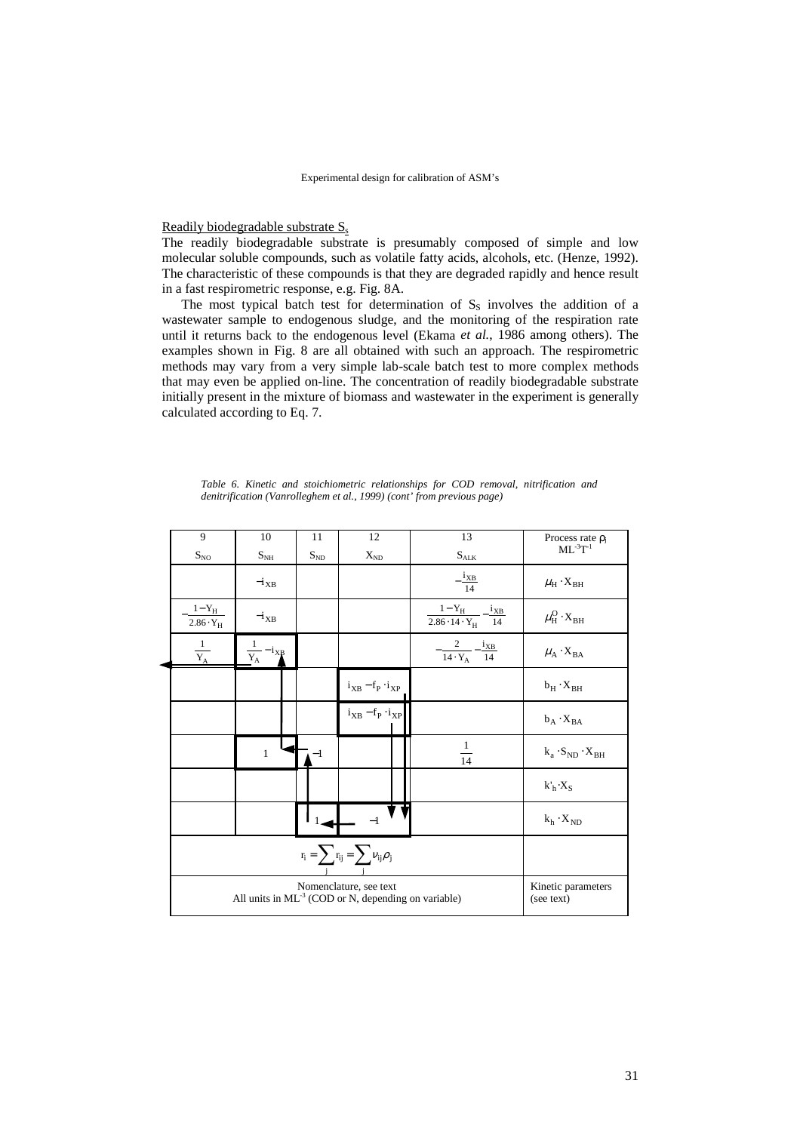# Readily biodegradable substrate  $S_s$

The readily biodegradable substrate is presumably composed of simple and low molecular soluble compounds, such as volatile fatty acids, alcohols, etc. (Henze, 1992). The characteristic of these compounds is that they are degraded rapidly and hence result in a fast respirometric response, e.g. Fig. 8A.

The most typical batch test for determination of  $S_S$  involves the addition of a wastewater sample to endogenous sludge, and the monitoring of the respiration rate until it returns back to the endogenous level (Ekama *et al.*, 1986 among others). The examples shown in Fig. 8 are all obtained with such an approach. The respirometric methods may vary from a very simple lab-scale batch test to more complex methods that may even be applied on-line. The concentration of readily biodegradable substrate initially present in the mixture of biomass and wastewater in the experiment is generally calculated according to Eq. 7.

|  | Table 6. Kinetic and stoichiometric relationships for COD removal, nitrification and |  |  |  |
|--|--------------------------------------------------------------------------------------|--|--|--|
|  | denitrification (Vanrolleghem et al., 1999) (cont' from previous page)               |  |  |  |

| 9                                                               | 10                                  |  | 11       | 12                          |  | 13                                                                   | Process rate $\rho_j$ $\rm ML^{-3}T^{-1}$          |
|-----------------------------------------------------------------|-------------------------------------|--|----------|-----------------------------|--|----------------------------------------------------------------------|----------------------------------------------------|
| $S_{NO}$                                                        | $\mathbf{S}_\mathrm{NH}$            |  | $S_{ND}$ | $X_{ND}$                    |  | $\mathbf{S}_{\text{ALK}}$                                            |                                                    |
|                                                                 | $-iXB$                              |  |          |                             |  | $-\frac{i_{XB}}{14}$                                                 | $\mu_{\rm H} \cdot X_{\rm BH}$                     |
| $\frac{1-Y_{\rm H}}{2.86\cdot Y_{\rm H}}$                       | $-i_{XB}$                           |  |          |                             |  | $1 - Y_H$<br>$i_{XB}$<br>$2.86 \cdot 14 \cdot Y_H$<br>14             | $\mu_{\rm H}^{\rm O} \cdot X_{\rm BH}$             |
| $\frac{1}{Y_A}$                                                 | $-i_{\text{XB}}$<br>$\frac{1}{Y_A}$ |  |          |                             |  | $\overline{c}$<br>$\cdot \frac{2}{14 \cdot Y_A} - \frac{i_{XB}}{14}$ | $\mu_A \cdot X_{BA}$                               |
|                                                                 |                                     |  |          | $i_{XB} - f_P \cdot i_{XP}$ |  |                                                                      | $b_H \cdot X_{BH}$                                 |
|                                                                 |                                     |  |          | $i_{XB} - f_P \cdot i_{XP}$ |  |                                                                      | $\mathbf{b}_\mathrm{A}\cdot\mathbf{X}_\mathrm{BA}$ |
|                                                                 | $\mathbf{1}$                        |  | -1       |                             |  | $\mathbf{1}$<br>$\overline{14}$                                      | $k_a \cdot S_{ND} \cdot X_{BH}$                    |
|                                                                 |                                     |  |          |                             |  |                                                                      | $k'_h \cdot X_S$                                   |
|                                                                 |                                     |  |          |                             |  | $k_h \cdot X_{ND}$                                                   |                                                    |
|                                                                 |                                     |  |          |                             |  |                                                                      |                                                    |
| All units in ML <sup>-3</sup> (COD or N, depending on variable) | Kinetic parameters<br>(see text)    |  |          |                             |  |                                                                      |                                                    |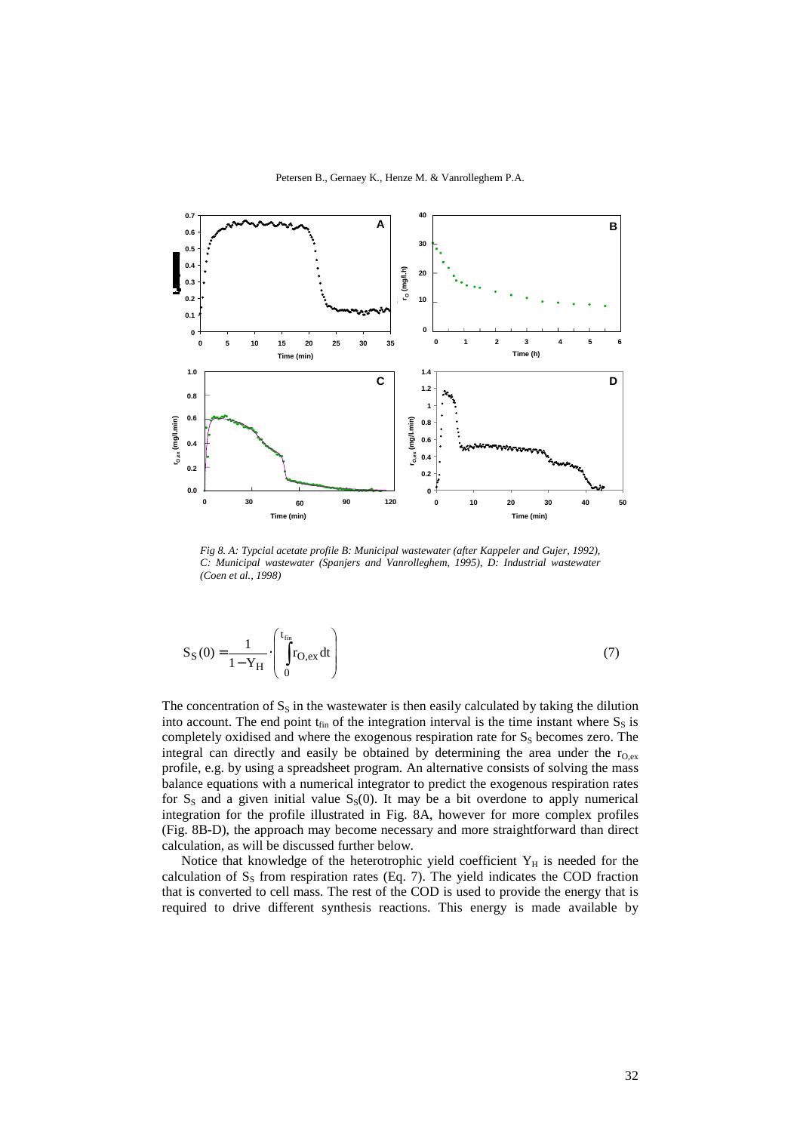

*Fig 8. A: Typcial acetate profile B: Municipal wastewater (after Kappeler and Gujer, 1992), C: Municipal wastewater (Spanjers and Vanrolleghem, 1995), D: Industrial wastewater (Coen et al., 1998)*

$$
S_{S}(0) = \frac{1}{1 - Y_{H}} \cdot \left(\int_{0}^{t_{fin}} r_{O, ex} dt\right)
$$
 (7)

The concentration of  $S<sub>S</sub>$  in the wastewater is then easily calculated by taking the dilution into account. The end point  $t_{fin}$  of the integration interval is the time instant where  $S_S$  is completely oxidised and where the exogenous respiration rate for  $S_S$  becomes zero. The integral can directly and easily be obtained by determining the area under the  $r_{O,ex}$ profile, e.g. by using a spreadsheet program. An alternative consists of solving the mass balance equations with a numerical integrator to predict the exogenous respiration rates for  $S_s$  and a given initial value  $S_s(0)$ . It may be a bit overdone to apply numerical integration for the profile illustrated in Fig. 8A, however for more complex profiles (Fig. 8B-D), the approach may become necessary and more straightforward than direct calculation, as will be discussed further below.

Notice that knowledge of the heterotrophic yield coefficient  $Y_H$  is needed for the calculation of  $S_S$  from respiration rates (Eq. 7). The yield indicates the COD fraction that is converted to cell mass. The rest of the COD is used to provide the energy that is required to drive different synthesis reactions. This energy is made available by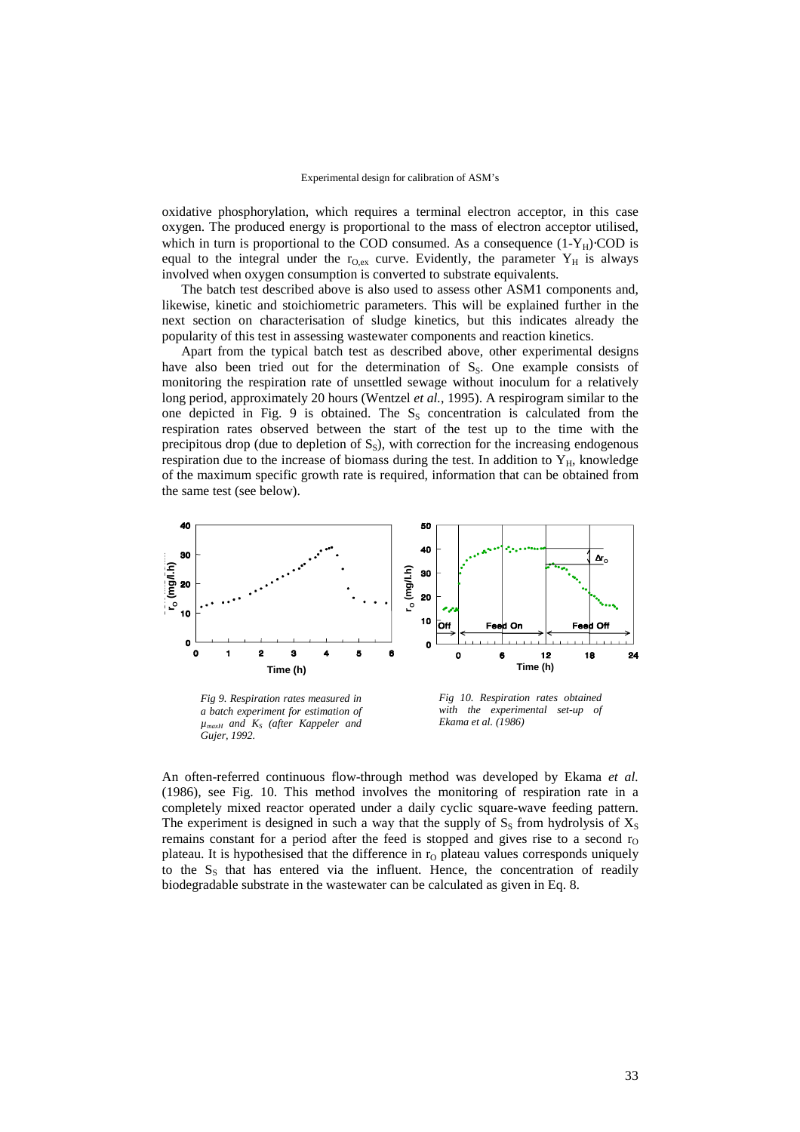oxidative phosphorylation, which requires a terminal electron acceptor, in this case oxygen. The produced energy is proportional to the mass of electron acceptor utilised, which in turn is proportional to the COD consumed. As a consequence  $(1-Y_H)$ ⋅COD is equal to the integral under the  $r_{O,ex}$  curve. Evidently, the parameter  $Y_H$  is always involved when oxygen consumption is converted to substrate equivalents.

The batch test described above is also used to assess other ASM1 components and, likewise, kinetic and stoichiometric parameters. This will be explained further in the next section on characterisation of sludge kinetics, but this indicates already the popularity of this test in assessing wastewater components and reaction kinetics.

Apart from the typical batch test as described above, other experimental designs have also been tried out for the determination of  $S<sub>S</sub>$ . One example consists of monitoring the respiration rate of unsettled sewage without inoculum for a relatively long period, approximately 20 hours (Wentzel *et al.*, 1995). A respirogram similar to the one depicted in Fig. 9 is obtained. The  $S_S$  concentration is calculated from the respiration rates observed between the start of the test up to the time with the precipitous drop (due to depletion of  $S_8$ ), with correction for the increasing endogenous respiration due to the increase of biomass during the test. In addition to  $Y_H$ , knowledge of the maximum specific growth rate is required, information that can be obtained from the same test (see below).



An often-referred continuous flow-through method was developed by Ekama *et al.* (1986), see Fig. 10. This method involves the monitoring of respiration rate in a completely mixed reactor operated under a daily cyclic square-wave feeding pattern. The experiment is designed in such a way that the supply of  $S_S$  from hydrolysis of  $X_S$ remains constant for a period after the feed is stopped and gives rise to a second  $r_0$ plateau. It is hypothesised that the difference in  $r_0$  plateau values corresponds uniquely to the  $S<sub>S</sub>$  that has entered via the influent. Hence, the concentration of readily biodegradable substrate in the wastewater can be calculated as given in Eq. 8.

*Gujer, 1992.*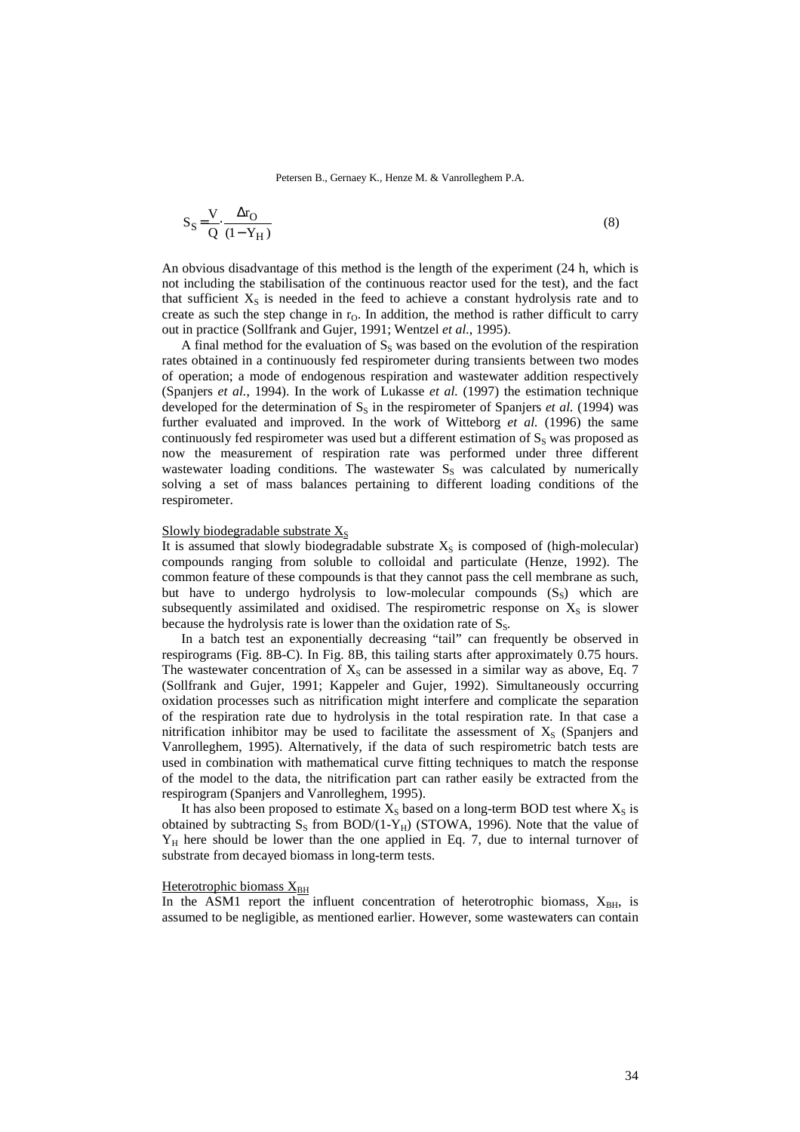$$
S_S = \frac{V}{Q} \cdot \frac{\Delta r_O}{(1 - Y_H)}
$$
\n<sup>(8)</sup>

An obvious disadvantage of this method is the length of the experiment (24 h, which is not including the stabilisation of the continuous reactor used for the test), and the fact that sufficient  $X<sub>S</sub>$  is needed in the feed to achieve a constant hydrolysis rate and to create as such the step change in  $r<sub>O</sub>$ . In addition, the method is rather difficult to carry out in practice (Sollfrank and Gujer, 1991; Wentzel *et al.*, 1995).

A final method for the evaluation of  $S<sub>S</sub>$  was based on the evolution of the respiration rates obtained in a continuously fed respirometer during transients between two modes of operation; a mode of endogenous respiration and wastewater addition respectively (Spanjers *et al.*, 1994). In the work of Lukasse *et al.* (1997) the estimation technique developed for the determination of  $S<sub>S</sub>$  in the respirometer of Spanjers *et al.* (1994) was further evaluated and improved. In the work of Witteborg *et al.* (1996) the same continuously fed respirometer was used but a different estimation of  $S<sub>S</sub>$  was proposed as now the measurement of respiration rate was performed under three different wastewater loading conditions. The wastewater  $S<sub>S</sub>$  was calculated by numerically solving a set of mass balances pertaining to different loading conditions of the respirometer.

### Slowly biodegradable substrate  $X<sub>S</sub>$

It is assumed that slowly biodegradable substrate  $X<sub>S</sub>$  is composed of (high-molecular) compounds ranging from soluble to colloidal and particulate (Henze, 1992). The common feature of these compounds is that they cannot pass the cell membrane as such, but have to undergo hydrolysis to low-molecular compounds  $(S<sub>S</sub>)$  which are subsequently assimilated and oxidised. The respirometric response on  $X<sub>S</sub>$  is slower because the hydrolysis rate is lower than the oxidation rate of S<sub>S</sub>.

In a batch test an exponentially decreasing "tail" can frequently be observed in respirograms (Fig. 8B-C). In Fig. 8B, this tailing starts after approximately 0.75 hours. The wastewater concentration of  $X<sub>S</sub>$  can be assessed in a similar way as above, Eq. 7 (Sollfrank and Gujer, 1991; Kappeler and Gujer, 1992). Simultaneously occurring oxidation processes such as nitrification might interfere and complicate the separation of the respiration rate due to hydrolysis in the total respiration rate. In that case a nitrification inhibitor may be used to facilitate the assessment of  $X<sub>S</sub>$  (Spanjers and Vanrolleghem, 1995). Alternatively, if the data of such respirometric batch tests are used in combination with mathematical curve fitting techniques to match the response of the model to the data, the nitrification part can rather easily be extracted from the respirogram (Spanjers and Vanrolleghem, 1995).

It has also been proposed to estimate  $X<sub>S</sub>$  based on a long-term BOD test where  $X<sub>S</sub>$  is obtained by subtracting  $S_S$  from BOD/(1-Y<sub>H</sub>) (STOWA, 1996). Note that the value of  $Y_H$  here should be lower than the one applied in Eq. 7, due to internal turnover of substrate from decayed biomass in long-term tests.

# Heterotrophic biomass  $X_{BH}$

In the ASM1 report the influent concentration of heterotrophic biomass,  $X_{BH}$ , is assumed to be negligible, as mentioned earlier. However, some wastewaters can contain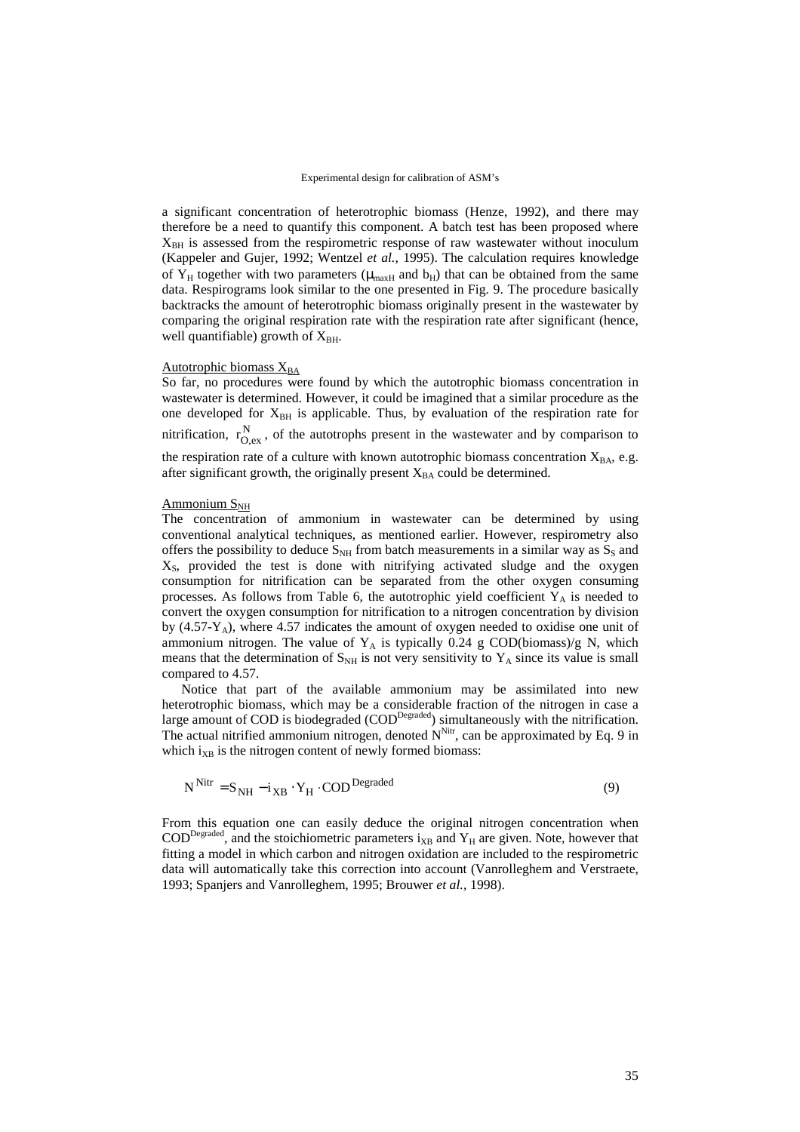#### Experimental design for calibration of ASM's

a significant concentration of heterotrophic biomass (Henze, 1992), and there may therefore be a need to quantify this component. A batch test has been proposed where  $X_{BH}$  is assessed from the respirometric response of raw wastewater without inoculum (Kappeler and Gujer, 1992; Wentzel *et al.*, 1995). The calculation requires knowledge of Y<sub>H</sub> together with two parameters ( $\mu_{\text{maxH}}$  and  $b_H$ ) that can be obtained from the same data. Respirograms look similar to the one presented in Fig. 9. The procedure basically backtracks the amount of heterotrophic biomass originally present in the wastewater by comparing the original respiration rate with the respiration rate after significant (hence, well quantifiable) growth of  $X_{BH}$ .

# Autotrophic biomass  $X_{BA}$

So far, no procedures were found by which the autotrophic biomass concentration in wastewater is determined. However, it could be imagined that a similar procedure as the one developed for  $X_{BH}$  is applicable. Thus, by evaluation of the respiration rate for nitrification,  $r_{O,ex}^N$ , of the autotrophs present in the wastewater and by comparison to the respiration rate of a culture with known autotrophic biomass concentration  $X_{BA}$ , e.g. after significant growth, the originally present  $X_{BA}$  could be determined.

### $A$ mmonium  $S_{NH}$

The concentration of ammonium in wastewater can be determined by using conventional analytical techniques, as mentioned earlier. However, respirometry also offers the possibility to deduce  $S_{NH}$  from batch measurements in a similar way as  $S_S$  and X<sub>S</sub>, provided the test is done with nitrifying activated sludge and the oxygen consumption for nitrification can be separated from the other oxygen consuming processes. As follows from Table 6, the autotrophic yield coefficient  $Y_A$  is needed to convert the oxygen consumption for nitrification to a nitrogen concentration by division by (4.57-YA), where 4.57 indicates the amount of oxygen needed to oxidise one unit of ammonium nitrogen. The value of  $Y_A$  is typically 0.24 g COD(biomass)/g N, which means that the determination of  $S_{NH}$  is not very sensitivity to  $Y_A$  since its value is small compared to 4.57.

Notice that part of the available ammonium may be assimilated into new heterotrophic biomass, which may be a considerable fraction of the nitrogen in case a large amount of COD is biodegraded (COD<sup>Degraded</sup>) simultaneously with the nitrification. The actual nitrified ammonium nitrogen, denoted  $N<sup>Nitr</sup>$ , can be approximated by Eq. 9 in which  $i_{XB}$  is the nitrogen content of newly formed biomass:

$$
NNitr = SNH - iXB · YH · CODDegraded
$$
 (9)

From this equation one can easily deduce the original nitrogen concentration when  $\text{COD}^{\text{Degraded}}$ , and the stoichiometric parameters  $i_{XB}$  and  $Y_H$  are given. Note, however that fitting a model in which carbon and nitrogen oxidation are included to the respirometric data will automatically take this correction into account (Vanrolleghem and Verstraete, 1993; Spanjers and Vanrolleghem, 1995; Brouwer *et al.*, 1998).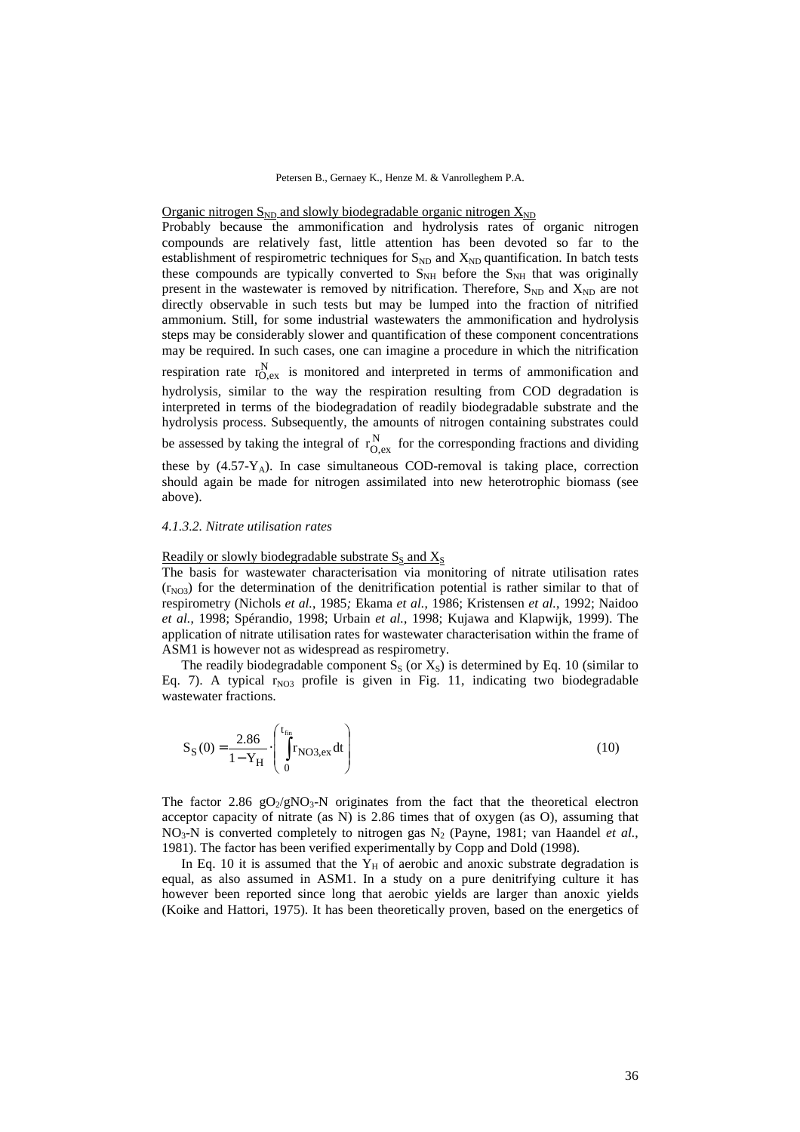Organic nitrogen  $S_{ND}$  and slowly biodegradable organic nitrogen  $X_{ND}$ 

Probably because the ammonification and hydrolysis rates of organic nitrogen compounds are relatively fast, little attention has been devoted so far to the establishment of respirometric techniques for  $S_{ND}$  and  $X_{ND}$  quantification. In batch tests these compounds are typically converted to  $S_{NH}$  before the  $S_{NH}$  that was originally present in the wastewater is removed by nitrification. Therefore,  $S_{ND}$  and  $X_{ND}$  are not directly observable in such tests but may be lumped into the fraction of nitrified ammonium. Still, for some industrial wastewaters the ammonification and hydrolysis steps may be considerably slower and quantification of these component concentrations may be required. In such cases, one can imagine a procedure in which the nitrification respiration rate  $r_{O,ex}^N$  is monitored and interpreted in terms of ammonification and hydrolysis, similar to the way the respiration resulting from COD degradation is interpreted in terms of the biodegradation of readily biodegradable substrate and the hydrolysis process. Subsequently, the amounts of nitrogen containing substrates could be assessed by taking the integral of  $r_{O,ex}^{N}$  for the corresponding fractions and dividing these by  $(4.57-Y_A)$ . In case simultaneous COD-removal is taking place, correction should again be made for nitrogen assimilated into new heterotrophic biomass (see above).

# *4.1.3.2. Nitrate utilisation rates*

### Readily or slowly biodegradable substrate  $S_S$  and  $X_S$

The basis for wastewater characterisation via monitoring of nitrate utilisation rates  $(r_{NQ3})$  for the determination of the denitrification potential is rather similar to that of respirometry (Nichols *et al.*, 1985*;* Ekama *et al.*, 1986; Kristensen *et al.*, 1992; Naidoo *et al.*, 1998; Spérandio, 1998; Urbain *et al.*, 1998; Kujawa and Klapwijk, 1999). The application of nitrate utilisation rates for wastewater characterisation within the frame of ASM1 is however not as widespread as respirometry.

The readily biodegradable component  $S_S$  (or  $X_S$ ) is determined by Eq. 10 (similar to Eq. 7). A typical  $r_{NO3}$  profile is given in Fig. 11, indicating two biodegradable wastewater fractions.

$$
S_S(0) = \frac{2.86}{1 - Y_H} \cdot \left(\int_{0}^{t_{\rm fin}} r_{\rm NO3, ex} dt\right)
$$
 (10)

The factor 2.86  $gO_2/gNO_3-N$  originates from the fact that the theoretical electron acceptor capacity of nitrate (as N) is 2.86 times that of oxygen (as O), assuming that  $NO<sub>3</sub>-N$  is converted completely to nitrogen gas  $N<sub>2</sub>$  (Payne, 1981; van Haandel *et al.*, 1981). The factor has been verified experimentally by Copp and Dold (1998).

In Eq. 10 it is assumed that the  $Y_H$  of aerobic and anoxic substrate degradation is equal, as also assumed in ASM1. In a study on a pure denitrifying culture it has however been reported since long that aerobic yields are larger than anoxic yields (Koike and Hattori, 1975). It has been theoretically proven, based on the energetics of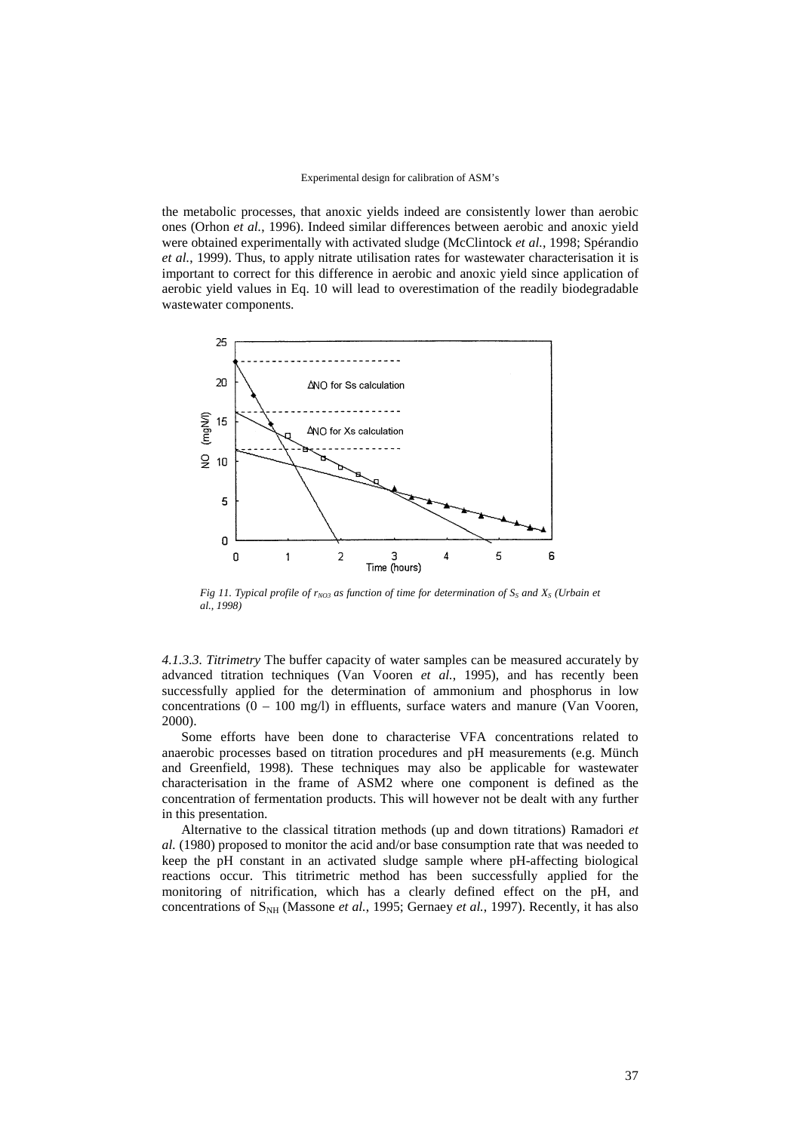#### Experimental design for calibration of ASM's

the metabolic processes, that anoxic yields indeed are consistently lower than aerobic ones (Orhon *et al.*, 1996). Indeed similar differences between aerobic and anoxic yield were obtained experimentally with activated sludge (McClintock *et al.*, 1998; Spérandio *et al.*, 1999). Thus, to apply nitrate utilisation rates for wastewater characterisation it is important to correct for this difference in aerobic and anoxic yield since application of aerobic yield values in Eq. 10 will lead to overestimation of the readily biodegradable wastewater components.



*Fig 11. Typical profile of r<sub>NO3</sub> as function of time for determination of S<sub>S</sub> and X<sub>S</sub> (Urbain et al., 1998)*

*4.1.3.3. Titrimetry* The buffer capacity of water samples can be measured accurately by advanced titration techniques (Van Vooren *et al.*, 1995), and has recently been successfully applied for the determination of ammonium and phosphorus in low concentrations  $(0 - 100 \text{ mg/l})$  in effluents, surface waters and manure (Van Vooren, 2000).

Some efforts have been done to characterise VFA concentrations related to anaerobic processes based on titration procedures and pH measurements (e.g. Münch and Greenfield, 1998). These techniques may also be applicable for wastewater characterisation in the frame of ASM2 where one component is defined as the concentration of fermentation products. This will however not be dealt with any further in this presentation.

Alternative to the classical titration methods (up and down titrations) Ramadori *et al.* (1980) proposed to monitor the acid and/or base consumption rate that was needed to keep the pH constant in an activated sludge sample where pH-affecting biological reactions occur. This titrimetric method has been successfully applied for the monitoring of nitrification, which has a clearly defined effect on the pH, and concentrations of  $S_{NH}$  (Massone *et al.*, 1995; Gernaey *et al.*, 1997). Recently, it has also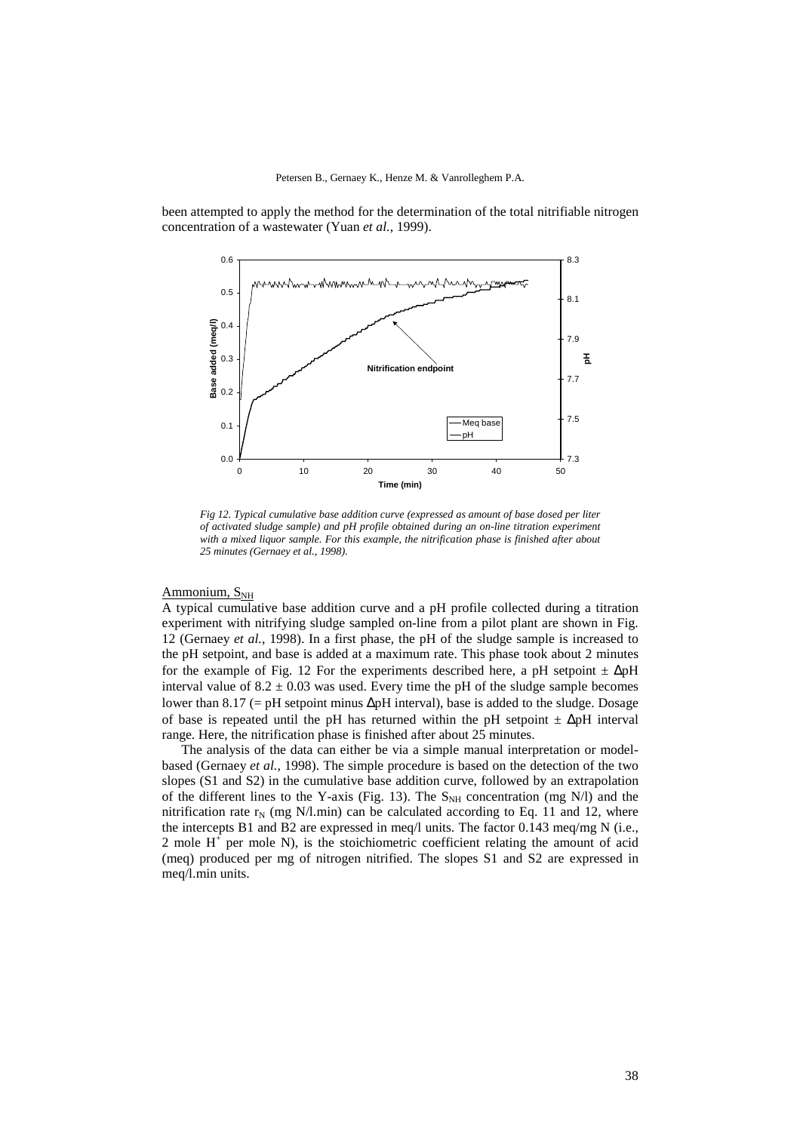been attempted to apply the method for the determination of the total nitrifiable nitrogen concentration of a wastewater (Yuan *et al.*, 1999).



*Fig 12. Typical cumulative base addition curve (expressed as amount of base dosed per liter of activated sludge sample) and pH profile obtained during an on-line titration experiment with a mixed liquor sample. For this example, the nitrification phase is finished after about 25 minutes (Gernaey et al., 1998).*

# Ammonium, SNH

A typical cumulative base addition curve and a pH profile collected during a titration experiment with nitrifying sludge sampled on-line from a pilot plant are shown in Fig. 12 (Gernaey *et al.*, 1998). In a first phase, the pH of the sludge sample is increased to the pH setpoint, and base is added at a maximum rate. This phase took about 2 minutes for the example of Fig. 12 For the experiments described here, a pH setpoint  $\pm \Delta pH$ interval value of  $8.2 \pm 0.03$  was used. Every time the pH of the sludge sample becomes lower than 8.17 (= pH setpoint minus ∆pH interval), base is added to the sludge. Dosage of base is repeated until the pH has returned within the pH setpoint  $\pm \Delta pH$  interval range. Here, the nitrification phase is finished after about 25 minutes.

The analysis of the data can either be via a simple manual interpretation or modelbased (Gernaey *et al.*, 1998). The simple procedure is based on the detection of the two slopes (S1 and S2) in the cumulative base addition curve, followed by an extrapolation of the different lines to the Y-axis (Fig. 13). The  $S_{NH}$  concentration (mg N/l) and the nitrification rate  $r_N$  (mg N/l.min) can be calculated according to Eq. 11 and 12, where the intercepts B1 and B2 are expressed in meq/l units. The factor 0.143 meq/mg N (i.e., 2 mole  $H^+$  per mole N), is the stoichiometric coefficient relating the amount of acid (meq) produced per mg of nitrogen nitrified. The slopes S1 and S2 are expressed in meq/l.min units.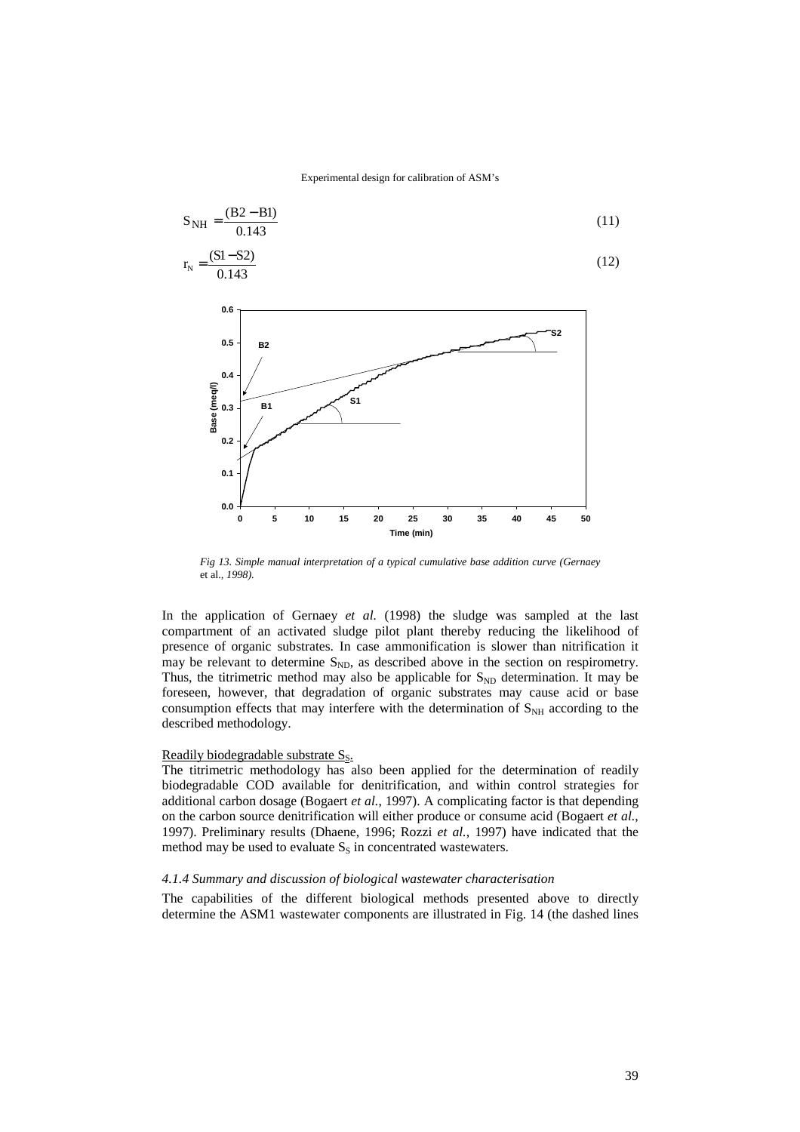Experimental design for calibration of ASM's



*Fig 13. Simple manual interpretation of a typical cumulative base addition curve (Gernaey* et al.*, 1998).*

In the application of Gernaey *et al.* (1998) the sludge was sampled at the last compartment of an activated sludge pilot plant thereby reducing the likelihood of presence of organic substrates. In case ammonification is slower than nitrification it may be relevant to determine  $S_{ND}$ , as described above in the section on respirometry. Thus, the titrimetric method may also be applicable for  $S_{ND}$  determination. It may be foreseen, however, that degradation of organic substrates may cause acid or base consumption effects that may interfere with the determination of  $S<sub>NH</sub>$  according to the described methodology.

# Readily biodegradable substrate  $S_{S}$ .

The titrimetric methodology has also been applied for the determination of readily biodegradable COD available for denitrification, and within control strategies for additional carbon dosage (Bogaert *et al.*, 1997). A complicating factor is that depending on the carbon source denitrification will either produce or consume acid (Bogaert *et al.*, 1997). Preliminary results (Dhaene, 1996; Rozzi *et al.*, 1997) have indicated that the method may be used to evaluate  $S<sub>S</sub>$  in concentrated wastewaters.

### *4.1.4 Summary and discussion of biological wastewater characterisation*

The capabilities of the different biological methods presented above to directly determine the ASM1 wastewater components are illustrated in Fig. 14 (the dashed lines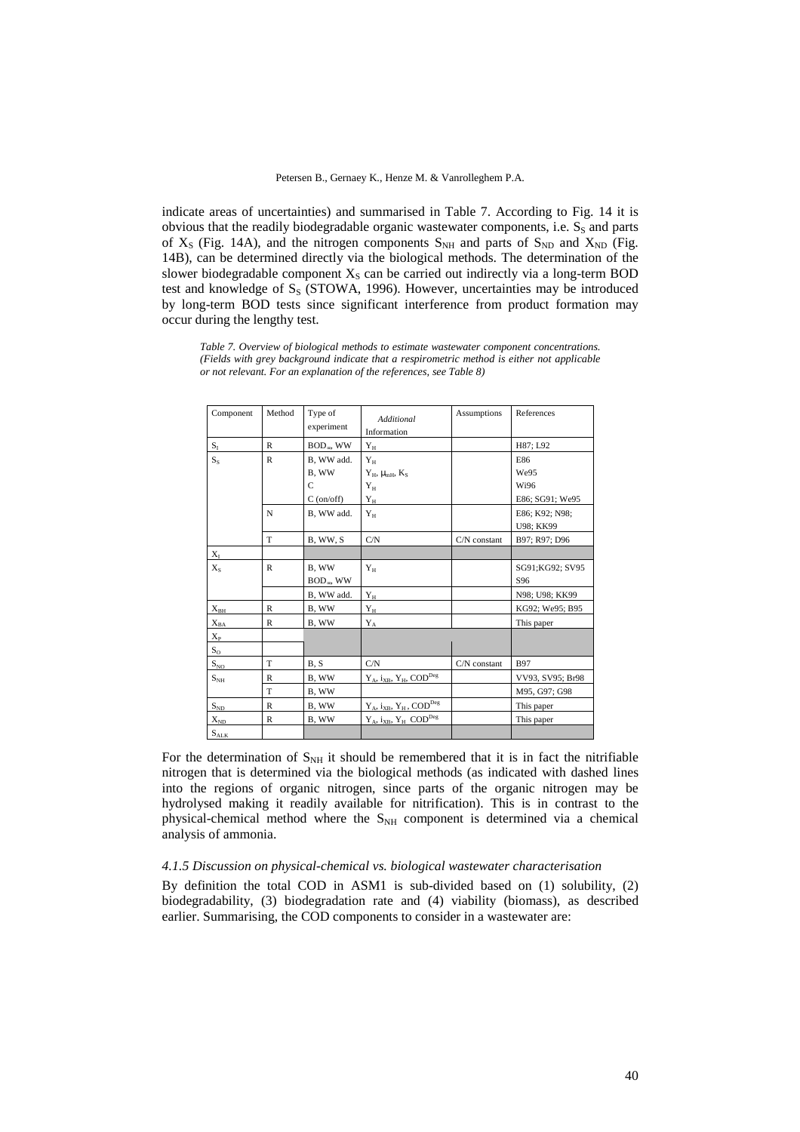indicate areas of uncertainties) and summarised in Table 7. According to Fig. 14 it is obvious that the readily biodegradable organic wastewater components, i.e.  $S_S$  and parts of  $X_S$  (Fig. 14A), and the nitrogen components  $S_{NH}$  and parts of  $S_{ND}$  and  $X_{ND}$  (Fig. 14B), can be determined directly via the biological methods. The determination of the slower biodegradable component  $X<sub>S</sub>$  can be carried out indirectly via a long-term BOD test and knowledge of  $S_8$  (STOWA, 1996). However, uncertainties may be introduced by long-term BOD tests since significant interference from product formation may occur during the lengthy test.

*Table 7. Overview of biological methods to estimate wastewater component concentrations. (Fields with grey background indicate that a respirometric method is either not applicable or not relevant. For an explanation of the references, see Table 8)*

| Component   | Method       | Type of<br>experiment | Additional<br>Information                            | Assumptions    | References       |
|-------------|--------------|-----------------------|------------------------------------------------------|----------------|------------------|
| $S_I$       | $\mathbb{R}$ | BOD., WW              | $Y_H$                                                |                | H87; L92         |
| $S_S$       | $\mathbb{R}$ | B. WW add.            | $Y_H$                                                |                | E86              |
|             |              | B, WW                 | $Y_H$ , $\mu_{mH}$ , $K_S$                           |                | We95             |
|             |              | $\mathcal{C}$         | $Y_H$                                                |                | Wi96             |
|             |              | $C$ (on/off)          | ${\rm Y}_{\rm H}$                                    |                | E86; SG91; We95  |
|             | N            | B, WW add.            | $Y_{H}$                                              |                | E86; K92; N98;   |
|             |              |                       |                                                      |                | U98; KK99        |
|             | T            | B, WW, S              | C/N                                                  | $C/N$ constant | B97; R97; D96    |
| $X_I$       |              |                       |                                                      |                |                  |
| $X_{S}$     | R            | B, WW                 | $Y_H$                                                |                | SG91;KG92; SV95  |
|             |              | BOD., WW              |                                                      |                | S96              |
|             |              | B, WW add.            | ${\rm Y}_{\rm H}$                                    |                | N98; U98; KK99   |
| $X_{BH}$    | $\mathbb{R}$ | B, WW                 | $Y_H$                                                |                | KG92; We95; B95  |
| $X_{BA}$    | R            | B, WW                 | ${\rm Y_A}$                                          |                | This paper       |
| $X_{P}$     |              |                       |                                                      |                |                  |
| $S_{\rm O}$ |              |                       |                                                      |                |                  |
| $S_{NO}$    | T            | B, S                  | C/N                                                  | $C/N$ constant | <b>B97</b>       |
| $S_{NH}$    | $\mathbb{R}$ | B, WW                 | $Y_A$ , i <sub>XB</sub> , $Y_H$ , COD <sup>Deg</sup> |                | VV93, SV95; Br98 |
|             | T            | B, WW                 |                                                      |                | M95, G97; G98    |
| $S_{ND}$    | R            | B, WW                 | $Y_A$ , i <sub>XB</sub> , $Y_H$ , COD <sup>Deg</sup> |                | This paper       |
| $X_{ND}$    | $\mathbb{R}$ | B, WW                 | $Y_A$ , i <sub>XB</sub> , $Y_H$ COD <sup>Deg</sup>   |                | This paper       |
| $S_{ALK}$   |              |                       |                                                      |                |                  |

For the determination of  $S_{NH}$  it should be remembered that it is in fact the nitrifiable nitrogen that is determined via the biological methods (as indicated with dashed lines into the regions of organic nitrogen, since parts of the organic nitrogen may be hydrolysed making it readily available for nitrification). This is in contrast to the physical-chemical method where the  $S_{NH}$  component is determined via a chemical analysis of ammonia.

## *4.1.5 Discussion on physical-chemical vs. biological wastewater characterisation*

By definition the total COD in ASM1 is sub-divided based on (1) solubility, (2) biodegradability, (3) biodegradation rate and (4) viability (biomass), as described earlier. Summarising, the COD components to consider in a wastewater are: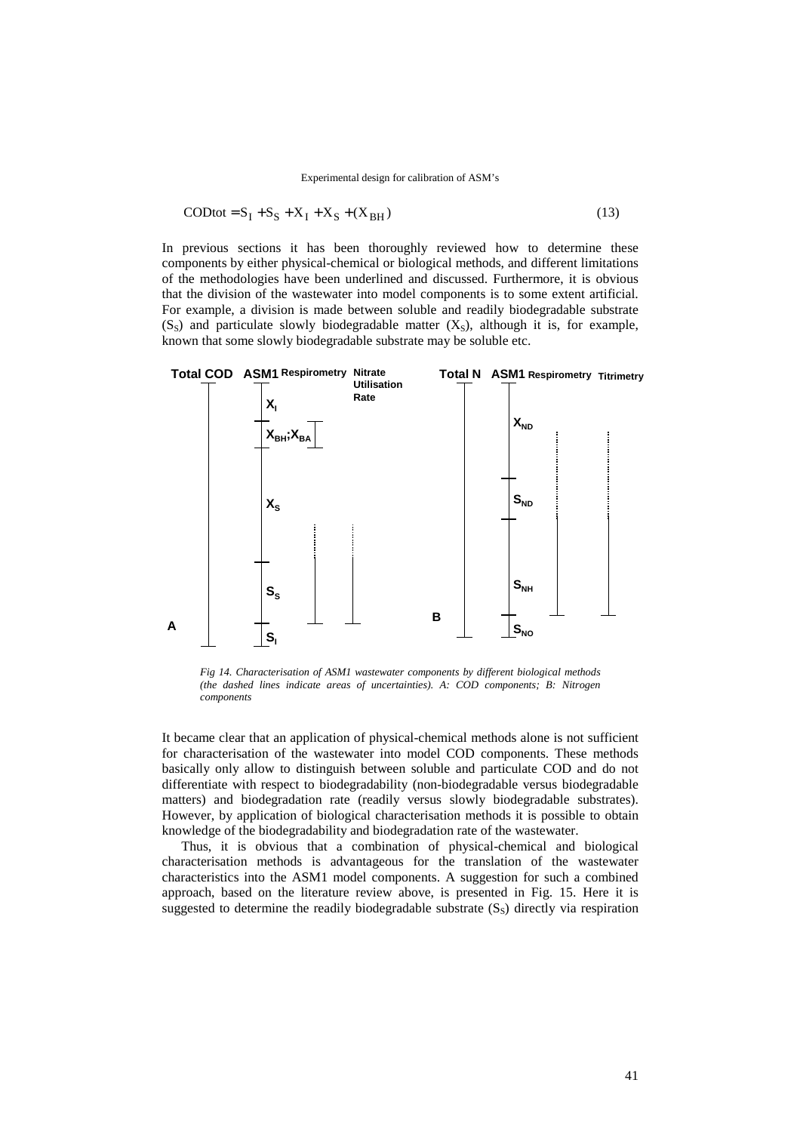Experimental design for calibration of ASM's

$$
COD\text{tot} = S_{I} + S_{S} + X_{I} + X_{S} + (X_{BH})
$$
\n
$$
(13)
$$

In previous sections it has been thoroughly reviewed how to determine these components by either physical-chemical or biological methods, and different limitations of the methodologies have been underlined and discussed. Furthermore, it is obvious that the division of the wastewater into model components is to some extent artificial. For example, a division is made between soluble and readily biodegradable substrate  $(S<sub>S</sub>)$  and particulate slowly biodegradable matter  $(X<sub>S</sub>)$ , although it is, for example, known that some slowly biodegradable substrate may be soluble etc.



*Fig 14. Characterisation of ASM1 wastewater components by different biological methods (the dashed lines indicate areas of uncertainties). A: COD components; B: Nitrogen components*

It became clear that an application of physical-chemical methods alone is not sufficient for characterisation of the wastewater into model COD components. These methods basically only allow to distinguish between soluble and particulate COD and do not differentiate with respect to biodegradability (non-biodegradable versus biodegradable matters) and biodegradation rate (readily versus slowly biodegradable substrates). However, by application of biological characterisation methods it is possible to obtain knowledge of the biodegradability and biodegradation rate of the wastewater.

Thus, it is obvious that a combination of physical-chemical and biological characterisation methods is advantageous for the translation of the wastewater characteristics into the ASM1 model components. A suggestion for such a combined approach, based on the literature review above, is presented in Fig. 15. Here it is suggested to determine the readily biodegradable substrate  $(S<sub>S</sub>)$  directly via respiration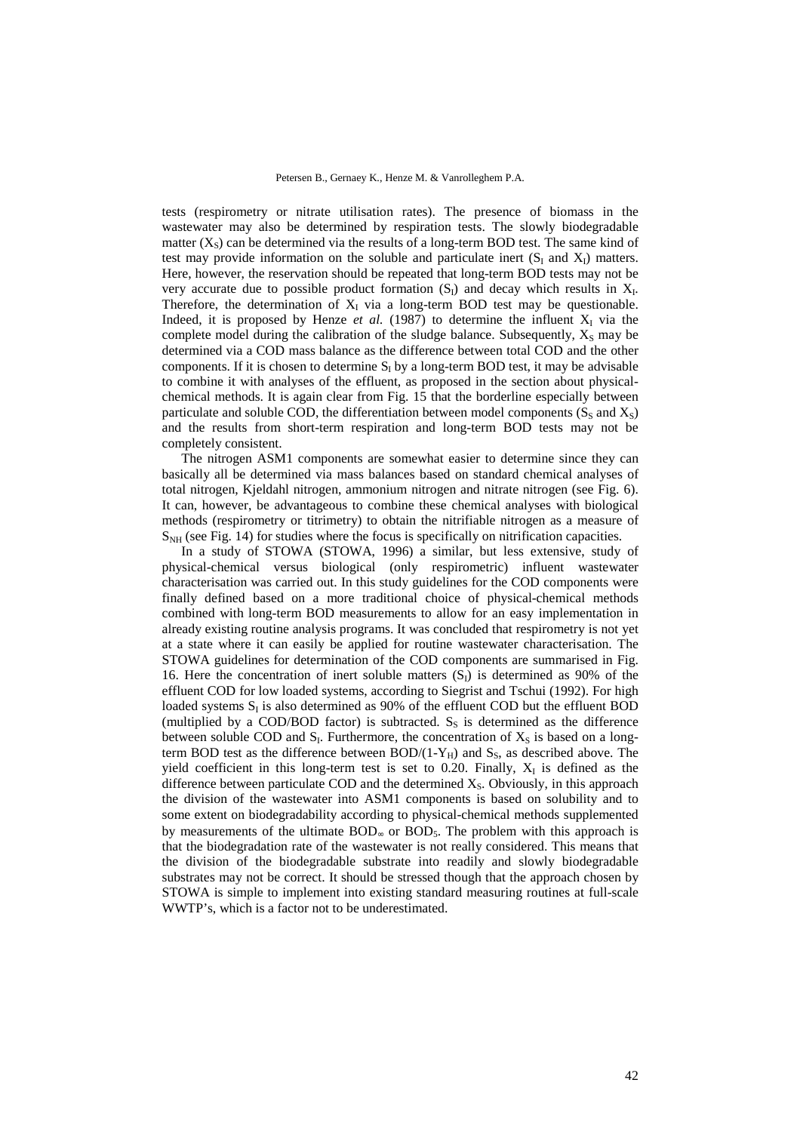tests (respirometry or nitrate utilisation rates). The presence of biomass in the wastewater may also be determined by respiration tests. The slowly biodegradable matter  $(X<sub>S</sub>)$  can be determined via the results of a long-term BOD test. The same kind of test may provide information on the soluble and particulate inert  $(S<sub>I</sub>$  and  $X<sub>I</sub>)$  matters. Here, however, the reservation should be repeated that long-term BOD tests may not be very accurate due to possible product formation  $(S<sub>1</sub>)$  and decay which results in  $X<sub>1</sub>$ . Therefore, the determination of  $X<sub>I</sub>$  via a long-term BOD test may be questionable. Indeed, it is proposed by Henze *et al.* (1987) to determine the influent  $X<sub>I</sub>$  via the complete model during the calibration of the sludge balance. Subsequently,  $X_S$  may be determined via a COD mass balance as the difference between total COD and the other components. If it is chosen to determine  $S<sub>I</sub>$  by a long-term BOD test, it may be advisable to combine it with analyses of the effluent, as proposed in the section about physicalchemical methods. It is again clear from Fig. 15 that the borderline especially between particulate and soluble COD, the differentiation between model components  $(S<sub>S</sub>$  and  $X<sub>S</sub>)$ and the results from short-term respiration and long-term BOD tests may not be completely consistent.

The nitrogen ASM1 components are somewhat easier to determine since they can basically all be determined via mass balances based on standard chemical analyses of total nitrogen, Kjeldahl nitrogen, ammonium nitrogen and nitrate nitrogen (see Fig. 6). It can, however, be advantageous to combine these chemical analyses with biological methods (respirometry or titrimetry) to obtain the nitrifiable nitrogen as a measure of  $S<sub>NH</sub>$  (see Fig. 14) for studies where the focus is specifically on nitrification capacities.

In a study of STOWA (STOWA, 1996) a similar, but less extensive, study of physical-chemical versus biological (only respirometric) influent wastewater characterisation was carried out. In this study guidelines for the COD components were finally defined based on a more traditional choice of physical-chemical methods combined with long-term BOD measurements to allow for an easy implementation in already existing routine analysis programs. It was concluded that respirometry is not yet at a state where it can easily be applied for routine wastewater characterisation. The STOWA guidelines for determination of the COD components are summarised in Fig. 16. Here the concentration of inert soluble matters  $(S<sub>1</sub>)$  is determined as 90% of the effluent COD for low loaded systems, according to Siegrist and Tschui (1992). For high loaded systems  $S_I$  is also determined as 90% of the effluent COD but the effluent BOD (multiplied by a COD/BOD factor) is subtracted.  $S_S$  is determined as the difference between soluble COD and  $S<sub>I</sub>$ . Furthermore, the concentration of  $X<sub>S</sub>$  is based on a longterm BOD test as the difference between  $BOD/(1-Y_H)$  and  $S_S$ , as described above. The yield coefficient in this long-term test is set to 0.20. Finally,  $X<sub>I</sub>$  is defined as the difference between particulate COD and the determined  $X<sub>S</sub>$ . Obviously, in this approach the division of the wastewater into ASM1 components is based on solubility and to some extent on biodegradability according to physical-chemical methods supplemented by measurements of the ultimate BOD∞ or BOD5. The problem with this approach is that the biodegradation rate of the wastewater is not really considered. This means that the division of the biodegradable substrate into readily and slowly biodegradable substrates may not be correct. It should be stressed though that the approach chosen by STOWA is simple to implement into existing standard measuring routines at full-scale WWTP's, which is a factor not to be underestimated.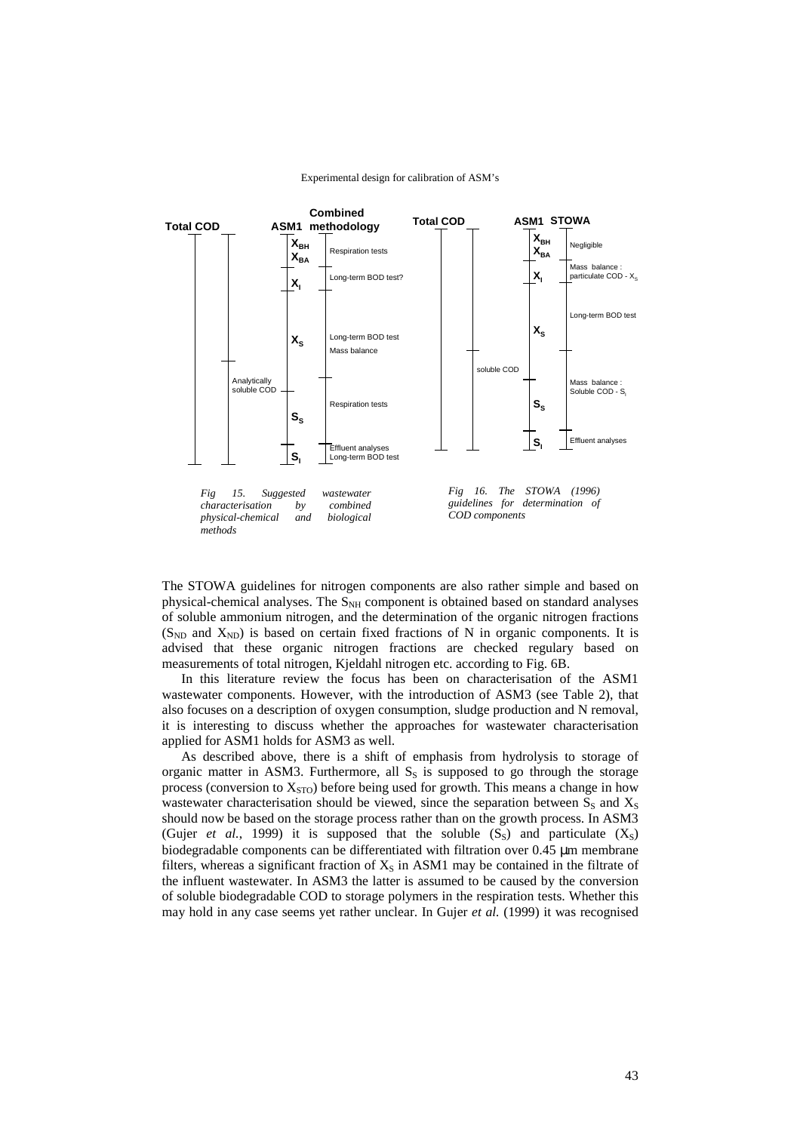

Experimental design for calibration of ASM's

The STOWA guidelines for nitrogen components are also rather simple and based on physical-chemical analyses. The  $S_{NH}$  component is obtained based on standard analyses of soluble ammonium nitrogen, and the determination of the organic nitrogen fractions ( $S_{ND}$  and  $X_{ND}$ ) is based on certain fixed fractions of N in organic components. It is advised that these organic nitrogen fractions are checked regulary based on measurements of total nitrogen, Kjeldahl nitrogen etc. according to Fig. 6B.

In this literature review the focus has been on characterisation of the ASM1 wastewater components. However, with the introduction of ASM3 (see Table 2), that also focuses on a description of oxygen consumption, sludge production and N removal, it is interesting to discuss whether the approaches for wastewater characterisation applied for ASM1 holds for ASM3 as well.

As described above, there is a shift of emphasis from hydrolysis to storage of organic matter in ASM3. Furthermore, all  $S<sub>S</sub>$  is supposed to go through the storage process (conversion to  $X_{\text{STO}}$ ) before being used for growth. This means a change in how wastewater characterisation should be viewed, since the separation between  $S_s$  and  $X_s$ should now be based on the storage process rather than on the growth process. In ASM3 (Gujer *et al.*, 1999) it is supposed that the soluble  $(S_S)$  and particulate  $(X_S)$ biodegradable components can be differentiated with filtration over 0.45 µm membrane filters, whereas a significant fraction of  $X<sub>S</sub>$  in ASM1 may be contained in the filtrate of the influent wastewater. In ASM3 the latter is assumed to be caused by the conversion of soluble biodegradable COD to storage polymers in the respiration tests. Whether this may hold in any case seems yet rather unclear. In Gujer *et al.* (1999) it was recognised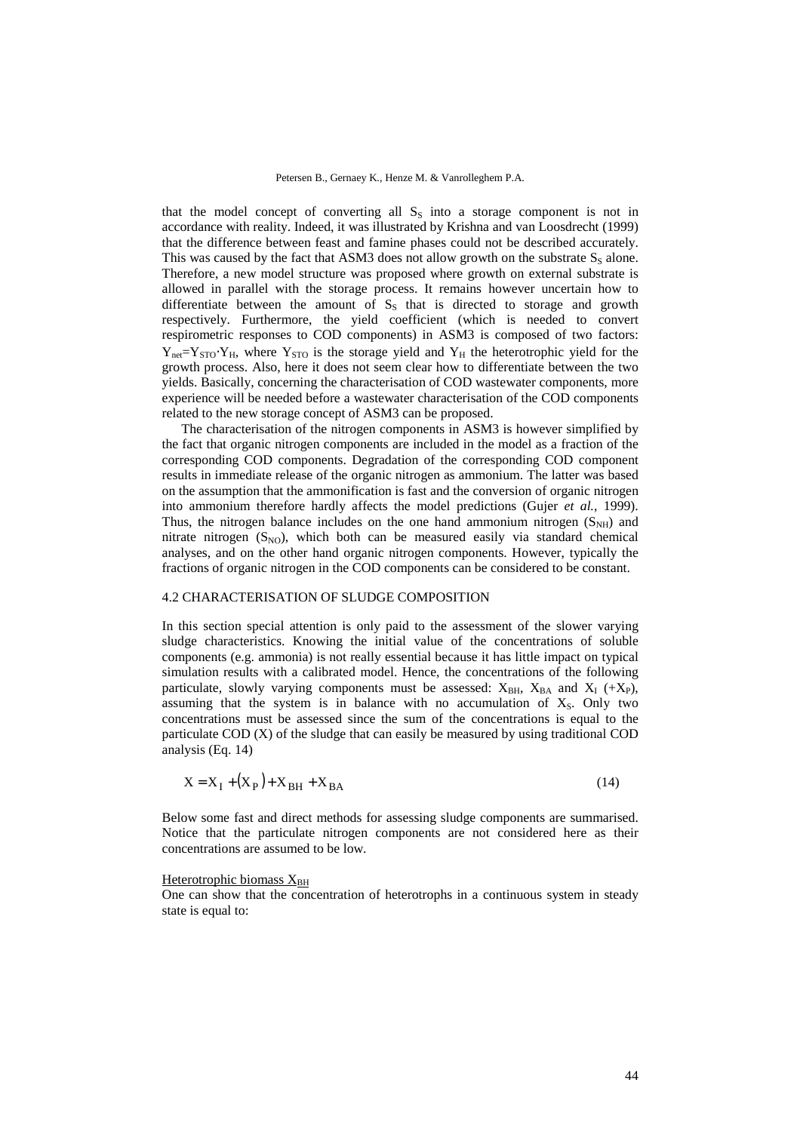that the model concept of converting all  $S<sub>S</sub>$  into a storage component is not in accordance with reality. Indeed, it was illustrated by Krishna and van Loosdrecht (1999) that the difference between feast and famine phases could not be described accurately. This was caused by the fact that ASM3 does not allow growth on the substrate  $S_s$  alone. Therefore, a new model structure was proposed where growth on external substrate is allowed in parallel with the storage process. It remains however uncertain how to differentiate between the amount of  $S<sub>S</sub>$  that is directed to storage and growth respectively. Furthermore, the yield coefficient (which is needed to convert respirometric responses to COD components) in ASM3 is composed of two factors:  $Y_{\text{net}}=Y_{\text{STO}}\cdot Y_{\text{H}}$ , where  $Y_{\text{STO}}$  is the storage yield and  $Y_{\text{H}}$  the heterotrophic yield for the growth process. Also, here it does not seem clear how to differentiate between the two yields. Basically, concerning the characterisation of COD wastewater components, more experience will be needed before a wastewater characterisation of the COD components related to the new storage concept of ASM3 can be proposed.

The characterisation of the nitrogen components in ASM3 is however simplified by the fact that organic nitrogen components are included in the model as a fraction of the corresponding COD components. Degradation of the corresponding COD component results in immediate release of the organic nitrogen as ammonium. The latter was based on the assumption that the ammonification is fast and the conversion of organic nitrogen into ammonium therefore hardly affects the model predictions (Gujer *et al.*, 1999). Thus, the nitrogen balance includes on the one hand ammonium nitrogen  $(S_{NH})$  and nitrate nitrogen  $(S_{NO})$ , which both can be measured easily via standard chemical analyses, and on the other hand organic nitrogen components. However, typically the fractions of organic nitrogen in the COD components can be considered to be constant.

# 4.2 CHARACTERISATION OF SLUDGE COMPOSITION

In this section special attention is only paid to the assessment of the slower varying sludge characteristics. Knowing the initial value of the concentrations of soluble components (e.g. ammonia) is not really essential because it has little impact on typical simulation results with a calibrated model. Hence, the concentrations of the following particulate, slowly varying components must be assessed:  $X_{BH}$ ,  $X_{BA}$  and  $X_I$  (+X<sub>P</sub>), assuming that the system is in balance with no accumulation of  $X<sub>S</sub>$ . Only two concentrations must be assessed since the sum of the concentrations is equal to the particulate COD (X) of the sludge that can easily be measured by using traditional COD analysis (Eq. 14)

$$
X = X_I + (X_P) + X_{BH} + X_{BA}
$$
 (14)

Below some fast and direct methods for assessing sludge components are summarised. Notice that the particulate nitrogen components are not considered here as their concentrations are assumed to be low.

#### Heterotrophic biomass  $X_{BH}$

One can show that the concentration of heterotrophs in a continuous system in steady state is equal to: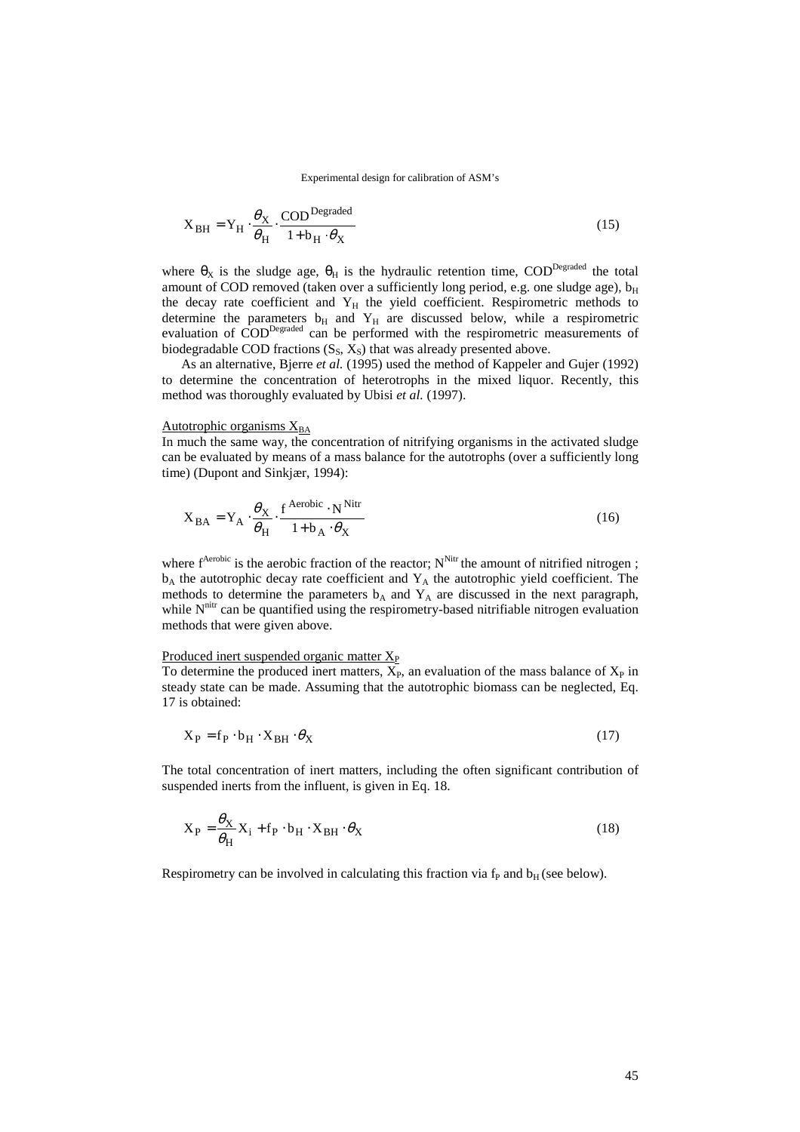Experimental design for calibration of ASM's

$$
X_{BH} = Y_H \cdot \frac{\theta_X}{\theta_H} \cdot \frac{\text{COD}^{\text{Degraded}}}{1 + b_H \cdot \theta_X} \tag{15}
$$

where  $\theta_X$  is the sludge age,  $\theta_H$  is the hydraulic retention time, COD<sup>Degraded</sup> the total amount of COD removed (taken over a sufficiently long period, e.g. one sludge age),  $b_H$ the decay rate coefficient and  $Y_H$  the yield coefficient. Respirometric methods to determine the parameters  $b_H$  and  $Y_H$  are discussed below, while a respirometric evaluation of COD<sup>Degraded</sup> can be performed with the respirometric measurements of biodegradable COD fractions  $(S_S, X_S)$  that was already presented above.

As an alternative, Bjerre *et al.* (1995) used the method of Kappeler and Gujer (1992) to determine the concentration of heterotrophs in the mixed liquor. Recently, this method was thoroughly evaluated by Ubisi *et al.* (1997).

# Autotrophic organisms  $X_{BA}$

In much the same way, the concentration of nitrifying organisms in the activated sludge can be evaluated by means of a mass balance for the autotrophs (over a sufficiently long time) (Dupont and Sinkjær, 1994):

$$
X_{BA} = Y_A \cdot \frac{\theta_X}{\theta_H} \cdot \frac{f^{Aerobic} \cdot N^{Nitr}}{1 + b_A \cdot \theta_X}
$$
 (16)

where  $f^{Aerobic}$  is the aerobic fraction of the reactor;  $N^{Nitr}$  the amount of nitrified nitrogen;  $b_A$  the autotrophic decay rate coefficient and  $Y_A$  the autotrophic yield coefficient. The methods to determine the parameters  $b_A$  and  $Y_A$  are discussed in the next paragraph, while  $N<sup>nit</sup>$  can be quantified using the respirometry-based nitrifiable nitrogen evaluation methods that were given above.

# Produced inert suspended organic matter X<sub>P</sub>

To determine the produced inert matters,  $X_{P}$ , an evaluation of the mass balance of  $X_{P}$  in steady state can be made. Assuming that the autotrophic biomass can be neglected, Eq. 17 is obtained:

$$
X_{P} = f_{P} \cdot b_{H} \cdot X_{BH} \cdot \theta_{X}
$$
 (17)

The total concentration of inert matters, including the often significant contribution of suspended inerts from the influent, is given in Eq. 18.

$$
X_{P} = \frac{\theta_{X}}{\theta_{H}} X_{i} + f_{P} \cdot b_{H} \cdot X_{BH} \cdot \theta_{X}
$$
 (18)

Respirometry can be involved in calculating this fraction via  $f<sub>P</sub>$  and  $b<sub>H</sub>$  (see below).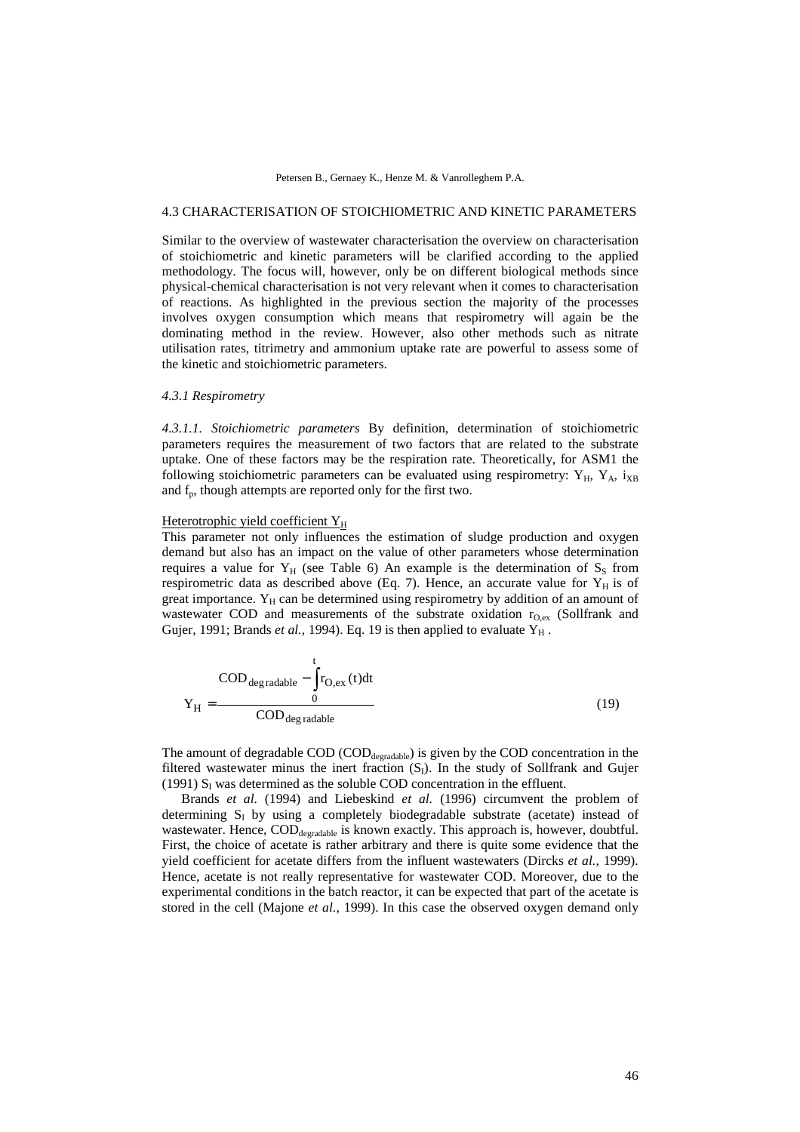#### Petersen B., Gernaey K., Henze M. & Vanrolleghem P.A.

#### 4.3 CHARACTERISATION OF STOICHIOMETRIC AND KINETIC PARAMETERS

Similar to the overview of wastewater characterisation the overview on characterisation of stoichiometric and kinetic parameters will be clarified according to the applied methodology. The focus will, however, only be on different biological methods since physical-chemical characterisation is not very relevant when it comes to characterisation of reactions. As highlighted in the previous section the majority of the processes involves oxygen consumption which means that respirometry will again be the dominating method in the review. However, also other methods such as nitrate utilisation rates, titrimetry and ammonium uptake rate are powerful to assess some of the kinetic and stoichiometric parameters.

## *4.3.1 Respirometry*

*4.3.1.1. Stoichiometric parameters* By definition, determination of stoichiometric parameters requires the measurement of two factors that are related to the substrate uptake. One of these factors may be the respiration rate. Theoretically, for ASM1 the following stoichiometric parameters can be evaluated using respirometry:  $Y_H$ ,  $Y_A$ ,  $Y_{XB}$ and  $f_p$ , though attempts are reported only for the first two.

## Heterotrophic yield coefficient  $Y_H$

This parameter not only influences the estimation of sludge production and oxygen demand but also has an impact on the value of other parameters whose determination requires a value for  $Y_H$  (see Table 6) An example is the determination of  $S_S$  from respirometric data as described above (Eq. 7). Hence, an accurate value for  $Y_H$  is of great importance.  $Y_H$  can be determined using respirometry by addition of an amount of wastewater COD and measurements of the substrate oxidation  $r_{O,ex}$  (Sollfrank and Gujer, 1991; Brands *et al.*, 1994). Eq. 19 is then applied to evaluate  $Y_H$ .

$$
Y_{H} = \frac{COD_{\text{deg radable}} - \int_{0}^{t} r_{O,ex} (t)dt}{COD_{\text{deg radable}}}
$$
(19)

The amount of degradable COD (COD<sub>degradable</sub>) is given by the COD concentration in the filtered wastewater minus the inert fraction  $(S<sub>1</sub>)$ . In the study of Sollfrank and Gujer (1991)  $S_I$  was determined as the soluble COD concentration in the effluent.

Brands *et al.* (1994) and Liebeskind *et al.* (1996) circumvent the problem of determining  $S_I$  by using a completely biodegradable substrate (acetate) instead of wastewater. Hence, COD<sub>degradable</sub> is known exactly. This approach is, however, doubtful. First, the choice of acetate is rather arbitrary and there is quite some evidence that the yield coefficient for acetate differs from the influent wastewaters (Dircks *et al.*, 1999). Hence, acetate is not really representative for wastewater COD. Moreover, due to the experimental conditions in the batch reactor, it can be expected that part of the acetate is stored in the cell (Majone *et al.*, 1999). In this case the observed oxygen demand only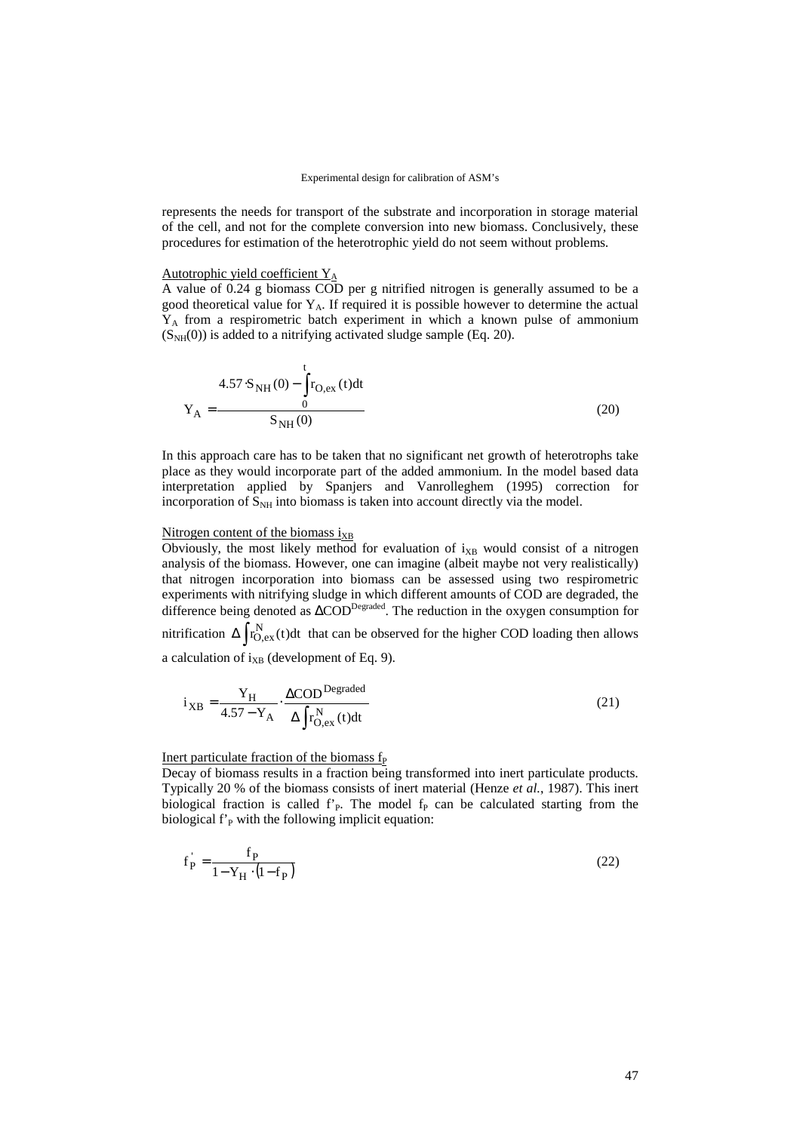represents the needs for transport of the substrate and incorporation in storage material of the cell, and not for the complete conversion into new biomass. Conclusively, these procedures for estimation of the heterotrophic yield do not seem without problems.

#### Autotrophic yield coefficient  $Y_A$

A value of 0.24 g biomass COD per g nitrified nitrogen is generally assumed to be a good theoretical value for  $Y_A$ . If required it is possible however to determine the actual  $Y_A$  from a respirometric batch experiment in which a known pulse of ammonium  $(S<sub>NH</sub>(0))$  is added to a nitrifying activated sludge sample (Eq. 20).

$$
Y_{A} = \frac{4.57 \text{ S}_{NH}(0) - \int_{0}^{t} r_{O,ex}(t)dt}{S_{NH}(0)}
$$
(20)

In this approach care has to be taken that no significant net growth of heterotrophs take place as they would incorporate part of the added ammonium. In the model based data interpretation applied by Spanjers and Vanrolleghem (1995) correction for incorporation of  $S<sub>NH</sub>$  into biomass is taken into account directly via the model.

# Nitrogen content of the biomass  $i_{XB}$

Obviously, the most likely method for evaluation of  $i_{XB}$  would consist of a nitrogen analysis of the biomass. However, one can imagine (albeit maybe not very realistically) that nitrogen incorporation into biomass can be assessed using two respirometric experiments with nitrifying sludge in which different amounts of COD are degraded, the difference being denoted as ∆CODDegraded. The reduction in the oxygen consumption for nitrification  $\Delta \int_{0}^{N} r_{O,ex}^{N}(t)dt$  that can be observed for the higher COD loading then allows a calculation of  $i_{XB}$  (development of Eq. 9).

$$
i_{XB} = \frac{Y_H}{4.57 - Y_A} \cdot \frac{\Delta COD^{Degraded}}{\Delta \int r_{O,ex}^{N}(t)dt}
$$
 (21)

# Inert particulate fraction of the biomass  $f<sub>P</sub>$

Decay of biomass results in a fraction being transformed into inert particulate products. Typically 20 % of the biomass consists of inert material (Henze *et al.*, 1987). This inert biological fraction is called  $f<sub>P</sub>$ . The model  $f<sub>P</sub>$  can be calculated starting from the biological  $f'_{P}$  with the following implicit equation:

$$
f_P = \frac{f_P}{1 - Y_H \cdot (1 - f_P)}
$$
\n
$$
\tag{22}
$$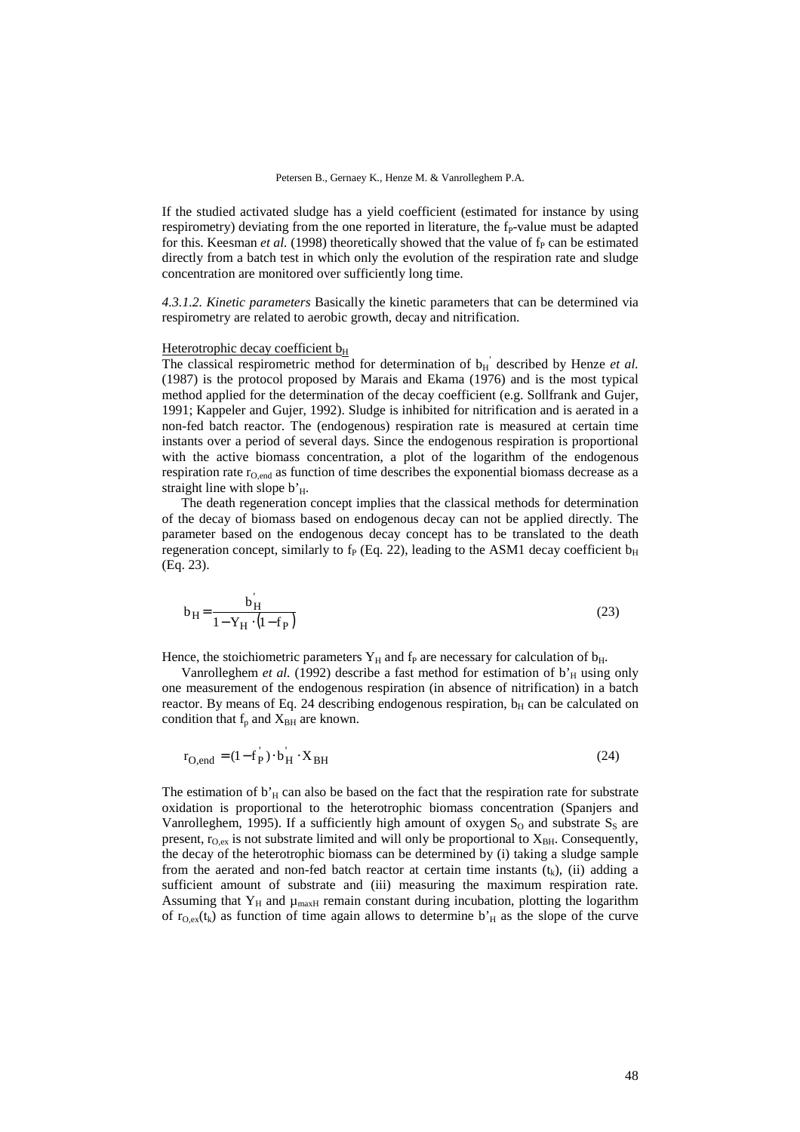If the studied activated sludge has a yield coefficient (estimated for instance by using respirometry) deviating from the one reported in literature, the f<sub>P</sub>-value must be adapted for this. Keesman *et al.* (1998) theoretically showed that the value of  $f<sub>P</sub>$  can be estimated directly from a batch test in which only the evolution of the respiration rate and sludge concentration are monitored over sufficiently long time.

*4.3.1.2. Kinetic parameters* Basically the kinetic parameters that can be determined via respirometry are related to aerobic growth, decay and nitrification.

## Heterotrophic decay coefficient  $b<sub>H</sub>$

The classical respirometric method for determination of  $b_H$ <sup>'</sup> described by Henze *et al.* (1987) is the protocol proposed by Marais and Ekama (1976) and is the most typical method applied for the determination of the decay coefficient (e.g. Sollfrank and Gujer, 1991; Kappeler and Gujer, 1992). Sludge is inhibited for nitrification and is aerated in a non-fed batch reactor. The (endogenous) respiration rate is measured at certain time instants over a period of several days. Since the endogenous respiration is proportional with the active biomass concentration, a plot of the logarithm of the endogenous respiration rate  $r_{O,end}$  as function of time describes the exponential biomass decrease as a straight line with slope  $b<sub>H</sub>$ .

The death regeneration concept implies that the classical methods for determination of the decay of biomass based on endogenous decay can not be applied directly. The parameter based on the endogenous decay concept has to be translated to the death regeneration concept, similarly to  $f_P$  (Eq. 22), leading to the ASM1 decay coefficient  $b_H$ (Eq. 23).

$$
b_{\rm H} = \frac{b_{\rm H}}{1 - Y_{\rm H} \cdot (1 - f_{\rm P})}
$$
 (23)

Hence, the stoichiometric parameters  $Y_H$  and  $f_P$  are necessary for calculation of  $b_H$ .

Vanrolleghem *et al.* (1992) describe a fast method for estimation of  $b'_H$  using only one measurement of the endogenous respiration (in absence of nitrification) in a batch reactor. By means of Eq. 24 describing endogenous respiration,  $b_H$  can be calculated on condition that  $f<sub>p</sub>$  and  $X<sub>BH</sub>$  are known.

$$
r_{O,\text{end}} = (1 - f_P) \cdot b_H \cdot X_{BH} \tag{24}
$$

The estimation of  $b<sub>H</sub>$  can also be based on the fact that the respiration rate for substrate oxidation is proportional to the heterotrophic biomass concentration (Spanjers and Vanrolleghem, 1995). If a sufficiently high amount of oxygen  $S_0$  and substrate  $S_S$  are present,  $r_{O,ex}$  is not substrate limited and will only be proportional to  $X_{BH}$ . Consequently, the decay of the heterotrophic biomass can be determined by (i) taking a sludge sample from the aerated and non-fed batch reactor at certain time instants  $(t_k)$ , (ii) adding a sufficient amount of substrate and (iii) measuring the maximum respiration rate. Assuming that  $Y_H$  and  $\mu_{\text{maxH}}$  remain constant during incubation, plotting the logarithm of  $r_{O,ex}(t_k)$  as function of time again allows to determine b'<sub>H</sub> as the slope of the curve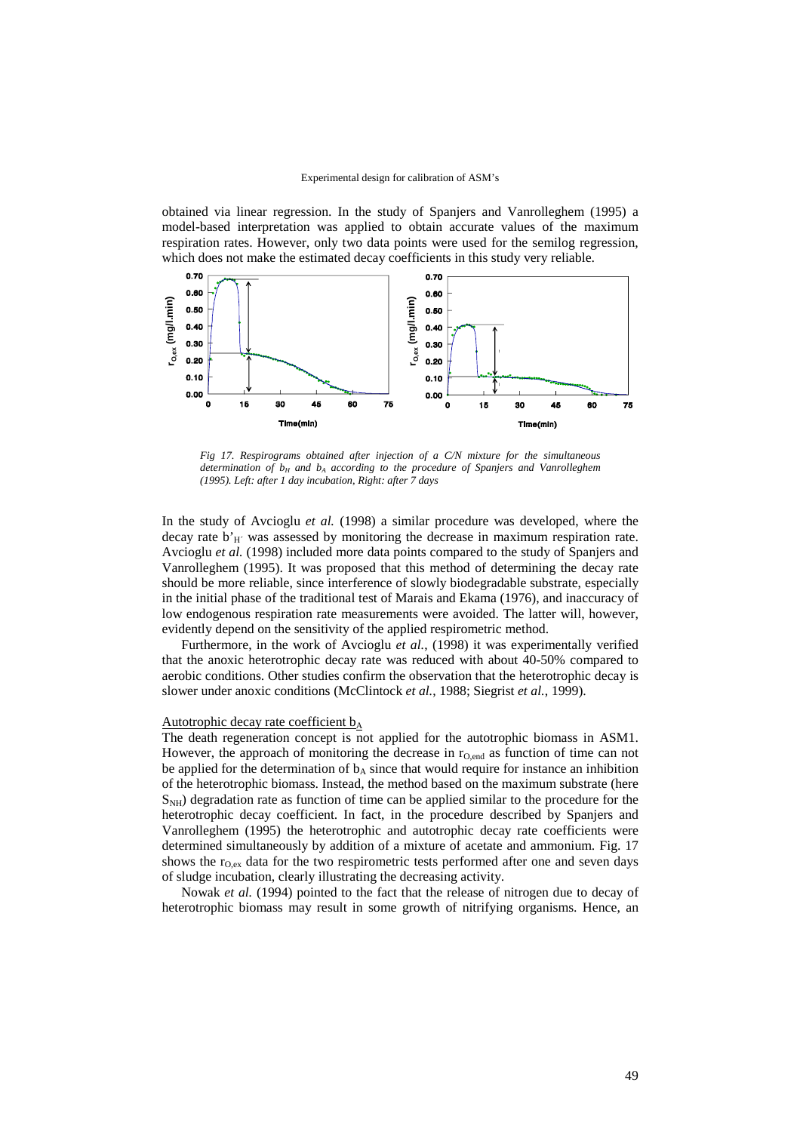obtained via linear regression. In the study of Spanjers and Vanrolleghem (1995) a model-based interpretation was applied to obtain accurate values of the maximum respiration rates. However, only two data points were used for the semilog regression, which does not make the estimated decay coefficients in this study very reliable.



*Fig 17. Respirograms obtained after injection of a C/N mixture for the simultaneous*  $d$ *etermination of*  $b$ *<sub>H</sub> and*  $b$ *<sub>A</sub> according to the procedure of Spanjers and Vanrolleghem (1995). Left: after 1 day incubation, Right: after 7 days*

In the study of Avcioglu *et al.* (1998) a similar procedure was developed, where the decay rate  $b'_H$ <sup> $\cdot$ </sup> was assessed by monitoring the decrease in maximum respiration rate. Avcioglu *et al.* (1998) included more data points compared to the study of Spanjers and Vanrolleghem (1995). It was proposed that this method of determining the decay rate should be more reliable, since interference of slowly biodegradable substrate, especially in the initial phase of the traditional test of Marais and Ekama (1976), and inaccuracy of low endogenous respiration rate measurements were avoided. The latter will, however, evidently depend on the sensitivity of the applied respirometric method.

Furthermore, in the work of Avcioglu *et al.*, (1998) it was experimentally verified that the anoxic heterotrophic decay rate was reduced with about 40-50% compared to aerobic conditions. Other studies confirm the observation that the heterotrophic decay is slower under anoxic conditions (McClintock *et al.*, 1988; Siegrist *et al.*, 1999).

#### Autotrophic decay rate coefficient  $b_A$

The death regeneration concept is not applied for the autotrophic biomass in ASM1. However, the approach of monitoring the decrease in  $r_{O, end}$  as function of time can not be applied for the determination of  $b<sub>A</sub>$  since that would require for instance an inhibition of the heterotrophic biomass. Instead, the method based on the maximum substrate (here  $S<sub>NH</sub>$ ) degradation rate as function of time can be applied similar to the procedure for the heterotrophic decay coefficient. In fact, in the procedure described by Spanjers and Vanrolleghem (1995) the heterotrophic and autotrophic decay rate coefficients were determined simultaneously by addition of a mixture of acetate and ammonium. Fig. 17 shows the  $r_{Oex}$  data for the two respirometric tests performed after one and seven days of sludge incubation, clearly illustrating the decreasing activity.

Nowak *et al.* (1994) pointed to the fact that the release of nitrogen due to decay of heterotrophic biomass may result in some growth of nitrifying organisms. Hence, an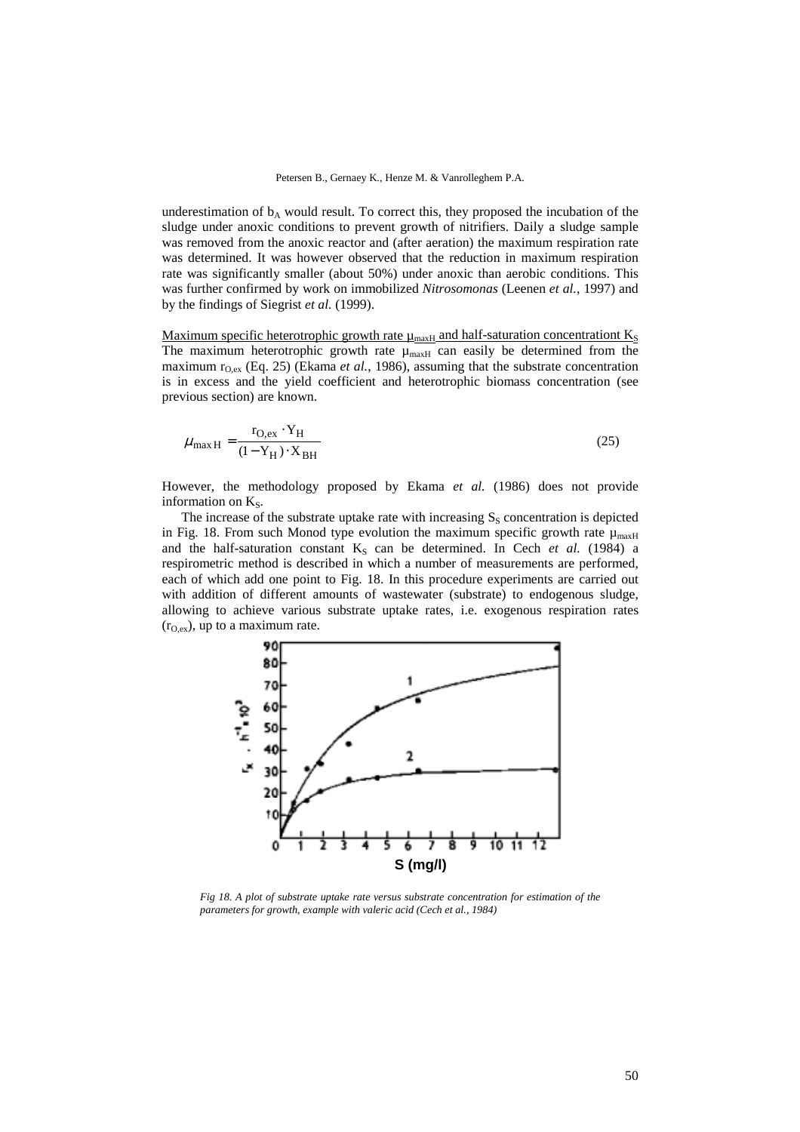underestimation of  $b_A$  would result. To correct this, they proposed the incubation of the sludge under anoxic conditions to prevent growth of nitrifiers. Daily a sludge sample was removed from the anoxic reactor and (after aeration) the maximum respiration rate was determined. It was however observed that the reduction in maximum respiration rate was significantly smaller (about 50%) under anoxic than aerobic conditions. This was further confirmed by work on immobilized *Nitrosomonas* (Leenen *et al.*, 1997) and by the findings of Siegrist *et al.* (1999).

Maximum specific heterotrophic growth rate  $\mu_{\text{maxH}}$  and half-saturation concentrationt  $K_s$ The maximum heterotrophic growth rate  $\mu_{\text{maxH}}$  can easily be determined from the maximum r<sub>O,ex</sub> (Eq. 25) (Ekama *et al.*, 1986), assuming that the substrate concentration is in excess and the yield coefficient and heterotrophic biomass concentration (see previous section) are known.

$$
\mu_{\text{max H}} = \frac{r_{\text{O,ex}} \cdot Y_{\text{H}}}{(1 - Y_{\text{H}}) \cdot X_{\text{BH}}}
$$
(25)

However, the methodology proposed by Ekama *et al.* (1986) does not provide information on  $K_s$ .

The increase of the substrate uptake rate with increasing  $S_S$  concentration is depicted in Fig. 18. From such Monod type evolution the maximum specific growth rate  $\mu_{\text{maxH}}$ and the half-saturation constant K<sub>S</sub> can be determined. In Cech et al. (1984) a respirometric method is described in which a number of measurements are performed, each of which add one point to Fig. 18. In this procedure experiments are carried out with addition of different amounts of wastewater (substrate) to endogenous sludge, allowing to achieve various substrate uptake rates, i.e. exogenous respiration rates  $(r<sub>O-ex</sub>)$ , up to a maximum rate.



*Fig 18. A plot of substrate uptake rate versus substrate concentration for estimation of the parameters for growth, example with valeric acid (Cech et al., 1984)*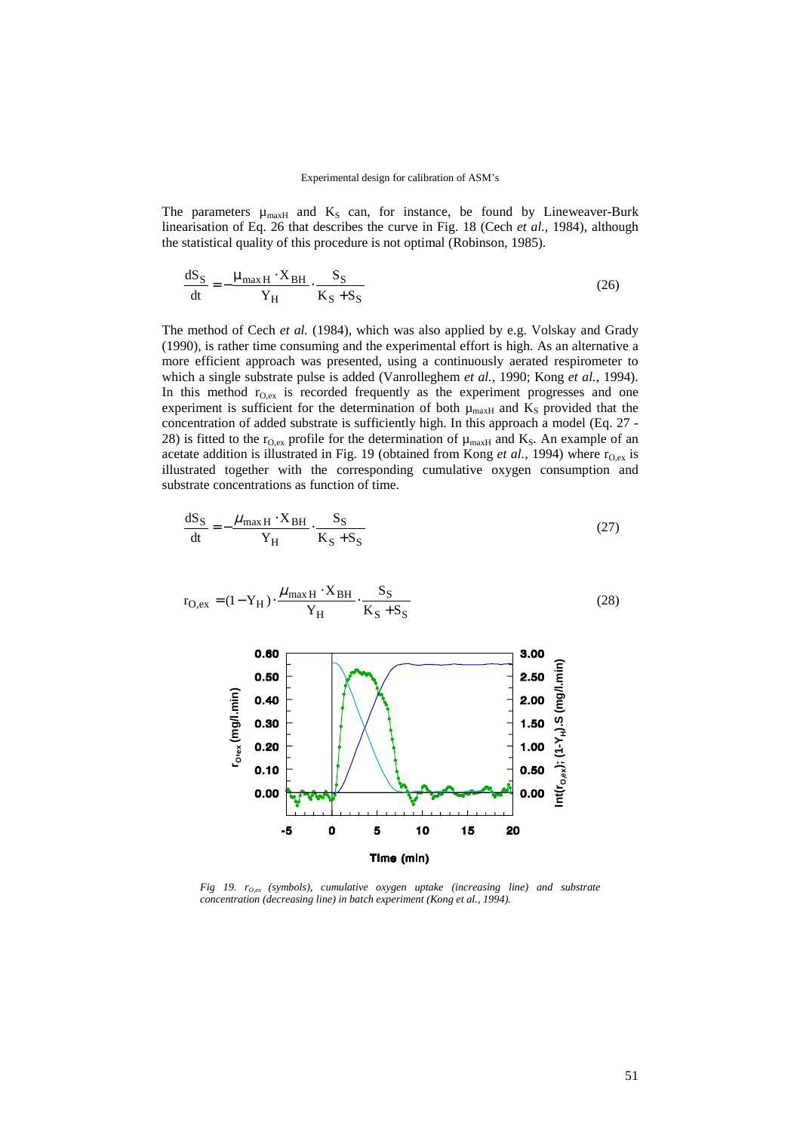The parameters  $\mu_{\text{maxH}}$  and  $K_S$  can, for instance, be found by Lineweaver-Burk linearisation of Eq. 26 that describes the curve in Fig. 18 (Cech *et al.*, 1984), although the statistical quality of this procedure is not optimal (Robinson, 1985).

$$
\frac{dS_S}{dt} = -\frac{\mu_{\text{max H}} \cdot X_{\text{BH}}}{Y_{\text{H}}} \cdot \frac{S_S}{K_S + S_S}
$$
(26)

The method of Cech *et al.* (1984), which was also applied by e.g. Volskay and Grady (1990), is rather time consuming and the experimental effort is high. As an alternative a more efficient approach was presented, using a continuously aerated respirometer to which a single substrate pulse is added (Vanrolleghem *et al.*, 1990; Kong *et al.*, 1994). In this method  $r_{O,ex}$  is recorded frequently as the experiment progresses and one experiment is sufficient for the determination of both  $\mu_{\text{maxH}}$  and  $K_s$  provided that the concentration of added substrate is sufficiently high. In this approach a model (Eq. 27 - 28) is fitted to the  $r_{O,ex}$  profile for the determination of  $\mu_{maxH}$  and K<sub>S</sub>. An example of an acetate addition is illustrated in Fig. 19 (obtained from Kong  $et$  al., 1994) where  $r_{O,ex}$  is illustrated together with the corresponding cumulative oxygen consumption and substrate concentrations as function of time.

$$
\frac{dS_S}{dt} = -\frac{\mu_{\text{max H}} \cdot X_{\text{BH}}}{Y_{\text{H}}} \cdot \frac{S_S}{K_S + S_S} \tag{27}
$$



*Fig 19.*  $r_{O,ex}$  *(symbols), cumulative oxygen uptake (increasing line) and substrate concentration (decreasing line) in batch experiment (Kong et al., 1994).*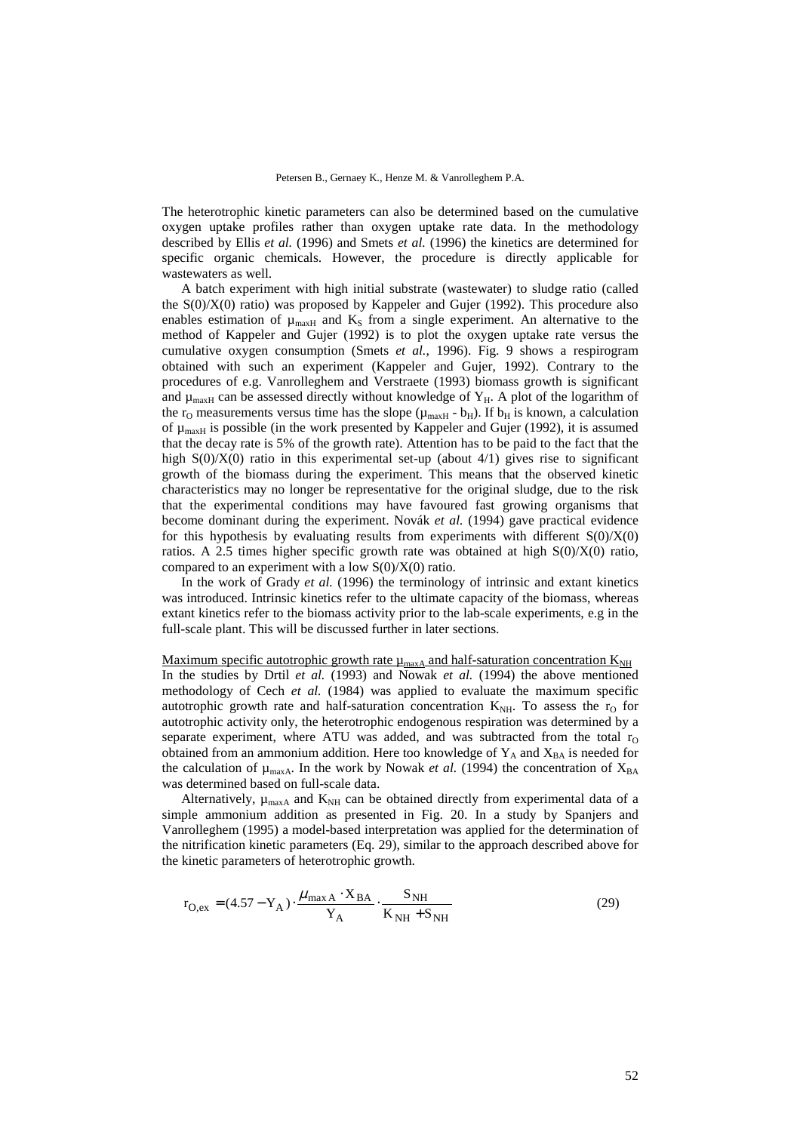The heterotrophic kinetic parameters can also be determined based on the cumulative oxygen uptake profiles rather than oxygen uptake rate data. In the methodology described by Ellis *et al.* (1996) and Smets *et al.* (1996) the kinetics are determined for specific organic chemicals. However, the procedure is directly applicable for wastewaters as well.

A batch experiment with high initial substrate (wastewater) to sludge ratio (called the  $S(0)/X(0)$  ratio) was proposed by Kappeler and Gujer (1992). This procedure also enables estimation of  $\mu_{\text{maxH}}$  and  $K_s$  from a single experiment. An alternative to the method of Kappeler and Gujer (1992) is to plot the oxygen uptake rate versus the cumulative oxygen consumption (Smets *et al.*, 1996). Fig. 9 shows a respirogram obtained with such an experiment (Kappeler and Gujer, 1992). Contrary to the procedures of e.g. Vanrolleghem and Verstraete (1993) biomass growth is significant and  $\mu_{\text{maxH}}$  can be assessed directly without knowledge of  $Y_H$ . A plot of the logarithm of the r<sub>O</sub> measurements versus time has the slope ( $\mu_{maxH}$  -  $b_H$ ). If  $b_H$  is known, a calculation of  $\mu_{\text{maxH}}$  is possible (in the work presented by Kappeler and Gujer (1992), it is assumed that the decay rate is 5% of the growth rate). Attention has to be paid to the fact that the high  $S(0)/X(0)$  ratio in this experimental set-up (about 4/1) gives rise to significant growth of the biomass during the experiment. This means that the observed kinetic characteristics may no longer be representative for the original sludge, due to the risk that the experimental conditions may have favoured fast growing organisms that become dominant during the experiment. Novák *et al.* (1994) gave practical evidence for this hypothesis by evaluating results from experiments with different  $S(0)/X(0)$ ratios. A 2.5 times higher specific growth rate was obtained at high  $S(0)/X(0)$  ratio, compared to an experiment with a low  $S(0)/X(0)$  ratio.

In the work of Grady *et al.* (1996) the terminology of intrinsic and extant kinetics was introduced. Intrinsic kinetics refer to the ultimate capacity of the biomass, whereas extant kinetics refer to the biomass activity prior to the lab-scale experiments, e.g in the full-scale plant. This will be discussed further in later sections.

# Maximum specific autotrophic growth rate  $\mu_{maxA}$  and half-saturation concentration  $K_{NH}$ In the studies by Drtil *et al.* (1993) and Nowak *et al.* (1994) the above mentioned methodology of Cech *et al.* (1984) was applied to evaluate the maximum specific autotrophic growth rate and half-saturation concentration  $K_{NH}$ . To assess the r<sub>O</sub> for autotrophic activity only, the heterotrophic endogenous respiration was determined by a separate experiment, where ATU was added, and was subtracted from the total  $r_0$ obtained from an ammonium addition. Here too knowledge of  $Y_A$  and  $X_{BA}$  is needed for the calculation of  $\mu_{\text{maxA}}$ . In the work by Nowak *et al.* (1994) the concentration of  $X_{BA}$ was determined based on full-scale data.

Alternatively,  $\mu_{\text{max}}$  and  $K_{\text{NH}}$  can be obtained directly from experimental data of a simple ammonium addition as presented in Fig. 20. In a study by Spanjers and Vanrolleghem (1995) a model-based interpretation was applied for the determination of the nitrification kinetic parameters (Eq. 29), similar to the approach described above for the kinetic parameters of heterotrophic growth.

$$
\mathbf{r}_{\mathbf{O},\mathbf{ex}} = (4.57 - \mathbf{Y}_{\mathbf{A}}) \cdot \frac{\mu_{\max \mathbf{A}} \cdot \mathbf{X}_{\mathbf{BA}}}{\mathbf{Y}_{\mathbf{A}}} \cdot \frac{\mathbf{S}_{\mathbf{NH}}}{\mathbf{K}_{\mathbf{NH}} + \mathbf{S}_{\mathbf{NH}}}
$$
(29)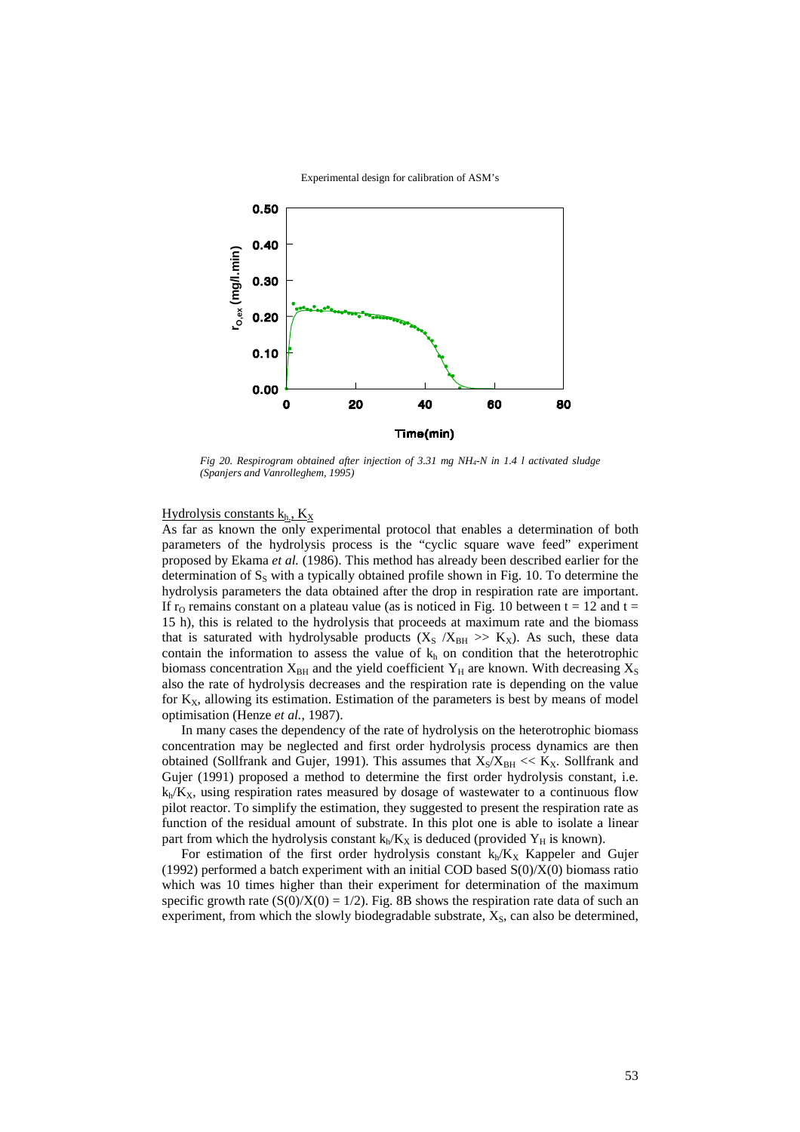

Experimental design for calibration of ASM's

*Fig 20. Respirogram obtained after injection of 3.31 mg NH4-N in 1.4 l activated sludge (Spanjers and Vanrolleghem, 1995)*

#### Hydrolysis constants  $k_h$ ,  $K_X$

As far as known the only experimental protocol that enables a determination of both parameters of the hydrolysis process is the "cyclic square wave feed" experiment proposed by Ekama *et al.* (1986). This method has already been described earlier for the determination of  $S<sub>s</sub>$  with a typically obtained profile shown in Fig. 10. To determine the hydrolysis parameters the data obtained after the drop in respiration rate are important. If  $r<sub>O</sub>$  remains constant on a plateau value (as is noticed in Fig. 10 between t = 12 and t = 15 h), this is related to the hydrolysis that proceeds at maximum rate and the biomass that is saturated with hydrolysable products  $(X_S / X_{BH} >> K_X)$ . As such, these data contain the information to assess the value of  $k_h$  on condition that the heterotrophic biomass concentration  $X_{BH}$  and the yield coefficient  $Y_H$  are known. With decreasing  $X_S$ also the rate of hydrolysis decreases and the respiration rate is depending on the value for  $K_X$ , allowing its estimation. Estimation of the parameters is best by means of model optimisation (Henze *et al.*, 1987).

In many cases the dependency of the rate of hydrolysis on the heterotrophic biomass concentration may be neglected and first order hydrolysis process dynamics are then obtained (Sollfrank and Gujer, 1991). This assumes that  $X_S/X_{BH} \ll K_X$ . Sollfrank and Gujer (1991) proposed a method to determine the first order hydrolysis constant, i.e.  $k_h/K_x$ , using respiration rates measured by dosage of wastewater to a continuous flow pilot reactor. To simplify the estimation, they suggested to present the respiration rate as function of the residual amount of substrate. In this plot one is able to isolate a linear part from which the hydrolysis constant  $k_h/K_X$  is deduced (provided  $Y_H$  is known).

For estimation of the first order hydrolysis constant  $k_h/K_X$  Kappeler and Gujer (1992) performed a batch experiment with an initial COD based  $S(0)/X(0)$  biomass ratio which was 10 times higher than their experiment for determination of the maximum specific growth rate  $(S(0)/X(0) = 1/2)$ . Fig. 8B shows the respiration rate data of such an experiment, from which the slowly biodegradable substrate,  $X<sub>S</sub>$ , can also be determined,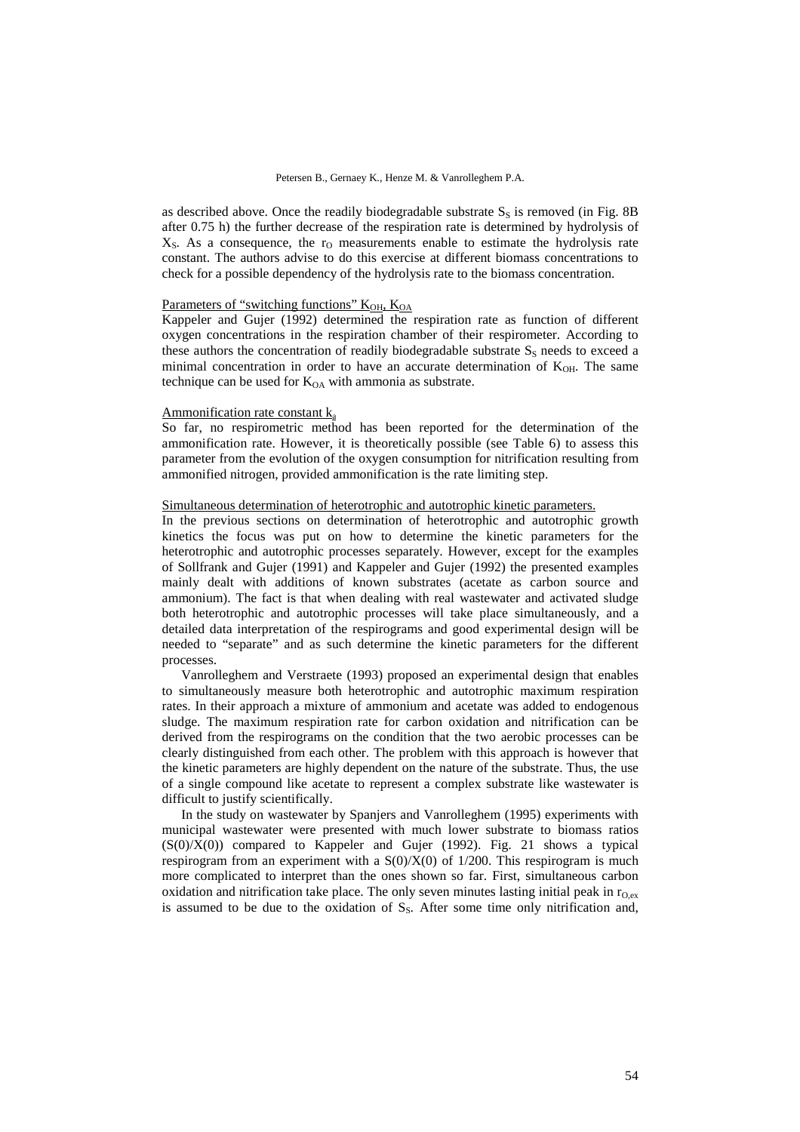as described above. Once the readily biodegradable substrate  $S<sub>S</sub>$  is removed (in Fig. 8B) after 0.75 h) the further decrease of the respiration rate is determined by hydrolysis of  $X<sub>S</sub>$ . As a consequence, the  $r<sub>O</sub>$  measurements enable to estimate the hydrolysis rate constant. The authors advise to do this exercise at different biomass concentrations to check for a possible dependency of the hydrolysis rate to the biomass concentration.

# Parameters of "switching functions"  $K_{OH}$ ,  $K_{OA}$

Kappeler and Gujer (1992) determined the respiration rate as function of different oxygen concentrations in the respiration chamber of their respirometer. According to these authors the concentration of readily biodegradable substrate  $S<sub>S</sub>$  needs to exceed a minimal concentration in order to have an accurate determination of  $K<sub>OH</sub>$ . The same technique can be used for  $K_{OA}$  with ammonia as substrate.

#### Ammonification rate constant  $k_a$

So far, no respirometric method has been reported for the determination of the ammonification rate. However, it is theoretically possible (see Table 6) to assess this parameter from the evolution of the oxygen consumption for nitrification resulting from ammonified nitrogen, provided ammonification is the rate limiting step.

## Simultaneous determination of heterotrophic and autotrophic kinetic parameters.

In the previous sections on determination of heterotrophic and autotrophic growth kinetics the focus was put on how to determine the kinetic parameters for the heterotrophic and autotrophic processes separately. However, except for the examples of Sollfrank and Gujer (1991) and Kappeler and Gujer (1992) the presented examples mainly dealt with additions of known substrates (acetate as carbon source and ammonium). The fact is that when dealing with real wastewater and activated sludge both heterotrophic and autotrophic processes will take place simultaneously, and a detailed data interpretation of the respirograms and good experimental design will be needed to "separate" and as such determine the kinetic parameters for the different processes.

Vanrolleghem and Verstraete (1993) proposed an experimental design that enables to simultaneously measure both heterotrophic and autotrophic maximum respiration rates. In their approach a mixture of ammonium and acetate was added to endogenous sludge. The maximum respiration rate for carbon oxidation and nitrification can be derived from the respirograms on the condition that the two aerobic processes can be clearly distinguished from each other. The problem with this approach is however that the kinetic parameters are highly dependent on the nature of the substrate. Thus, the use of a single compound like acetate to represent a complex substrate like wastewater is difficult to justify scientifically.

In the study on wastewater by Spanjers and Vanrolleghem (1995) experiments with municipal wastewater were presented with much lower substrate to biomass ratios  $(S(0)/X(0))$  compared to Kappeler and Gujer (1992). Fig. 21 shows a typical respirogram from an experiment with a  $S(0)/X(0)$  of 1/200. This respirogram is much more complicated to interpret than the ones shown so far. First, simultaneous carbon oxidation and nitrification take place. The only seven minutes lasting initial peak in  $r_{O,ex}$ is assumed to be due to the oxidation of  $S<sub>S</sub>$ . After some time only nitrification and,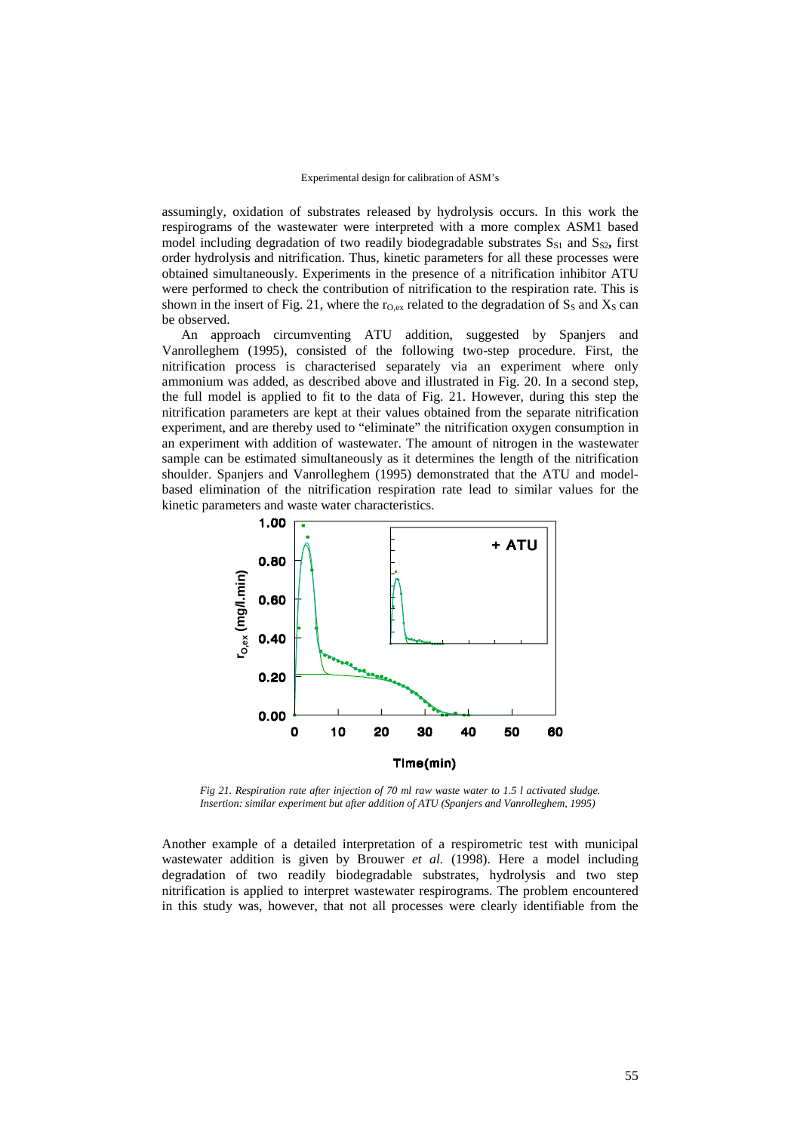assumingly, oxidation of substrates released by hydrolysis occurs. In this work the respirograms of the wastewater were interpreted with a more complex ASM1 based model including degradation of two readily biodegradable substrates  $S_{S1}$  and  $S_{S2}$ , first order hydrolysis and nitrification. Thus, kinetic parameters for all these processes were obtained simultaneously. Experiments in the presence of a nitrification inhibitor ATU were performed to check the contribution of nitrification to the respiration rate. This is shown in the insert of Fig. 21, where the  $r_{Oex}$  related to the degradation of S<sub>S</sub> and X<sub>S</sub> can be observed.

An approach circumventing ATU addition, suggested by Spanjers and Vanrolleghem (1995), consisted of the following two-step procedure. First, the nitrification process is characterised separately via an experiment where only ammonium was added, as described above and illustrated in Fig. 20. In a second step, the full model is applied to fit to the data of Fig. 21. However, during this step the nitrification parameters are kept at their values obtained from the separate nitrification experiment, and are thereby used to "eliminate" the nitrification oxygen consumption in an experiment with addition of wastewater. The amount of nitrogen in the wastewater sample can be estimated simultaneously as it determines the length of the nitrification shoulder. Spanjers and Vanrolleghem (1995) demonstrated that the ATU and modelbased elimination of the nitrification respiration rate lead to similar values for the kinetic parameters and waste water characteristics.



*Fig 21. Respiration rate after injection of 70 ml raw waste water to 1.5 l activated sludge. Insertion: similar experiment but after addition of ATU (Spanjers and Vanrolleghem, 1995)*

Another example of a detailed interpretation of a respirometric test with municipal wastewater addition is given by Brouwer *et al.* (1998). Here a model including degradation of two readily biodegradable substrates, hydrolysis and two step nitrification is applied to interpret wastewater respirograms. The problem encountered in this study was, however, that not all processes were clearly identifiable from the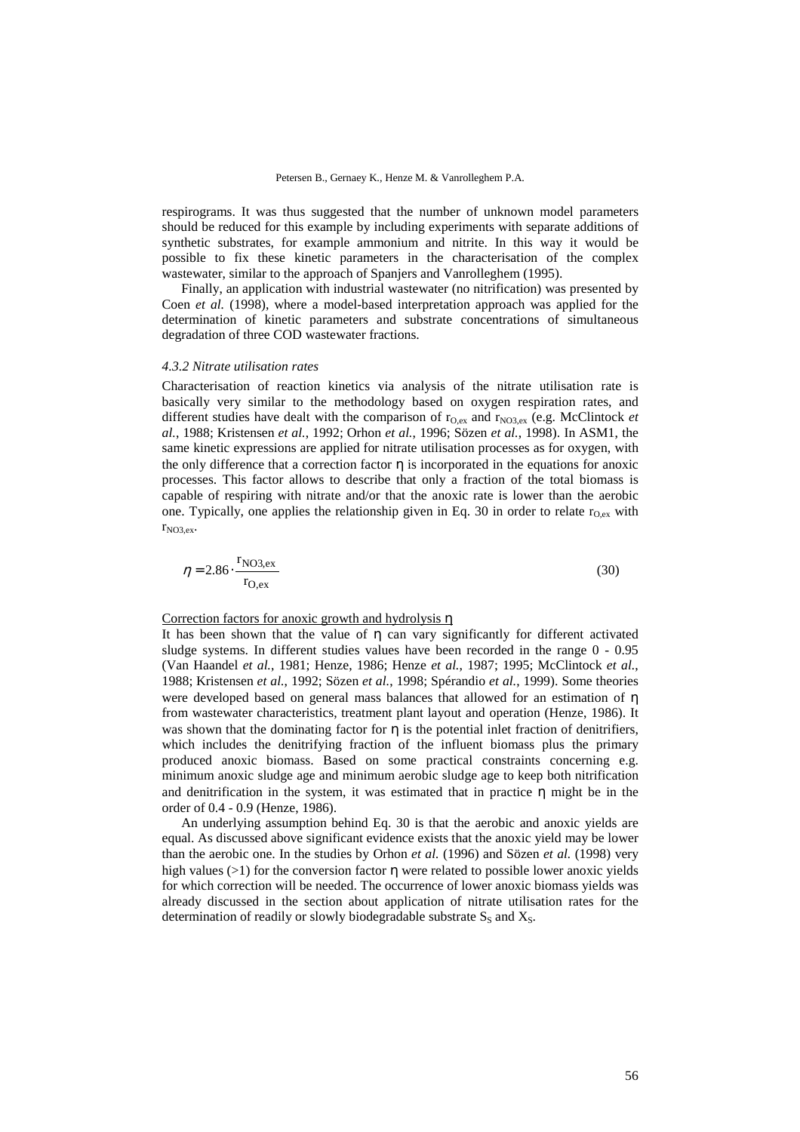respirograms. It was thus suggested that the number of unknown model parameters should be reduced for this example by including experiments with separate additions of synthetic substrates, for example ammonium and nitrite. In this way it would be possible to fix these kinetic parameters in the characterisation of the complex wastewater, similar to the approach of Spanjers and Vanrolleghem (1995).

Finally, an application with industrial wastewater (no nitrification) was presented by Coen *et al.* (1998), where a model-based interpretation approach was applied for the determination of kinetic parameters and substrate concentrations of simultaneous degradation of three COD wastewater fractions.

#### *4.3.2 Nitrate utilisation rates*

Characterisation of reaction kinetics via analysis of the nitrate utilisation rate is basically very similar to the methodology based on oxygen respiration rates, and different studies have dealt with the comparison of  $r_{O,ex}$  and  $r_{NO3,ex}$  (e.g. McClintock *et al.*, 1988; Kristensen *et al.*, 1992; Orhon *et al.*, 1996; Sözen *et al.*, 1998). In ASM1, the same kinetic expressions are applied for nitrate utilisation processes as for oxygen, with the only difference that a correction factor η is incorporated in the equations for anoxic processes. This factor allows to describe that only a fraction of the total biomass is capable of respiring with nitrate and/or that the anoxic rate is lower than the aerobic one. Typically, one applies the relationship given in Eq. 30 in order to relate  $r_{Oex}$  with  $r_{NO3,ex}.$ 

$$
\eta = 2.86 \cdot \frac{\text{r}_{\text{NO3,ex}}}{\text{r}_{\text{O,ex}}} \tag{30}
$$

# Correction factors for anoxic growth and hydrolysis η

It has been shown that the value of  $\eta$  can vary significantly for different activated sludge systems. In different studies values have been recorded in the range 0 - 0.95 (Van Haandel *et al.*, 1981; Henze, 1986; Henze *et al.*, 1987; 1995; McClintock *et al.*, 1988; Kristensen *et al.*, 1992; Sözen *et al.*, 1998; Spérandio *et al.*, 1999). Some theories were developed based on general mass balances that allowed for an estimation of η from wastewater characteristics, treatment plant layout and operation (Henze, 1986). It was shown that the dominating factor for  $\eta$  is the potential inlet fraction of denitrifiers, which includes the denitrifying fraction of the influent biomass plus the primary produced anoxic biomass. Based on some practical constraints concerning e.g. minimum anoxic sludge age and minimum aerobic sludge age to keep both nitrification and denitrification in the system, it was estimated that in practice η might be in the order of 0.4 - 0.9 (Henze, 1986).

An underlying assumption behind Eq. 30 is that the aerobic and anoxic yields are equal. As discussed above significant evidence exists that the anoxic yield may be lower than the aerobic one. In the studies by Orhon *et al.* (1996) and Sözen *et al.* (1998) very high values  $(>1)$  for the conversion factor  $\eta$  were related to possible lower anoxic yields for which correction will be needed. The occurrence of lower anoxic biomass yields was already discussed in the section about application of nitrate utilisation rates for the determination of readily or slowly biodegradable substrate  $S_S$  and  $X_S$ .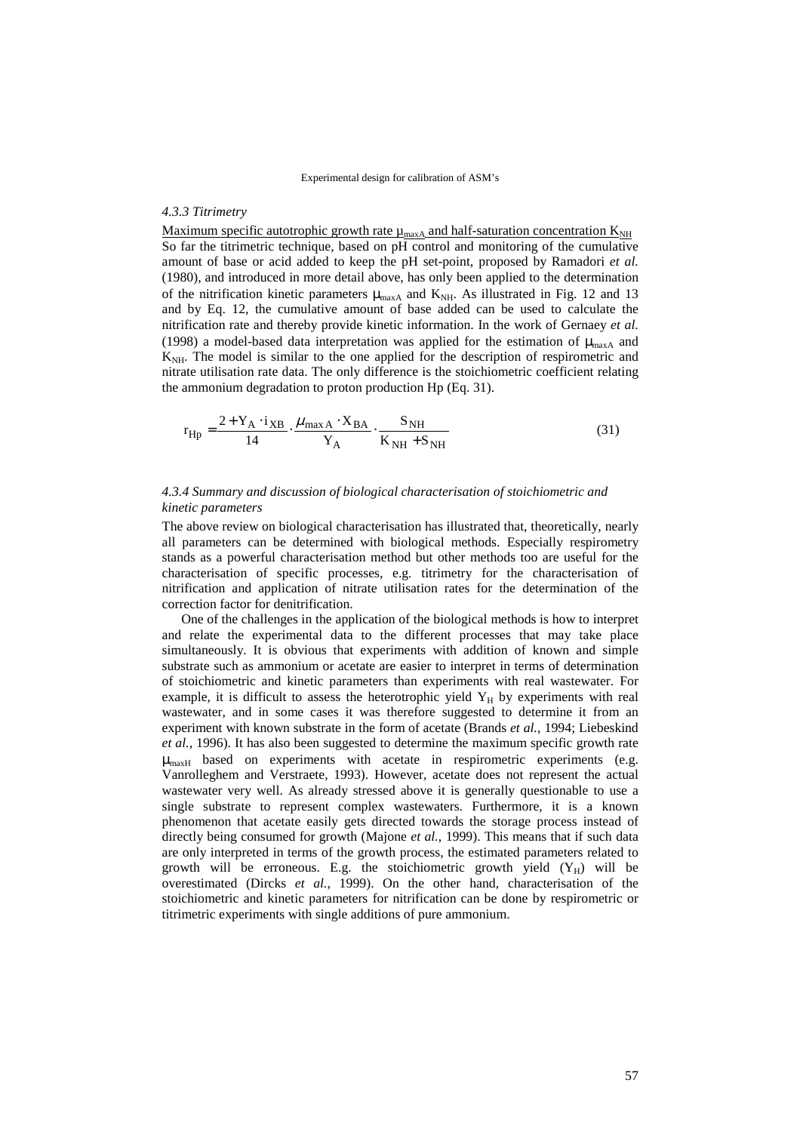#### *4.3.3 Titrimetry*

Maximum specific autotrophic growth rate  $\mu_{\text{maxA}}$  and half-saturation concentration  $K_{NH}$ So far the titrimetric technique, based on  $\overline{pH}$  control and monitoring of the cumulative amount of base or acid added to keep the pH set-point, proposed by Ramadori *et al.* (1980), and introduced in more detail above, has only been applied to the determination of the nitrification kinetic parameters  $\mu_{maxA}$  and  $K_{NH}$ . As illustrated in Fig. 12 and 13 and by Eq. 12, the cumulative amount of base added can be used to calculate the nitrification rate and thereby provide kinetic information. In the work of Gernaey *et al.* (1998) a model-based data interpretation was applied for the estimation of  $\mu_{maxA}$  and  $K<sub>NH</sub>$ . The model is similar to the one applied for the description of respirometric and nitrate utilisation rate data. The only difference is the stoichiometric coefficient relating the ammonium degradation to proton production Hp (Eq. 31).

$$
r_{\text{Hp}} = \frac{2 + Y_{\text{A}} \cdot i_{\text{XB}}}{14} \cdot \frac{\mu_{\text{max A}} \cdot X_{\text{BA}}}{Y_{\text{A}}} \cdot \frac{S_{\text{NH}}}{K_{\text{NH}} + S_{\text{NH}}}
$$
(31)

# *4.3.4 Summary and discussion of biological characterisation of stoichiometric and kinetic parameters*

The above review on biological characterisation has illustrated that, theoretically, nearly all parameters can be determined with biological methods. Especially respirometry stands as a powerful characterisation method but other methods too are useful for the characterisation of specific processes, e.g. titrimetry for the characterisation of nitrification and application of nitrate utilisation rates for the determination of the correction factor for denitrification.

One of the challenges in the application of the biological methods is how to interpret and relate the experimental data to the different processes that may take place simultaneously. It is obvious that experiments with addition of known and simple substrate such as ammonium or acetate are easier to interpret in terms of determination of stoichiometric and kinetic parameters than experiments with real wastewater. For example, it is difficult to assess the heterotrophic yield  $Y_H$  by experiments with real wastewater, and in some cases it was therefore suggested to determine it from an experiment with known substrate in the form of acetate (Brands *et al.*, 1994; Liebeskind *et al.*, 1996). It has also been suggested to determine the maximum specific growth rate  $\mu_{\text{maxH}}$  based on experiments with acetate in respirometric experiments (e.g. Vanrolleghem and Verstraete, 1993). However, acetate does not represent the actual wastewater very well. As already stressed above it is generally questionable to use a single substrate to represent complex wastewaters. Furthermore, it is a known phenomenon that acetate easily gets directed towards the storage process instead of directly being consumed for growth (Majone *et al.*, 1999). This means that if such data are only interpreted in terms of the growth process, the estimated parameters related to growth will be erroneous. E.g. the stoichiometric growth yield  $(Y_H)$  will be overestimated (Dircks *et al.*, 1999). On the other hand, characterisation of the stoichiometric and kinetic parameters for nitrification can be done by respirometric or titrimetric experiments with single additions of pure ammonium.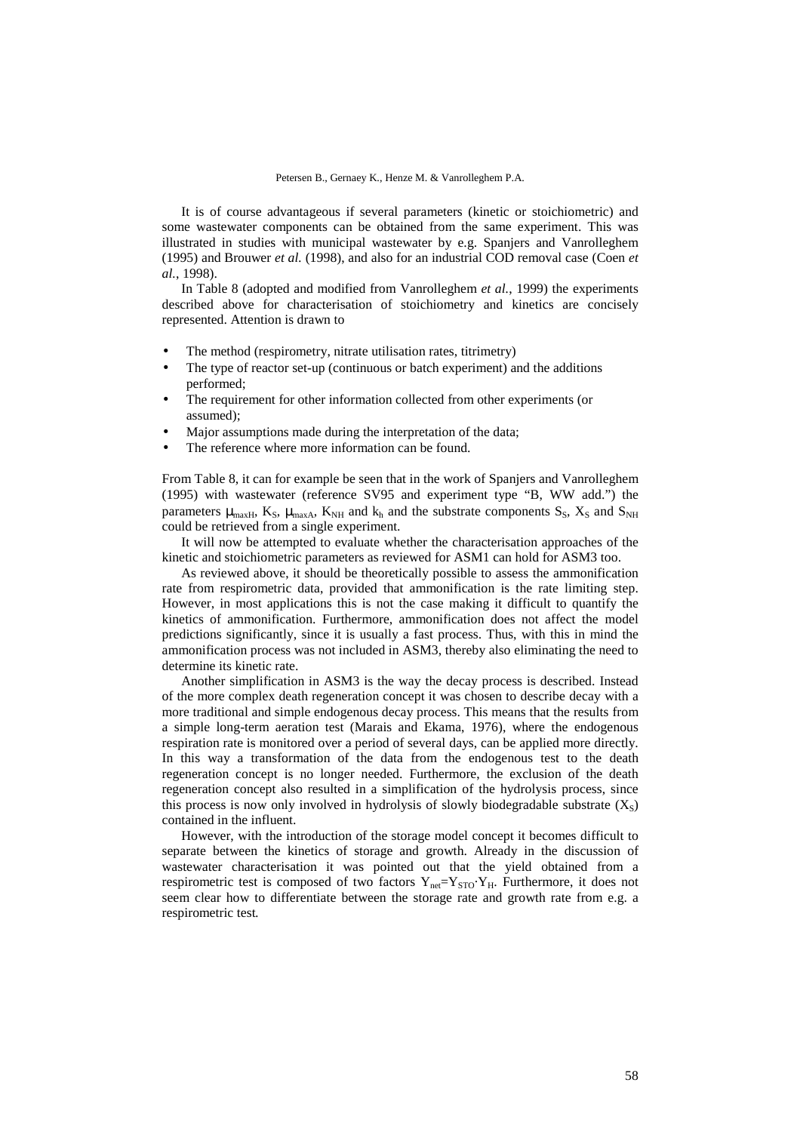#### Petersen B., Gernaey K., Henze M. & Vanrolleghem P.A.

It is of course advantageous if several parameters (kinetic or stoichiometric) and some wastewater components can be obtained from the same experiment. This was illustrated in studies with municipal wastewater by e.g. Spanjers and Vanrolleghem (1995) and Brouwer *et al.* (1998), and also for an industrial COD removal case (Coen *et al.*, 1998).

In Table 8 (adopted and modified from Vanrolleghem *et al.*, 1999) the experiments described above for characterisation of stoichiometry and kinetics are concisely represented. Attention is drawn to

- The method (respirometry, nitrate utilisation rates, titrimetry)
- The type of reactor set-up (continuous or batch experiment) and the additions performed;
- The requirement for other information collected from other experiments (or assumed);
- Major assumptions made during the interpretation of the data;
- The reference where more information can be found.

From Table 8, it can for example be seen that in the work of Spanjers and Vanrolleghem (1995) with wastewater (reference SV95 and experiment type "B, WW add.") the parameters  $\mu_{\text{maxH}}$ ,  $K_S$ ,  $\mu_{\text{maxA}}$ ,  $K_{NH}$  and  $k_h$  and the substrate components  $S_S$ ,  $K_S$  and  $S_{NH}$ could be retrieved from a single experiment.

It will now be attempted to evaluate whether the characterisation approaches of the kinetic and stoichiometric parameters as reviewed for ASM1 can hold for ASM3 too.

As reviewed above, it should be theoretically possible to assess the ammonification rate from respirometric data, provided that ammonification is the rate limiting step. However, in most applications this is not the case making it difficult to quantify the kinetics of ammonification. Furthermore, ammonification does not affect the model predictions significantly, since it is usually a fast process. Thus, with this in mind the ammonification process was not included in ASM3, thereby also eliminating the need to determine its kinetic rate.

Another simplification in ASM3 is the way the decay process is described. Instead of the more complex death regeneration concept it was chosen to describe decay with a more traditional and simple endogenous decay process. This means that the results from a simple long-term aeration test (Marais and Ekama, 1976), where the endogenous respiration rate is monitored over a period of several days, can be applied more directly. In this way a transformation of the data from the endogenous test to the death regeneration concept is no longer needed. Furthermore, the exclusion of the death regeneration concept also resulted in a simplification of the hydrolysis process, since this process is now only involved in hydrolysis of slowly biodegradable substrate  $(X<sub>S</sub>)$ contained in the influent.

However, with the introduction of the storage model concept it becomes difficult to separate between the kinetics of storage and growth. Already in the discussion of wastewater characterisation it was pointed out that the yield obtained from a respirometric test is composed of two factors  $Y_{net}=Y_{STO}Y_H$ . Furthermore, it does not seem clear how to differentiate between the storage rate and growth rate from e.g. a respirometric test*.*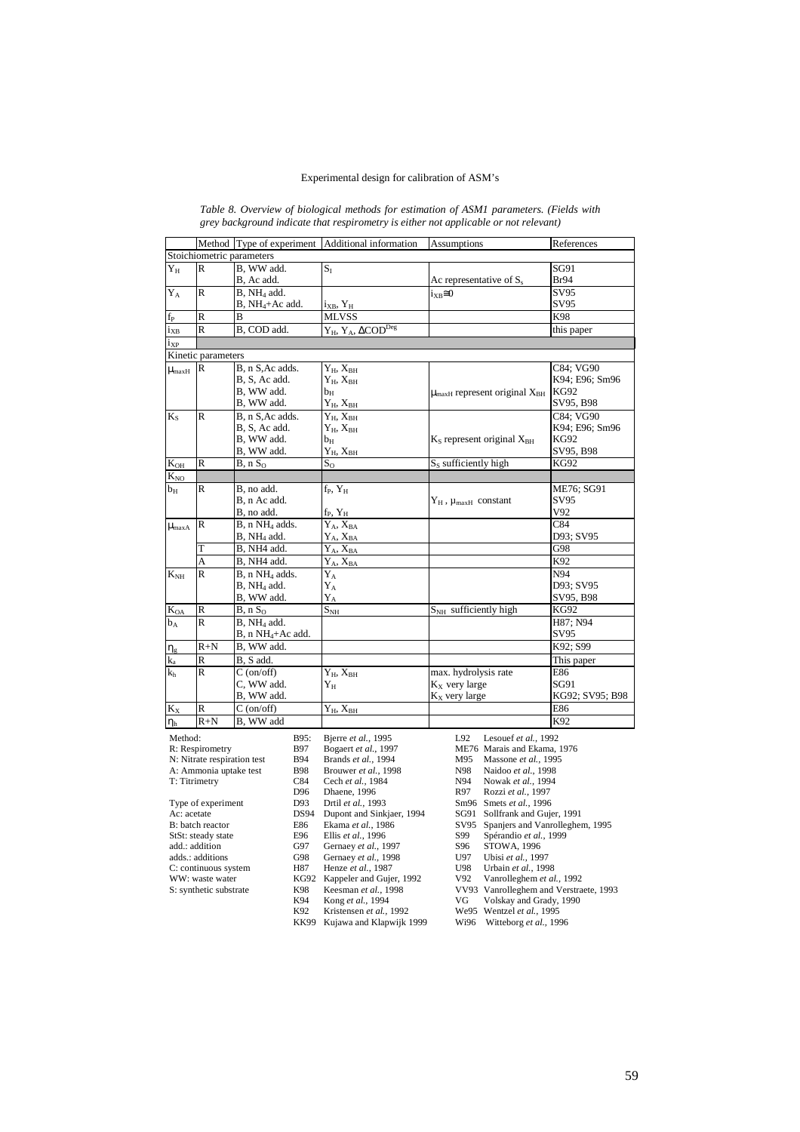## Experimental design for calibration of ASM's

|                                                  |                         |                                  |                             | Method Type of experiment Additional information | Assumptions                          |                                                   | References      |
|--------------------------------------------------|-------------------------|----------------------------------|-----------------------------|--------------------------------------------------|--------------------------------------|---------------------------------------------------|-----------------|
|                                                  |                         | Stoichiometric parameters        |                             |                                                  |                                      |                                                   |                 |
| $Y_H$                                            | R                       | B, WW add.                       |                             | $S_I$                                            |                                      |                                                   | SG91            |
|                                                  |                         | B, Ac add.                       |                             |                                                  | Ac representative of $S_s$           |                                                   | <b>Br94</b>     |
| $Y_A$                                            | R                       | B, NH <sub>4</sub> add.          |                             |                                                  | $i_{XB} \cong 0$                     |                                                   | SV95            |
|                                                  |                         | $B$ , NH <sub>4</sub> +Ac add.   |                             | $i_{XB}$ , $Y_H$                                 |                                      |                                                   | SV95            |
| fр                                               | R                       | B                                |                             | <b>MLVSS</b>                                     |                                      |                                                   | K98             |
| İXB                                              | $\overline{\mathsf{R}}$ | B, COD add.                      |                             | $Y_H$ , $Y_A$ , $\overline{\triangle COD^{Deg}}$ |                                      |                                                   | this paper      |
| İхр                                              |                         |                                  |                             |                                                  |                                      |                                                   |                 |
|                                                  | Kinetic parameters      |                                  |                             |                                                  |                                      |                                                   |                 |
|                                                  | R                       | B, n S, Ac adds.                 |                             | ${\rm Y_H},\,{\rm X_{BH}}$                       |                                      |                                                   | C84; VG90       |
| $\mu_{\rm maxH}$                                 |                         | B, S, Ac add.                    |                             | $Y_H$ , $X_{BH}$                                 |                                      |                                                   | K94; E96; Sm96  |
|                                                  |                         | B, WW add.                       |                             | $b_H$                                            |                                      | $\mu_{\text{maxH}}$ represent original $X_{BH}$   | KG92            |
|                                                  |                         | B, WW add.                       |                             | ${\rm Y_H,\,X_{BH}}$                             |                                      |                                                   | SV95, B98       |
|                                                  |                         |                                  |                             |                                                  |                                      |                                                   |                 |
| $K_S$                                            | R                       | B, n S, Ac adds.                 |                             | $Y_H$ , $X_{BH}$                                 |                                      |                                                   | C84; VG90       |
|                                                  |                         | B, S, Ac add.                    |                             | $Y_H$ , $X_{BH}$                                 |                                      |                                                   | K94; E96; Sm96  |
|                                                  |                         | B, WW add.                       |                             | bн                                               |                                      | K <sub>S</sub> represent original X <sub>BH</sub> | <b>KG92</b>     |
|                                                  |                         | B, WW add.                       |                             | $Y_H$ , $X_{BH}$                                 |                                      |                                                   | SV95, B98       |
| $\rm{K_{OH}}$                                    | $\overline{R}$          | B, n S <sub>O</sub>              |                             | $S_{O}$                                          | $SS$ sufficiently high               |                                                   | <b>KG92</b>     |
| $\overline{\mathrm{K}}_{\mathrm{NO}}$            |                         |                                  |                             |                                                  |                                      |                                                   |                 |
| bн                                               | R                       | B, no add.                       |                             | $f_P$ , $Y_H$                                    |                                      |                                                   | ME76; SG91      |
|                                                  |                         | B, n Ac add.                     |                             |                                                  | $Y_H$ , $\mu_{\text{maxH}}$ constant |                                                   | SV95            |
|                                                  |                         | B, no add.                       |                             | $f_P, Y_H$                                       |                                      |                                                   | V92             |
| $\mu_{\text{maxA}}$                              | R                       | B, n NH <sub>4</sub> adds.       |                             | $Y_A, X_{BA}$                                    |                                      |                                                   | C84             |
|                                                  |                         | B, NH <sub>4</sub> add.          |                             | $Y_A, X_{BA}$                                    |                                      |                                                   | D93; SV95       |
|                                                  | T                       | B, NH4 add.                      |                             | $Y_A, X_{BA}$                                    |                                      |                                                   | G98             |
|                                                  | A                       | B, NH4 add.                      |                             | $Y_A, X_{BA}$                                    |                                      |                                                   | K92             |
| $\rm K_{NH}$                                     | R                       | B, n NH <sub>4</sub> adds.       |                             | ${\rm Y_A}$                                      |                                      |                                                   | N94             |
|                                                  |                         | $B$ , NH <sub>4</sub> add.       |                             | $\mathbf{Y}_\mathrm{A}$                          |                                      |                                                   | D93; SV95       |
|                                                  |                         | B, WW add.                       |                             | $Y_{\underline{A}}$                              |                                      |                                                   | SV95, B98       |
| $\rm{K_{OA}}$                                    | R                       | $B, n S_O$                       |                             | $\rm{S_{NH}}$                                    | $SNH$ sufficiently high              |                                                   | <b>KG92</b>     |
| $b_A$                                            | R                       | B, NH <sub>4</sub> add.          |                             |                                                  |                                      |                                                   | H87; N94        |
|                                                  |                         | $B$ , n NH <sub>4</sub> +Ac add. |                             |                                                  |                                      |                                                   | SV95            |
| $\eta_{\rm g}$                                   | $R + N$                 | B, WW add.                       |                             |                                                  |                                      |                                                   | K92; S99        |
| k <sub>a</sub>                                   | R                       | B, S add.                        |                             |                                                  |                                      |                                                   | This paper      |
| $k_h$                                            | R                       | $C($ on/off $)$                  |                             | $Y_H$ , $X_{BH}$                                 | max. hydrolysis rate                 |                                                   | E86             |
|                                                  |                         | C, WW add.                       |                             | Yн                                               | K <sub>x</sub> very large            |                                                   | SG91            |
|                                                  |                         | B, WW add.                       |                             |                                                  | $K_x$ very large                     |                                                   | KG92; SV95; B98 |
| Kх                                               | R                       | $C($ on/off $)$                  |                             | $Y_H$ , $X_{BH}$                                 |                                      |                                                   | E86             |
|                                                  | $R + N$                 | B, WW add                        |                             |                                                  |                                      |                                                   | K92             |
| ղո                                               |                         |                                  |                             |                                                  |                                      |                                                   |                 |
| Method:                                          |                         |                                  | B95:                        | Bjerre et al., 1995                              | L92                                  | Lesouef et al., 1992                              |                 |
| B97<br>R: Respirometry                           |                         | Bogaert et al., 1997             | ME76 Marais and Ekama, 1976 |                                                  |                                      |                                                   |                 |
| N: Nitrate respiration test<br><b>B94</b>        |                         | Brands et al., 1994              | M95                         | Massone et al., 1995                             |                                      |                                                   |                 |
| <b>B98</b><br>A: Ammonia uptake test             |                         | Brouwer et al., 1998             | N98                         | Naidoo et al., 1998                              |                                      |                                                   |                 |
| C84<br>T: Titrimetry<br>D96                      |                         | Cech et al., 1984                | N94                         | Nowak et al., 1994                               |                                      |                                                   |                 |
|                                                  |                         | Dhaene, 1996                     | R97                         | Rozzi et al., 1997                               |                                      |                                                   |                 |
| Type of experiment<br>D93<br>Ac: acetate<br>DS94 |                         |                                  |                             | Drtil et al., 1993<br>Dupont and Sinkjaer, 1994  | Sm96<br>SG91                         | Smets et al., 1996<br>Sollfrank and Gujer, 1991   |                 |
| B: batch reactor                                 |                         |                                  | E86                         | Ekama et al., 1986                               | SV95                                 | Spanjers and Vanrolleghem, 1995                   |                 |
| StSt: steady state                               |                         |                                  | E96                         | Ellis et al., 1996                               | S99                                  | Spérandio et al., 1999                            |                 |
| G97<br>add.: addition                            |                         |                                  |                             | Gernaey et al., 1997                             | S96                                  | STOWA, 1996                                       |                 |
| adds.: additions                                 |                         |                                  | G98                         | Gernaey et al., 1998                             | U97                                  | Ubisi et al., 1997                                |                 |
| H87<br>C: continuous system                      |                         |                                  |                             | Henze et al., 1987                               | U98                                  | Urbain et al., 1998                               |                 |

KG92 Kappeler and Gujer, 1992 K98 Keesman *et al.*, 1998 K94 Kong *et al.*, 1994 K92 Kristensen *et al.,* 1992 KK99 Kujawa and Klapwijk 1999

WW: waste water S: synthetic substrate

*Table 8. Overview of biological methods for estimation of ASM1 parameters. (Fields with grey background indicate that respirometry is either not applicable or not relevant)*

V92 Vanrolleghem *et al.*, 1992 VV93 Vanrolleghem and Verstraete, 1993 VG Volskay and Grady, 1990 We95 Wentzel *et al.*, 1995 Wi96 Witteborg *et al.,* 1996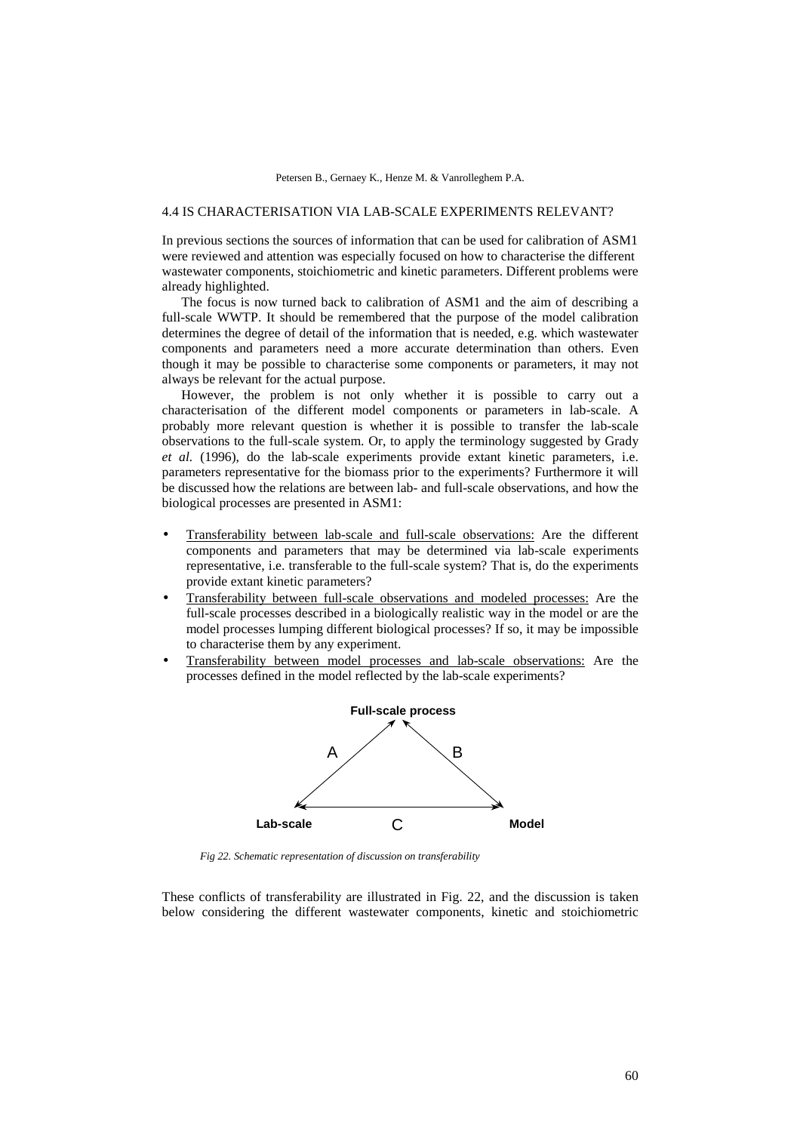#### Petersen B., Gernaey K., Henze M. & Vanrolleghem P.A.

### 4.4 IS CHARACTERISATION VIA LAB-SCALE EXPERIMENTS RELEVANT?

In previous sections the sources of information that can be used for calibration of ASM1 were reviewed and attention was especially focused on how to characterise the different wastewater components, stoichiometric and kinetic parameters. Different problems were already highlighted.

The focus is now turned back to calibration of ASM1 and the aim of describing a full-scale WWTP. It should be remembered that the purpose of the model calibration determines the degree of detail of the information that is needed, e.g. which wastewater components and parameters need a more accurate determination than others. Even though it may be possible to characterise some components or parameters, it may not always be relevant for the actual purpose.

However, the problem is not only whether it is possible to carry out a characterisation of the different model components or parameters in lab-scale. A probably more relevant question is whether it is possible to transfer the lab-scale observations to the full-scale system. Or, to apply the terminology suggested by Grady *et al.* (1996), do the lab-scale experiments provide extant kinetic parameters, i.e. parameters representative for the biomass prior to the experiments? Furthermore it will be discussed how the relations are between lab- and full-scale observations, and how the biological processes are presented in ASM1:

- Transferability between lab-scale and full-scale observations: Are the different components and parameters that may be determined via lab-scale experiments representative, i.e. transferable to the full-scale system? That is, do the experiments provide extant kinetic parameters?
- Transferability between full-scale observations and modeled processes: Are the full-scale processes described in a biologically realistic way in the model or are the model processes lumping different biological processes? If so, it may be impossible to characterise them by any experiment.
- Transferability between model processes and lab-scale observations: Are the processes defined in the model reflected by the lab-scale experiments?



*Fig 22. Schematic representation of discussion on transferability*

These conflicts of transferability are illustrated in Fig. 22, and the discussion is taken below considering the different wastewater components, kinetic and stoichiometric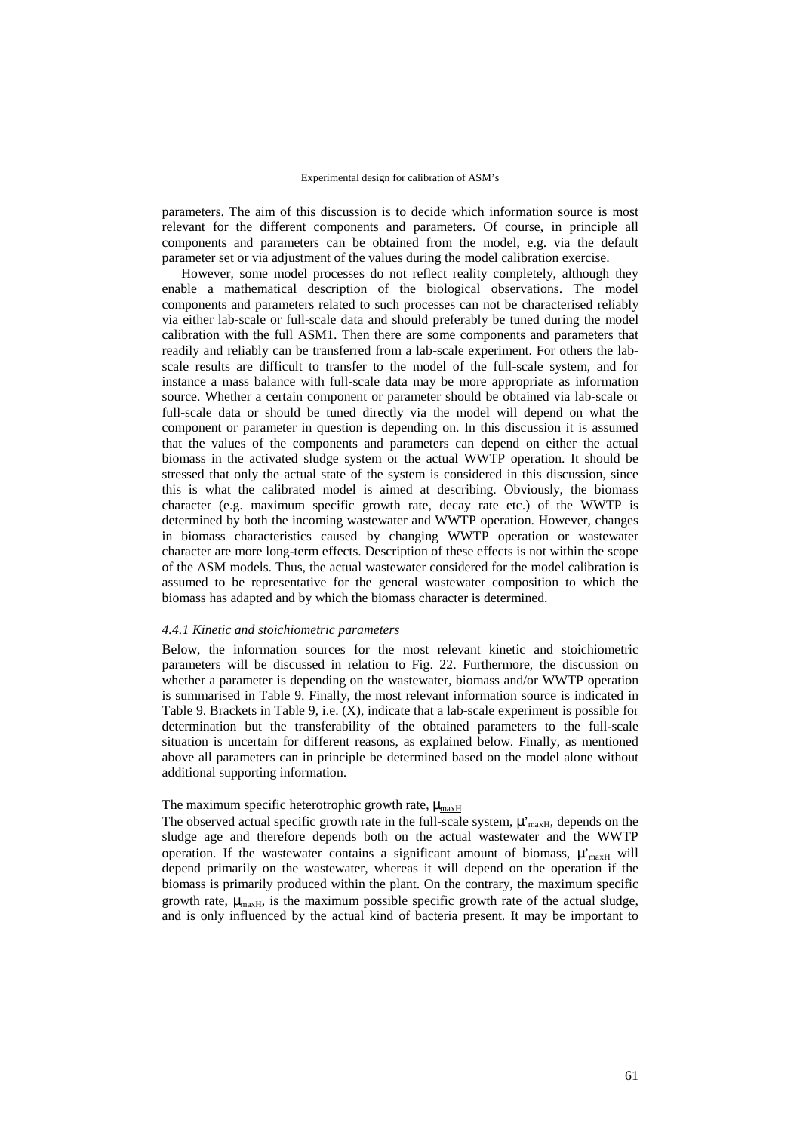parameters. The aim of this discussion is to decide which information source is most relevant for the different components and parameters. Of course, in principle all components and parameters can be obtained from the model, e.g. via the default parameter set or via adjustment of the values during the model calibration exercise.

However, some model processes do not reflect reality completely, although they enable a mathematical description of the biological observations. The model components and parameters related to such processes can not be characterised reliably via either lab-scale or full-scale data and should preferably be tuned during the model calibration with the full ASM1. Then there are some components and parameters that readily and reliably can be transferred from a lab-scale experiment. For others the labscale results are difficult to transfer to the model of the full-scale system, and for instance a mass balance with full-scale data may be more appropriate as information source. Whether a certain component or parameter should be obtained via lab-scale or full-scale data or should be tuned directly via the model will depend on what the component or parameter in question is depending on. In this discussion it is assumed that the values of the components and parameters can depend on either the actual biomass in the activated sludge system or the actual WWTP operation. It should be stressed that only the actual state of the system is considered in this discussion, since this is what the calibrated model is aimed at describing. Obviously, the biomass character (e.g. maximum specific growth rate, decay rate etc.) of the WWTP is determined by both the incoming wastewater and WWTP operation. However, changes in biomass characteristics caused by changing WWTP operation or wastewater character are more long-term effects. Description of these effects is not within the scope of the ASM models. Thus, the actual wastewater considered for the model calibration is assumed to be representative for the general wastewater composition to which the biomass has adapted and by which the biomass character is determined.

## *4.4.1 Kinetic and stoichiometric parameters*

Below, the information sources for the most relevant kinetic and stoichiometric parameters will be discussed in relation to Fig. 22. Furthermore, the discussion on whether a parameter is depending on the wastewater, biomass and/or WWTP operation is summarised in Table 9. Finally, the most relevant information source is indicated in Table 9. Brackets in Table 9, i.e. (X), indicate that a lab-scale experiment is possible for determination but the transferability of the obtained parameters to the full-scale situation is uncertain for different reasons, as explained below. Finally, as mentioned above all parameters can in principle be determined based on the model alone without additional supporting information.

# The maximum specific heterotrophic growth rate,  $\mu_{\text{maxH}}$

The observed actual specific growth rate in the full-scale system,  $\mu'_{\text{maxH}}$ , depends on the sludge age and therefore depends both on the actual wastewater and the WWTP operation. If the wastewater contains a significant amount of biomass,  $\mu'_{\text{maxH}}$  will depend primarily on the wastewater, whereas it will depend on the operation if the biomass is primarily produced within the plant. On the contrary, the maximum specific growth rate,  $\mu_{\text{maxH}}$ , is the maximum possible specific growth rate of the actual sludge, and is only influenced by the actual kind of bacteria present. It may be important to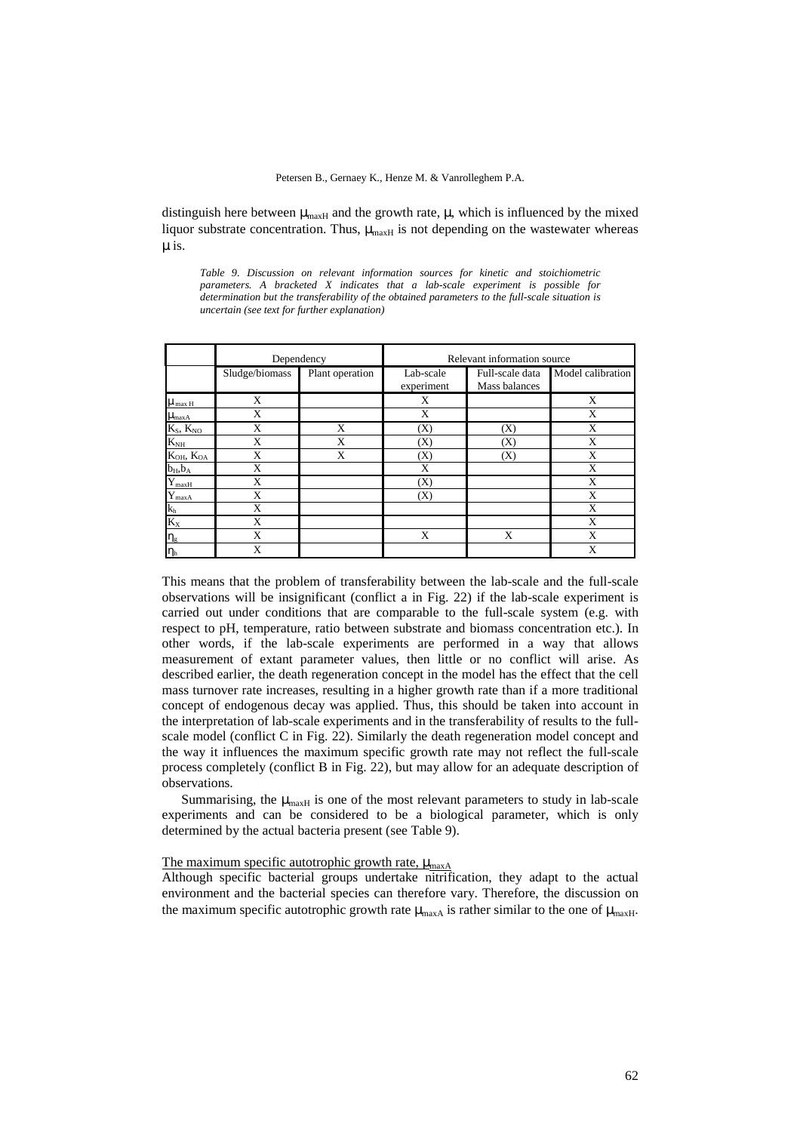distinguish here between  $\mu_{\text{maxH}}$  and the growth rate,  $\mu$ , which is influenced by the mixed liquor substrate concentration. Thus,  $\mu_{\text{maxH}}$  is not depending on the wastewater whereas µ is.

*Table 9. Discussion on relevant information sources for kinetic and stoichiometric parameters. A bracketed X indicates that a lab-scale experiment is possible for determination but the transferability of the obtained parameters to the full-scale situation is uncertain (see text for further explanation)*

|                      |                | Dependency      | Relevant information source |                                  |                   |  |
|----------------------|----------------|-----------------|-----------------------------|----------------------------------|-------------------|--|
|                      | Sludge/biomass | Plant operation | Lab-scale<br>experiment     | Full-scale data<br>Mass balances | Model calibration |  |
| $\mu_{\text{max H}}$ | X              |                 | X                           |                                  | X                 |  |
| $\mu_{\text{maxA}}$  | X              |                 | X                           |                                  | X                 |  |
| $K_S, K_{NO}$        | X              | X               | (X)                         | (X)                              | X                 |  |
| $K_{NH}$             | X              | X               | (X)                         | (X)                              | X                 |  |
| KOH, KOA             | X              | X               | (X)                         | (X)                              | X                 |  |
| $b_H$ , $b_A$        | X              |                 | X                           |                                  | X                 |  |
| $Y_{\text{maxH}}$    | X              |                 | (X)                         |                                  | X                 |  |
| $Y_{\text{maxA}}$    | X              |                 | (X)                         |                                  | X                 |  |
| $k_h$                | X              |                 |                             |                                  | X                 |  |
| $K_X$                | X              |                 |                             |                                  | X                 |  |
| $\eta_{\rm g}$       | X              |                 | X                           | X                                | X                 |  |
| $\eta_{\rm h}$       | X              |                 |                             |                                  | X                 |  |

This means that the problem of transferability between the lab-scale and the full-scale observations will be insignificant (conflict a in Fig. 22) if the lab-scale experiment is carried out under conditions that are comparable to the full-scale system (e.g. with respect to pH, temperature, ratio between substrate and biomass concentration etc.). In other words, if the lab-scale experiments are performed in a way that allows measurement of extant parameter values, then little or no conflict will arise. As described earlier, the death regeneration concept in the model has the effect that the cell mass turnover rate increases, resulting in a higher growth rate than if a more traditional concept of endogenous decay was applied. Thus, this should be taken into account in the interpretation of lab-scale experiments and in the transferability of results to the fullscale model (conflict C in Fig. 22). Similarly the death regeneration model concept and the way it influences the maximum specific growth rate may not reflect the full-scale process completely (conflict B in Fig. 22), but may allow for an adequate description of observations.

Summarising, the  $\mu_{\text{maxH}}$  is one of the most relevant parameters to study in lab-scale experiments and can be considered to be a biological parameter, which is only determined by the actual bacteria present (see Table 9).

# The maximum specific autotrophic growth rate,  $\mu_{\text{maxA}}$

Although specific bacterial groups undertake nitrification, they adapt to the actual environment and the bacterial species can therefore vary. Therefore, the discussion on the maximum specific autotrophic growth rate  $\mu_{\text{max}}$  is rather similar to the one of  $\mu_{\text{max}}$ .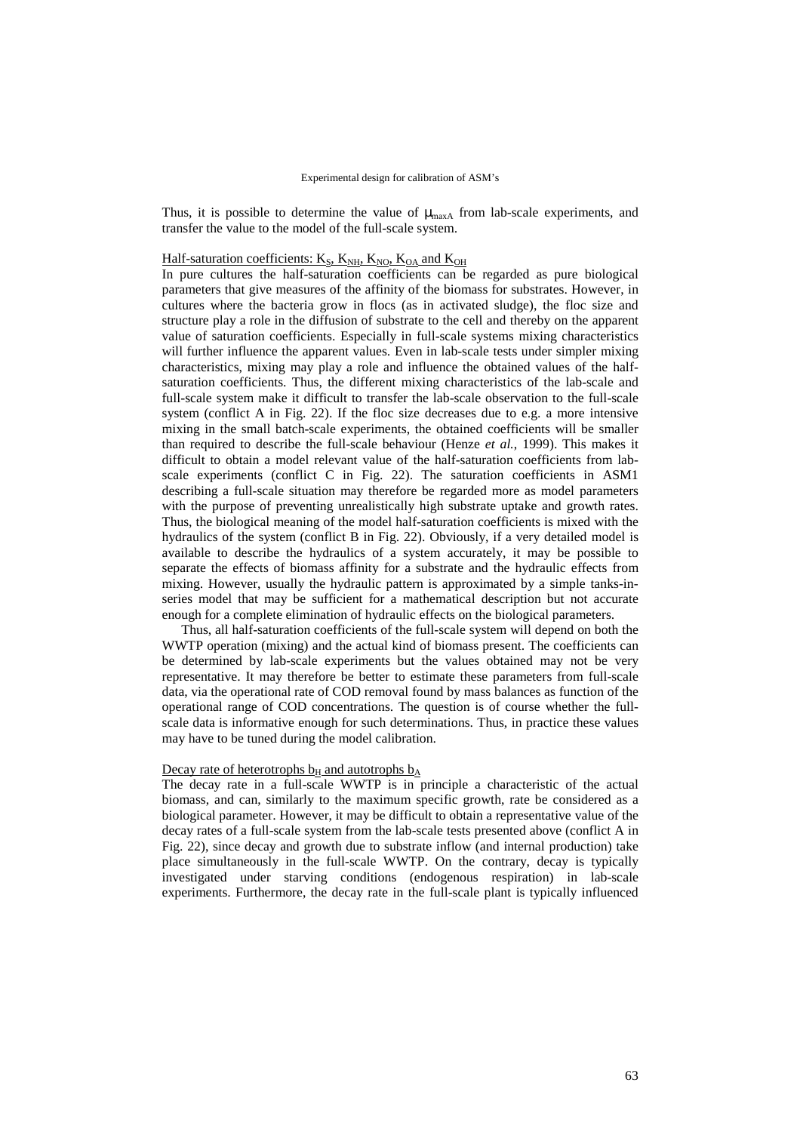Thus, it is possible to determine the value of  $\mu_{\text{maxA}}$  from lab-scale experiments, and transfer the value to the model of the full-scale system.

## Half-saturation coefficients:  $K_S$ ,  $K_{NH}$ ,  $K_{NO}$ ,  $K_{OA}$  and  $K_{OH}$

In pure cultures the half-saturation coefficients can be regarded as pure biological parameters that give measures of the affinity of the biomass for substrates. However, in cultures where the bacteria grow in flocs (as in activated sludge), the floc size and structure play a role in the diffusion of substrate to the cell and thereby on the apparent value of saturation coefficients. Especially in full-scale systems mixing characteristics will further influence the apparent values. Even in lab-scale tests under simpler mixing characteristics, mixing may play a role and influence the obtained values of the halfsaturation coefficients. Thus, the different mixing characteristics of the lab-scale and full-scale system make it difficult to transfer the lab-scale observation to the full-scale system (conflict A in Fig. 22). If the floc size decreases due to e.g. a more intensive mixing in the small batch-scale experiments, the obtained coefficients will be smaller than required to describe the full-scale behaviour (Henze *et al.*, 1999). This makes it difficult to obtain a model relevant value of the half-saturation coefficients from labscale experiments (conflict C in Fig. 22). The saturation coefficients in ASM1 describing a full-scale situation may therefore be regarded more as model parameters with the purpose of preventing unrealistically high substrate uptake and growth rates. Thus, the biological meaning of the model half-saturation coefficients is mixed with the hydraulics of the system (conflict B in Fig. 22). Obviously, if a very detailed model is available to describe the hydraulics of a system accurately, it may be possible to separate the effects of biomass affinity for a substrate and the hydraulic effects from mixing. However, usually the hydraulic pattern is approximated by a simple tanks-inseries model that may be sufficient for a mathematical description but not accurate enough for a complete elimination of hydraulic effects on the biological parameters.

Thus, all half-saturation coefficients of the full-scale system will depend on both the WWTP operation (mixing) and the actual kind of biomass present. The coefficients can be determined by lab-scale experiments but the values obtained may not be very representative. It may therefore be better to estimate these parameters from full-scale data, via the operational rate of COD removal found by mass balances as function of the operational range of COD concentrations. The question is of course whether the fullscale data is informative enough for such determinations. Thus, in practice these values may have to be tuned during the model calibration.

# Decay rate of heterotrophs  $b_H$  and autotrophs  $b_A$

The decay rate in a full-scale WWTP is in principle a characteristic of the actual biomass, and can, similarly to the maximum specific growth, rate be considered as a biological parameter. However, it may be difficult to obtain a representative value of the decay rates of a full-scale system from the lab-scale tests presented above (conflict A in Fig. 22), since decay and growth due to substrate inflow (and internal production) take place simultaneously in the full-scale WWTP. On the contrary, decay is typically investigated under starving conditions (endogenous respiration) in lab-scale experiments. Furthermore, the decay rate in the full-scale plant is typically influenced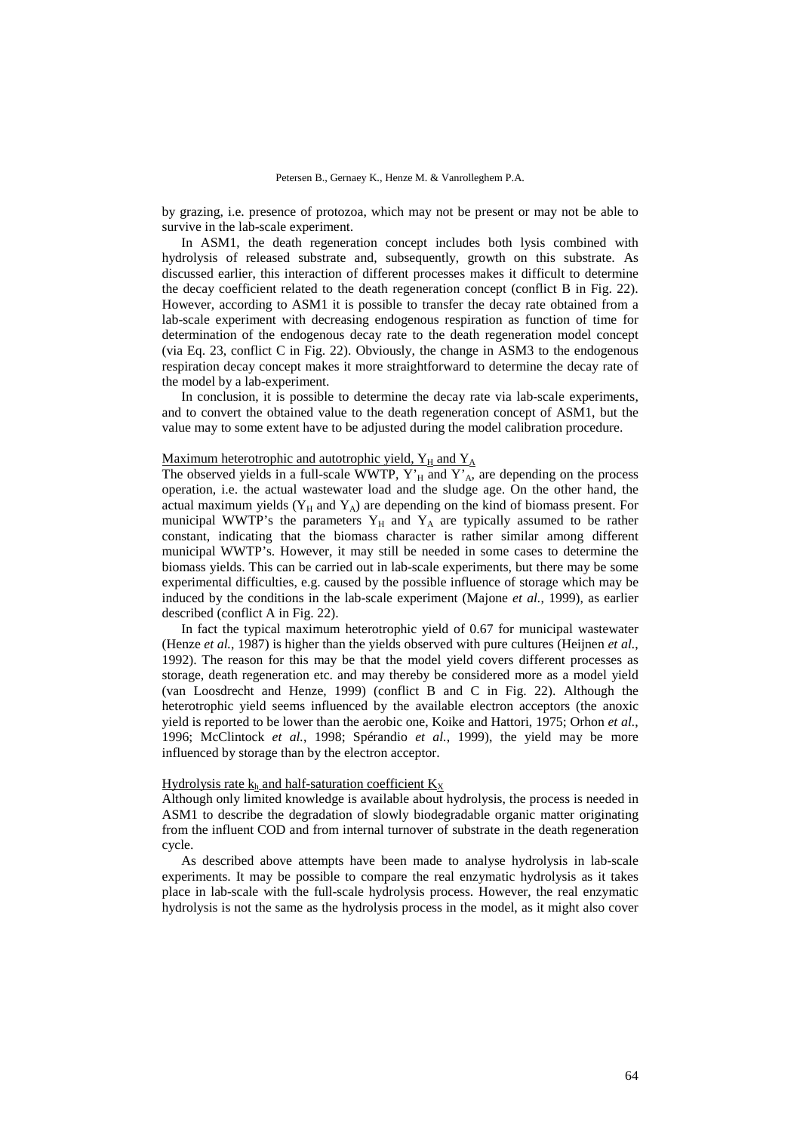by grazing, i.e. presence of protozoa, which may not be present or may not be able to survive in the lab-scale experiment.

In ASM1, the death regeneration concept includes both lysis combined with hydrolysis of released substrate and, subsequently, growth on this substrate. As discussed earlier, this interaction of different processes makes it difficult to determine the decay coefficient related to the death regeneration concept (conflict B in Fig. 22). However, according to ASM1 it is possible to transfer the decay rate obtained from a lab-scale experiment with decreasing endogenous respiration as function of time for determination of the endogenous decay rate to the death regeneration model concept (via Eq. 23, conflict C in Fig. 22). Obviously, the change in ASM3 to the endogenous respiration decay concept makes it more straightforward to determine the decay rate of the model by a lab-experiment.

In conclusion, it is possible to determine the decay rate via lab-scale experiments, and to convert the obtained value to the death regeneration concept of ASM1, but the value may to some extent have to be adjusted during the model calibration procedure.

#### Maximum heterotrophic and autotrophic yield,  $Y_H$  and  $Y_A$

The observed yields in a full-scale WWTP,  $Y'_H$  and  $Y'_A$ , are depending on the process operation, i.e. the actual wastewater load and the sludge age. On the other hand, the actual maximum yields  $(Y_H$  and  $Y_A$ ) are depending on the kind of biomass present. For municipal WWTP's the parameters  $Y_H$  and  $Y_A$  are typically assumed to be rather constant, indicating that the biomass character is rather similar among different municipal WWTP's. However, it may still be needed in some cases to determine the biomass yields. This can be carried out in lab-scale experiments, but there may be some experimental difficulties, e.g. caused by the possible influence of storage which may be induced by the conditions in the lab-scale experiment (Majone *et al.*, 1999), as earlier described (conflict A in Fig. 22).

In fact the typical maximum heterotrophic yield of 0.67 for municipal wastewater (Henze *et al.*, 1987) is higher than the yields observed with pure cultures (Heijnen *et al.*, 1992). The reason for this may be that the model yield covers different processes as storage, death regeneration etc. and may thereby be considered more as a model yield (van Loosdrecht and Henze, 1999) (conflict B and C in Fig. 22). Although the heterotrophic yield seems influenced by the available electron acceptors (the anoxic yield is reported to be lower than the aerobic one, Koike and Hattori, 1975; Orhon *et al.*, 1996; McClintock *et al.*, 1998; Spérandio *et al.*, 1999), the yield may be more influenced by storage than by the electron acceptor.

## Hydrolysis rate  $k_h$  and half-saturation coefficient  $K_X$

Although only limited knowledge is available about hydrolysis, the process is needed in ASM1 to describe the degradation of slowly biodegradable organic matter originating from the influent COD and from internal turnover of substrate in the death regeneration cycle.

As described above attempts have been made to analyse hydrolysis in lab-scale experiments. It may be possible to compare the real enzymatic hydrolysis as it takes place in lab-scale with the full-scale hydrolysis process. However, the real enzymatic hydrolysis is not the same as the hydrolysis process in the model, as it might also cover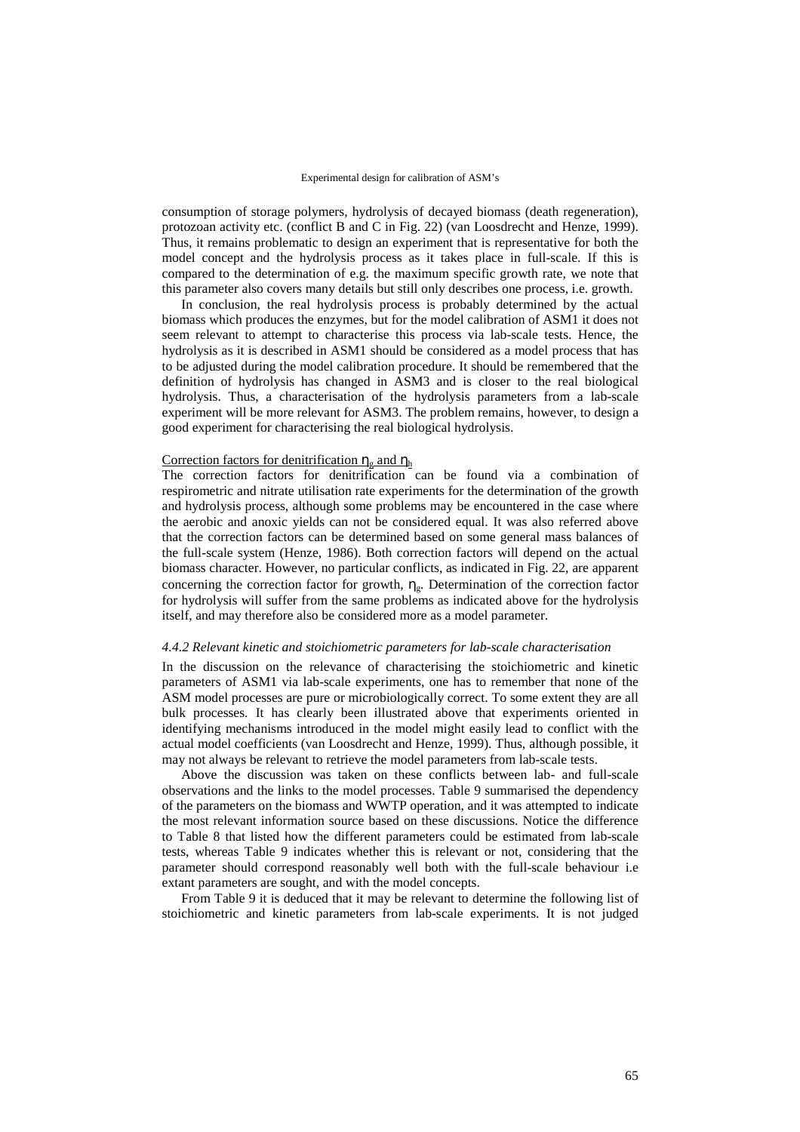consumption of storage polymers, hydrolysis of decayed biomass (death regeneration), protozoan activity etc. (conflict B and C in Fig. 22) (van Loosdrecht and Henze, 1999). Thus, it remains problematic to design an experiment that is representative for both the model concept and the hydrolysis process as it takes place in full-scale. If this is compared to the determination of e.g. the maximum specific growth rate, we note that this parameter also covers many details but still only describes one process, i.e. growth.

In conclusion, the real hydrolysis process is probably determined by the actual biomass which produces the enzymes, but for the model calibration of ASM1 it does not seem relevant to attempt to characterise this process via lab-scale tests. Hence, the hydrolysis as it is described in ASM1 should be considered as a model process that has to be adjusted during the model calibration procedure. It should be remembered that the definition of hydrolysis has changed in ASM3 and is closer to the real biological hydrolysis. Thus, a characterisation of the hydrolysis parameters from a lab-scale experiment will be more relevant for ASM3. The problem remains, however, to design a good experiment for characterising the real biological hydrolysis.

# Correction factors for denitrification  $\eta_{g}$  and  $\eta_{h}$

The correction factors for denitrification can be found via a combination of respirometric and nitrate utilisation rate experiments for the determination of the growth and hydrolysis process, although some problems may be encountered in the case where the aerobic and anoxic yields can not be considered equal. It was also referred above that the correction factors can be determined based on some general mass balances of the full-scale system (Henze, 1986). Both correction factors will depend on the actual biomass character. However, no particular conflicts, as indicated in Fig. 22, are apparent concerning the correction factor for growth,  $\eta_{\sigma}$ . Determination of the correction factor for hydrolysis will suffer from the same problems as indicated above for the hydrolysis itself, and may therefore also be considered more as a model parameter.

# *4.4.2 Relevant kinetic and stoichiometric parameters for lab-scale characterisation*

In the discussion on the relevance of characterising the stoichiometric and kinetic parameters of ASM1 via lab-scale experiments, one has to remember that none of the ASM model processes are pure or microbiologically correct. To some extent they are all bulk processes. It has clearly been illustrated above that experiments oriented in identifying mechanisms introduced in the model might easily lead to conflict with the actual model coefficients (van Loosdrecht and Henze, 1999). Thus, although possible, it may not always be relevant to retrieve the model parameters from lab-scale tests.

Above the discussion was taken on these conflicts between lab- and full-scale observations and the links to the model processes. Table 9 summarised the dependency of the parameters on the biomass and WWTP operation, and it was attempted to indicate the most relevant information source based on these discussions. Notice the difference to Table 8 that listed how the different parameters could be estimated from lab-scale tests, whereas Table 9 indicates whether this is relevant or not, considering that the parameter should correspond reasonably well both with the full-scale behaviour i.e extant parameters are sought, and with the model concepts.

From Table 9 it is deduced that it may be relevant to determine the following list of stoichiometric and kinetic parameters from lab-scale experiments. It is not judged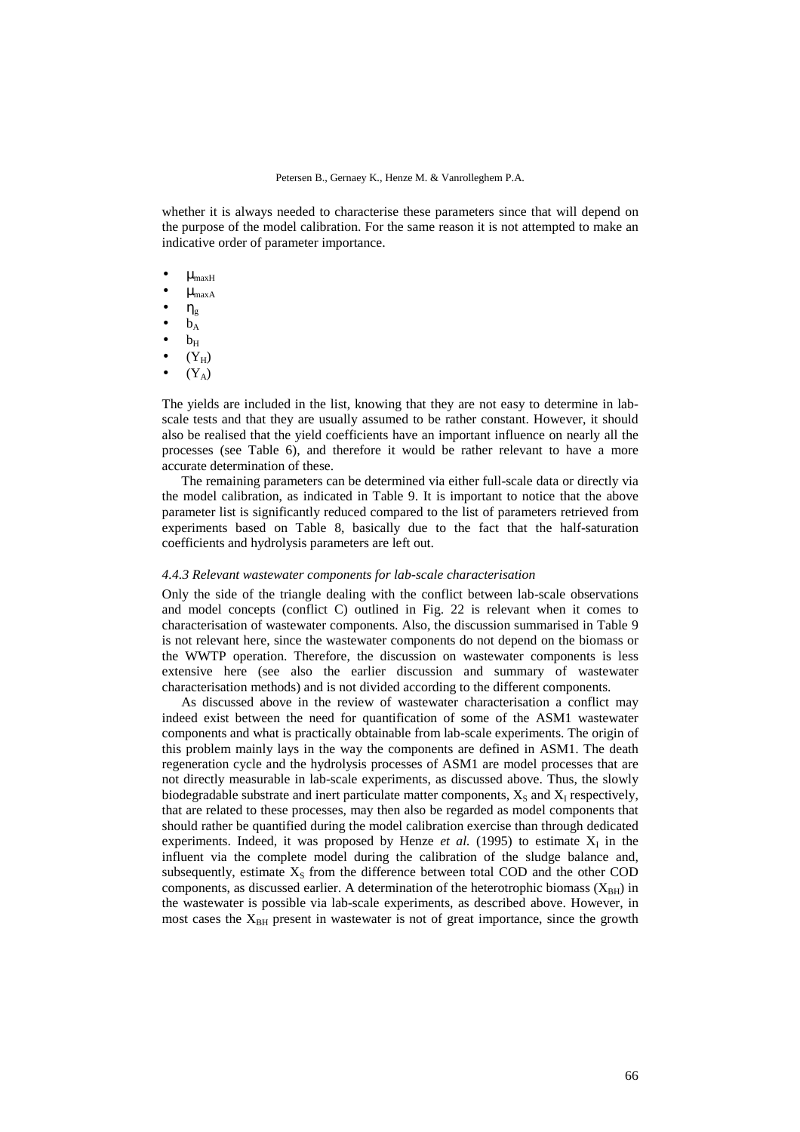whether it is always needed to characterise these parameters since that will depend on the purpose of the model calibration. For the same reason it is not attempted to make an indicative order of parameter importance.

- $\mu_{\text{maxH}}$
- $\mu_{maxA}$
- $\eta_{\rm g}$
- $b_A$
- $b_{\rm H}$
- $(Y_H)$
- $(Y_A)$

The yields are included in the list, knowing that they are not easy to determine in labscale tests and that they are usually assumed to be rather constant. However, it should also be realised that the yield coefficients have an important influence on nearly all the processes (see Table 6), and therefore it would be rather relevant to have a more accurate determination of these.

The remaining parameters can be determined via either full-scale data or directly via the model calibration, as indicated in Table 9. It is important to notice that the above parameter list is significantly reduced compared to the list of parameters retrieved from experiments based on Table 8, basically due to the fact that the half-saturation coefficients and hydrolysis parameters are left out.

## *4.4.3 Relevant wastewater components for lab-scale characterisation*

Only the side of the triangle dealing with the conflict between lab-scale observations and model concepts (conflict C) outlined in Fig. 22 is relevant when it comes to characterisation of wastewater components. Also, the discussion summarised in Table 9 is not relevant here, since the wastewater components do not depend on the biomass or the WWTP operation. Therefore, the discussion on wastewater components is less extensive here (see also the earlier discussion and summary of wastewater characterisation methods) and is not divided according to the different components.

As discussed above in the review of wastewater characterisation a conflict may indeed exist between the need for quantification of some of the ASM1 wastewater components and what is practically obtainable from lab-scale experiments. The origin of this problem mainly lays in the way the components are defined in ASM1. The death regeneration cycle and the hydrolysis processes of ASM1 are model processes that are not directly measurable in lab-scale experiments, as discussed above. Thus, the slowly biodegradable substrate and inert particulate matter components,  $X_s$  and  $X_I$  respectively, that are related to these processes, may then also be regarded as model components that should rather be quantified during the model calibration exercise than through dedicated experiments. Indeed, it was proposed by Henze *et al.* (1995) to estimate  $X<sub>I</sub>$  in the influent via the complete model during the calibration of the sludge balance and, subsequently, estimate  $X<sub>S</sub>$  from the difference between total COD and the other COD components, as discussed earlier. A determination of the heterotrophic biomass  $(X_{BH})$  in the wastewater is possible via lab-scale experiments, as described above. However, in most cases the  $X<sub>BH</sub>$  present in wastewater is not of great importance, since the growth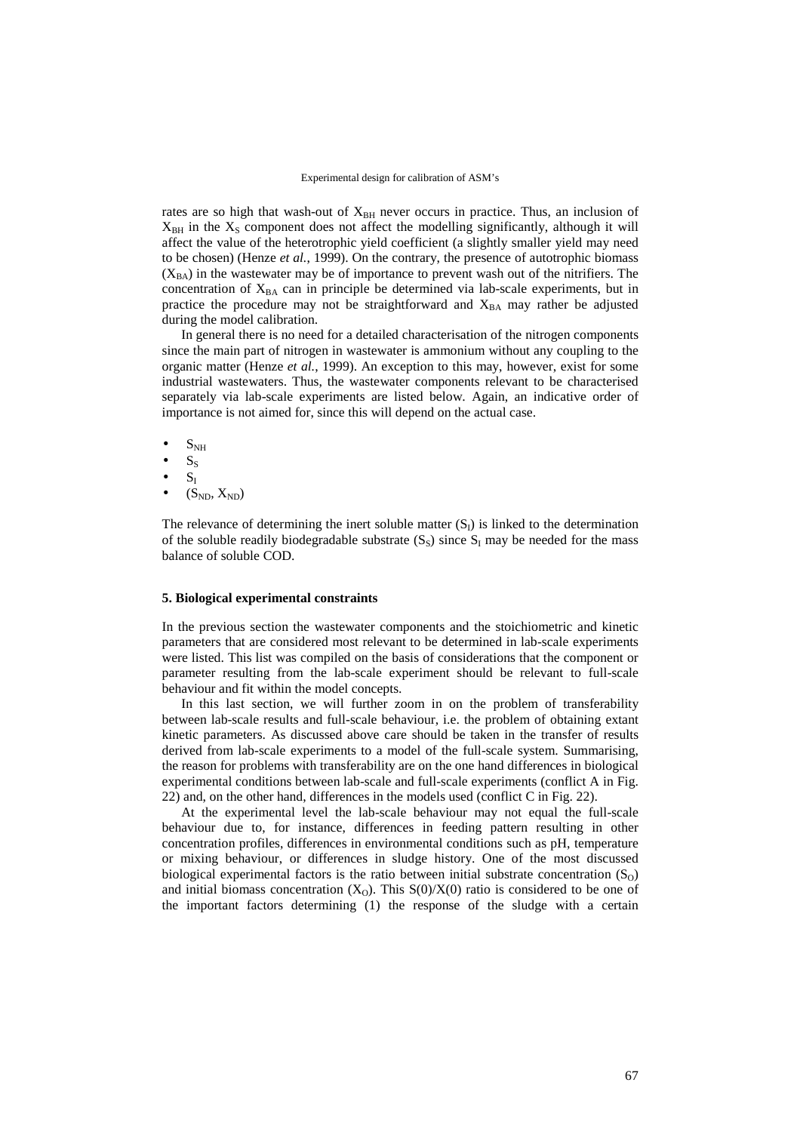rates are so high that wash-out of  $X_{BH}$  never occurs in practice. Thus, an inclusion of  $X_{BH}$  in the  $X_S$  component does not affect the modelling significantly, although it will affect the value of the heterotrophic yield coefficient (a slightly smaller yield may need to be chosen) (Henze *et al.*, 1999). On the contrary, the presence of autotrophic biomass  $(X_{BA})$  in the wastewater may be of importance to prevent wash out of the nitrifiers. The concentration of  $X_{BA}$  can in principle be determined via lab-scale experiments, but in practice the procedure may not be straightforward and  $X_{BA}$  may rather be adjusted during the model calibration.

In general there is no need for a detailed characterisation of the nitrogen components since the main part of nitrogen in wastewater is ammonium without any coupling to the organic matter (Henze *et al.*, 1999). An exception to this may, however, exist for some industrial wastewaters. Thus, the wastewater components relevant to be characterised separately via lab-scale experiments are listed below. Again, an indicative order of importance is not aimed for, since this will depend on the actual case.

- $S<sub>NH</sub>$
- $S_S$
- $S_I$
- $(S<sub>ND</sub>, X<sub>ND</sub>)$

The relevance of determining the inert soluble matter  $(S<sub>1</sub>)$  is linked to the determination of the soluble readily biodegradable substrate  $(S<sub>S</sub>)$  since  $S<sub>I</sub>$  may be needed for the mass balance of soluble COD.

### **5. Biological experimental constraints**

In the previous section the wastewater components and the stoichiometric and kinetic parameters that are considered most relevant to be determined in lab-scale experiments were listed. This list was compiled on the basis of considerations that the component or parameter resulting from the lab-scale experiment should be relevant to full-scale behaviour and fit within the model concepts.

In this last section, we will further zoom in on the problem of transferability between lab-scale results and full-scale behaviour, i.e. the problem of obtaining extant kinetic parameters. As discussed above care should be taken in the transfer of results derived from lab-scale experiments to a model of the full-scale system. Summarising, the reason for problems with transferability are on the one hand differences in biological experimental conditions between lab-scale and full-scale experiments (conflict A in Fig. 22) and, on the other hand, differences in the models used (conflict C in Fig. 22).

At the experimental level the lab-scale behaviour may not equal the full-scale behaviour due to, for instance, differences in feeding pattern resulting in other concentration profiles, differences in environmental conditions such as pH, temperature or mixing behaviour, or differences in sludge history. One of the most discussed biological experimental factors is the ratio between initial substrate concentration  $(S<sub>O</sub>)$ and initial biomass concentration  $(X_0)$ . This  $S(0)/X(0)$  ratio is considered to be one of the important factors determining (1) the response of the sludge with a certain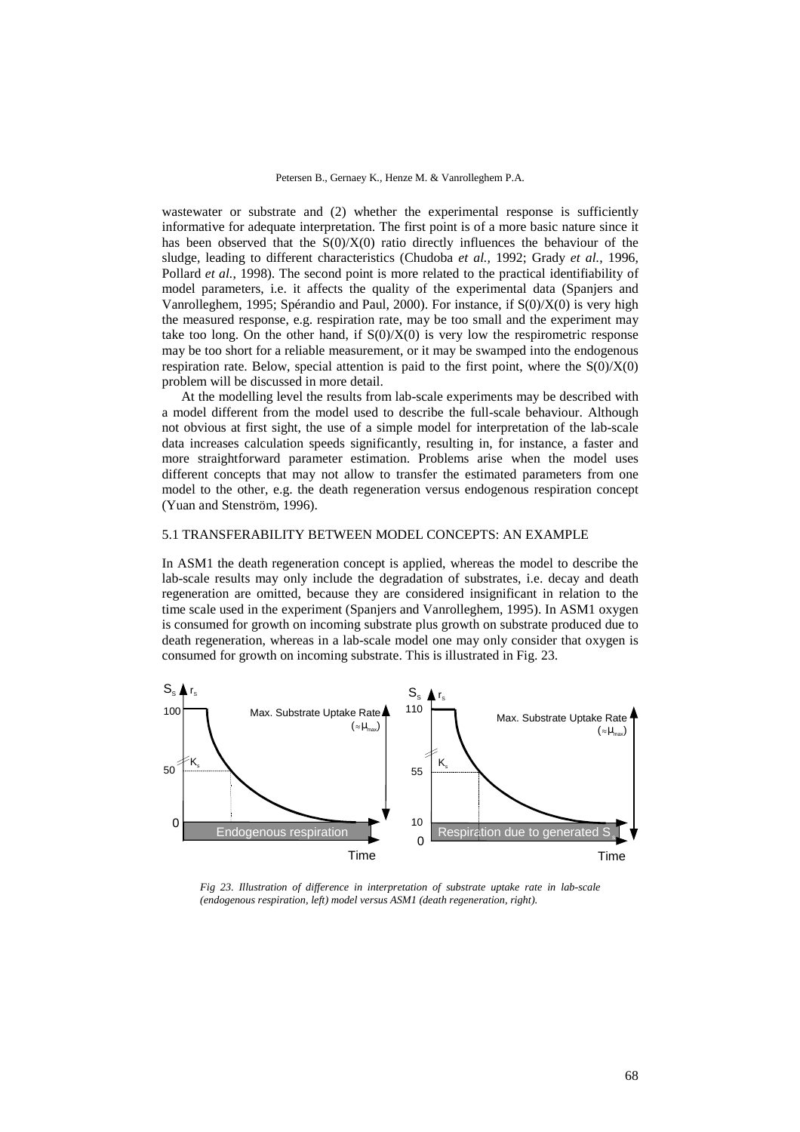wastewater or substrate and (2) whether the experimental response is sufficiently informative for adequate interpretation. The first point is of a more basic nature since it has been observed that the  $S(0)/X(0)$  ratio directly influences the behaviour of the sludge, leading to different characteristics (Chudoba *et al.,* 1992; Grady *et al.*, 1996, Pollard *et al.*, 1998). The second point is more related to the practical identifiability of model parameters, i.e. it affects the quality of the experimental data (Spanjers and Vanrolleghem, 1995; Spérandio and Paul, 2000). For instance, if S(0)/X(0) is very high the measured response, e.g. respiration rate, may be too small and the experiment may take too long. On the other hand, if  $S(0)/X(0)$  is very low the respirometric response may be too short for a reliable measurement, or it may be swamped into the endogenous respiration rate. Below, special attention is paid to the first point, where the  $S(0)/X(0)$ problem will be discussed in more detail.

At the modelling level the results from lab-scale experiments may be described with a model different from the model used to describe the full-scale behaviour. Although not obvious at first sight, the use of a simple model for interpretation of the lab-scale data increases calculation speeds significantly, resulting in, for instance, a faster and more straightforward parameter estimation. Problems arise when the model uses different concepts that may not allow to transfer the estimated parameters from one model to the other, e.g. the death regeneration versus endogenous respiration concept (Yuan and Stenström, 1996).

#### 5.1 TRANSFERABILITY BETWEEN MODEL CONCEPTS: AN EXAMPLE

In ASM1 the death regeneration concept is applied, whereas the model to describe the lab-scale results may only include the degradation of substrates, i.e. decay and death regeneration are omitted, because they are considered insignificant in relation to the time scale used in the experiment (Spanjers and Vanrolleghem, 1995). In ASM1 oxygen is consumed for growth on incoming substrate plus growth on substrate produced due to death regeneration, whereas in a lab-scale model one may only consider that oxygen is consumed for growth on incoming substrate. This is illustrated in Fig. 23.



*Fig 23. Illustration of difference in interpretation of substrate uptake rate in lab-scale (endogenous respiration, left) model versus ASM1 (death regeneration, right).*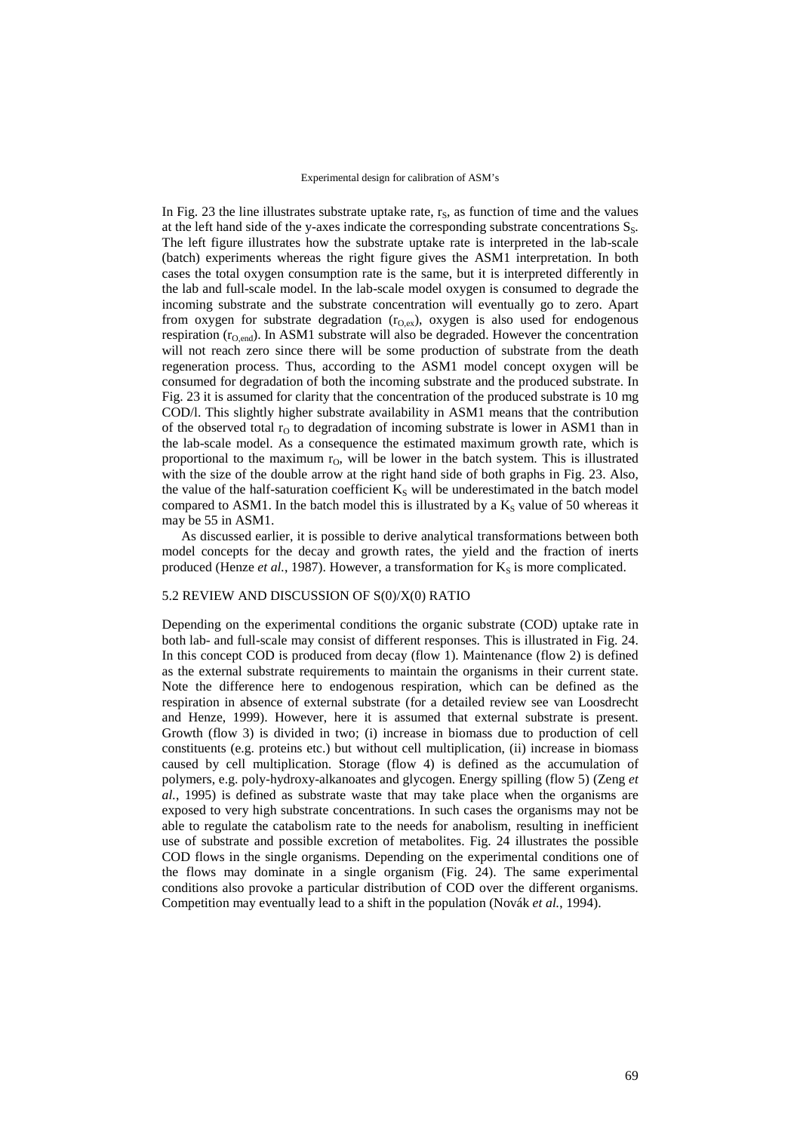In Fig. 23 the line illustrates substrate uptake rate,  $r_s$ , as function of time and the values at the left hand side of the y-axes indicate the corresponding substrate concentrations  $S_S$ . The left figure illustrates how the substrate uptake rate is interpreted in the lab-scale (batch) experiments whereas the right figure gives the ASM1 interpretation. In both cases the total oxygen consumption rate is the same, but it is interpreted differently in the lab and full-scale model. In the lab-scale model oxygen is consumed to degrade the incoming substrate and the substrate concentration will eventually go to zero. Apart from oxygen for substrate degradation  $(r_{O,ex})$ , oxygen is also used for endogenous respiration  $(r_{O,end})$ . In ASM1 substrate will also be degraded. However the concentration will not reach zero since there will be some production of substrate from the death regeneration process. Thus, according to the ASM1 model concept oxygen will be consumed for degradation of both the incoming substrate and the produced substrate. In Fig. 23 it is assumed for clarity that the concentration of the produced substrate is 10 mg COD/l. This slightly higher substrate availability in ASM1 means that the contribution of the observed total  $r<sub>0</sub>$  to degradation of incoming substrate is lower in ASM1 than in the lab-scale model. As a consequence the estimated maximum growth rate, which is proportional to the maximum  $r<sub>O</sub>$ , will be lower in the batch system. This is illustrated with the size of the double arrow at the right hand side of both graphs in Fig. 23. Also, the value of the half-saturation coefficient  $K<sub>S</sub>$  will be underestimated in the batch model compared to ASM1. In the batch model this is illustrated by a  $K_S$  value of 50 whereas it may be 55 in ASM1.

As discussed earlier, it is possible to derive analytical transformations between both model concepts for the decay and growth rates, the yield and the fraction of inerts produced (Henze *et al.*, 1987). However, a transformation for  $K_S$  is more complicated.

# 5.2 REVIEW AND DISCUSSION OF S(0)/X(0) RATIO

Depending on the experimental conditions the organic substrate (COD) uptake rate in both lab- and full-scale may consist of different responses. This is illustrated in Fig. 24. In this concept COD is produced from decay (flow 1). Maintenance (flow 2) is defined as the external substrate requirements to maintain the organisms in their current state. Note the difference here to endogenous respiration, which can be defined as the respiration in absence of external substrate (for a detailed review see van Loosdrecht and Henze, 1999). However, here it is assumed that external substrate is present. Growth (flow 3) is divided in two; (i) increase in biomass due to production of cell constituents (e.g. proteins etc.) but without cell multiplication, (ii) increase in biomass caused by cell multiplication. Storage (flow 4) is defined as the accumulation of polymers, e.g. poly-hydroxy-alkanoates and glycogen. Energy spilling (flow 5) (Zeng *et al.*, 1995) is defined as substrate waste that may take place when the organisms are exposed to very high substrate concentrations. In such cases the organisms may not be able to regulate the catabolism rate to the needs for anabolism, resulting in inefficient use of substrate and possible excretion of metabolites. Fig. 24 illustrates the possible COD flows in the single organisms. Depending on the experimental conditions one of the flows may dominate in a single organism (Fig. 24). The same experimental conditions also provoke a particular distribution of COD over the different organisms. Competition may eventually lead to a shift in the population (Novák *et al.*, 1994).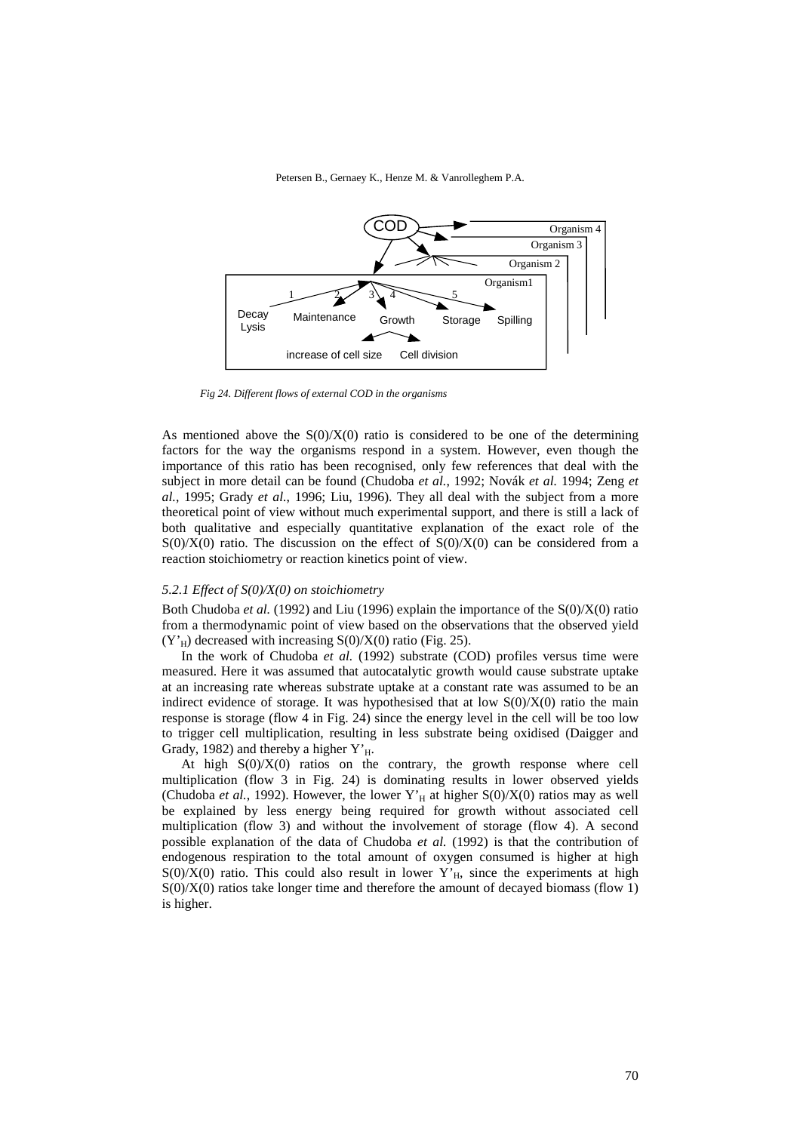Petersen B., Gernaey K., Henze M. & Vanrolleghem P.A.



*Fig 24. Different flows of external COD in the organisms*

As mentioned above the  $S(0)/X(0)$  ratio is considered to be one of the determining factors for the way the organisms respond in a system. However, even though the importance of this ratio has been recognised, only few references that deal with the subject in more detail can be found (Chudoba *et al.*, 1992; Novák *et al.* 1994; Zeng *et al.*, 1995; Grady *et al.*, 1996; Liu, 1996). They all deal with the subject from a more theoretical point of view without much experimental support, and there is still a lack of both qualitative and especially quantitative explanation of the exact role of the  $S(0)/X(0)$  ratio. The discussion on the effect of  $S(0)/X(0)$  can be considered from a reaction stoichiometry or reaction kinetics point of view.

# *5.2.1 Effect of S(0)/X(0) on stoichiometry*

Both Chudoba *et al.* (1992) and Liu (1996) explain the importance of the S(0)/X(0) ratio from a thermodynamic point of view based on the observations that the observed yield  $(Y<sub>H</sub>)$  decreased with increasing  $S(0)/X(0)$  ratio (Fig. 25).

In the work of Chudoba *et al.* (1992) substrate (COD) profiles versus time were measured. Here it was assumed that autocatalytic growth would cause substrate uptake at an increasing rate whereas substrate uptake at a constant rate was assumed to be an indirect evidence of storage. It was hypothesised that at low  $S(0)/X(0)$  ratio the main response is storage (flow 4 in Fig. 24) since the energy level in the cell will be too low to trigger cell multiplication, resulting in less substrate being oxidised (Daigger and Grady, 1982) and thereby a higher  $Y_H$ .

At high  $S(0)/X(0)$  ratios on the contrary, the growth response where cell multiplication (flow 3 in Fig. 24) is dominating results in lower observed yields (Chudoba *et al.*, 1992). However, the lower Y'<sub>H</sub> at higher  $S(0)/X(0)$  ratios may as well be explained by less energy being required for growth without associated cell multiplication (flow 3) and without the involvement of storage (flow 4). A second possible explanation of the data of Chudoba *et al.* (1992) is that the contribution of endogenous respiration to the total amount of oxygen consumed is higher at high  $S(0)/X(0)$  ratio. This could also result in lower Y'<sub>H</sub>, since the experiments at high  $S(0)/X(0)$  ratios take longer time and therefore the amount of decayed biomass (flow 1) is higher.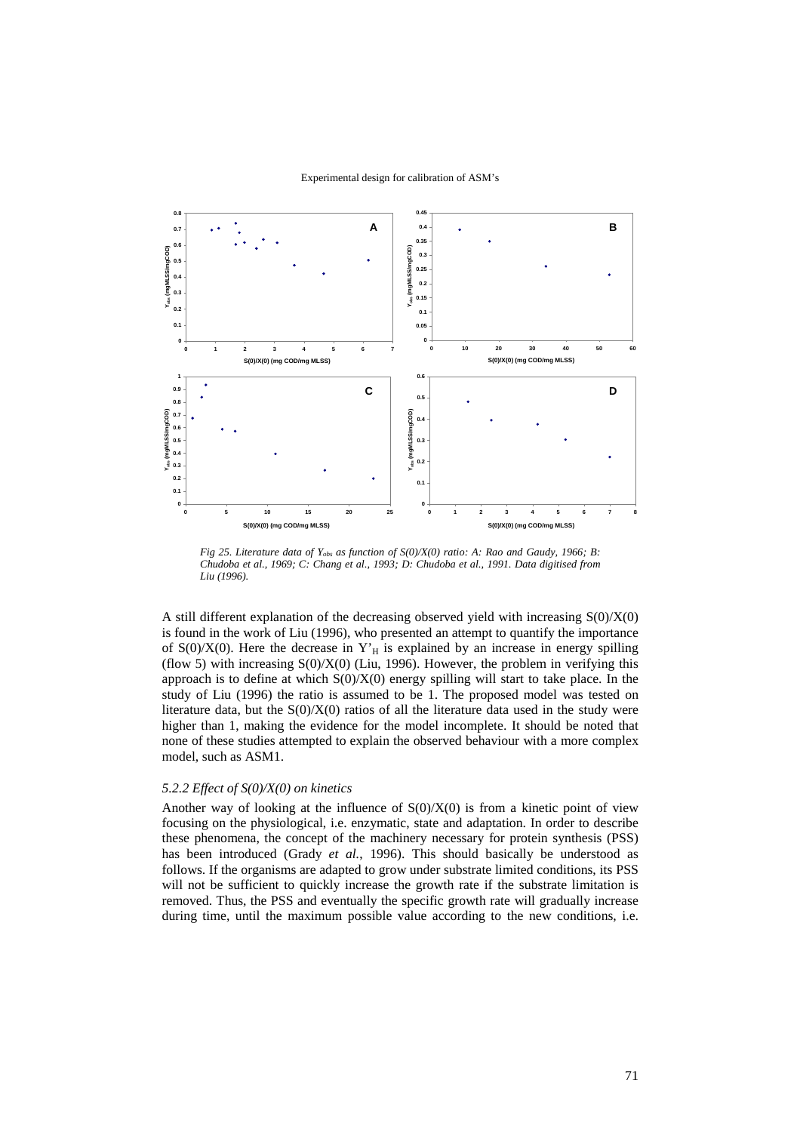

*Fig 25. Literature data of Y<sub>obs</sub> as function of S(0)/X(0) ratio: A: Rao and Gaudy, 1966; B: Chudoba et al., 1969; C: Chang et al., 1993; D: Chudoba et al., 1991. Data digitised from Liu (1996).*

A still different explanation of the decreasing observed yield with increasing  $S(0)/X(0)$ is found in the work of Liu (1996), who presented an attempt to quantify the importance of  $S(0)/X(0)$ . Here the decrease in Y'<sub>H</sub> is explained by an increase in energy spilling (flow 5) with increasing  $S(0)/X(0)$  (Liu, 1996). However, the problem in verifying this approach is to define at which  $S(0)/X(0)$  energy spilling will start to take place. In the study of Liu (1996) the ratio is assumed to be 1. The proposed model was tested on literature data, but the  $S(0)/X(0)$  ratios of all the literature data used in the study were higher than 1, making the evidence for the model incomplete. It should be noted that none of these studies attempted to explain the observed behaviour with a more complex model, such as ASM1.

## *5.2.2 Effect of S(0)/X(0) on kinetics*

Another way of looking at the influence of  $S(0)/X(0)$  is from a kinetic point of view focusing on the physiological, i.e. enzymatic, state and adaptation. In order to describe these phenomena, the concept of the machinery necessary for protein synthesis (PSS) has been introduced (Grady *et al.*, 1996). This should basically be understood as follows. If the organisms are adapted to grow under substrate limited conditions, its PSS will not be sufficient to quickly increase the growth rate if the substrate limitation is removed. Thus, the PSS and eventually the specific growth rate will gradually increase during time, until the maximum possible value according to the new conditions, i.e.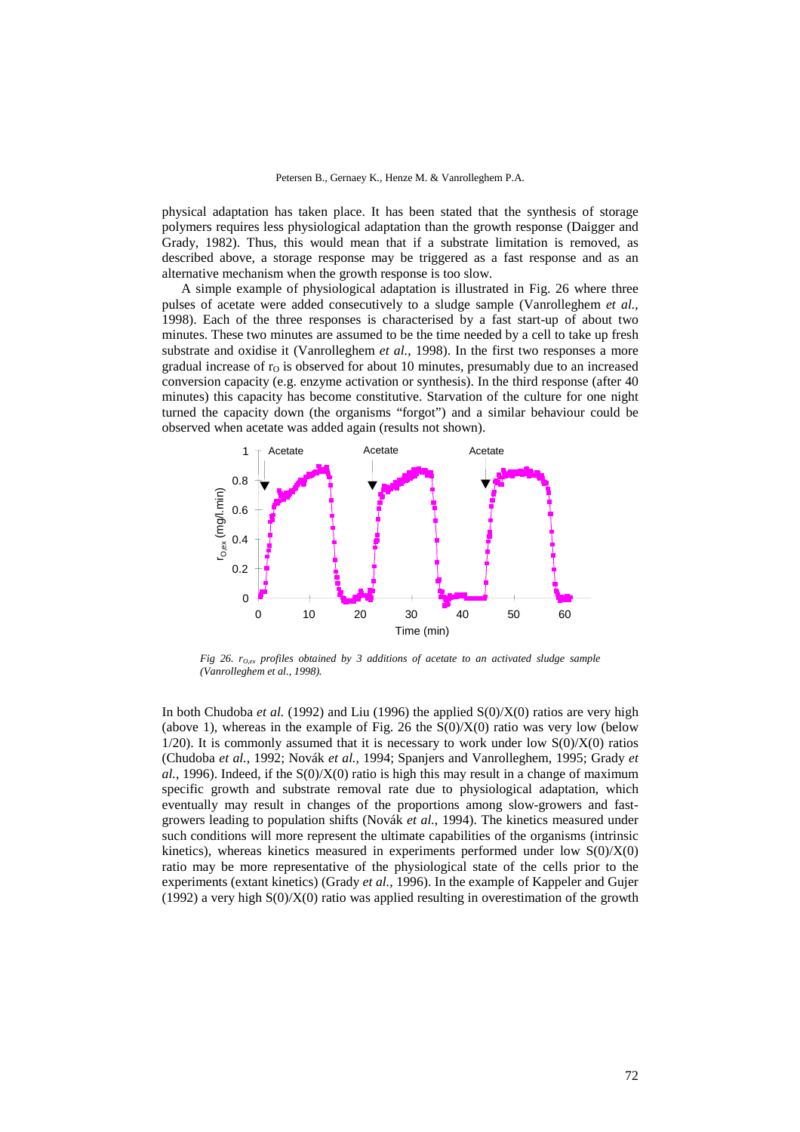physical adaptation has taken place. It has been stated that the synthesis of storage polymers requires less physiological adaptation than the growth response (Daigger and Grady, 1982). Thus, this would mean that if a substrate limitation is removed, as described above, a storage response may be triggered as a fast response and as an alternative mechanism when the growth response is too slow.

A simple example of physiological adaptation is illustrated in Fig. 26 where three pulses of acetate were added consecutively to a sludge sample (Vanrolleghem *et al.*, 1998). Each of the three responses is characterised by a fast start-up of about two minutes. These two minutes are assumed to be the time needed by a cell to take up fresh substrate and oxidise it (Vanrolleghem *et al.*, 1998). In the first two responses a more gradual increase of  $r<sub>O</sub>$  is observed for about 10 minutes, presumably due to an increased conversion capacity (e.g. enzyme activation or synthesis). In the third response (after 40 minutes) this capacity has become constitutive. Starvation of the culture for one night turned the capacity down (the organisms "forgot") and a similar behaviour could be observed when acetate was added again (results not shown).



*Fig 26. r<sub>O.ex</sub> profiles obtained by 3 additions of acetate to an activated sludge sample (Vanrolleghem et al., 1998).*

In both Chudoba *et al.* (1992) and Liu (1996) the applied  $S(0)/X(0)$  ratios are very high (above 1), whereas in the example of Fig. 26 the  $S(0)/X(0)$  ratio was very low (below  $1/20$ ). It is commonly assumed that it is necessary to work under low  $S(0)/X(0)$  ratios (Chudoba *et al.*, 1992; Novák *et al.,* 1994; Spanjers and Vanrolleghem, 1995; Grady *et*  $al.$ , 1996). Indeed, if the  $S(0)/X(0)$  ratio is high this may result in a change of maximum specific growth and substrate removal rate due to physiological adaptation, which eventually may result in changes of the proportions among slow-growers and fastgrowers leading to population shifts (Novák *et al.*, 1994). The kinetics measured under such conditions will more represent the ultimate capabilities of the organisms (intrinsic kinetics), whereas kinetics measured in experiments performed under low  $S(0)/X(0)$ ratio may be more representative of the physiological state of the cells prior to the experiments (extant kinetics) (Grady *et al.*, 1996). In the example of Kappeler and Gujer (1992) a very high  $S(0)/X(0)$  ratio was applied resulting in overestimation of the growth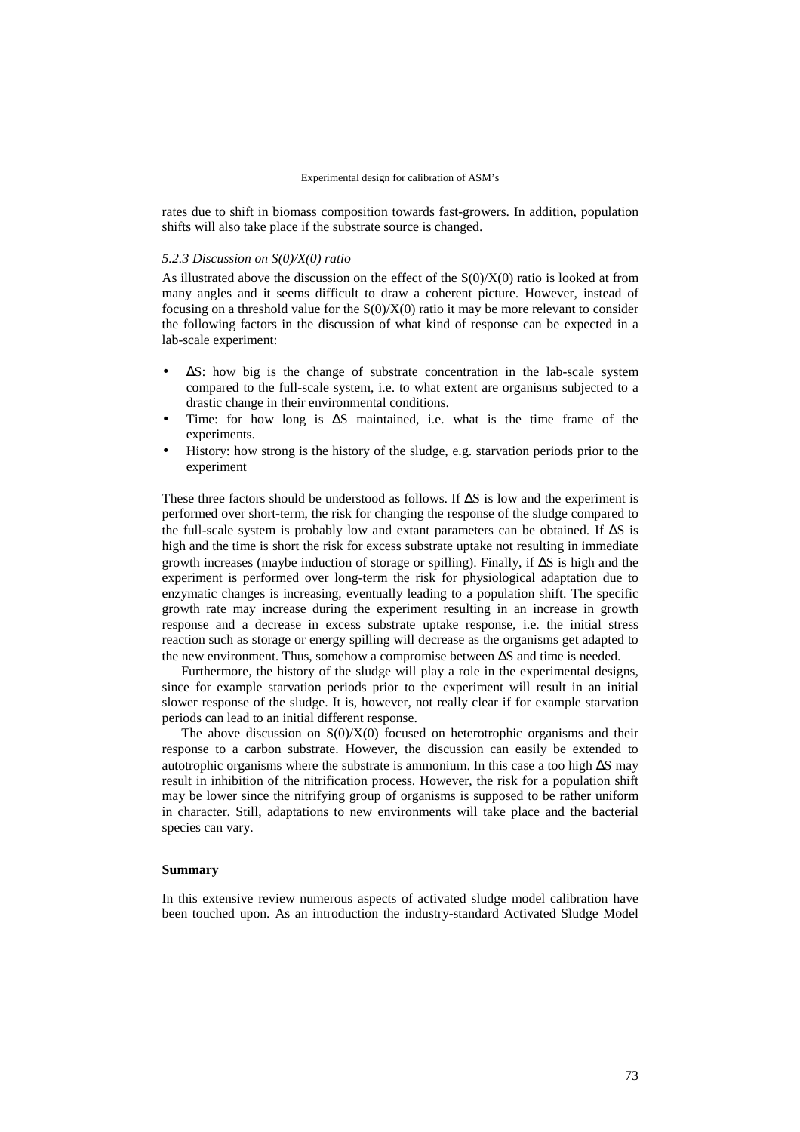#### Experimental design for calibration of ASM's

rates due to shift in biomass composition towards fast-growers. In addition, population shifts will also take place if the substrate source is changed.

# *5.2.3 Discussion on S(0)/X(0) ratio*

As illustrated above the discussion on the effect of the  $S(0)/X(0)$  ratio is looked at from many angles and it seems difficult to draw a coherent picture. However, instead of focusing on a threshold value for the  $S(0)/X(0)$  ratio it may be more relevant to consider the following factors in the discussion of what kind of response can be expected in a lab-scale experiment:

- ∆S: how big is the change of substrate concentration in the lab-scale system compared to the full-scale system, i.e. to what extent are organisms subjected to a drastic change in their environmental conditions.
- Time: for how long is ∆S maintained, i.e. what is the time frame of the experiments.
- History: how strong is the history of the sludge, e.g. starvation periods prior to the experiment

These three factors should be understood as follows. If  $\Delta S$  is low and the experiment is performed over short-term, the risk for changing the response of the sludge compared to the full-scale system is probably low and extant parameters can be obtained. If ∆S is high and the time is short the risk for excess substrate uptake not resulting in immediate growth increases (maybe induction of storage or spilling). Finally, if ∆S is high and the experiment is performed over long-term the risk for physiological adaptation due to enzymatic changes is increasing, eventually leading to a population shift. The specific growth rate may increase during the experiment resulting in an increase in growth response and a decrease in excess substrate uptake response, i.e. the initial stress reaction such as storage or energy spilling will decrease as the organisms get adapted to the new environment. Thus, somehow a compromise between ∆S and time is needed.

Furthermore, the history of the sludge will play a role in the experimental designs, since for example starvation periods prior to the experiment will result in an initial slower response of the sludge. It is, however, not really clear if for example starvation periods can lead to an initial different response.

The above discussion on  $S(0)/X(0)$  focused on heterotrophic organisms and their response to a carbon substrate. However, the discussion can easily be extended to autotrophic organisms where the substrate is ammonium. In this case a too high ∆S may result in inhibition of the nitrification process. However, the risk for a population shift may be lower since the nitrifying group of organisms is supposed to be rather uniform in character. Still, adaptations to new environments will take place and the bacterial species can vary.

## **Summary**

In this extensive review numerous aspects of activated sludge model calibration have been touched upon. As an introduction the industry-standard Activated Sludge Model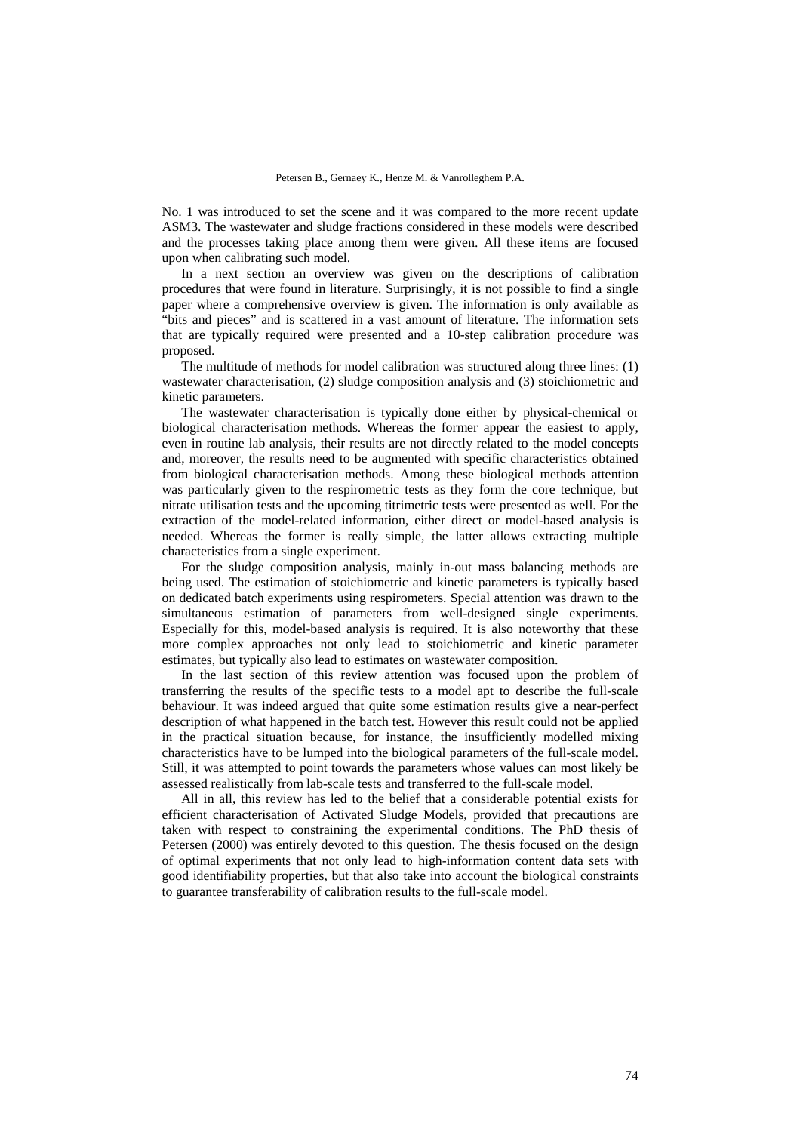No. 1 was introduced to set the scene and it was compared to the more recent update ASM3. The wastewater and sludge fractions considered in these models were described and the processes taking place among them were given. All these items are focused upon when calibrating such model.

In a next section an overview was given on the descriptions of calibration procedures that were found in literature. Surprisingly, it is not possible to find a single paper where a comprehensive overview is given. The information is only available as "bits and pieces" and is scattered in a vast amount of literature. The information sets that are typically required were presented and a 10-step calibration procedure was proposed.

The multitude of methods for model calibration was structured along three lines: (1) wastewater characterisation, (2) sludge composition analysis and (3) stoichiometric and kinetic parameters.

The wastewater characterisation is typically done either by physical-chemical or biological characterisation methods. Whereas the former appear the easiest to apply, even in routine lab analysis, their results are not directly related to the model concepts and, moreover, the results need to be augmented with specific characteristics obtained from biological characterisation methods. Among these biological methods attention was particularly given to the respirometric tests as they form the core technique, but nitrate utilisation tests and the upcoming titrimetric tests were presented as well. For the extraction of the model-related information, either direct or model-based analysis is needed. Whereas the former is really simple, the latter allows extracting multiple characteristics from a single experiment.

For the sludge composition analysis, mainly in-out mass balancing methods are being used. The estimation of stoichiometric and kinetic parameters is typically based on dedicated batch experiments using respirometers. Special attention was drawn to the simultaneous estimation of parameters from well-designed single experiments. Especially for this, model-based analysis is required. It is also noteworthy that these more complex approaches not only lead to stoichiometric and kinetic parameter estimates, but typically also lead to estimates on wastewater composition.

In the last section of this review attention was focused upon the problem of transferring the results of the specific tests to a model apt to describe the full-scale behaviour. It was indeed argued that quite some estimation results give a near-perfect description of what happened in the batch test. However this result could not be applied in the practical situation because, for instance, the insufficiently modelled mixing characteristics have to be lumped into the biological parameters of the full-scale model. Still, it was attempted to point towards the parameters whose values can most likely be assessed realistically from lab-scale tests and transferred to the full-scale model.

All in all, this review has led to the belief that a considerable potential exists for efficient characterisation of Activated Sludge Models, provided that precautions are taken with respect to constraining the experimental conditions. The PhD thesis of Petersen (2000) was entirely devoted to this question. The thesis focused on the design of optimal experiments that not only lead to high-information content data sets with good identifiability properties, but that also take into account the biological constraints to guarantee transferability of calibration results to the full-scale model.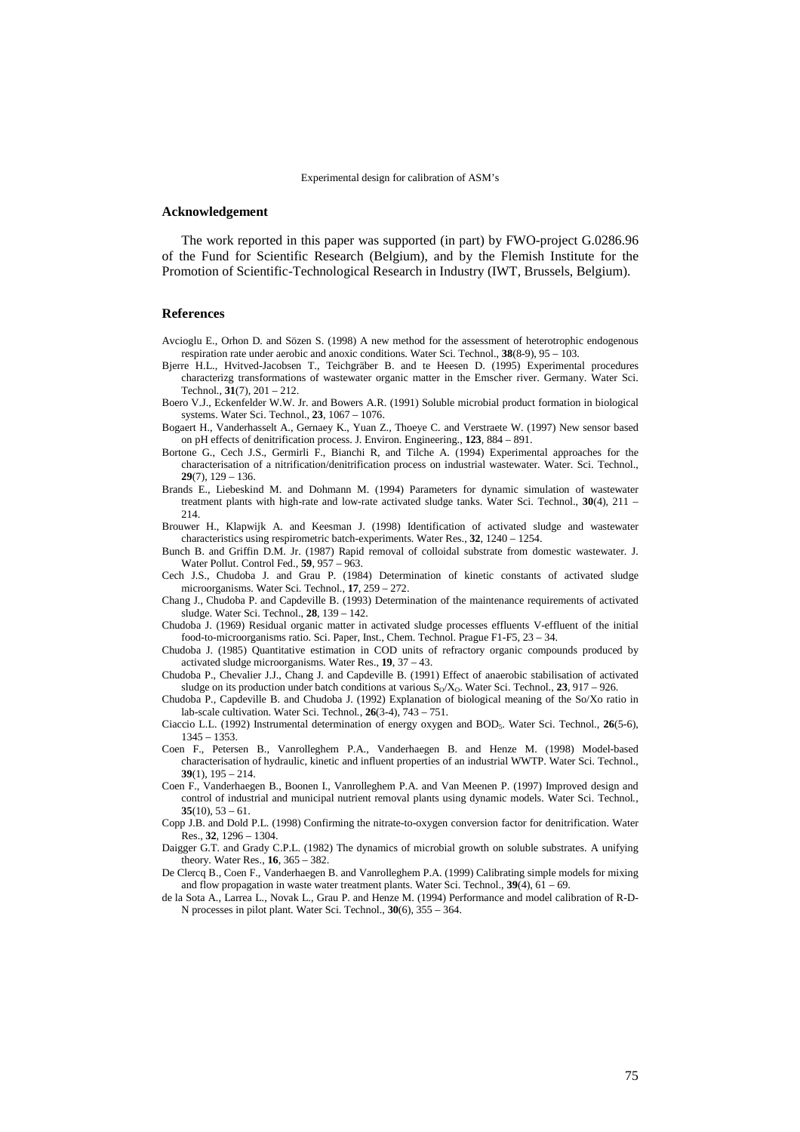## **Acknowledgement**

The work reported in this paper was supported (in part) by FWO-project G.0286.96 of the Fund for Scientific Research (Belgium), and by the Flemish Institute for the Promotion of Scientific-Technological Research in Industry (IWT, Brussels, Belgium).

#### **References**

- Avcioglu E., Orhon D. and Sözen S. (1998) A new method for the assessment of heterotrophic endogenous respiration rate under aerobic and anoxic conditions. Water Sci. Technol., **38**(8-9), 95 – 103.
- Bjerre H.L., Hvitved-Jacobsen T., Teichgräber B. and te Heesen D. (1995) Experimental procedures characterizg transformations of wastewater organic matter in the Emscher river. Germany. Water Sci. Technol., **31**(7), 201 – 212.
- Boero V.J., Eckenfelder W.W. Jr. and Bowers A.R. (1991) Soluble microbial product formation in biological systems. Water Sci. Technol., **23**, 1067 – 1076.
- Bogaert H., Vanderhasselt A., Gernaey K., Yuan Z., Thoeye C. and Verstraete W. (1997) New sensor based on pH effects of denitrification process. J. Environ. Engineering., **123**, 884 – 891.
- Bortone G., Cech J.S., Germirli F., Bianchi R, and Tilche A. (1994) Experimental approaches for the characterisation of a nitrification/denitrification process on industrial wastewater. Water. Sci. Technol., **29**(7), 129 – 136.
- Brands E., Liebeskind M. and Dohmann M. (1994) Parameters for dynamic simulation of wastewater treatment plants with high-rate and low-rate activated sludge tanks. Water Sci. Technol., **30**(4), 211 – 214.
- Brouwer H., Klapwijk A. and Keesman J. (1998) Identification of activated sludge and wastewater characteristics using respirometric batch-experiments. Water Res., **32**, 1240 – 1254.
- Bunch B. and Griffin D.M. Jr. (1987) Rapid removal of colloidal substrate from domestic wastewater. J. Water Pollut. Control Fed., **59**, 957 – 963.
- Cech J.S., Chudoba J. and Grau P. (1984) Determination of kinetic constants of activated sludge microorganisms. Water Sci. Technol., **17**, 259 – 272.
- Chang J., Chudoba P. and Capdeville B. (1993) Determination of the maintenance requirements of activated sludge. Water Sci. Technol., **28**, 139 – 142.
- Chudoba J. (1969) Residual organic matter in activated sludge processes effluents V-effluent of the initial food-to-microorganisms ratio. Sci. Paper, Inst., Chem. Technol. Prague F1-F5, 23 – 34.
- Chudoba J. (1985) Quantitative estimation in COD units of refractory organic compounds produced by activated sludge microorganisms. Water Res., **19**, 37 – 43.
- Chudoba P., Chevalier J.J., Chang J. and Capdeville B. (1991) Effect of anaerobic stabilisation of activated sludge on its production under batch conditions at various  $S_0/X_0$ . Water Sci. Technol., **23**, 917 – 926.
- Chudoba P., Capdeville B. and Chudoba J. (1992) Explanation of biological meaning of the So/Xo ratio in lab-scale cultivation. Water Sci. Technol*.*, **26**(3-4), 743 – 751.
- Ciaccio L.L. (1992) Instrumental determination of energy oxygen and BOD5. Water Sci. Technol., **26**(5-6),  $1345 - 1353.$
- Coen F., Petersen B., Vanrolleghem P.A., Vanderhaegen B. and Henze M. (1998) Model-based characterisation of hydraulic, kinetic and influent properties of an industrial WWTP. Water Sci. Technol., **39**(1), 195 – 214.
- Coen F., Vanderhaegen B., Boonen I., Vanrolleghem P.A. and Van Meenen P. (1997) Improved design and control of industrial and municipal nutrient removal plants using dynamic models. Water Sci. Technol*.*, **35**(10), 53 – 61.
- Copp J.B. and Dold P.L. (1998) Confirming the nitrate-to-oxygen conversion factor for denitrification. Water Res., **32**, 1296 – 1304.
- Daigger G.T. and Grady C.P.L. (1982) The dynamics of microbial growth on soluble substrates. A unifying theory. Water Res., **16**, 365 – 382.
- De Clercq B., Coen F., Vanderhaegen B. and Vanrolleghem P.A. (1999) Calibrating simple models for mixing and flow propagation in waste water treatment plants. Water Sci. Technol., **39**(4), 61 – 69.
- de la Sota A., Larrea L., Novak L., Grau P. and Henze M. (1994) Performance and model calibration of R-D-N processes in pilot plant. Water Sci. Technol., **30**(6), 355 – 364.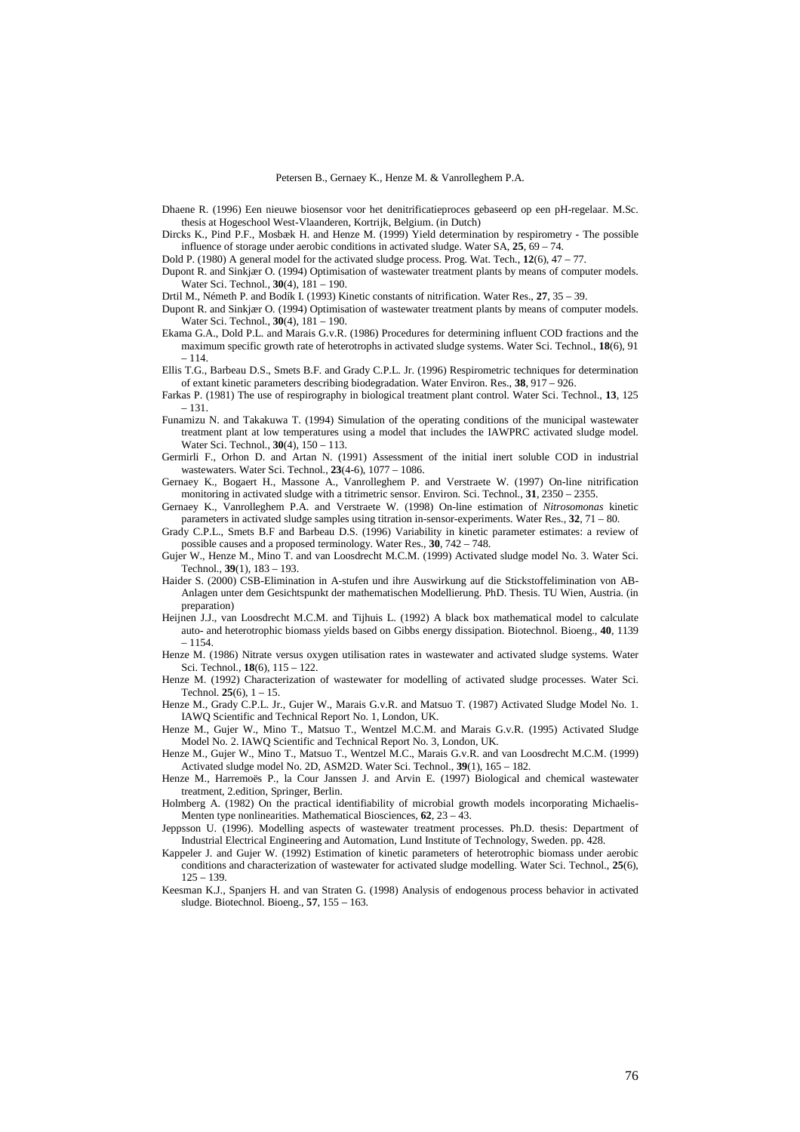Dhaene R. (1996) Een nieuwe biosensor voor het denitrificatieproces gebaseerd op een pH-regelaar. M.Sc. thesis at Hogeschool West-Vlaanderen, Kortrijk, Belgium. (in Dutch)

Dircks K., Pind P.F., Mosbæk H. and Henze M. (1999) Yield determination by respirometry - The possible influence of storage under aerobic conditions in activated sludge. Water SA, **25**, 69 – 74.

Dold P. (1980) A general model for the activated sludge process. Prog. Wat. Tech., **12**(6), 47 – 77.

Dupont R. and Sinkjær O. (1994) Optimisation of wastewater treatment plants by means of computer models. Water Sci. Technol., **30**(4), 181 – 190.

Drtil M., Németh P. and Bodík I. (1993) Kinetic constants of nitrification. Water Res., **27**, 35 – 39.

Dupont R. and Sinkjær O. (1994) Optimisation of wastewater treatment plants by means of computer models. Water Sci. Technol., **30**(4), 181 – 190.

Ekama G.A., Dold P.L. and Marais G.v.R. (1986) Procedures for determining influent COD fractions and the maximum specific growth rate of heterotrophs in activated sludge systems. Water Sci. Technol., **18**(6), 91 – 114.

Ellis T.G., Barbeau D.S., Smets B.F. and Grady C.P.L. Jr. (1996) Respirometric techniques for determination of extant kinetic parameters describing biodegradation. Water Environ. Res., **38**, 917 – 926.

Farkas P. (1981) The use of respirography in biological treatment plant control. Water Sci. Technol., **13**, 125 – 131.

Funamizu N. and Takakuwa T. (1994) Simulation of the operating conditions of the municipal wastewater treatment plant at low temperatures using a model that includes the IAWPRC activated sludge model. Water Sci. Technol., **30**(4), 150 – 113.

Germirli F., Orhon D. and Artan N. (1991) Assessment of the initial inert soluble COD in industrial wastewaters. Water Sci. Technol., **23**(4-6), 1077 – 1086.

Gernaey K., Bogaert H., Massone A., Vanrolleghem P. and Verstraete W. (1997) On-line nitrification monitoring in activated sludge with a titrimetric sensor. Environ. Sci. Technol., **31**, 2350 – 2355.

Gernaey K., Vanrolleghem P.A. and Verstraete W. (1998) On-line estimation of *Nitrosomonas* kinetic parameters in activated sludge samples using titration in-sensor-experiments. Water Res., **32**, 71 – 80.

Grady C.P.L., Smets B.F and Barbeau D.S. (1996) Variability in kinetic parameter estimates: a review of possible causes and a proposed terminology. Water Res., **30**, 742 – 748.

Gujer W., Henze M., Mino T. and van Loosdrecht M.C.M. (1999) Activated sludge model No. 3. Water Sci. Technol., **39**(1), 183 – 193.

Haider S. (2000) CSB-Elimination in A-stufen und ihre Auswirkung auf die Stickstoffelimination von AB-Anlagen unter dem Gesichtspunkt der mathematischen Modellierung. PhD. Thesis. TU Wien, Austria. (in preparation)

Heijnen J.J., van Loosdrecht M.C.M. and Tijhuis L. (1992) A black box mathematical model to calculate auto- and heterotrophic biomass yields based on Gibbs energy dissipation. Biotechnol. Bioeng., **40**, 1139 – 1154.

Henze M. (1986) Nitrate versus oxygen utilisation rates in wastewater and activated sludge systems. Water Sci. Technol., **18**(6), 115 – 122.

Henze M. (1992) Characterization of wastewater for modelling of activated sludge processes. Water Sci. Technol.  $25(6)$ ,  $1 - 15$ .

Henze M., Grady C.P.L. Jr., Gujer W., Marais G.v.R. and Matsuo T. (1987) Activated Sludge Model No. 1. IAWQ Scientific and Technical Report No. 1, London, UK.

Henze M., Gujer W., Mino T., Matsuo T., Wentzel M.C.M. and Marais G.v.R. (1995) Activated Sludge Model No. 2. IAWQ Scientific and Technical Report No. 3, London, UK.

Henze M., Gujer W., Mino T., Matsuo T., Wentzel M.C., Marais G.v.R. and van Loosdrecht M.C.M. (1999) Activated sludge model No. 2D, ASM2D. Water Sci. Technol., **39**(1), 165 – 182.

Henze M., Harremoës P., la Cour Janssen J. and Arvin E. (1997) Biological and chemical wastewater treatment, 2.edition, Springer, Berlin.

Holmberg A. (1982) On the practical identifiability of microbial growth models incorporating Michaelis-Menten type nonlinearities. Mathematical Biosciences, **62**, 23 – 43.

Jeppsson U. (1996). Modelling aspects of wastewater treatment processes. Ph.D. thesis: Department of Industrial Electrical Engineering and Automation, Lund Institute of Technology, Sweden. pp. 428.

Kappeler J. and Gujer W. (1992) Estimation of kinetic parameters of heterotrophic biomass under aerobic conditions and characterization of wastewater for activated sludge modelling. Water Sci. Technol., **25**(6), 125 – 139.

Keesman K.J., Spanjers H. and van Straten G. (1998) Analysis of endogenous process behavior in activated sludge. Biotechnol. Bioeng., **57**, 155 – 163.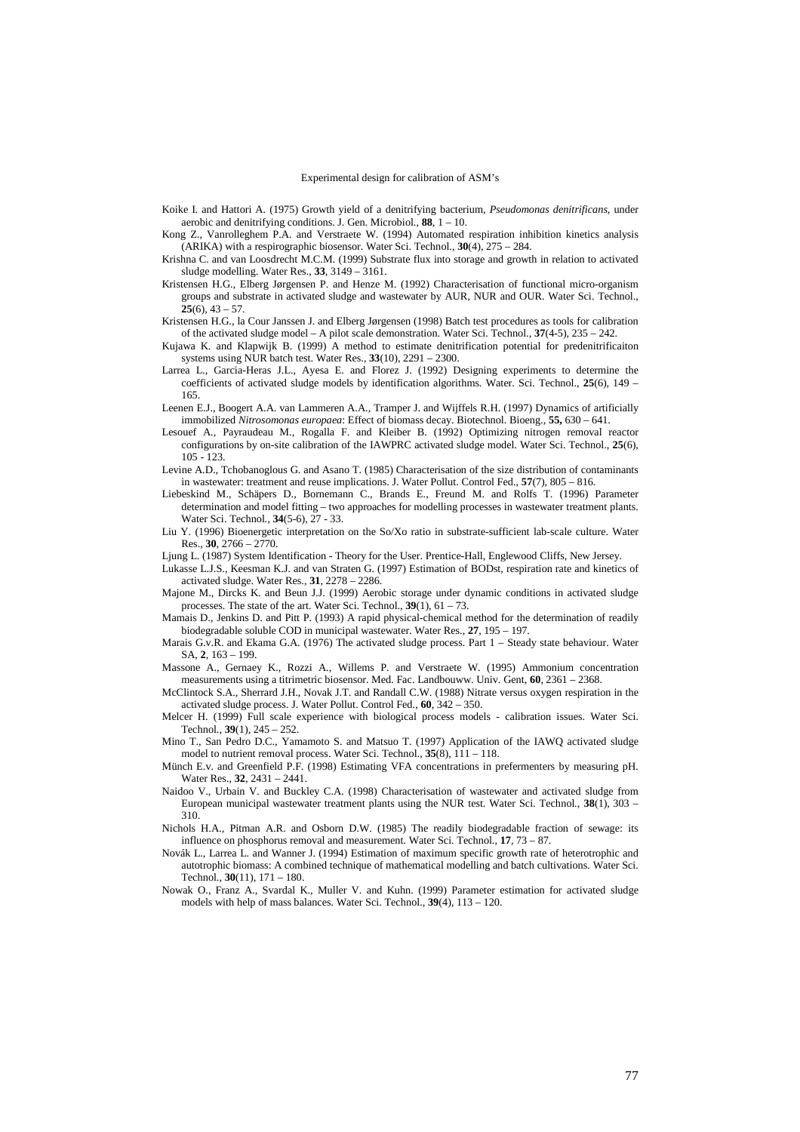- Koike I. and Hattori A. (1975) Growth yield of a denitrifying bacterium, *Pseudomonas denitrificans,* under aerobic and denitrifying conditions. J. Gen. Microbiol., **88**, 1 – 10.
- Kong Z., Vanrolleghem P.A. and Verstraete W. (1994) Automated respiration inhibition kinetics analysis (ARIKA) with a respirographic biosensor. Water Sci. Technol., **30**(4), 275 – 284.
- Krishna C. and van Loosdrecht M.C.M. (1999) Substrate flux into storage and growth in relation to activated sludge modelling. Water Res., **33**, 3149 – 3161.
- Kristensen H.G., Elberg Jørgensen P. and Henze M. (1992) Characterisation of functional micro-organism groups and substrate in activated sludge and wastewater by AUR, NUR and OUR. Water Sci. Technol., **25**(6), 43 – 57.
- Kristensen H.G., la Cour Janssen J. and Elberg Jørgensen (1998) Batch test procedures as tools for calibration of the activated sludge model – A pilot scale demonstration. Water Sci. Technol., **37**(4-5), 235 – 242.
- Kujawa K. and Klapwijk B. (1999) A method to estimate denitrification potential for predenitrificaiton systems using NUR batch test. Water Res., **33**(10), 2291 – 2300.
- Larrea L., Garcia-Heras J.L., Ayesa E. and Florez J. (1992) Designing experiments to determine the coefficients of activated sludge models by identification algorithms. Water. Sci. Technol., **25**(6), 149 – 165.
- Leenen E.J., Boogert A.A. van Lammeren A.A., Tramper J. and Wijffels R.H. (1997) Dynamics of artificially immobilized *Nitrosomonas europaea*: Effect of biomass decay. Biotechnol. Bioeng., **55,** 630 – 641.
- Lesouef A., Payraudeau M., Rogalla F. and Kleiber B. (1992) Optimizing nitrogen removal reactor configurations by on-site calibration of the IAWPRC activated sludge model. Water Sci. Technol., **25**(6), 105 - 123.
- Levine A.D., Tchobanoglous G. and Asano T. (1985) Characterisation of the size distribution of contaminants in wastewater: treatment and reuse implications. J. Water Pollut. Control Fed., **57**(7), 805 – 816.
- Liebeskind M., Schäpers D., Bornemann C., Brands E., Freund M. and Rolfs T. (1996) Parameter determination and model fitting – two approaches for modelling processes in wastewater treatment plants. Water Sci. Technol*.*, **34**(5-6), 27 - 33.
- Liu Y. (1996) Bioenergetic interpretation on the So/Xo ratio in substrate-sufficient lab-scale culture. Water Res., **30**, 2766 – 2770.
- Ljung L. (1987) System Identification Theory for the User. Prentice-Hall, Englewood Cliffs, New Jersey.
- Lukasse L.J.S., Keesman K.J. and van Straten G. (1997) Estimation of BODst, respiration rate and kinetics of activated sludge. Water Res., **31**, 2278 – 2286.
- Majone M., Dircks K. and Beun J.J. (1999) Aerobic storage under dynamic conditions in activated sludge processes. The state of the art. Water Sci. Technol.,  $39(1)$ ,  $61 - 73$ .
- Mamais D., Jenkins D. and Pitt P. (1993) A rapid physical-chemical method for the determination of readily biodegradable soluble COD in municipal wastewater. Water Res., **27**, 195 – 197.
- Marais G.v.R. and Ekama G.A. (1976) The activated sludge process. Part 1 Steady state behaviour. Water SA, **2**, 163 – 199.
- Massone A., Gernaey K., Rozzi A., Willems P. and Verstraete W. (1995) Ammonium concentration measurements using a titrimetric biosensor. Med. Fac. Landbouww. Univ. Gent, **60**, 2361 – 2368.
- McClintock S.A., Sherrard J.H., Novak J.T. and Randall C.W. (1988) Nitrate versus oxygen respiration in the activated sludge process. J. Water Pollut. Control Fed., **60**, 342 – 350.
- Melcer H. (1999) Full scale experience with biological process models calibration issues. Water Sci. Technol., **39**(1), 245 – 252.
- Mino T., San Pedro D.C., Yamamoto S. and Matsuo T. (1997) Application of the IAWQ activated sludge model to nutrient removal process. Water Sci. Technol., **35**(8), 111 – 118.
- Münch E.v. and Greenfield P.F. (1998) Estimating VFA concentrations in prefermenters by measuring pH. Water Res., **32**, 2431 – 2441.
- Naidoo V., Urbain V. and Buckley C.A. (1998) Characterisation of wastewater and activated sludge from European municipal wastewater treatment plants using the NUR test. Water Sci. Technol*.*, **38**(1), 303 – 310.
- Nichols H.A., Pitman A.R. and Osborn D.W. (1985) The readily biodegradable fraction of sewage: its influence on phosphorus removal and measurement. Water Sci. Technol*.*, **17**, 73 – 87.
- Novák L., Larrea L. and Wanner J. (1994) Estimation of maximum specific growth rate of heterotrophic and autotrophic biomass: A combined technique of mathematical modelling and batch cultivations. Water Sci. Technol., **30**(11), 171 – 180.
- Nowak O., Franz A., Svardal K., Muller V. and Kuhn. (1999) Parameter estimation for activated sludge models with help of mass balances. Water Sci. Technol., **39**(4), 113 – 120.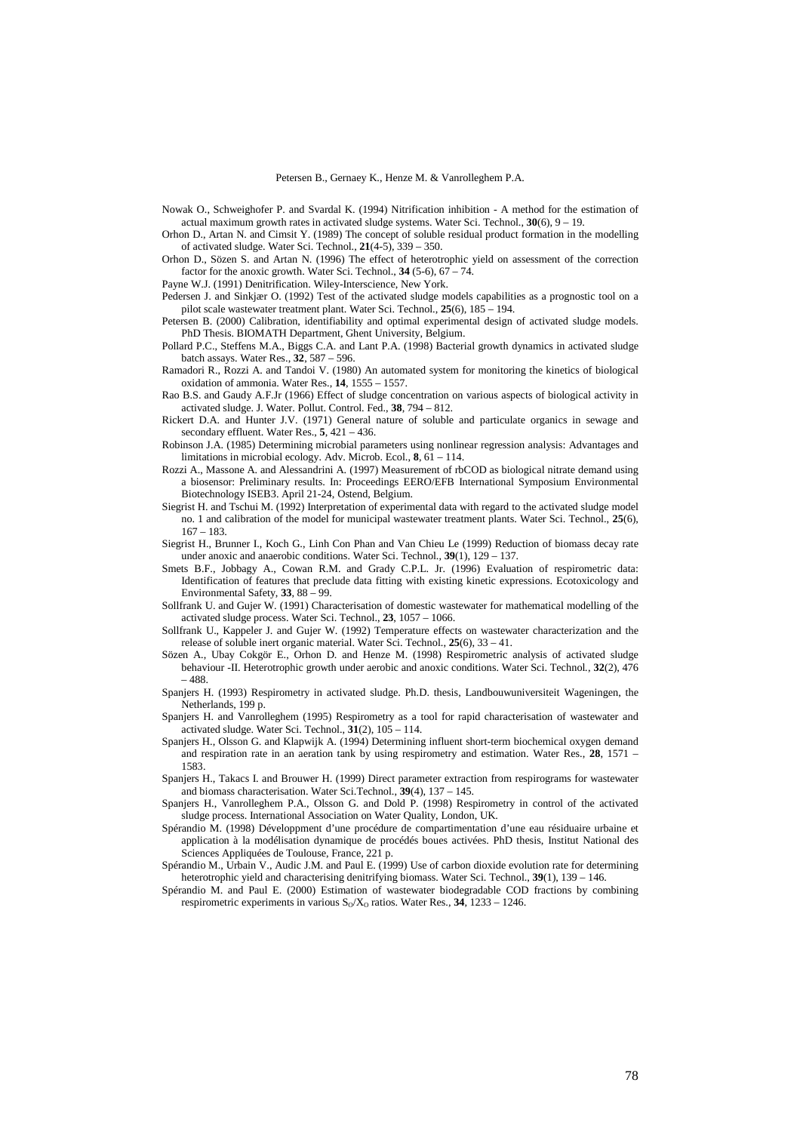- Nowak O., Schweighofer P. and Svardal K. (1994) Nitrification inhibition A method for the estimation of actual maximum growth rates in activated sludge systems. Water Sci. Technol., **30**(6), 9 – 19.
- Orhon D., Artan N. and Cimsit Y. (1989) The concept of soluble residual product formation in the modelling of activated sludge. Water Sci. Technol., **21**(4-5), 339 – 350.
- Orhon D., Sözen S. and Artan N. (1996) The effect of heterotrophic yield on assessment of the correction factor for the anoxic growth. Water Sci. Technol., **34** (5-6), 67 – 74.
- Payne W.J. (1991) Denitrification. Wiley-Interscience, New York.
- Pedersen J. and Sinkjær O. (1992) Test of the activated sludge models capabilities as a prognostic tool on a pilot scale wastewater treatment plant. Water Sci. Technol., **25**(6), 185 – 194.
- Petersen B. (2000) Calibration, identifiability and optimal experimental design of activated sludge models. PhD Thesis. BIOMATH Department, Ghent University, Belgium.
- Pollard P.C., Steffens M.A., Biggs C.A. and Lant P.A. (1998) Bacterial growth dynamics in activated sludge batch assays. Water Res., **32**, 587 – 596.
- Ramadori R., Rozzi A. and Tandoi V. (1980) An automated system for monitoring the kinetics of biological oxidation of ammonia. Water Res., **14**, 1555 – 1557.
- Rao B.S. and Gaudy A.F.Jr (1966) Effect of sludge concentration on various aspects of biological activity in activated sludge. J. Water. Pollut. Control. Fed., **38**, 794 – 812.
- Rickert D.A. and Hunter J.V. (1971) General nature of soluble and particulate organics in sewage and secondary effluent. Water Res., **5**, 421 – 436.
- Robinson J.A. (1985) Determining microbial parameters using nonlinear regression analysis: Advantages and limitations in microbial ecology. Adv. Microb. Ecol., **8**, 61 – 114.
- Rozzi A., Massone A. and Alessandrini A. (1997) Measurement of rbCOD as biological nitrate demand using a biosensor: Preliminary results. In: Proceedings EERO/EFB International Symposium Environmental Biotechnology ISEB3. April 21-24, Ostend, Belgium.
- Siegrist H. and Tschui M. (1992) Interpretation of experimental data with regard to the activated sludge model no. 1 and calibration of the model for municipal wastewater treatment plants. Water Sci. Technol., **25**(6),  $167 - 183.$
- Siegrist H., Brunner I., Koch G., Linh Con Phan and Van Chieu Le (1999) Reduction of biomass decay rate under anoxic and anaerobic conditions. Water Sci. Technol., **39**(1), 129 – 137.
- Smets B.F., Jobbagy A., Cowan R.M. and Grady C.P.L. Jr. (1996) Evaluation of respirometric data: Identification of features that preclude data fitting with existing kinetic expressions. Ecotoxicology and Environmental Safety, **33**, 88 – 99.
- Sollfrank U. and Gujer W. (1991) Characterisation of domestic wastewater for mathematical modelling of the activated sludge process. Water Sci. Technol., **23**, 1057 – 1066.
- Sollfrank U., Kappeler J. and Gujer W. (1992) Temperature effects on wastewater characterization and the release of soluble inert organic material. Water Sci. Technol., **25**(6), 33 – 41.
- Sözen A., Ubay Cokgör E., Orhon D. and Henze M. (1998) Respirometric analysis of activated sludge behaviour -II. Heterotrophic growth under aerobic and anoxic conditions. Water Sci. Technol*.*, **32**(2), 476 – 488.
- Spanjers H. (1993) Respirometry in activated sludge. Ph.D. thesis, Landbouwuniversiteit Wageningen, the Netherlands, 199 p.
- Spanjers H. and Vanrolleghem (1995) Respirometry as a tool for rapid characterisation of wastewater and activated sludge. Water Sci. Technol., **31**(2), 105 – 114.
- Spanjers H., Olsson G. and Klapwijk A. (1994) Determining influent short-term biochemical oxygen demand and respiration rate in an aeration tank by using respirometry and estimation. Water Res., **28**, 1571 – 1583.
- Spanjers H., Takacs I. and Brouwer H. (1999) Direct parameter extraction from respirograms for wastewater and biomass characterisation. Water Sci.Technol., **39**(4), 137 – 145.
- Spanjers H., Vanrolleghem P.A., Olsson G. and Dold P. (1998) Respirometry in control of the activated sludge process. International Association on Water Quality, London, UK.
- Spérandio M. (1998) Développment d'une procédure de compartimentation d'une eau résiduaire urbaine et application à la modélisation dynamique de procédés boues activées. PhD thesis, Institut National des Sciences Appliquées de Toulouse, France, 221 p.
- Spérandio M., Urbain V., Audic J.M. and Paul E. (1999) Use of carbon dioxide evolution rate for determining heterotrophic yield and characterising denitrifying biomass. Water Sci. Technol., **39**(1), 139 – 146.
- Spérandio M. and Paul E. (2000) Estimation of wastewater biodegradable COD fractions by combining respirometric experiments in various  $S_0/X_0$  ratios. Water Res., 34, 1233 – 1246.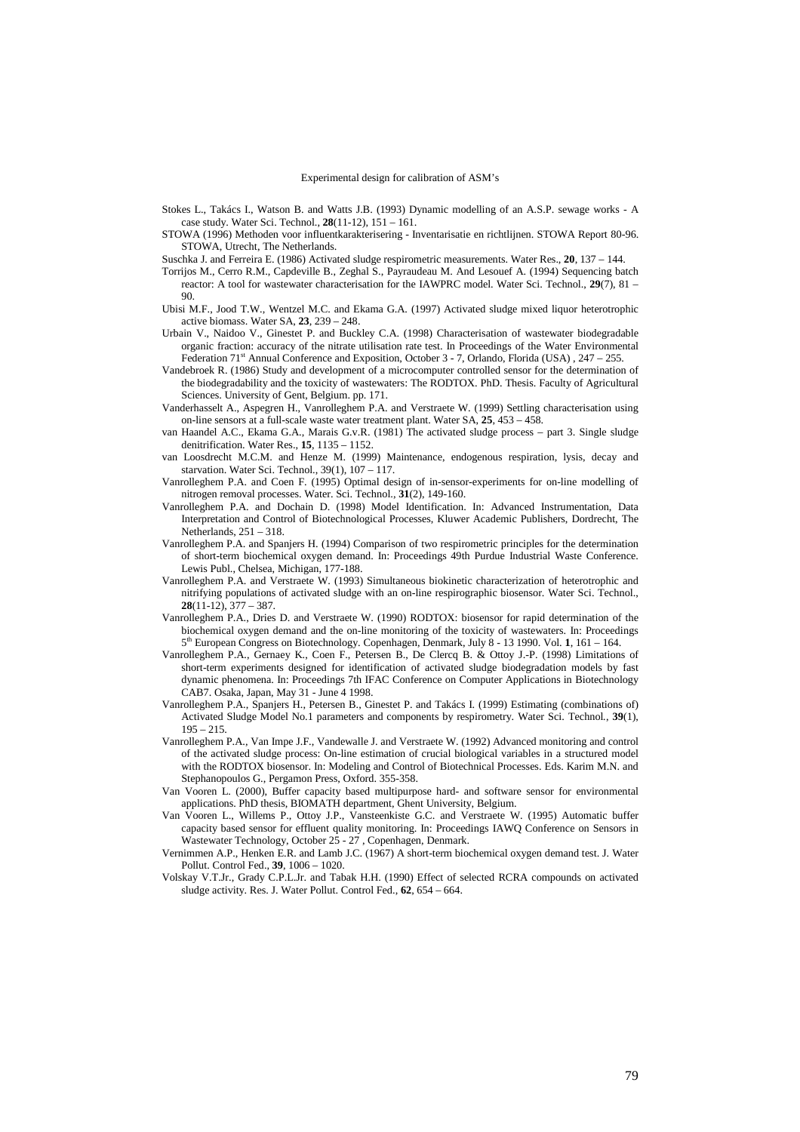- Stokes L., Takács I., Watson B. and Watts J.B. (1993) Dynamic modelling of an A.S.P. sewage works A case study. Water Sci. Technol., **28**(11-12), 151 – 161.
- STOWA (1996) Methoden voor influentkarakterisering Inventarisatie en richtlijnen. STOWA Report 80-96. STOWA, Utrecht, The Netherlands.
- Suschka J. and Ferreira E. (1986) Activated sludge respirometric measurements. Water Res., **20**, 137 144.
- Torrijos M., Cerro R.M., Capdeville B., Zeghal S., Payraudeau M. And Lesouef A. (1994) Sequencing batch reactor: A tool for wastewater characterisation for the IAWPRC model. Water Sci. Technol., **29**(7), 81 – 90.
- Ubisi M.F., Jood T.W., Wentzel M.C. and Ekama G.A. (1997) Activated sludge mixed liquor heterotrophic active biomass. Water SA, **23**, 239 – 248.
- Urbain V., Naidoo V., Ginestet P. and Buckley C.A. (1998) Characterisation of wastewater biodegradable organic fraction: accuracy of the nitrate utilisation rate test. In Proceedings of the Water Environmental Federation 71<sup>st</sup> Annual Conference and Exposition, October 3 - 7, Orlando, Florida (USA), 247 - 255.
- Vandebroek R. (1986) Study and development of a microcomputer controlled sensor for the determination of the biodegradability and the toxicity of wastewaters: The RODTOX. PhD. Thesis. Faculty of Agricultural Sciences. University of Gent, Belgium. pp. 171.
- Vanderhasselt A., Aspegren H., Vanrolleghem P.A. and Verstraete W. (1999) Settling characterisation using on-line sensors at a full-scale waste water treatment plant. Water SA, **25**, 453 – 458.
- van Haandel A.C., Ekama G.A., Marais G.v.R. (1981) The activated sludge process part 3. Single sludge denitrification. Water Res., **15**, 1135 – 1152.
- van Loosdrecht M.C.M. and Henze M. (1999) Maintenance, endogenous respiration, lysis, decay and starvation. Water Sci. Technol., 39(1), 107 – 117.
- Vanrolleghem P.A. and Coen F. (1995) Optimal design of in-sensor-experiments for on-line modelling of nitrogen removal processes. Water. Sci. Technol., **31**(2), 149-160.
- Vanrolleghem P.A. and Dochain D. (1998) Model Identification. In: Advanced Instrumentation, Data Interpretation and Control of Biotechnological Processes, Kluwer Academic Publishers, Dordrecht, The Netherlands, 251 – 318.
- Vanrolleghem P.A. and Spanjers H. (1994) Comparison of two respirometric principles for the determination of short-term biochemical oxygen demand. In: Proceedings 49th Purdue Industrial Waste Conference. Lewis Publ., Chelsea, Michigan, 177-188.
- Vanrolleghem P.A. and Verstraete W. (1993) Simultaneous biokinetic characterization of heterotrophic and nitrifying populations of activated sludge with an on-line respirographic biosensor. Water Sci. Technol., **28**(11-12), 377 – 387.
- Vanrolleghem P.A., Dries D. and Verstraete W. (1990) RODTOX: biosensor for rapid determination of the biochemical oxygen demand and the on-line monitoring of the toxicity of wastewaters. In: Proceedings 5th European Congress on Biotechnology. Copenhagen, Denmark, July 8 - 13 1990. Vol. **1**, 161 – 164.
- Vanrolleghem P.A., Gernaey K., Coen F., Petersen B., De Clercq B. & Ottoy J.-P. (1998) Limitations of short-term experiments designed for identification of activated sludge biodegradation models by fast dynamic phenomena. In: Proceedings 7th IFAC Conference on Computer Applications in Biotechnology CAB7. Osaka, Japan, May 31 - June 4 1998.
- Vanrolleghem P.A., Spanjers H., Petersen B., Ginestet P. and Takács I. (1999) Estimating (combinations of) Activated Sludge Model No.1 parameters and components by respirometry. Water Sci. Technol*.*, **39**(1),  $195 - 215$ .
- Vanrolleghem P.A., Van Impe J.F., Vandewalle J. and Verstraete W. (1992) Advanced monitoring and control of the activated sludge process: On-line estimation of crucial biological variables in a structured model with the RODTOX biosensor. In: Modeling and Control of Biotechnical Processes. Eds. Karim M.N. and Stephanopoulos G., Pergamon Press, Oxford. 355-358.
- Van Vooren L. (2000), Buffer capacity based multipurpose hard- and software sensor for environmental applications. PhD thesis, BIOMATH department, Ghent University, Belgium.
- Van Vooren L., Willems P., Ottoy J.P., Vansteenkiste G.C. and Verstraete W. (1995) Automatic buffer capacity based sensor for effluent quality monitoring. In: Proceedings IAWQ Conference on Sensors in Wastewater Technology, October 25 - 27 , Copenhagen, Denmark.
- Vernimmen A.P., Henken E.R. and Lamb J.C. (1967) A short-term biochemical oxygen demand test. J. Water Pollut. Control Fed., **39**, 1006 – 1020.
- Volskay V.T.Jr., Grady C.P.L.Jr. and Tabak H.H. (1990) Effect of selected RCRA compounds on activated sludge activity. Res. J. Water Pollut. Control Fed., **62**, 654 – 664.